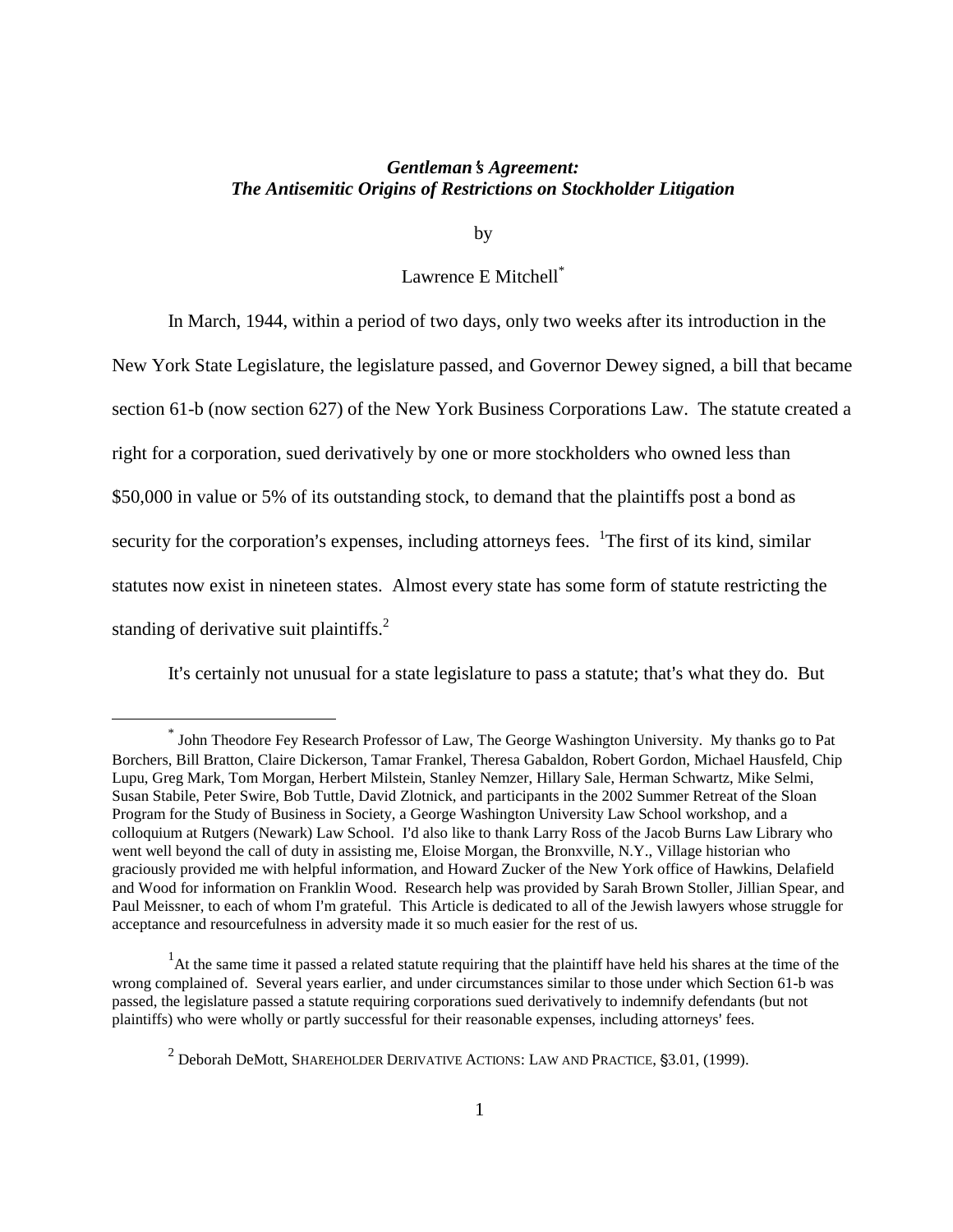### *Gentleman*=*s Agreement: The Antisemitic Origins of Restrictions on Stockholder Litigation*

by

## Lawrence E Mitchell\*

In March, 1944, within a period of two days, only two weeks after its introduction in the New York State Legislature, the legislature passed, and Governor Dewey signed, a bill that became section 61-b (now section 627) of the New York Business Corporations Law. The statute created a right for a corporation, sued derivatively by one or more stockholders who owned less than \$50,000 in value or 5% of its outstanding stock, to demand that the plaintiffs post a bond as security for the corporation's expenses, including attorneys fees.  $1$ The first of its kind, similar statutes now exist in nineteen states. Almost every state has some form of statute restricting the standing of derivative suit plaintiffs.<sup>2</sup>

It's certainly not unusual for a state legislature to pass a statute; that's what they do. But

<sup>\*</sup> John Theodore Fey Research Professor of Law, The George Washington University. My thanks go to Pat Borchers, Bill Bratton, Claire Dickerson, Tamar Frankel, Theresa Gabaldon, Robert Gordon, Michael Hausfeld, Chip Lupu, Greg Mark, Tom Morgan, Herbert Milstein, Stanley Nemzer, Hillary Sale, Herman Schwartz, Mike Selmi, Susan Stabile, Peter Swire, Bob Tuttle, David Zlotnick, and participants in the 2002 Summer Retreat of the Sloan Program for the Study of Business in Society, a George Washington University Law School workshop, and a colloquium at Rutgers (Newark) Law School. I'd also like to thank Larry Ross of the Jacob Burns Law Library who went well beyond the call of duty in assisting me, Eloise Morgan, the Bronxville, N.Y., Village historian who graciously provided me with helpful information, and Howard Zucker of the New York office of Hawkins, Delafield and Wood for information on Franklin Wood. Research help was provided by Sarah Brown Stoller, Jillian Spear, and Paul Meissner, to each of whom I'm grateful. This Article is dedicated to all of the Jewish lawyers whose struggle for acceptance and resourcefulness in adversity made it so much easier for the rest of us.

<sup>&</sup>lt;sup>1</sup>At the same time it passed a related statute requiring that the plaintiff have held his shares at the time of the wrong complained of. Several years earlier, and under circumstances similar to those under which Section 61-b was passed, the legislature passed a statute requiring corporations sued derivatively to indemnify defendants (but not plaintiffs) who were wholly or partly successful for their reasonable expenses, including attorneys' fees.

 $^2$  Deborah DeMott, Shareholder Derivative Actions: Law and Practice, §3.01, (1999).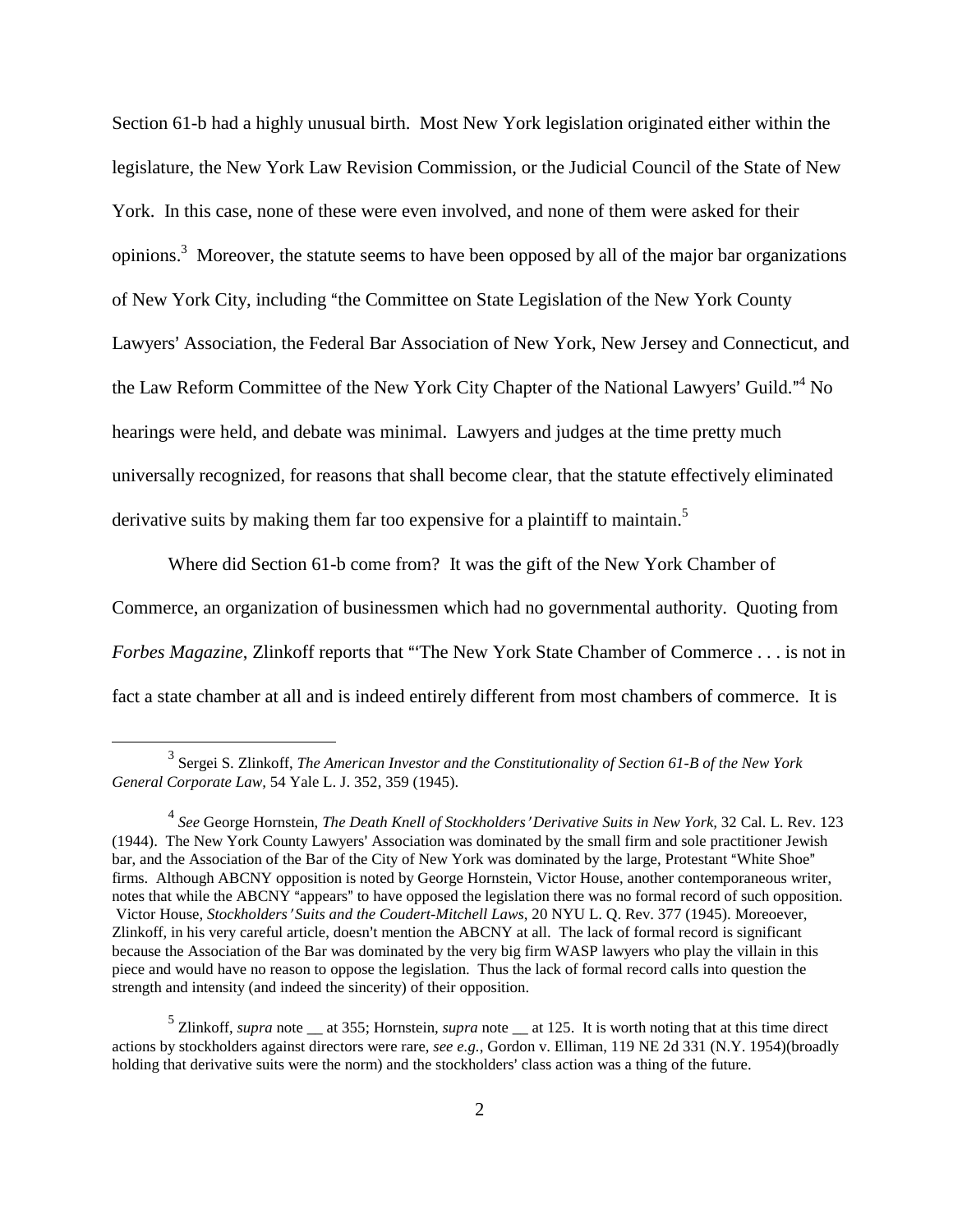Section 61-b had a highly unusual birth. Most New York legislation originated either within the legislature, the New York Law Revision Commission, or the Judicial Council of the State of New York. In this case, none of these were even involved, and none of them were asked for their opinions.<sup>3</sup> Moreover, the statute seems to have been opposed by all of the major bar organizations of New York City, including "the Committee on State Legislation of the New York County Lawyers' Association, the Federal Bar Association of New York, New Jersey and Connecticut, and the Law Reform Committee of the New York City Chapter of the National Lawyers' Guild."<sup>4</sup> No hearings were held, and debate was minimal. Lawyers and judges at the time pretty much universally recognized, for reasons that shall become clear, that the statute effectively eliminated derivative suits by making them far too expensive for a plaintiff to maintain.<sup>5</sup>

Where did Section 61-b come from? It was the gift of the New York Chamber of Commerce, an organization of businessmen which had no governmental authority. Quoting from *Forbes Magazine*, Zlinkoff reports that "The New York State Chamber of Commerce . . . is not in fact a state chamber at all and is indeed entirely different from most chambers of commerce. It is

<sup>3</sup> Sergei S. Zlinkoff, *The American Investor and the Constitutionality of Section 61-B of the New York General Corporate Law,* 54 Yale L. J. 352, 359 (1945).

<sup>&</sup>lt;sup>4</sup> See George Hornstein, *The Death Knell of Stockholders' Derivative Suits in New York,* 32 Cal. L. Rev. 123 (1944). The New York County Lawyers' Association was dominated by the small firm and sole practitioner Jewish bar, and the Association of the Bar of the City of New York was dominated by the large, Protestant "White Shoe" firms. Although ABCNY opposition is noted by George Hornstein, Victor House, another contemporaneous writer, notes that while the ABCNY "appears" to have opposed the legislation there was no formal record of such opposition. Victor House, *Stockholders*= *Suits and the Coudert-Mitchell Laws*, 20 NYU L. Q. Rev. 377 (1945). Moreoever, Zlinkoff, in his very careful article, doesn't mention the ABCNY at all. The lack of formal record is significant because the Association of the Bar was dominated by the very big firm WASP lawyers who play the villain in this piece and would have no reason to oppose the legislation. Thus the lack of formal record calls into question the strength and intensity (and indeed the sincerity) of their opposition.

 $<sup>5</sup>$  Zlinkoff, *supra* note  $<sub>—</sub>$  at 355; Hornstein, *supra* note  $<sub>—</sub>$  at 125. It is worth noting that at this time direct</sup></sub></sub> actions by stockholders against directors were rare, *see e.g.*, Gordon v. Elliman, 119 NE 2d 331 (N.Y. 1954)(broadly holding that derivative suits were the norm) and the stockholders' class action was a thing of the future.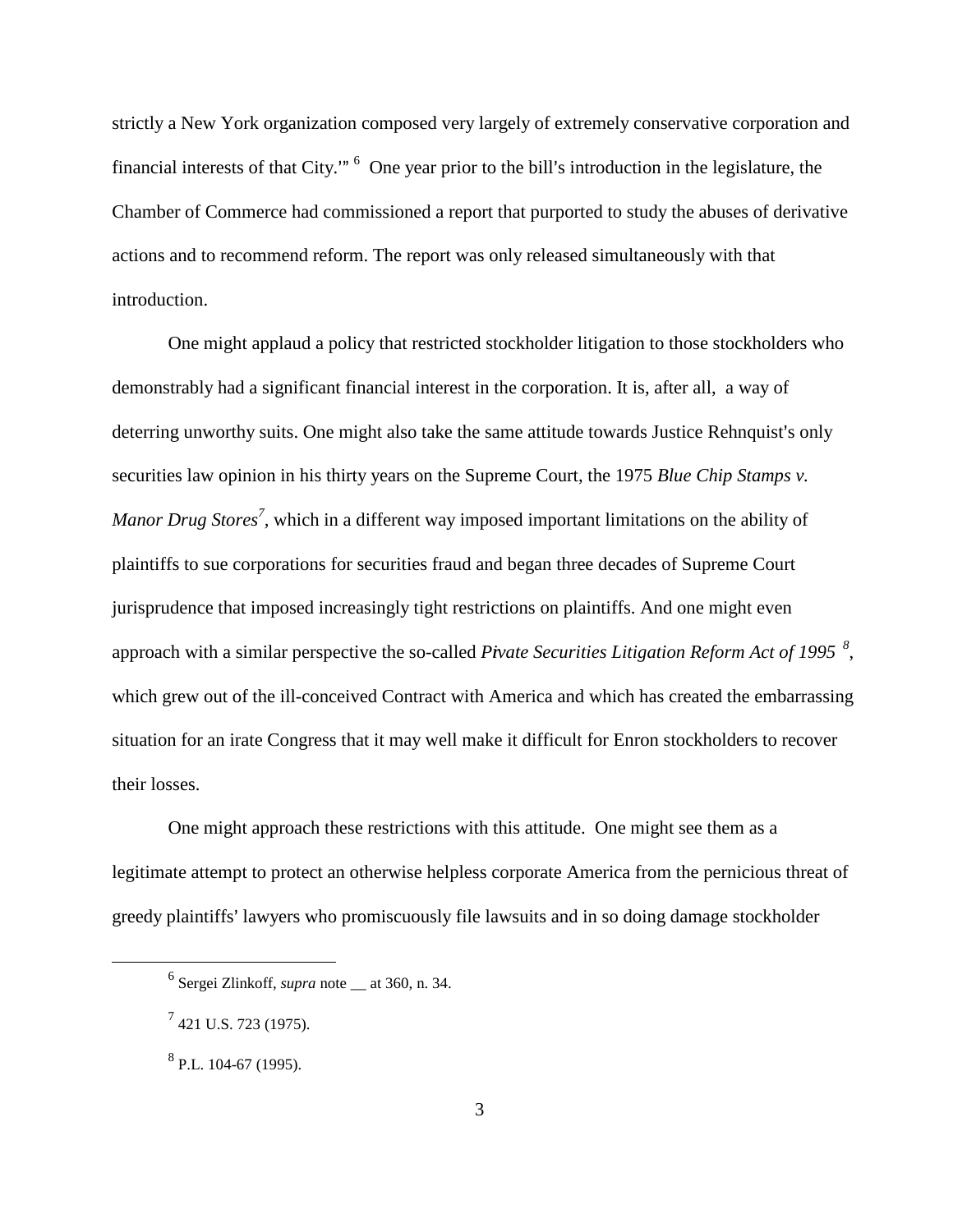strictly a New York organization composed very largely of extremely conservative corporation and financial interests of that City."<sup>6</sup> One year prior to the bill's introduction in the legislature, the Chamber of Commerce had commissioned a report that purported to study the abuses of derivative actions and to recommend reform. The report was only released simultaneously with that introduction.

One might applaud a policy that restricted stockholder litigation to those stockholders who demonstrably had a significant financial interest in the corporation. It is, after all, a way of deterring unworthy suits. One might also take the same attitude towards Justice Rehnquist's only securities law opinion in his thirty years on the Supreme Court, the 1975 *Blue Chip Stamps v. Manor Drug Stores<sup>7</sup>*, which in a different way imposed important limitations on the ability of plaintiffs to sue corporations for securities fraud and began three decades of Supreme Court jurisprudence that imposed increasingly tight restrictions on plaintiffs. And one might even approach with a similar perspective the so-called *Pivate Securities Litigation Reform Act of 1995*<sup>8</sup>, which grew out of the ill-conceived Contract with America and which has created the embarrassing situation for an irate Congress that it may well make it difficult for Enron stockholders to recover their losses.

One might approach these restrictions with this attitude. One might see them as a legitimate attempt to protect an otherwise helpless corporate America from the pernicious threat of greedy plaintiffs' lawyers who promiscuously file lawsuits and in so doing damage stockholder

<sup>6</sup> Sergei Zlinkoff, *supra* note \_\_ at 360, n. 34.

 $^7$  421 U.S. 723 (1975).

<sup>&</sup>lt;sup>8</sup> P.L. 104-67 (1995).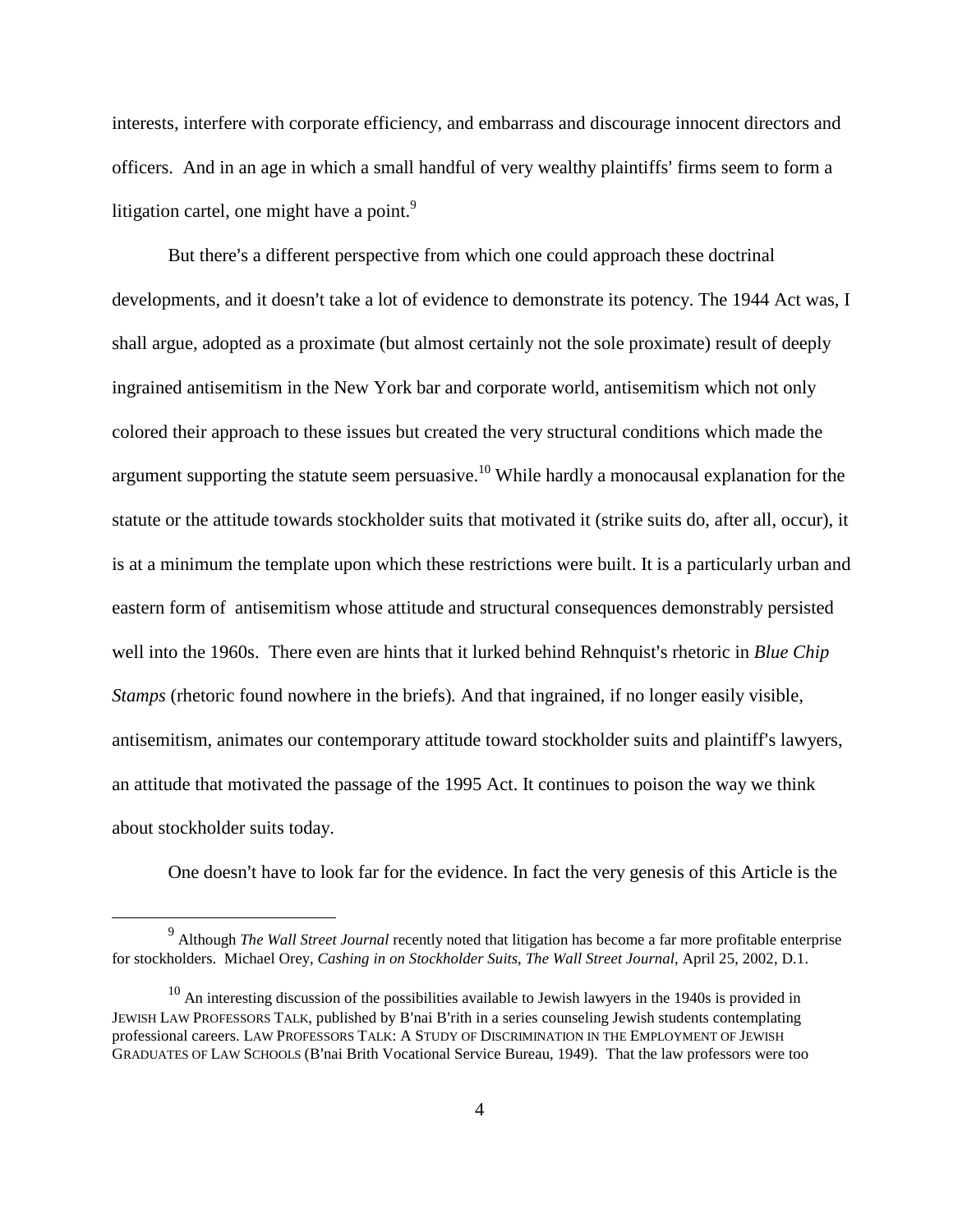interests, interfere with corporate efficiency, and embarrass and discourage innocent directors and officers. And in an age in which a small handful of very wealthy plaintiffs' firms seem to form a litigation cartel, one might have a point. $9$ 

But there's a different perspective from which one could approach these doctrinal developments, and it doesn't take a lot of evidence to demonstrate its potency. The 1944 Act was, I shall argue, adopted as a proximate (but almost certainly not the sole proximate) result of deeply ingrained antisemitism in the New York bar and corporate world, antisemitism which not only colored their approach to these issues but created the very structural conditions which made the argument supporting the statute seem persuasive.<sup>10</sup> While hardly a monocausal explanation for the statute or the attitude towards stockholder suits that motivated it (strike suits do, after all, occur), it is at a minimum the template upon which these restrictions were built. It is a particularly urban and eastern form of antisemitism whose attitude and structural consequences demonstrably persisted well into the 1960s. There even are hints that it lurked behind Rehnquist's rhetoric in *Blue Chip Stamps* (rhetoric found nowhere in the briefs)*.* And that ingrained, if no longer easily visible, antisemitism, animates our contemporary attitude toward stockholder suits and plaintiff's lawyers, an attitude that motivated the passage of the 1995 Act. It continues to poison the way we think about stockholder suits today.

One doesn't have to look far for the evidence. In fact the very genesis of this Article is the

<sup>9</sup> Although *The Wall Street Journal* recently noted that litigation has become a far more profitable enterprise for stockholders. Michael Orey, *Cashing in on Stockholder Suits*, *The Wall Street Journal*, April 25, 2002, D.1.

 $10$  An interesting discussion of the possibilities available to Jewish lawyers in the 1940s is provided in JEWISH LAW PROFESSORS TALK, published by B'nai B'rith in a series counseling Jewish students contemplating professional careers. LAW PROFESSORS TALK: A STUDY OF DISCRIMINATION IN THE EMPLOYMENT OF JEWISH GRADUATES OF LAW SCHOOLS (B'nai Brith Vocational Service Bureau, 1949). That the law professors were too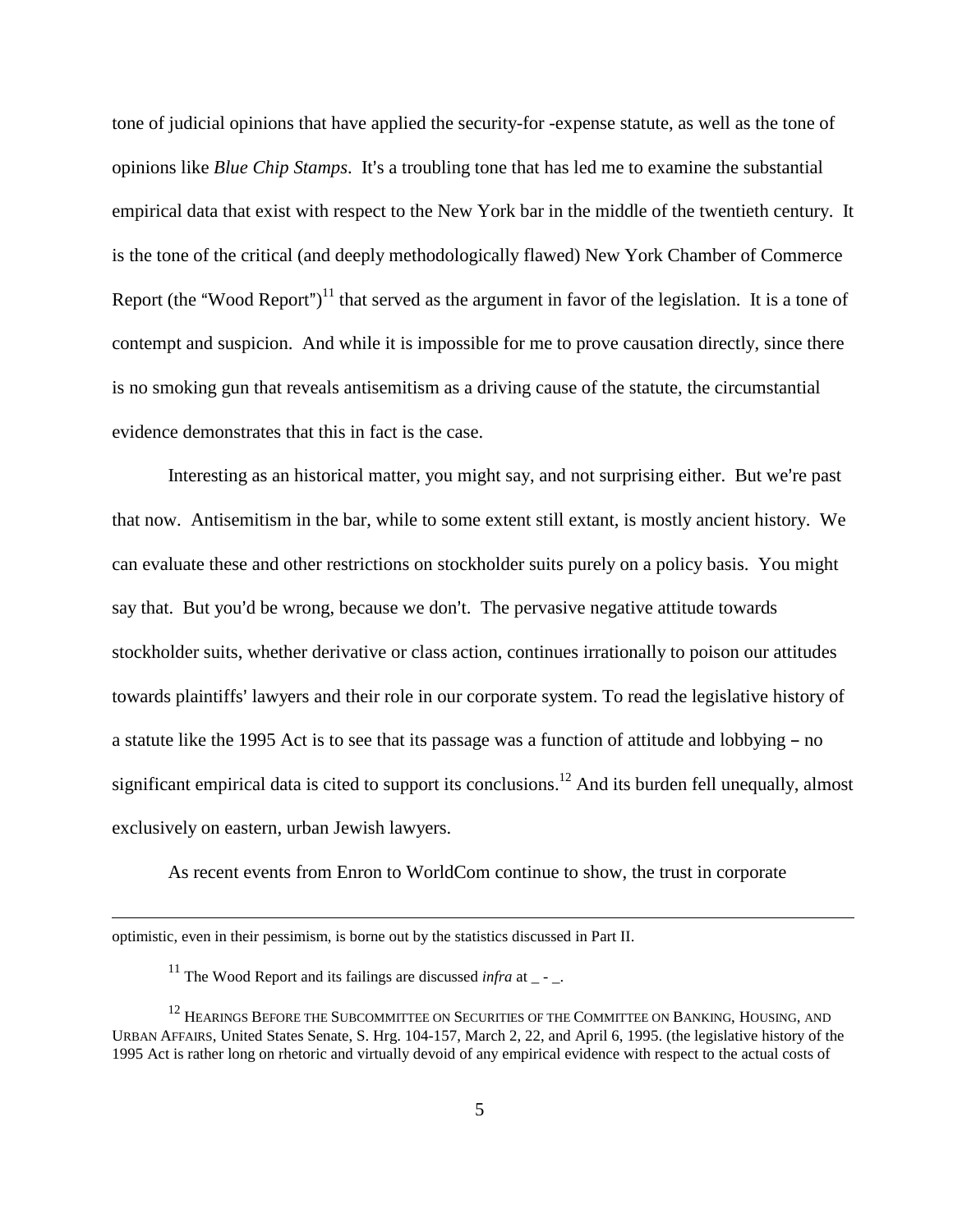tone of judicial opinions that have applied the security-for -expense statute, as well as the tone of opinions like *Blue Chip Stamps*. It's a troubling tone that has led me to examine the substantial empirical data that exist with respect to the New York bar in the middle of the twentieth century. It is the tone of the critical (and deeply methodologically flawed) New York Chamber of Commerce Report (the "Wood Report")<sup>11</sup> that served as the argument in favor of the legislation. It is a tone of contempt and suspicion. And while it is impossible for me to prove causation directly, since there is no smoking gun that reveals antisemitism as a driving cause of the statute, the circumstantial evidence demonstrates that this in fact is the case.

Interesting as an historical matter, you might say, and not surprising either. But we're past that now. Antisemitism in the bar, while to some extent still extant, is mostly ancient history. We can evaluate these and other restrictions on stockholder suits purely on a policy basis. You might say that. But you'd be wrong, because we don't. The pervasive negative attitude towards stockholder suits, whether derivative or class action, continues irrationally to poison our attitudes towards plaintiffs' lawyers and their role in our corporate system. To read the legislative history of a statute like the 1995 Act is to see that its passage was a function of attitude and lobbying - no significant empirical data is cited to support its conclusions.<sup>12</sup> And its burden fell unequally, almost exclusively on eastern, urban Jewish lawyers.

As recent events from Enron to WorldCom continue to show, the trust in corporate

optimistic, even in their pessimism, is borne out by the statistics discussed in Part II.

<sup>&</sup>lt;sup>11</sup> The Wood Report and its failings are discussed *infra* at  $\sim$ .

 $^{12}$  Hearings Before the Subcommittee on Securities of the Committee on Banking, Housing, and URBAN AFFAIRS, United States Senate, S. Hrg. 104-157, March 2, 22, and April 6, 1995. (the legislative history of the 1995 Act is rather long on rhetoric and virtually devoid of any empirical evidence with respect to the actual costs of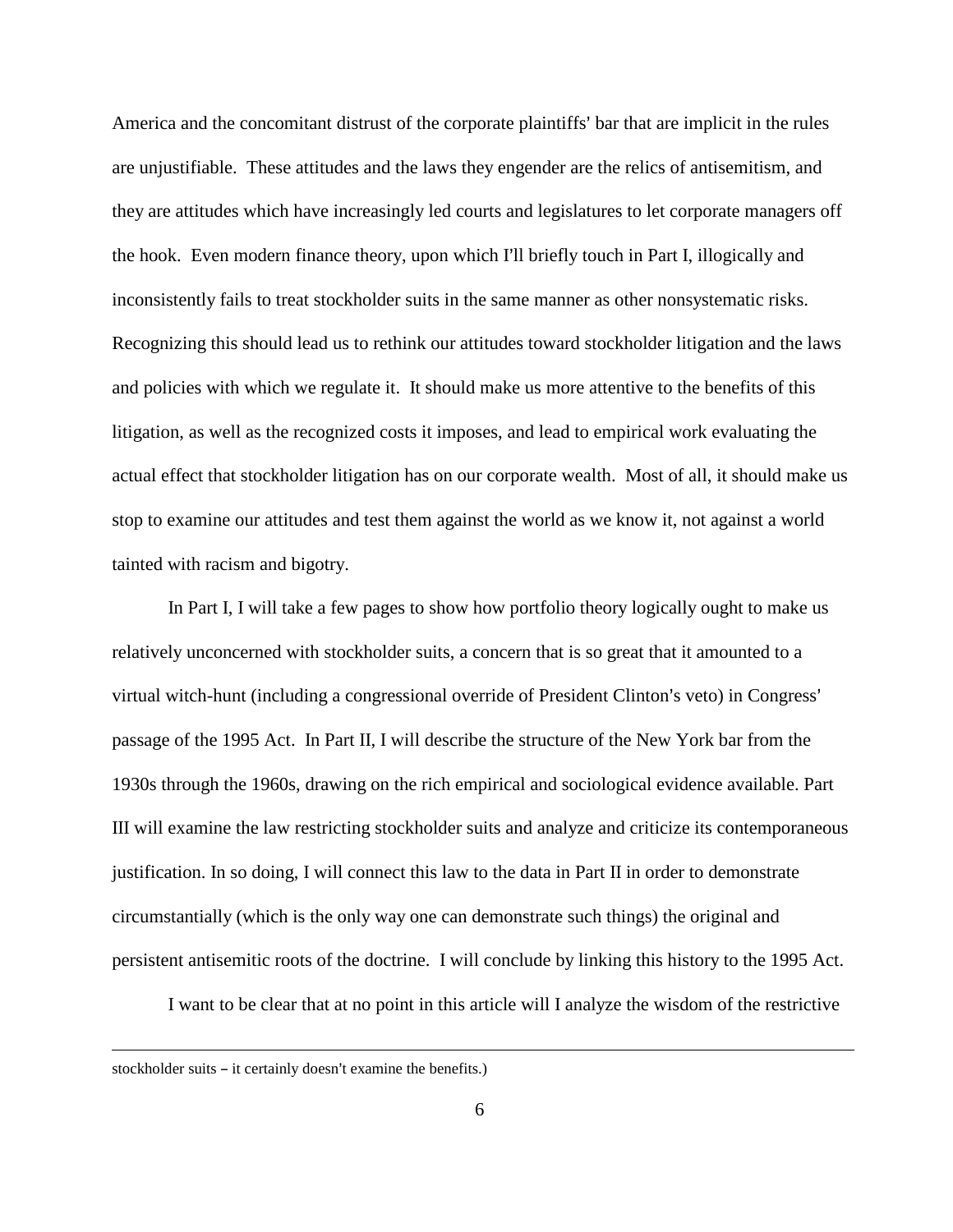America and the concomitant distrust of the corporate plaintiffs' bar that are implicit in the rules are unjustifiable. These attitudes and the laws they engender are the relics of antisemitism, and they are attitudes which have increasingly led courts and legislatures to let corporate managers off the hook. Even modern finance theory, upon which I'll briefly touch in Part I, illogically and inconsistently fails to treat stockholder suits in the same manner as other nonsystematic risks. Recognizing this should lead us to rethink our attitudes toward stockholder litigation and the laws and policies with which we regulate it. It should make us more attentive to the benefits of this litigation, as well as the recognized costs it imposes, and lead to empirical work evaluating the actual effect that stockholder litigation has on our corporate wealth. Most of all, it should make us stop to examine our attitudes and test them against the world as we know it, not against a world tainted with racism and bigotry.

In Part I, I will take a few pages to show how portfolio theory logically ought to make us relatively unconcerned with stockholder suits, a concern that is so great that it amounted to a virtual witch-hunt (including a congressional override of President Clinton's veto) in Congress' passage of the 1995 Act. In Part II, I will describe the structure of the New York bar from the 1930s through the 1960s, drawing on the rich empirical and sociological evidence available. Part III will examine the law restricting stockholder suits and analyze and criticize its contemporaneous justification. In so doing, I will connect this law to the data in Part II in order to demonstrate circumstantially (which is the only way one can demonstrate such things) the original and persistent antisemitic roots of the doctrine. I will conclude by linking this history to the 1995 Act.

I want to be clear that at no point in this article will I analyze the wisdom of the restrictive

stockholder suits  $-$  it certainly doesn't examine the benefits.)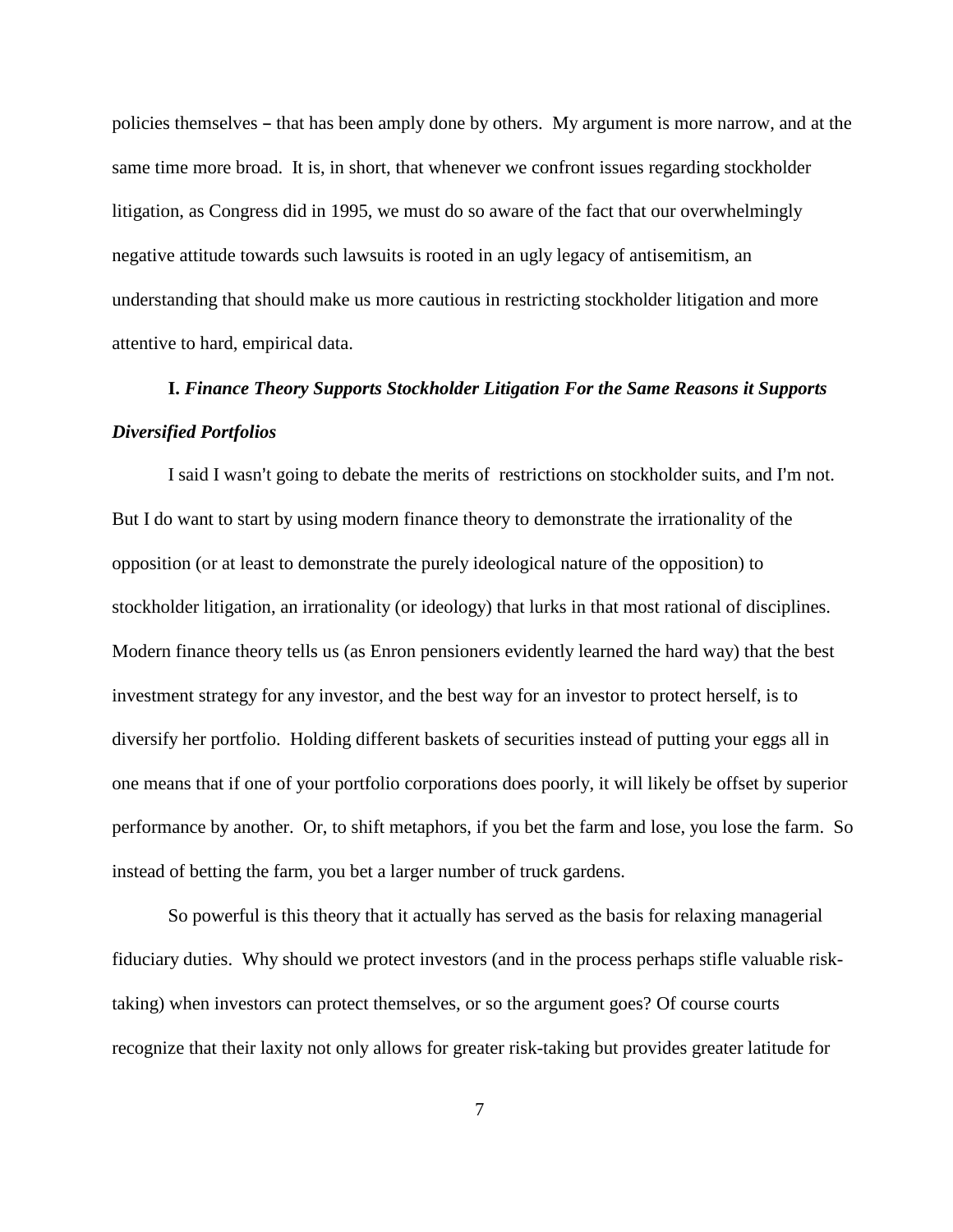policies themselves – that has been amply done by others. My argument is more narrow, and at the same time more broad. It is, in short, that whenever we confront issues regarding stockholder litigation, as Congress did in 1995, we must do so aware of the fact that our overwhelmingly negative attitude towards such lawsuits is rooted in an ugly legacy of antisemitism, an understanding that should make us more cautious in restricting stockholder litigation and more attentive to hard, empirical data.

# **I.** *Finance Theory Supports Stockholder Litigation For the Same Reasons it Supports Diversified Portfolios*

I said I wasn't going to debate the merits of restrictions on stockholder suits, and I'm not. But I do want to start by using modern finance theory to demonstrate the irrationality of the opposition (or at least to demonstrate the purely ideological nature of the opposition) to stockholder litigation, an irrationality (or ideology) that lurks in that most rational of disciplines. Modern finance theory tells us (as Enron pensioners evidently learned the hard way) that the best investment strategy for any investor, and the best way for an investor to protect herself, is to diversify her portfolio. Holding different baskets of securities instead of putting your eggs all in one means that if one of your portfolio corporations does poorly, it will likely be offset by superior performance by another. Or, to shift metaphors, if you bet the farm and lose, you lose the farm. So instead of betting the farm, you bet a larger number of truck gardens.

So powerful is this theory that it actually has served as the basis for relaxing managerial fiduciary duties. Why should we protect investors (and in the process perhaps stifle valuable risktaking) when investors can protect themselves, or so the argument goes? Of course courts recognize that their laxity not only allows for greater risk-taking but provides greater latitude for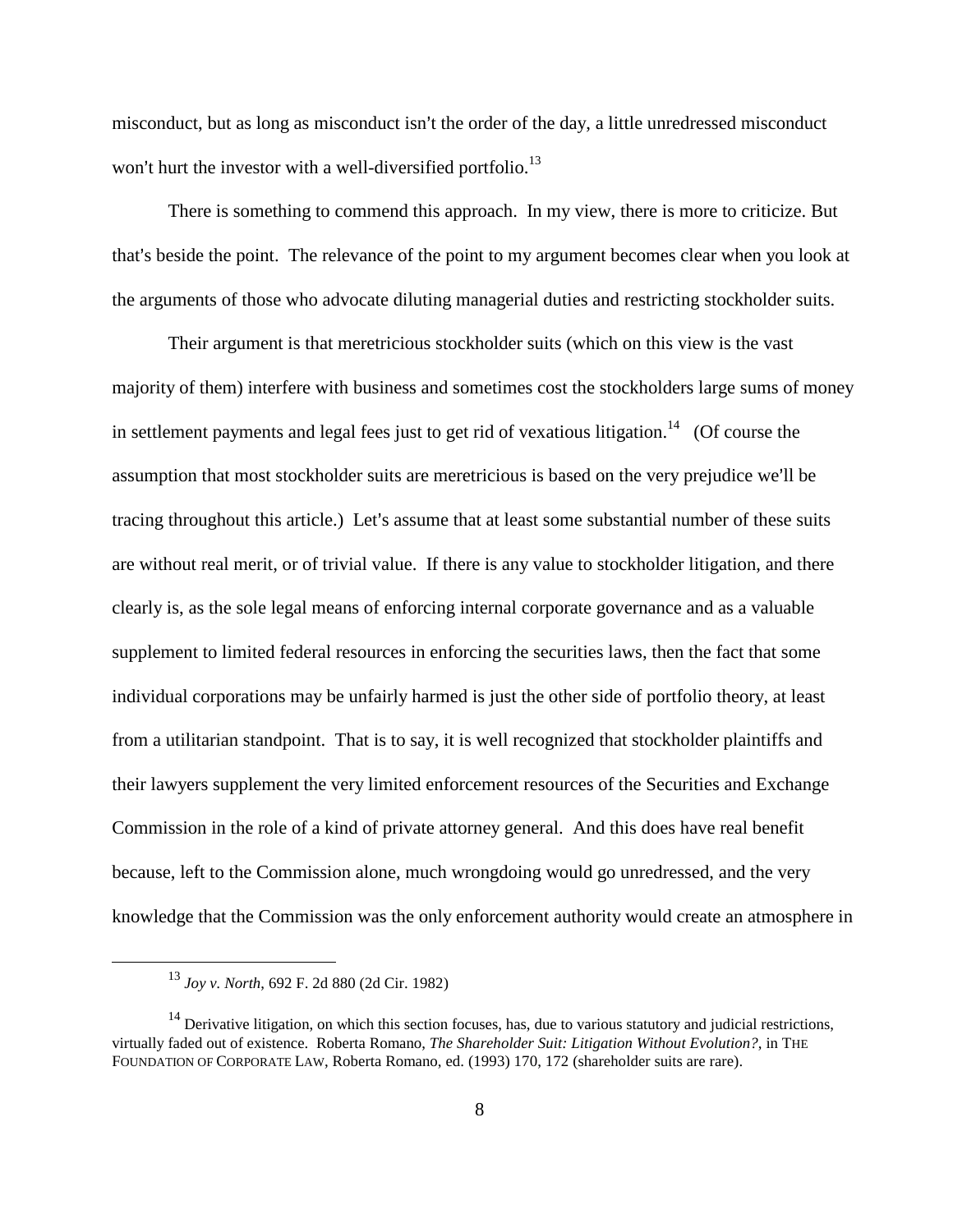misconduct, but as long as misconduct isn't the order of the day, a little unredressed misconduct won't hurt the investor with a well-diversified portfolio.<sup>13</sup>

There is something to commend this approach. In my view, there is more to criticize. But that's beside the point. The relevance of the point to my argument becomes clear when you look at the arguments of those who advocate diluting managerial duties and restricting stockholder suits.

Their argument is that meretricious stockholder suits (which on this view is the vast majority of them) interfere with business and sometimes cost the stockholders large sums of money in settlement payments and legal fees just to get rid of vexatious litigation.<sup>14</sup> (Of course the assumption that most stockholder suits are meretricious is based on the very prejudice we'll be tracing throughout this article.) Let's assume that at least some substantial number of these suits are without real merit, or of trivial value. If there is any value to stockholder litigation, and there clearly is, as the sole legal means of enforcing internal corporate governance and as a valuable supplement to limited federal resources in enforcing the securities laws, then the fact that some individual corporations may be unfairly harmed is just the other side of portfolio theory, at least from a utilitarian standpoint. That is to say, it is well recognized that stockholder plaintiffs and their lawyers supplement the very limited enforcement resources of the Securities and Exchange Commission in the role of a kind of private attorney general. And this does have real benefit because, left to the Commission alone, much wrongdoing would go unredressed, and the very knowledge that the Commission was the only enforcement authority would create an atmosphere in

<sup>13</sup> *Joy v. North*, 692 F. 2d 880 (2d Cir. 1982)

 $14$  Derivative litigation, on which this section focuses, has, due to various statutory and judicial restrictions, virtually faded out of existence. Roberta Romano, *The Shareholder Suit: Litigation Without Evolution?*, in THE FOUNDATION OF CORPORATE LAW, Roberta Romano, ed. (1993) 170, 172 (shareholder suits are rare).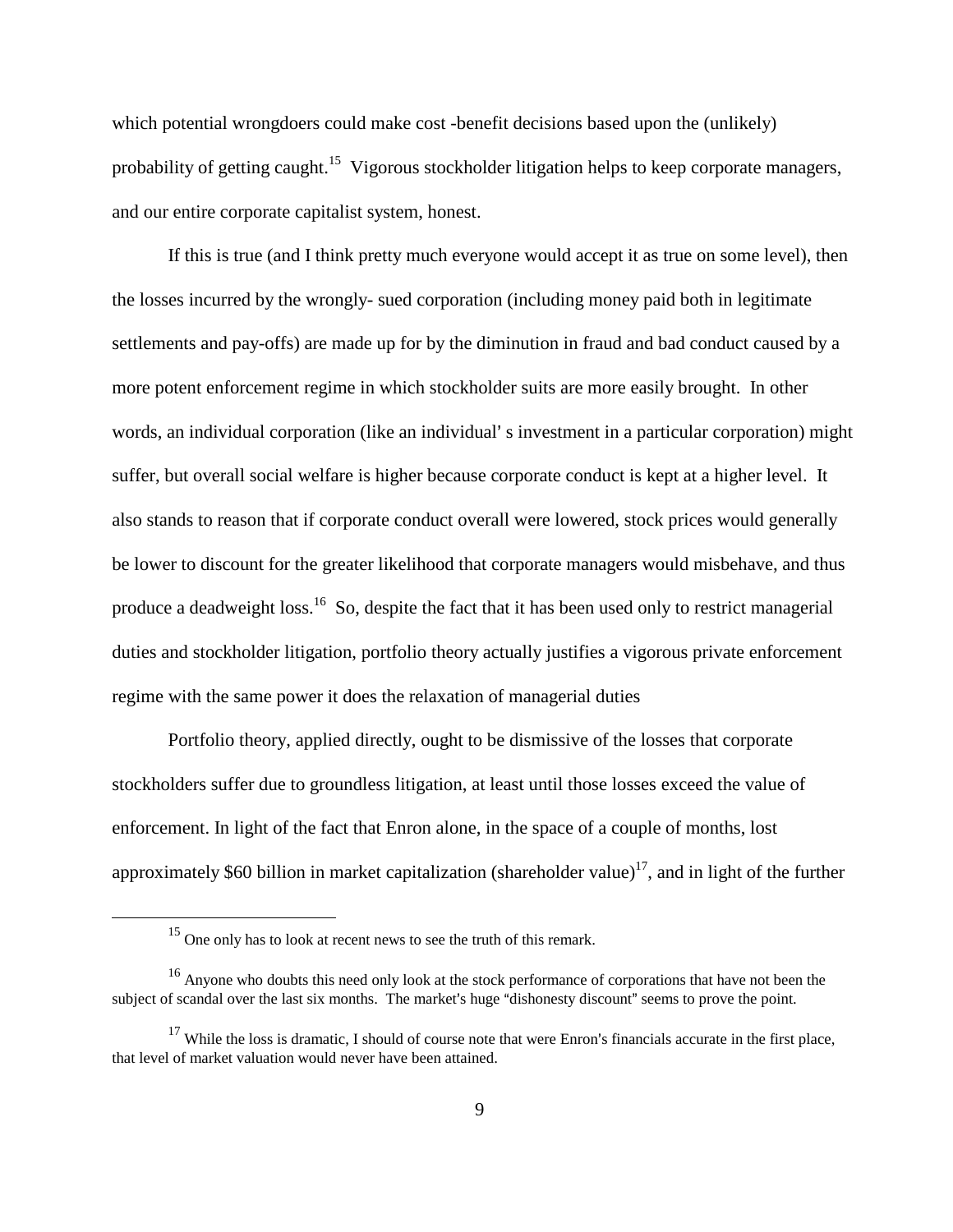which potential wrongdoers could make cost -benefit decisions based upon the (unlikely) probability of getting caught.<sup>15</sup> Vigorous stockholder litigation helps to keep corporate managers, and our entire corporate capitalist system, honest.

If this is true (and I think pretty much everyone would accept it as true on some level), then the losses incurred by the wrongly- sued corporation (including money paid both in legitimate settlements and pay-offs) are made up for by the diminution in fraud and bad conduct caused by a more potent enforcement regime in which stockholder suits are more easily brought. In other words, an individual corporation (like an individual' s investment in a particular corporation) might suffer, but overall social welfare is higher because corporate conduct is kept at a higher level. It also stands to reason that if corporate conduct overall were lowered, stock prices would generally be lower to discount for the greater likelihood that corporate managers would misbehave, and thus produce a deadweight loss.<sup>16</sup> So, despite the fact that it has been used only to restrict managerial duties and stockholder litigation, portfolio theory actually justifies a vigorous private enforcement regime with the same power it does the relaxation of managerial duties

Portfolio theory, applied directly, ought to be dismissive of the losses that corporate stockholders suffer due to groundless litigation, at least until those losses exceed the value of enforcement. In light of the fact that Enron alone, in the space of a couple of months, lost approximately \$60 billion in market capitalization (shareholder value)<sup>17</sup>, and in light of the further

<sup>&</sup>lt;sup>15</sup> One only has to look at recent news to see the truth of this remark.

<sup>&</sup>lt;sup>16</sup> Anyone who doubts this need only look at the stock performance of corporations that have not been the subject of scandal over the last six months. The market's huge "dishonesty discount" seems to prove the point.

 $17$  While the loss is dramatic, I should of course note that were Enron's financials accurate in the first place, that level of market valuation would never have been attained.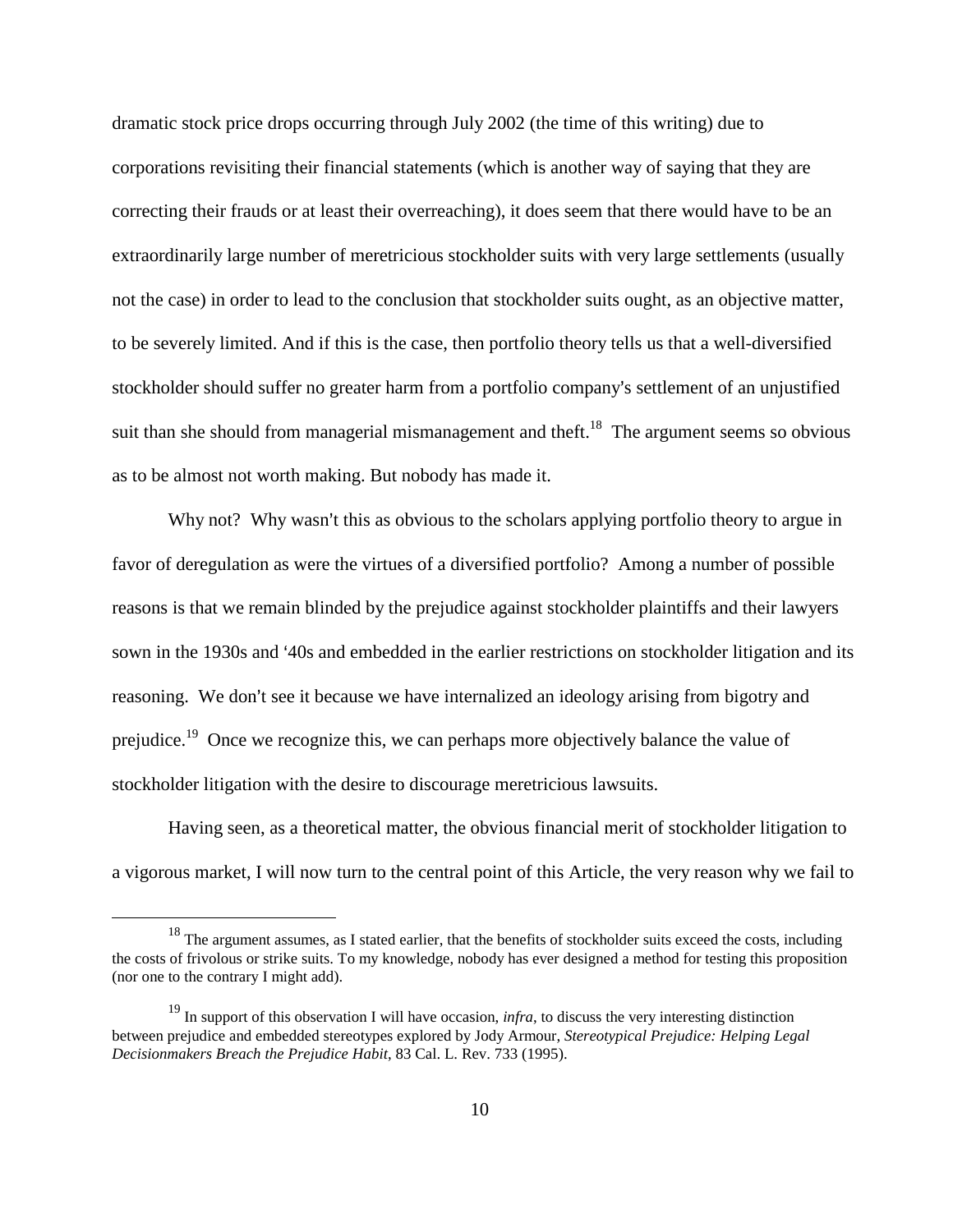dramatic stock price drops occurring through July 2002 (the time of this writing) due to corporations revisiting their financial statements (which is another way of saying that they are correcting their frauds or at least their overreaching), it does seem that there would have to be an extraordinarily large number of meretricious stockholder suits with very large settlements (usually not the case) in order to lead to the conclusion that stockholder suits ought, as an objective matter, to be severely limited. And if this is the case, then portfolio theory tells us that a well-diversified stockholder should suffer no greater harm from a portfolio company's settlement of an unjustified suit than she should from managerial mismanagement and theft.<sup>18</sup> The argument seems so obvious as to be almost not worth making. But nobody has made it.

Why not? Why wasn't this as obvious to the scholars applying portfolio theory to argue in favor of deregulation as were the virtues of a diversified portfolio? Among a number of possible reasons is that we remain blinded by the prejudice against stockholder plaintiffs and their lawyers sown in the 1930s and '40s and embedded in the earlier restrictions on stockholder litigation and its reasoning. We don't see it because we have internalized an ideology arising from bigotry and prejudice.19 Once we recognize this, we can perhaps more objectively balance the value of stockholder litigation with the desire to discourage meretricious lawsuits.

Having seen, as a theoretical matter, the obvious financial merit of stockholder litigation to a vigorous market, I will now turn to the central point of this Article, the very reason why we fail to

<sup>&</sup>lt;sup>18</sup> The argument assumes, as I stated earlier, that the benefits of stockholder suits exceed the costs, including the costs of frivolous or strike suits. To my knowledge, nobody has ever designed a method for testing this proposition (nor one to the contrary I might add).

<sup>&</sup>lt;sup>19</sup> In support of this observation I will have occasion, *infra*, to discuss the very interesting distinction between prejudice and embedded stereotypes explored by Jody Armour, *Stereotypical Prejudice: Helping Legal Decisionmakers Breach the Prejudice Habit*, 83 Cal. L. Rev. 733 (1995).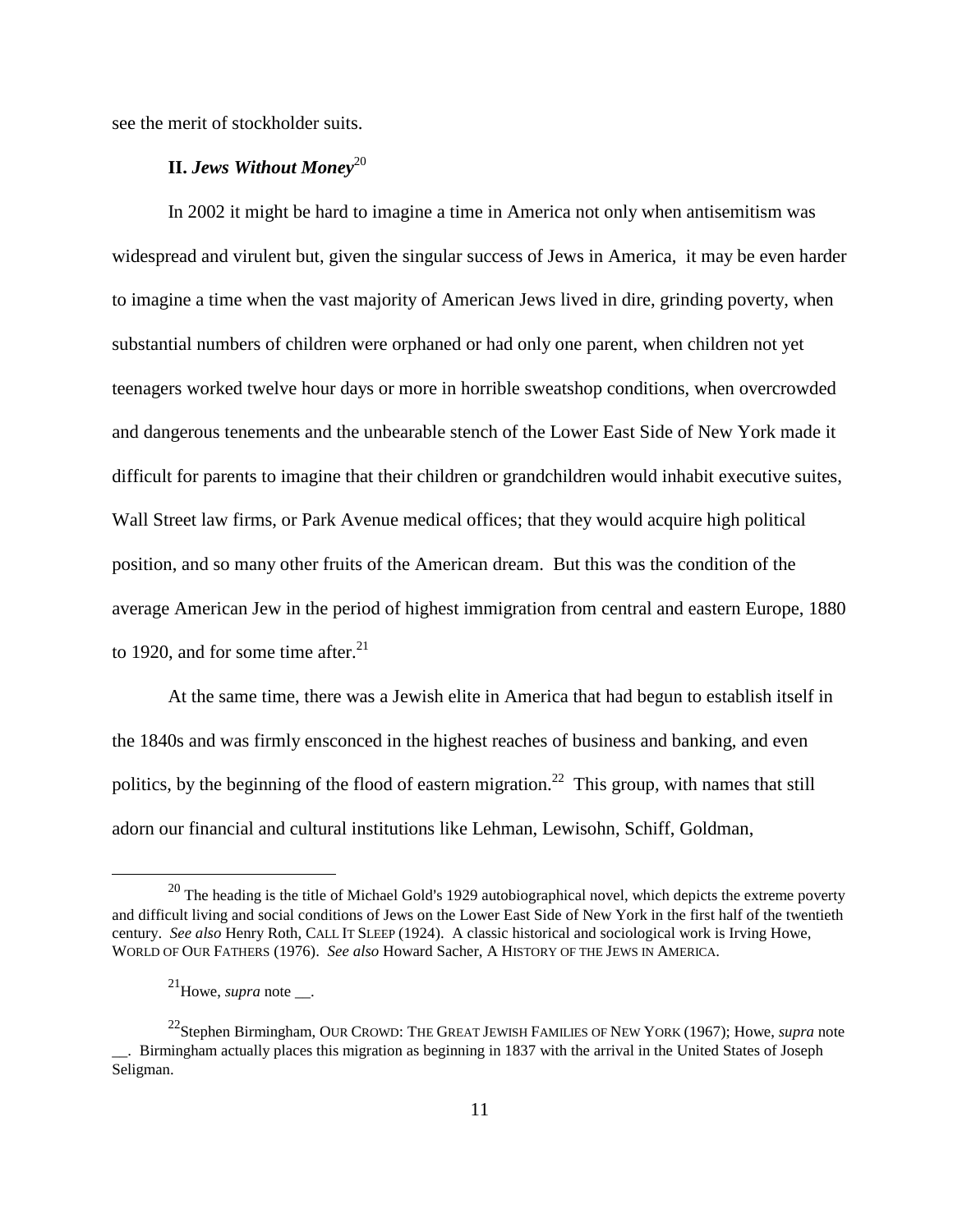see the merit of stockholder suits.

### **II.** Jews Without Money<sup>20</sup>

In 2002 it might be hard to imagine a time in America not only when antisemitism was widespread and virulent but, given the singular success of Jews in America, it may be even harder to imagine a time when the vast majority of American Jews lived in dire, grinding poverty, when substantial numbers of children were orphaned or had only one parent, when children not yet teenagers worked twelve hour days or more in horrible sweatshop conditions, when overcrowded and dangerous tenements and the unbearable stench of the Lower East Side of New York made it difficult for parents to imagine that their children or grandchildren would inhabit executive suites, Wall Street law firms, or Park Avenue medical offices; that they would acquire high political position, and so many other fruits of the American dream. But this was the condition of the average American Jew in the period of highest immigration from central and eastern Europe, 1880 to 1920, and for some time after. $^{21}$ 

At the same time, there was a Jewish elite in America that had begun to establish itself in the 1840s and was firmly ensconced in the highest reaches of business and banking, and even politics, by the beginning of the flood of eastern migration.<sup>22</sup> This group, with names that still adorn our financial and cultural institutions like Lehman, Lewisohn, Schiff, Goldman,

 $20$  The heading is the title of Michael Gold's 1929 autobiographical novel, which depicts the extreme poverty and difficult living and social conditions of Jews on the Lower East Side of New York in the first half of the twentieth century. *See also* Henry Roth, CALL IT SLEEP (1924). A classic historical and sociological work is Irving Howe, WORLD OF OUR FATHERS (1976). *See also* Howard Sacher, A HISTORY OF THE JEWS IN AMERICA.

 $^{21}$ Howe, *supra* note \_\_.

<sup>22</sup>Stephen Birmingham, OUR CROWD: THE GREAT JEWISH FAMILIES OF NEW YORK (1967); Howe, *supra* note \_\_. Birmingham actually places this migration as beginning in 1837 with the arrival in the United States of Joseph Seligman.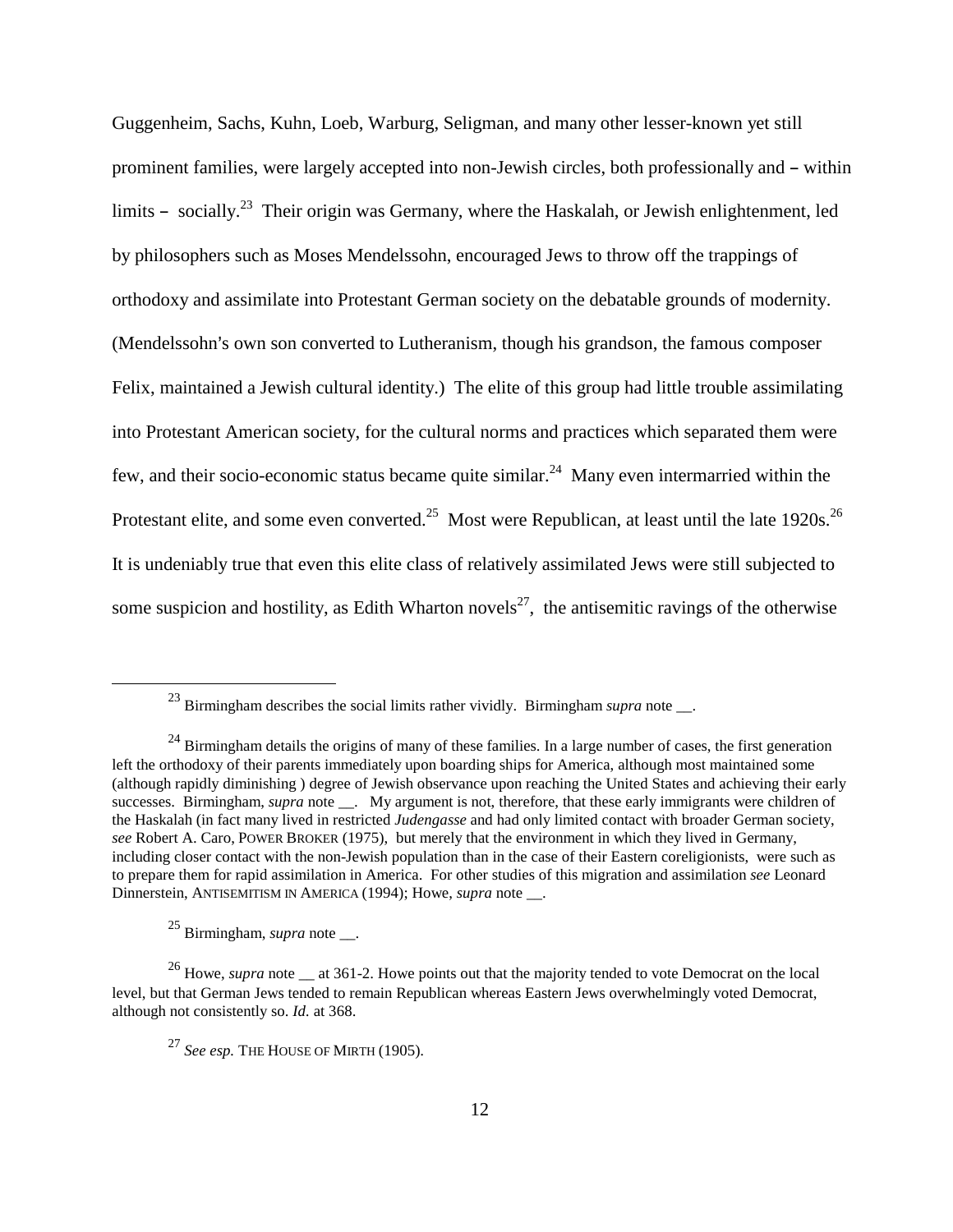Guggenheim, Sachs, Kuhn, Loeb, Warburg, Seligman, and many other lesser-known yet still prominent families, were largely accepted into non-Jewish circles, both professionally and  $-$  within limits  $-$  socially.<sup>23</sup> Their origin was Germany, where the Haskalah, or Jewish enlightenment, led by philosophers such as Moses Mendelssohn, encouraged Jews to throw off the trappings of orthodoxy and assimilate into Protestant German society on the debatable grounds of modernity. (Mendelssohn's own son converted to Lutheranism, though his grandson, the famous composer Felix, maintained a Jewish cultural identity.) The elite of this group had little trouble assimilating into Protestant American society, for the cultural norms and practices which separated them were few, and their socio-economic status became quite similar.24 Many even intermarried within the Protestant elite, and some even converted.<sup>25</sup> Most were Republican, at least until the late 1920s.<sup>26</sup> It is undeniably true that even this elite class of relatively assimilated Jews were still subjected to some suspicion and hostility, as Edith Wharton novels<sup>27</sup>, the antisemitic ravings of the otherwise

<sup>23</sup> Birmingham describes the social limits rather vividly. Birmingham *supra* note \_\_.

<sup>&</sup>lt;sup>24</sup> Birmingham details the origins of many of these families. In a large number of cases, the first generation left the orthodoxy of their parents immediately upon boarding ships for America, although most maintained some (although rapidly diminishing ) degree of Jewish observance upon reaching the United States and achieving their early successes. Birmingham, *supra* note \_\_\_. My argument is not, therefore, that these early immigrants were children of the Haskalah (in fact many lived in restricted *Judengasse* and had only limited contact with broader German society, *see* Robert A. Caro, POWER BROKER (1975), but merely that the environment in which they lived in Germany, including closer contact with the non-Jewish population than in the case of their Eastern coreligionists, were such as to prepare them for rapid assimilation in America. For other studies of this migration and assimilation *see* Leonard Dinnerstein, ANTISEMITISM IN AMERICA (1994); Howe, *supra* note \_\_.

<sup>25</sup> Birmingham, *supra* note \_\_.

<sup>&</sup>lt;sup>26</sup> Howe, *supra* note <sub>—</sub> at 361-2. Howe points out that the majority tended to vote Democrat on the local level, but that German Jews tended to remain Republican whereas Eastern Jews overwhelmingly voted Democrat, although not consistently so. *Id.* at 368.

<sup>27</sup> *See esp.* THE HOUSE OF MIRTH (1905)*.*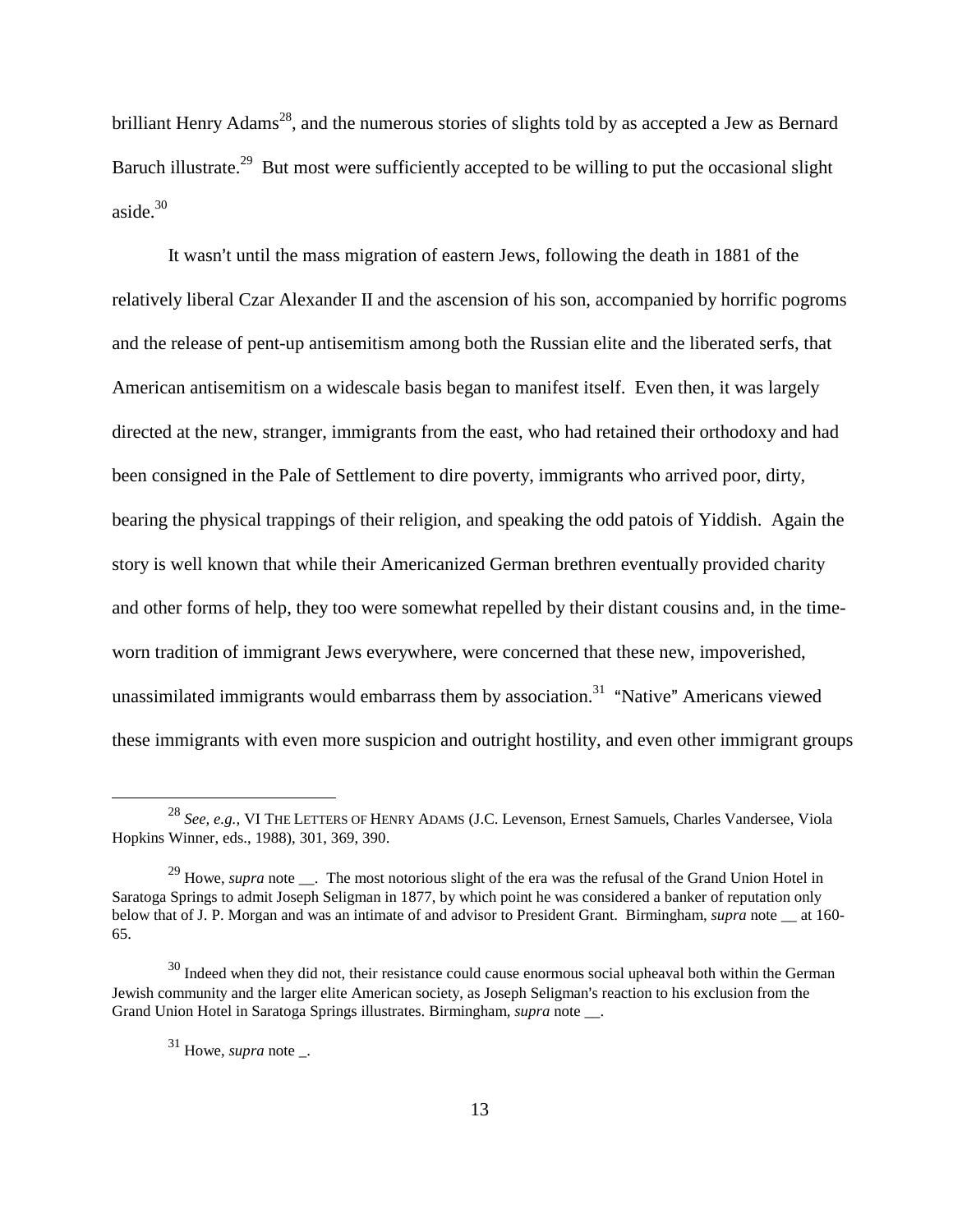brilliant Henry Adams<sup>28</sup>, and the numerous stories of slights told by as accepted a Jew as Bernard Baruch illustrate.<sup>29</sup> But most were sufficiently accepted to be willing to put the occasional slight aside. $30$ 

It wasn't until the mass migration of eastern Jews, following the death in 1881 of the relatively liberal Czar Alexander II and the ascension of his son, accompanied by horrific pogroms and the release of pent-up antisemitism among both the Russian elite and the liberated serfs, that American antisemitism on a widescale basis began to manifest itself. Even then, it was largely directed at the new, stranger, immigrants from the east, who had retained their orthodoxy and had been consigned in the Pale of Settlement to dire poverty, immigrants who arrived poor, dirty, bearing the physical trappings of their religion, and speaking the odd patois of Yiddish. Again the story is well known that while their Americanized German brethren eventually provided charity and other forms of help, they too were somewhat repelled by their distant cousins and, in the timeworn tradition of immigrant Jews everywhere, were concerned that these new, impoverished, unassimilated immigrants would embarrass them by association.<sup>31</sup> "Native" Americans viewed these immigrants with even more suspicion and outright hostility, and even other immigrant groups

<sup>28</sup> *See, e.g.,* VI THE LETTERS OF HENRY ADAMS (J.C. Levenson, Ernest Samuels, Charles Vandersee, Viola Hopkins Winner, eds., 1988), 301, 369, 390.

<sup>&</sup>lt;sup>29</sup> Howe, *supra* note \_\_\_. The most notorious slight of the era was the refusal of the Grand Union Hotel in Saratoga Springs to admit Joseph Seligman in 1877, by which point he was considered a banker of reputation only below that of J. P. Morgan and was an intimate of and advisor to President Grant. Birmingham, *supra* note \_\_ at 160- 65.

 $30$  Indeed when they did not, their resistance could cause enormous social upheaval both within the German Jewish community and the larger elite American society, as Joseph Seligman's reaction to his exclusion from the Grand Union Hotel in Saratoga Springs illustrates. Birmingham, *supra* note \_\_.

<sup>31</sup> Howe, *supra* note \_.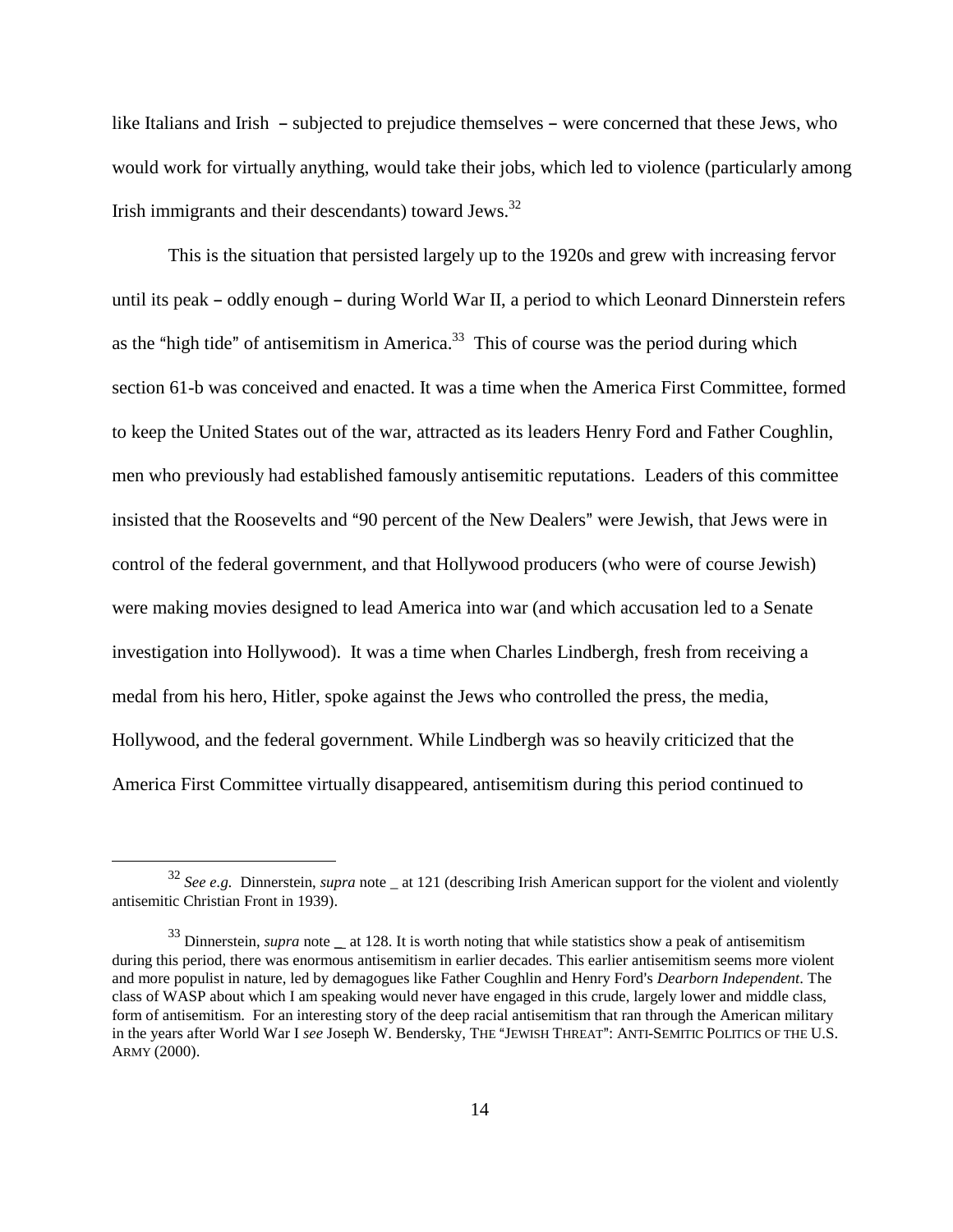like Italians and Irish - subjected to prejudice themselves - were concerned that these Jews, who would work for virtually anything, would take their jobs, which led to violence (particularly among Irish immigrants and their descendants) toward Jews.<sup>32</sup>

This is the situation that persisted largely up to the 1920s and grew with increasing fervor until its peak – oddly enough – during World War II, a period to which Leonard Dinnerstein refers as the "high tide" of antisemitism in America. $33$  This of course was the period during which section 61-b was conceived and enacted. It was a time when the America First Committee, formed to keep the United States out of the war, attracted as its leaders Henry Ford and Father Coughlin, men who previously had established famously antisemitic reputations. Leaders of this committee insisted that the Roosevelts and "90 percent of the New Dealers" were Jewish, that Jews were in control of the federal government, and that Hollywood producers (who were of course Jewish) were making movies designed to lead America into war (and which accusation led to a Senate investigation into Hollywood). It was a time when Charles Lindbergh, fresh from receiving a medal from his hero, Hitler, spoke against the Jews who controlled the press, the media, Hollywood, and the federal government. While Lindbergh was so heavily criticized that the America First Committee virtually disappeared, antisemitism during this period continued to

<sup>&</sup>lt;sup>32</sup> See e.g. Dinnerstein, *supra* note \_ at 121 (describing Irish American support for the violent and violently antisemitic Christian Front in 1939).

<sup>&</sup>lt;sup>33</sup> Dinnerstein, *supra* note \_ at 128. It is worth noting that while statistics show a peak of antisemitism during this period, there was enormous antisemitism in earlier decades. This earlier antisemitism seems more violent and more populist in nature, led by demagogues like Father Coughlin and Henry Ford's *Dearborn Independent*. The class of WASP about which I am speaking would never have engaged in this crude, largely lower and middle class, form of antisemitism. For an interesting story of the deep racial antisemitism that ran through the American military in the years after World War I see Joseph W. Bendersky, THE "JEWISH THREAT": ANTI-SEMITIC POLITICS OF THE U.S. ARMY (2000).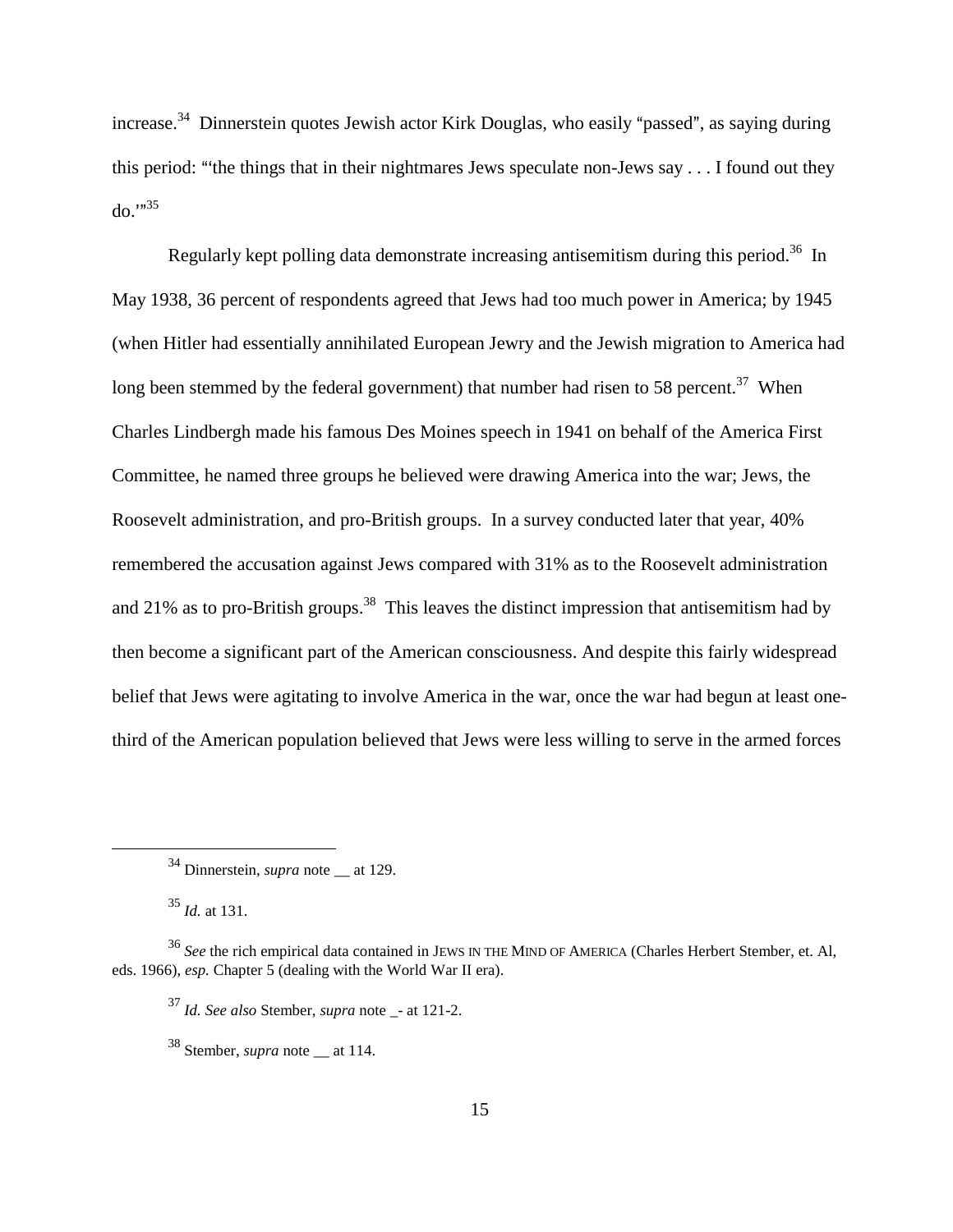increase.<sup>34</sup> Dinnerstein quotes Jewish actor Kirk Douglas, who easily "passed", as saying during this period: "the things that in their nightmares Jews speculate non-Jews say  $\dots$  I found out they  $do." <sup>35</sup>$ 

Regularly kept polling data demonstrate increasing antisemitism during this period.<sup>36</sup> In May 1938, 36 percent of respondents agreed that Jews had too much power in America; by 1945 (when Hitler had essentially annihilated European Jewry and the Jewish migration to America had long been stemmed by the federal government) that number had risen to 58 percent.<sup>37</sup> When Charles Lindbergh made his famous Des Moines speech in 1941 on behalf of the America First Committee, he named three groups he believed were drawing America into the war; Jews, the Roosevelt administration, and pro-British groups. In a survey conducted later that year, 40% remembered the accusation against Jews compared with 31% as to the Roosevelt administration and 21% as to pro-British groups.<sup>38</sup> This leaves the distinct impression that antisemitism had by then become a significant part of the American consciousness. And despite this fairly widespread belief that Jews were agitating to involve America in the war, once the war had begun at least onethird of the American population believed that Jews were less willing to serve in the armed forces

 $^{35}$  *Id.* at 131.

<sup>&</sup>lt;sup>34</sup> Dinnerstein, *supra* note at 129.

<sup>36</sup> *See* the rich empirical data contained in JEWS IN THE MIND OF AMERICA (Charles Herbert Stember, et. Al, eds. 1966), *esp.* Chapter 5 (dealing with the World War II era).

<sup>37</sup> *Id. See also* Stember, *supra* note \_- at 121-2.

<sup>&</sup>lt;sup>38</sup> Stember, *supra* note at 114.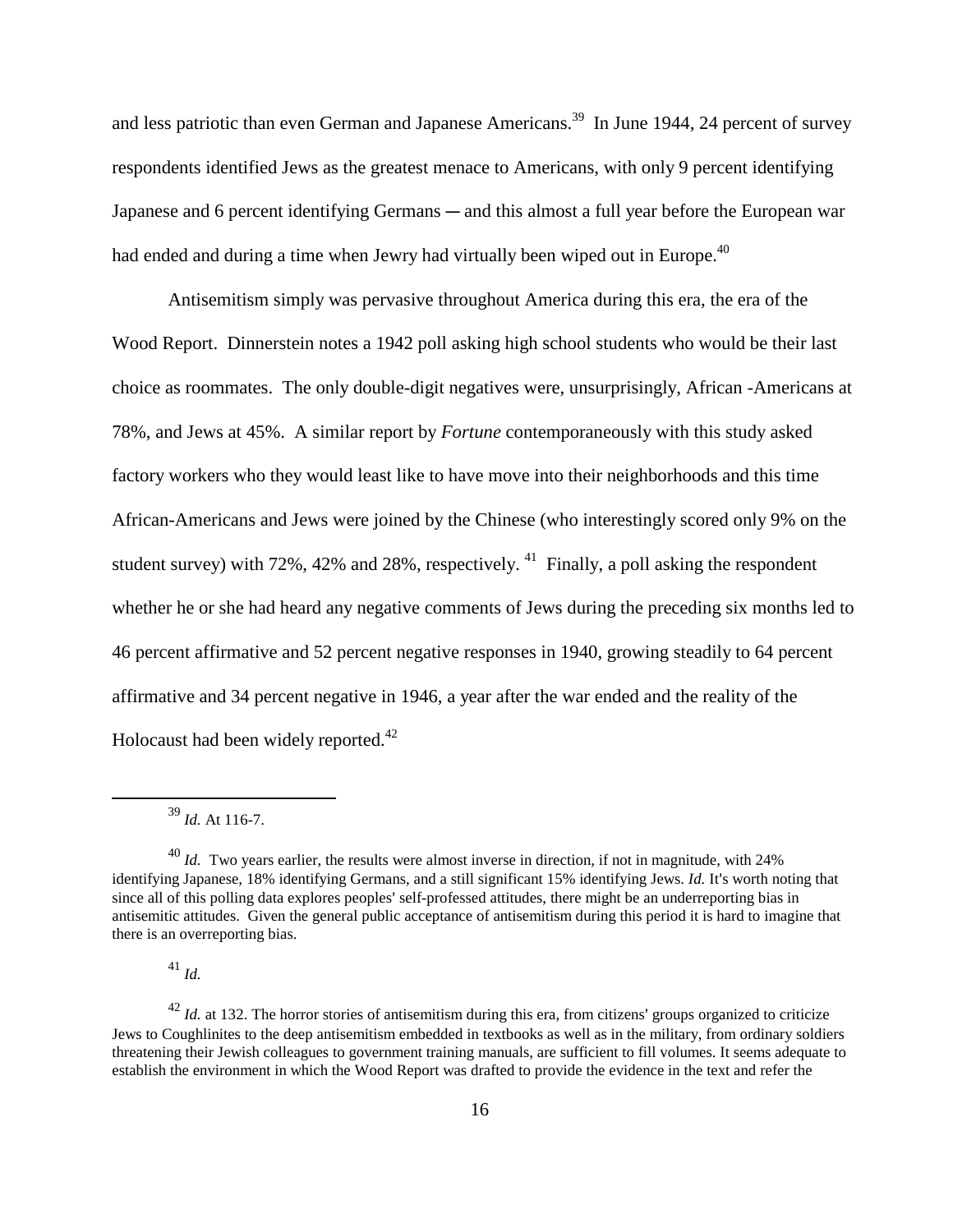and less patriotic than even German and Japanese Americans.<sup>39</sup> In June 1944, 24 percent of survey respondents identified Jews as the greatest menace to Americans, with only 9 percent identifying Japanese and 6 percent identifying Germans — and this almost a full year before the European war had ended and during a time when Jewry had virtually been wiped out in Europe.<sup>40</sup>

Antisemitism simply was pervasive throughout America during this era, the era of the Wood Report. Dinnerstein notes a 1942 poll asking high school students who would be their last choice as roommates. The only double-digit negatives were, unsurprisingly, African -Americans at 78%, and Jews at 45%. A similar report by *Fortune* contemporaneously with this study asked factory workers who they would least like to have move into their neighborhoods and this time African-Americans and Jews were joined by the Chinese (who interestingly scored only 9% on the student survey) with 72%, 42% and 28%, respectively. <sup>41</sup> Finally, a poll asking the respondent whether he or she had heard any negative comments of Jews during the preceding six months led to 46 percent affirmative and 52 percent negative responses in 1940, growing steadily to 64 percent affirmative and 34 percent negative in 1946, a year after the war ended and the reality of the Holocaust had been widely reported.<sup>42</sup>

<sup>41</sup> *Id.*

 $^{42}$  *Id.* at 132. The horror stories of antisemitism during this era, from citizens' groups organized to criticize Jews to Coughlinites to the deep antisemitism embedded in textbooks as well as in the military, from ordinary soldiers threatening their Jewish colleagues to government training manuals, are sufficient to fill volumes. It seems adequate to establish the environment in which the Wood Report was drafted to provide the evidence in the text and refer the

<sup>39</sup> *Id.* At 116-7.

 $^{40}$  *Id.* Two years earlier, the results were almost inverse in direction, if not in magnitude, with 24% identifying Japanese, 18% identifying Germans, and a still significant 15% identifying Jews. *Id.* It's worth noting that since all of this polling data explores peoples' self-professed attitudes, there might be an underreporting bias in antisemitic attitudes. Given the general public acceptance of antisemitism during this period it is hard to imagine that there is an overreporting bias.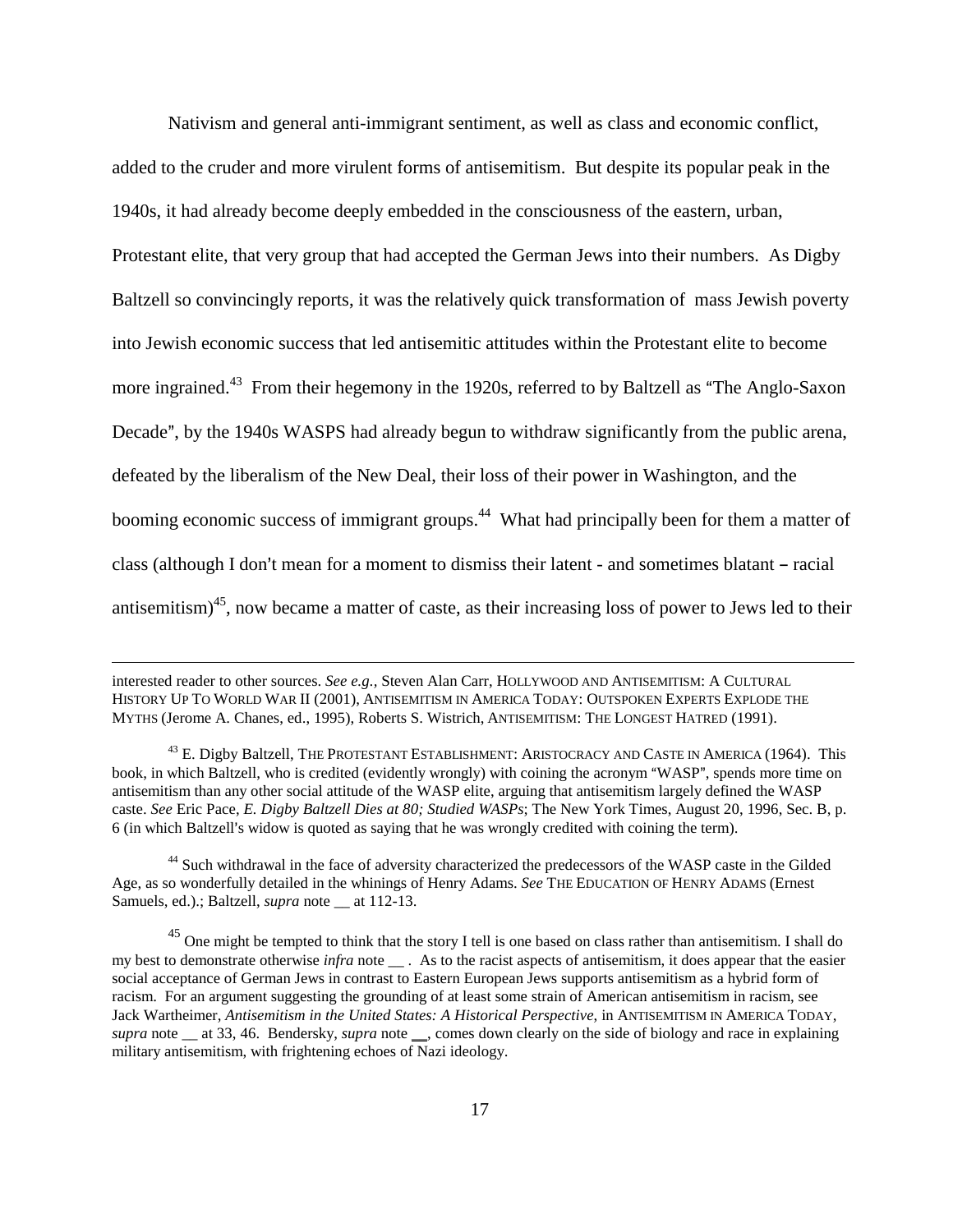Nativism and general anti-immigrant sentiment, as well as class and economic conflict, added to the cruder and more virulent forms of antisemitism. But despite its popular peak in the 1940s, it had already become deeply embedded in the consciousness of the eastern, urban, Protestant elite, that very group that had accepted the German Jews into their numbers. As Digby Baltzell so convincingly reports, it was the relatively quick transformation of mass Jewish poverty into Jewish economic success that led antisemitic attitudes within the Protestant elite to become more ingrained.<sup>43</sup> From their hegemony in the 1920s, referred to by Baltzell as "The Anglo-Saxon" Decade", by the 1940s WASPS had already begun to withdraw significantly from the public arena, defeated by the liberalism of the New Deal, their loss of their power in Washington, and the booming economic success of immigrant groups.<sup>44</sup> What had principally been for them a matter of class (although I don't mean for a moment to dismiss their latent - and sometimes blatant - racial antisemitism)45, now became a matter of caste, as their increasing loss of power to Jews led to their

interested reader to other sources. *See e.g.,* Steven Alan Carr, HOLLYWOOD AND ANTISEMITISM: A CULTURAL HISTORY UP TO WORLD WAR II (2001), ANTISEMITISM IN AMERICA TODAY: OUTSPOKEN EXPERTS EXPLODE THE MYTHS (Jerome A. Chanes, ed., 1995), Roberts S. Wistrich, ANTISEMITISM: THE LONGEST HATRED (1991).

<sup>&</sup>lt;sup>43</sup> E. Digby Baltzell, The Protestant Establishment: Aristocracy and Caste in America (1964). This book, in which Baltzell, who is credited (evidently wrongly) with coining the acronym "WASP", spends more time on antisemitism than any other social attitude of the WASP elite, arguing that antisemitism largely defined the WASP caste. *See* Eric Pace, *E. Digby Baltzell Dies at 80; Studied WASPs*; The New York Times, August 20, 1996, Sec. B, p. 6 (in which Baltzell's widow is quoted as saying that he was wrongly credited with coining the term).

<sup>&</sup>lt;sup>44</sup> Such withdrawal in the face of adversity characterized the predecessors of the WASP caste in the Gilded Age, as so wonderfully detailed in the whinings of Henry Adams. *See* THE EDUCATION OF HENRY ADAMS (Ernest Samuels, ed.).; Baltzell, *supra* note at 112-13.

 $45$  One might be tempted to think that the story I tell is one based on class rather than antisemitism. I shall do my best to demonstrate otherwise *infra* note . As to the racist aspects of antisemitism, it does appear that the easier social acceptance of German Jews in contrast to Eastern European Jews supports antisemitism as a hybrid form of racism. For an argument suggesting the grounding of at least some strain of American antisemitism in racism, see Jack Wartheimer, *Antisemitism in the United States: A Historical Perspective*, in ANTISEMITISM IN AMERICA TODAY, *supra* note \_\_ at 33, 46. Bendersky, *supra* note \_\_, comes down clearly on the side of biology and race in explaining military antisemitism, with frightening echoes of Nazi ideology.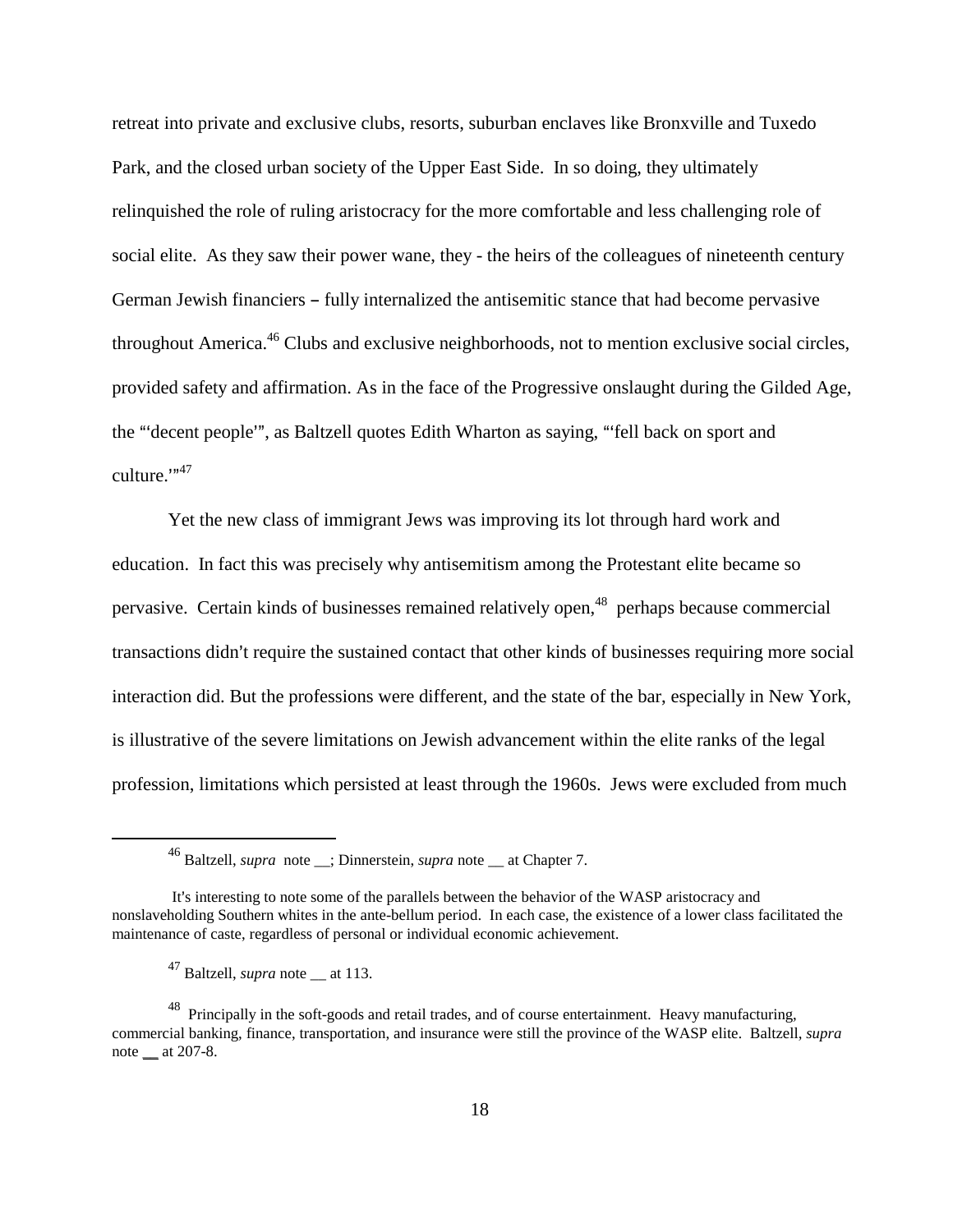retreat into private and exclusive clubs, resorts, suburban enclaves like Bronxville and Tuxedo Park, and the closed urban society of the Upper East Side. In so doing, they ultimately relinquished the role of ruling aristocracy for the more comfortable and less challenging role of social elite. As they saw their power wane, they - the heirs of the colleagues of nineteenth century German Jewish financiers – fully internalized the antisemitic stance that had become pervasive throughout America.<sup>46</sup> Clubs and exclusive neighborhoods, not to mention exclusive social circles, provided safety and affirmation. As in the face of the Progressive onslaught during the Gilded Age, the "decent people", as Baltzell quotes Edith Wharton as saying, "fell back on sport and culture. $1^{m47}$ 

Yet the new class of immigrant Jews was improving its lot through hard work and education. In fact this was precisely why antisemitism among the Protestant elite became so pervasive. Certain kinds of businesses remained relatively open,<sup>48</sup> perhaps because commercial transactions didn't require the sustained contact that other kinds of businesses requiring more social interaction did. But the professions were different, and the state of the bar, especially in New York, is illustrative of the severe limitations on Jewish advancement within the elite ranks of the legal profession, limitations which persisted at least through the 1960s. Jews were excluded from much

<sup>46</sup> Baltzell, *supra* note \_\_; Dinnerstein, *supra* note \_\_ at Chapter 7.

It's interesting to note some of the parallels between the behavior of the WASP aristocracy and nonslaveholding Southern whites in the ante-bellum period. In each case, the existence of a lower class facilitated the maintenance of caste, regardless of personal or individual economic achievement.

<sup>&</sup>lt;sup>47</sup> Baltzell, *supra* note at 113.

<sup>&</sup>lt;sup>48</sup> Principally in the soft-goods and retail trades, and of course entertainment. Heavy manufacturing, commercial banking, finance, transportation, and insurance were still the province of the WASP elite. Baltzell, *supra*  note \_\_ at 207-8.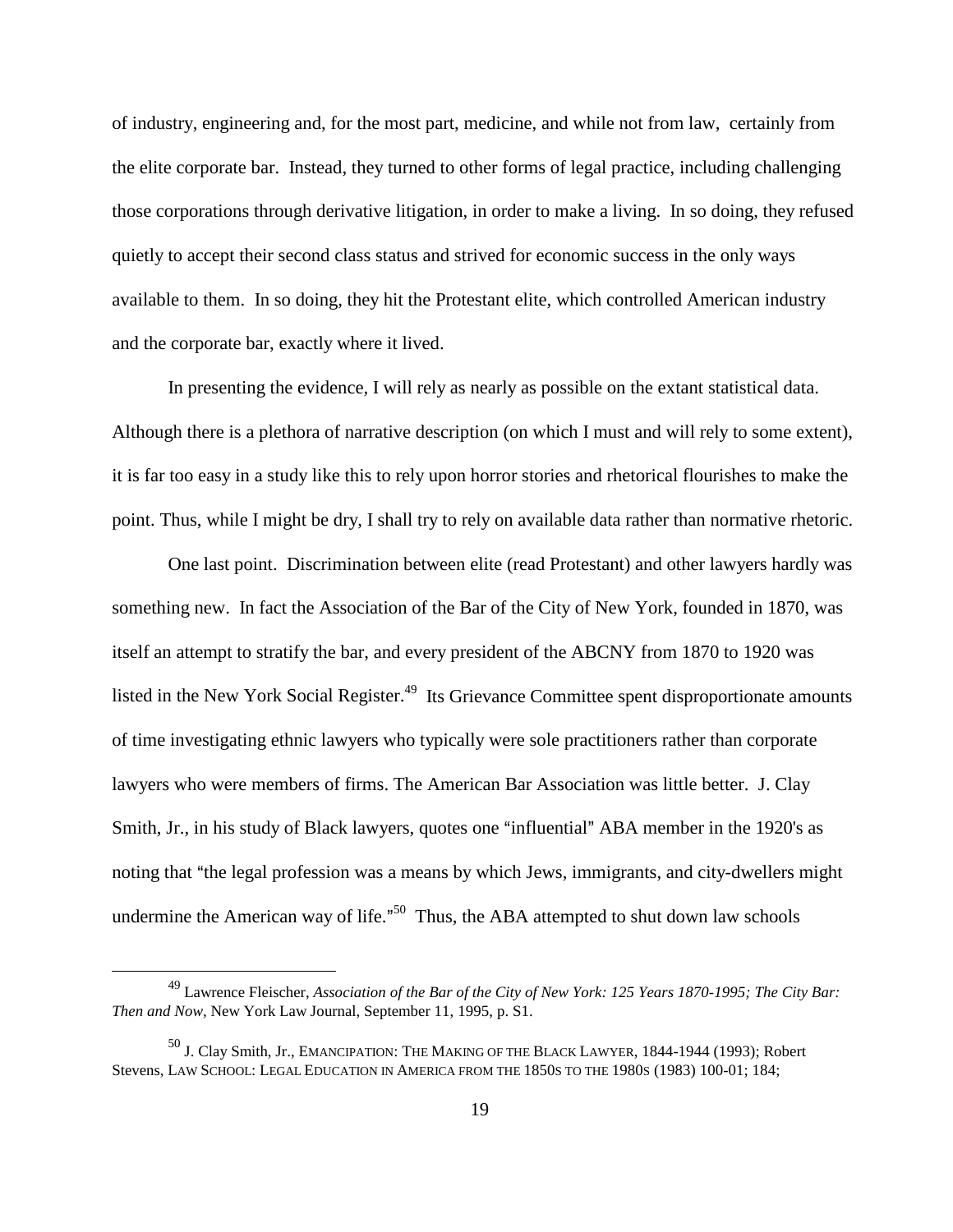of industry, engineering and, for the most part, medicine, and while not from law, certainly from the elite corporate bar. Instead, they turned to other forms of legal practice, including challenging those corporations through derivative litigation, in order to make a living. In so doing, they refused quietly to accept their second class status and strived for economic success in the only ways available to them. In so doing, they hit the Protestant elite, which controlled American industry and the corporate bar, exactly where it lived.

In presenting the evidence, I will rely as nearly as possible on the extant statistical data. Although there is a plethora of narrative description (on which I must and will rely to some extent), it is far too easy in a study like this to rely upon horror stories and rhetorical flourishes to make the point. Thus, while I might be dry, I shall try to rely on available data rather than normative rhetoric.

One last point. Discrimination between elite (read Protestant) and other lawyers hardly was something new. In fact the Association of the Bar of the City of New York, founded in 1870, was itself an attempt to stratify the bar, and every president of the ABCNY from 1870 to 1920 was listed in the New York Social Register.<sup>49</sup> Its Grievance Committee spent disproportionate amounts of time investigating ethnic lawyers who typically were sole practitioners rather than corporate lawyers who were members of firms. The American Bar Association was little better. J. Clay Smith, Jr., in his study of Black lawyers, quotes one "influential" ABA member in the 1920's as noting that "the legal profession was a means by which Jews, immigrants, and city-dwellers might undermine the American way of life."<sup>50</sup> Thus, the ABA attempted to shut down law schools

<sup>49</sup> Lawrence Fleischer, *Association of the Bar of the City of New York: 125 Years 1870-1995; The City Bar: Then and Now,* New York Law Journal, September 11, 1995, p. S1.

<sup>&</sup>lt;sup>50</sup> J. Clay Smith, Jr., EMANCIPATION: THE MAKING OF THE BLACK LAWYER, 1844-1944 (1993); Robert Stevens, LAW SCHOOL: LEGAL EDUCATION IN AMERICA FROM THE 1850S TO THE 1980S (1983) 100-01; 184;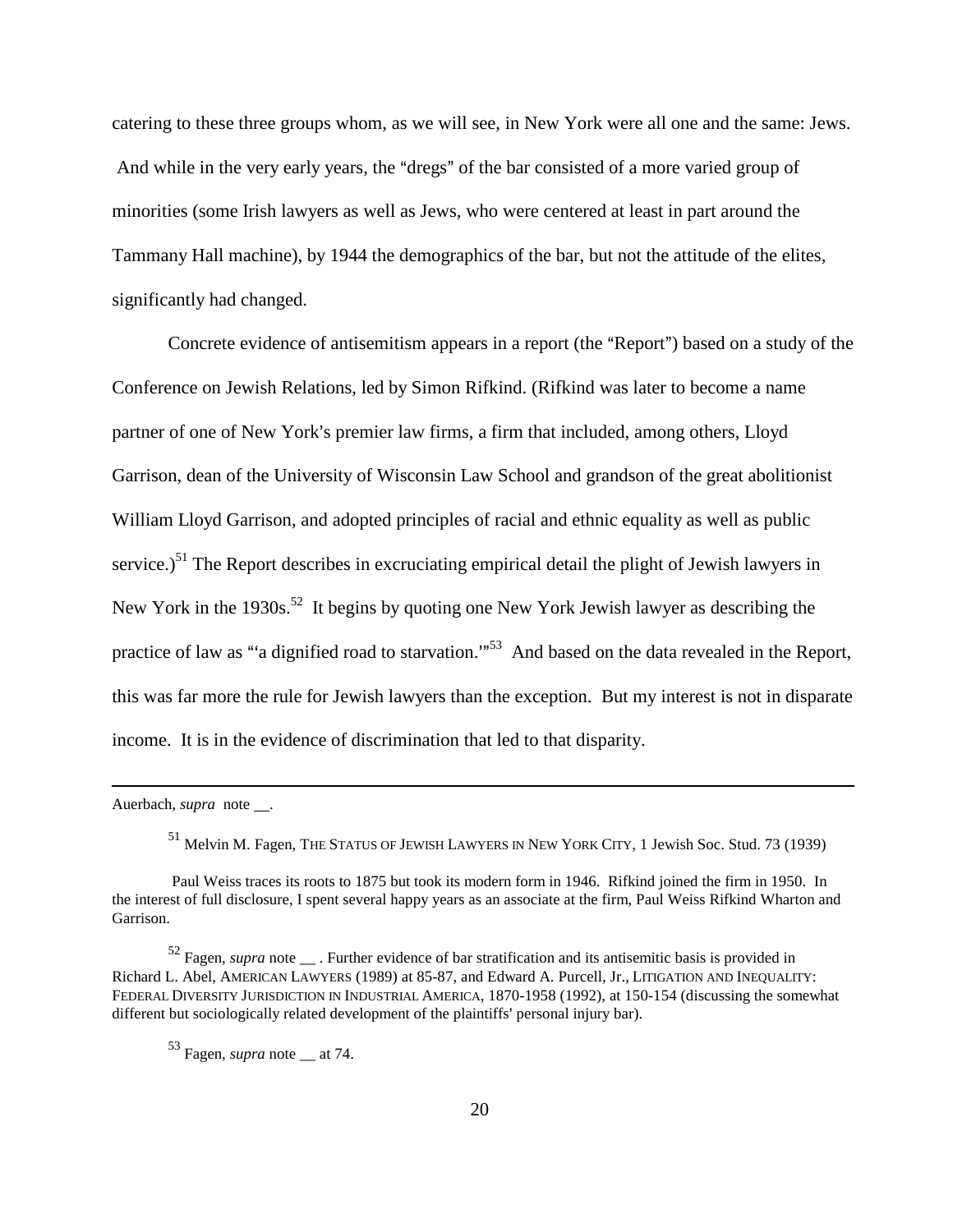catering to these three groups whom, as we will see, in New York were all one and the same: Jews. And while in the very early years, the "dregs" of the bar consisted of a more varied group of minorities (some Irish lawyers as well as Jews, who were centered at least in part around the Tammany Hall machine), by 1944 the demographics of the bar, but not the attitude of the elites, significantly had changed.

Concrete evidence of antisemitism appears in a report (the "Report") based on a study of the Conference on Jewish Relations, led by Simon Rifkind. (Rifkind was later to become a name partner of one of New York's premier law firms, a firm that included, among others, Lloyd Garrison, dean of the University of Wisconsin Law School and grandson of the great abolitionist William Lloyd Garrison, and adopted principles of racial and ethnic equality as well as public service.)<sup>51</sup> The Report describes in excruciating empirical detail the plight of Jewish lawyers in New York in the 1930s.<sup>52</sup> It begins by quoting one New York Jewish lawyer as describing the practice of law as "a dignified road to starvation."<sup>53</sup> And based on the data revealed in the Report, this was far more the rule for Jewish lawyers than the exception. But my interest is not in disparate income. It is in the evidence of discrimination that led to that disparity.

Auerbach, *supra* note .

51 Melvin M. Fagen, THE STATUS OF JEWISH LAWYERS IN NEW YORK CITY*,* 1 Jewish Soc. Stud. 73 (1939)

 Paul Weiss traces its roots to 1875 but took its modern form in 1946. Rifkind joined the firm in 1950. In the interest of full disclosure, I spent several happy years as an associate at the firm, Paul Weiss Rifkind Wharton and Garrison.

52 Fagen, *supra* note \_\_ . Further evidence of bar stratification and its antisemitic basis is provided in Richard L. Abel, AMERICAN LAWYERS (1989) at 85-87, and Edward A. Purcell, Jr., LITIGATION AND INEQUALITY: FEDERAL DIVERSITY JURISDICTION IN INDUSTRIAL AMERICA, 1870-1958 (1992), at 150-154 (discussing the somewhat different but sociologically related development of the plaintiffs' personal injury bar).

<sup>53</sup> Fagen, *supra* note \_\_ at 74.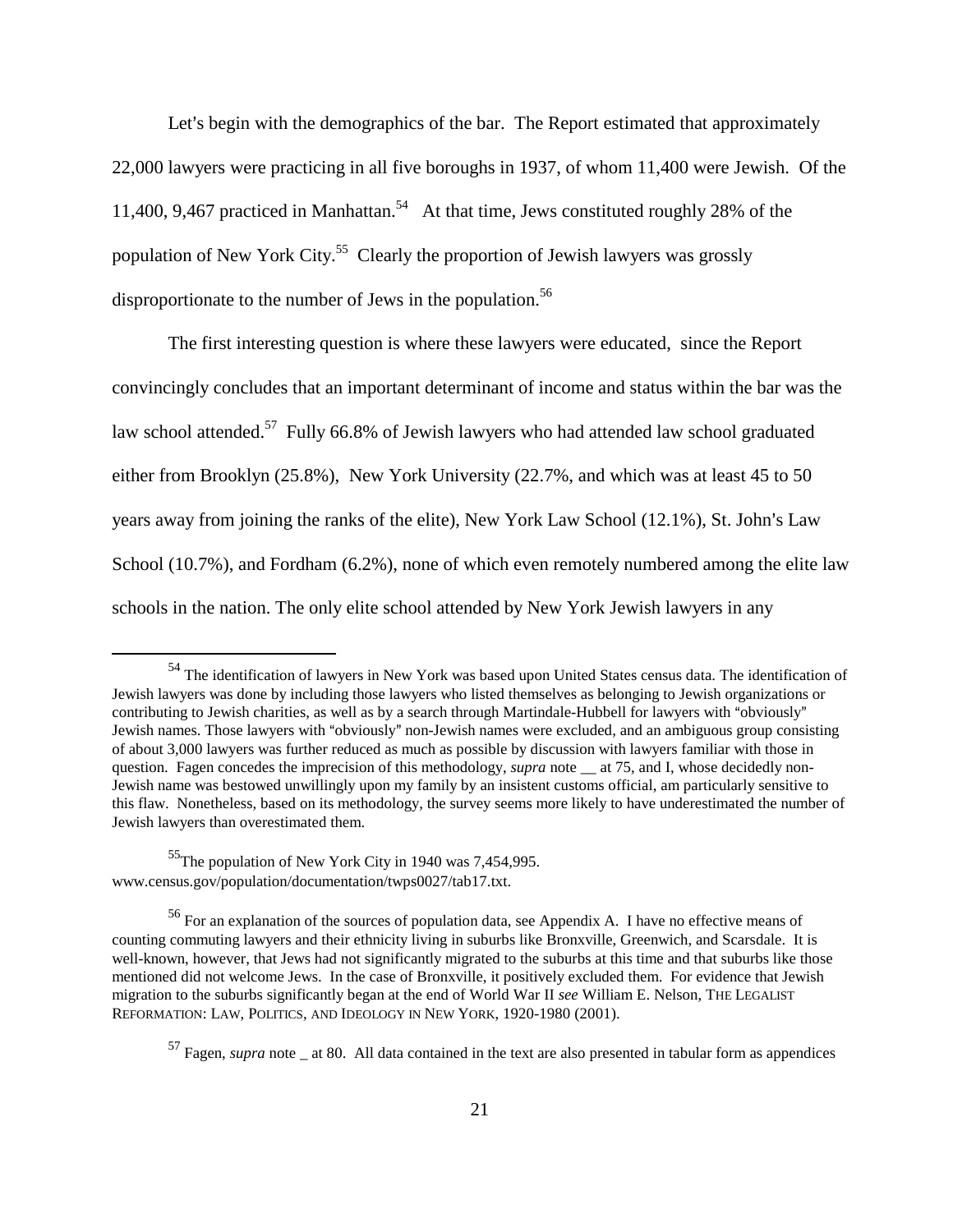Let's begin with the demographics of the bar. The Report estimated that approximately 22,000 lawyers were practicing in all five boroughs in 1937, of whom 11,400 were Jewish. Of the 11,400, 9,467 practiced in Manhattan.<sup>54</sup> At that time, Jews constituted roughly 28% of the population of New York City.55 Clearly the proportion of Jewish lawyers was grossly disproportionate to the number of Jews in the population.<sup>56</sup>

The first interesting question is where these lawyers were educated, since the Report convincingly concludes that an important determinant of income and status within the bar was the law school attended.<sup>57</sup> Fully 66.8% of Jewish lawyers who had attended law school graduated either from Brooklyn (25.8%), New York University (22.7%, and which was at least 45 to 50 years away from joining the ranks of the elite), New York Law School (12.1%), St. John's Law School (10.7%), and Fordham (6.2%), none of which even remotely numbered among the elite law schools in the nation. The only elite school attended by New York Jewish lawyers in any

<sup>&</sup>lt;sup>54</sup> The identification of lawyers in New York was based upon United States census data. The identification of Jewish lawyers was done by including those lawyers who listed themselves as belonging to Jewish organizations or contributing to Jewish charities, as well as by a search through Martindale-Hubbell for lawyers with "obviously" Jewish names. Those lawyers with "obviously" non-Jewish names were excluded, and an ambiguous group consisting of about 3,000 lawyers was further reduced as much as possible by discussion with lawyers familiar with those in question. Fagen concedes the imprecision of this methodology, *supra* note at 75, and I, whose decidedly non-Jewish name was bestowed unwillingly upon my family by an insistent customs official, am particularly sensitive to this flaw. Nonetheless, based on its methodology, the survey seems more likely to have underestimated the number of Jewish lawyers than overestimated them.

<sup>&</sup>lt;sup>55</sup>The population of New York City in 1940 was 7,454,995. www.census.gov/population/documentation/twps0027/tab17.txt.

<sup>&</sup>lt;sup>56</sup> For an explanation of the sources of population data, see Appendix A. I have no effective means of counting commuting lawyers and their ethnicity living in suburbs like Bronxville, Greenwich, and Scarsdale. It is well-known, however, that Jews had not significantly migrated to the suburbs at this time and that suburbs like those mentioned did not welcome Jews. In the case of Bronxville, it positively excluded them. For evidence that Jewish migration to the suburbs significantly began at the end of World War II *see* William E. Nelson, THE LEGALIST REFORMATION: LAW, POLITICS, AND IDEOLOGY IN NEW YORK, 1920-1980 (2001).

<sup>&</sup>lt;sup>57</sup> Fagen, *supra* note at 80. All data contained in the text are also presented in tabular form as appendices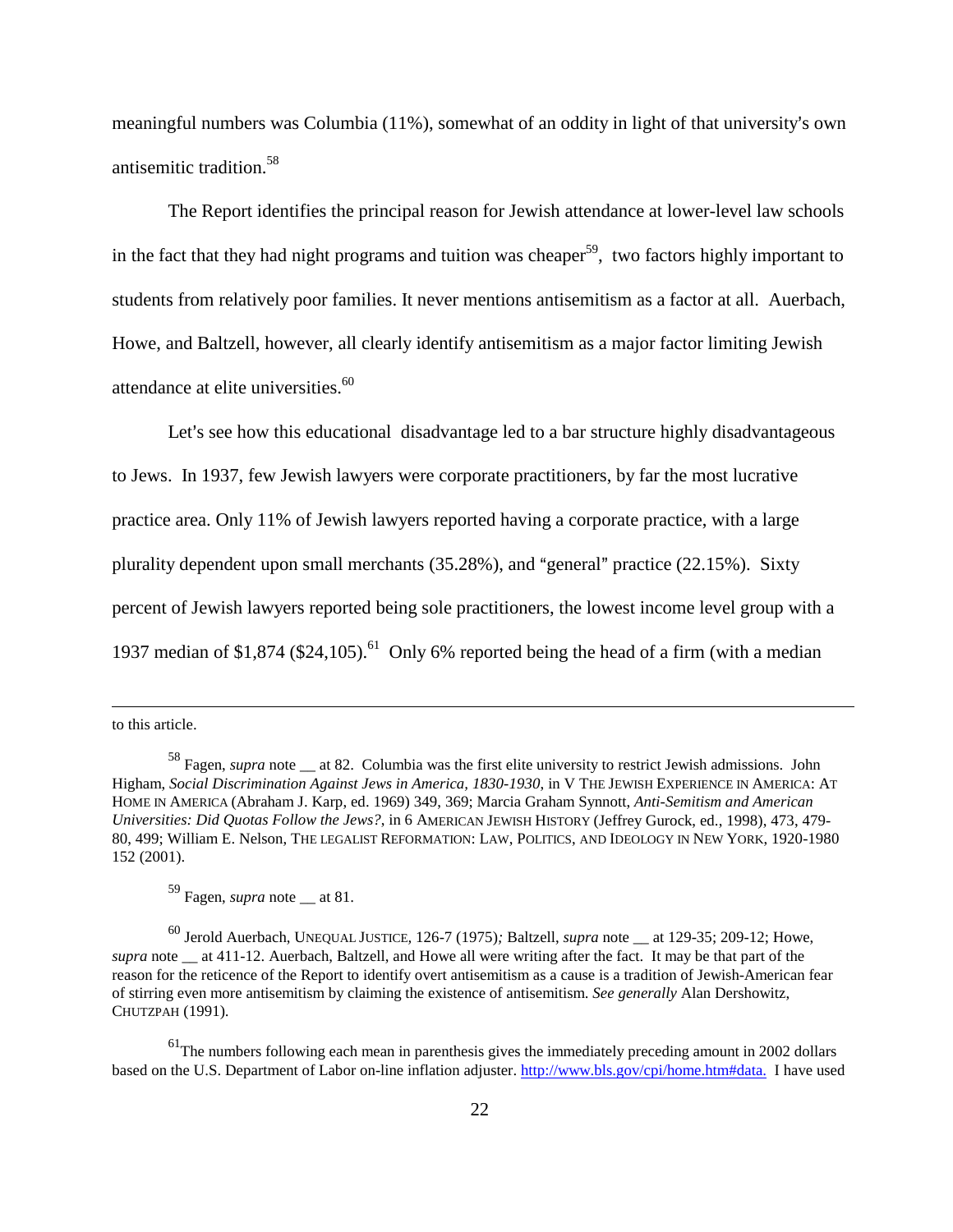meaningful numbers was Columbia  $(11\%)$ , somewhat of an oddity in light of that university's own antisemitic tradition.<sup>58</sup>

The Report identifies the principal reason for Jewish attendance at lower-level law schools in the fact that they had night programs and tuition was cheaper<sup>59</sup>, two factors highly important to students from relatively poor families. It never mentions antisemitism as a factor at all. Auerbach, Howe, and Baltzell, however, all clearly identify antisemitism as a major factor limiting Jewish attendance at elite universities.<sup>60</sup>

Let's see how this educational disadvantage led to a bar structure highly disadvantageous to Jews. In 1937, few Jewish lawyers were corporate practitioners, by far the most lucrative practice area. Only 11% of Jewish lawyers reported having a corporate practice, with a large plurality dependent upon small merchants  $(35.28%)$ , and "general" practice  $(22.15%)$ . Sixty percent of Jewish lawyers reported being sole practitioners, the lowest income level group with a 1937 median of \$1,874 (\$24,105).<sup>61</sup> Only 6% reported being the head of a firm (with a median

to this article.

59 Fagen, *supra* note \_\_ at 81.

60 Jerold Auerbach, UNEQUAL JUSTICE*,* 126-7 (1975)*;* Baltzell, *supra* note \_\_ at 129-35; 209-12; Howe, *supra* note at 411-12. Auerbach, Baltzell, and Howe all were writing after the fact. It may be that part of the reason for the reticence of the Report to identify overt antisemitism as a cause is a tradition of Jewish-American fear of stirring even more antisemitism by claiming the existence of antisemitism. *See generally* Alan Dershowitz, CHUTZPAH (1991)*.*

<sup>58</sup> Fagen, *supra* note \_\_ at 82. Columbia was the first elite university to restrict Jewish admissions. John Higham, *Social Discrimination Against Jews in America, 1830-1930*, in V THE JEWISH EXPERIENCE IN AMERICA: AT HOME IN AMERICA (Abraham J. Karp, ed. 1969) 349, 369; Marcia Graham Synnott, *Anti-Semitism and American Universities: Did Quotas Follow the Jews?*, in 6 AMERICAN JEWISH HISTORY (Jeffrey Gurock, ed., 1998), 473, 479- 80, 499; William E. Nelson, THE LEGALIST REFORMATION: LAW, POLITICS, AND IDEOLOGY IN NEW YORK, 1920-1980 152 (2001).

<sup>&</sup>lt;sup>61</sup>The numbers following each mean in parenthesis gives the immediately preceding amount in 2002 dollars based on the U.S. Department of Labor on-line inflation adjuster. http://www.bls.gov/cpi/home.htm#data. I have used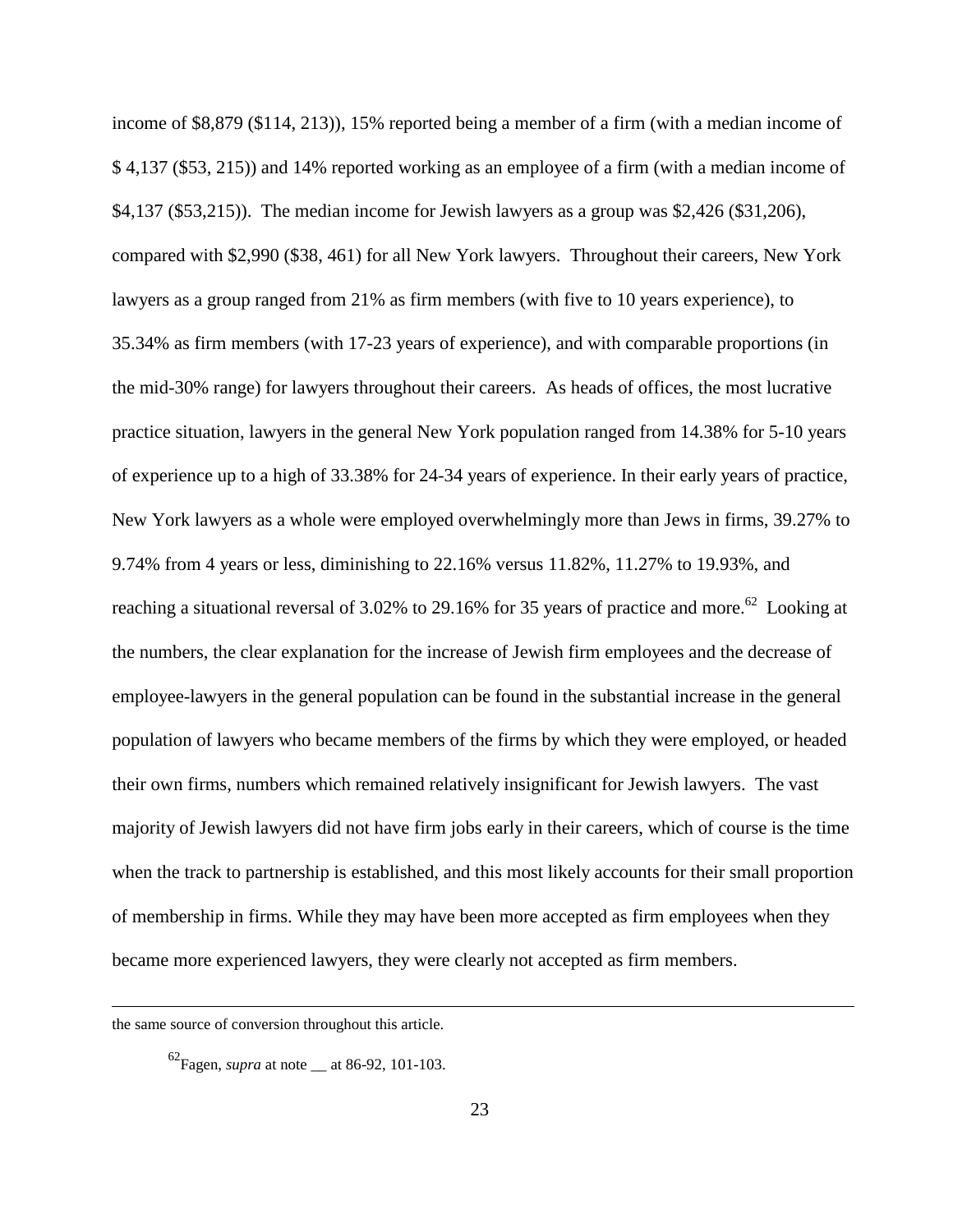income of \$8,879 (\$114, 213)), 15% reported being a member of a firm (with a median income of \$ 4,137 (\$53, 215)) and 14% reported working as an employee of a firm (with a median income of \$4,137 (\$53,215)). The median income for Jewish lawyers as a group was \$2,426 (\$31,206), compared with \$2,990 (\$38, 461) for all New York lawyers. Throughout their careers, New York lawyers as a group ranged from 21% as firm members (with five to 10 years experience), to 35.34% as firm members (with 17-23 years of experience), and with comparable proportions (in the mid-30% range) for lawyers throughout their careers. As heads of offices, the most lucrative practice situation, lawyers in the general New York population ranged from 14.38% for 5-10 years of experience up to a high of 33.38% for 24-34 years of experience. In their early years of practice, New York lawyers as a whole were employed overwhelmingly more than Jews in firms, 39.27% to 9.74% from 4 years or less, diminishing to 22.16% versus 11.82%, 11.27% to 19.93%, and reaching a situational reversal of 3.02% to 29.16% for 35 years of practice and more.<sup>62</sup> Looking at the numbers, the clear explanation for the increase of Jewish firm employees and the decrease of employee-lawyers in the general population can be found in the substantial increase in the general population of lawyers who became members of the firms by which they were employed, or headed their own firms, numbers which remained relatively insignificant for Jewish lawyers. The vast majority of Jewish lawyers did not have firm jobs early in their careers, which of course is the time when the track to partnership is established, and this most likely accounts for their small proportion of membership in firms. While they may have been more accepted as firm employees when they became more experienced lawyers, they were clearly not accepted as firm members.

the same source of conversion throughout this article.

<sup>62</sup>Fagen, *supra* at note \_\_ at 86-92, 101-103.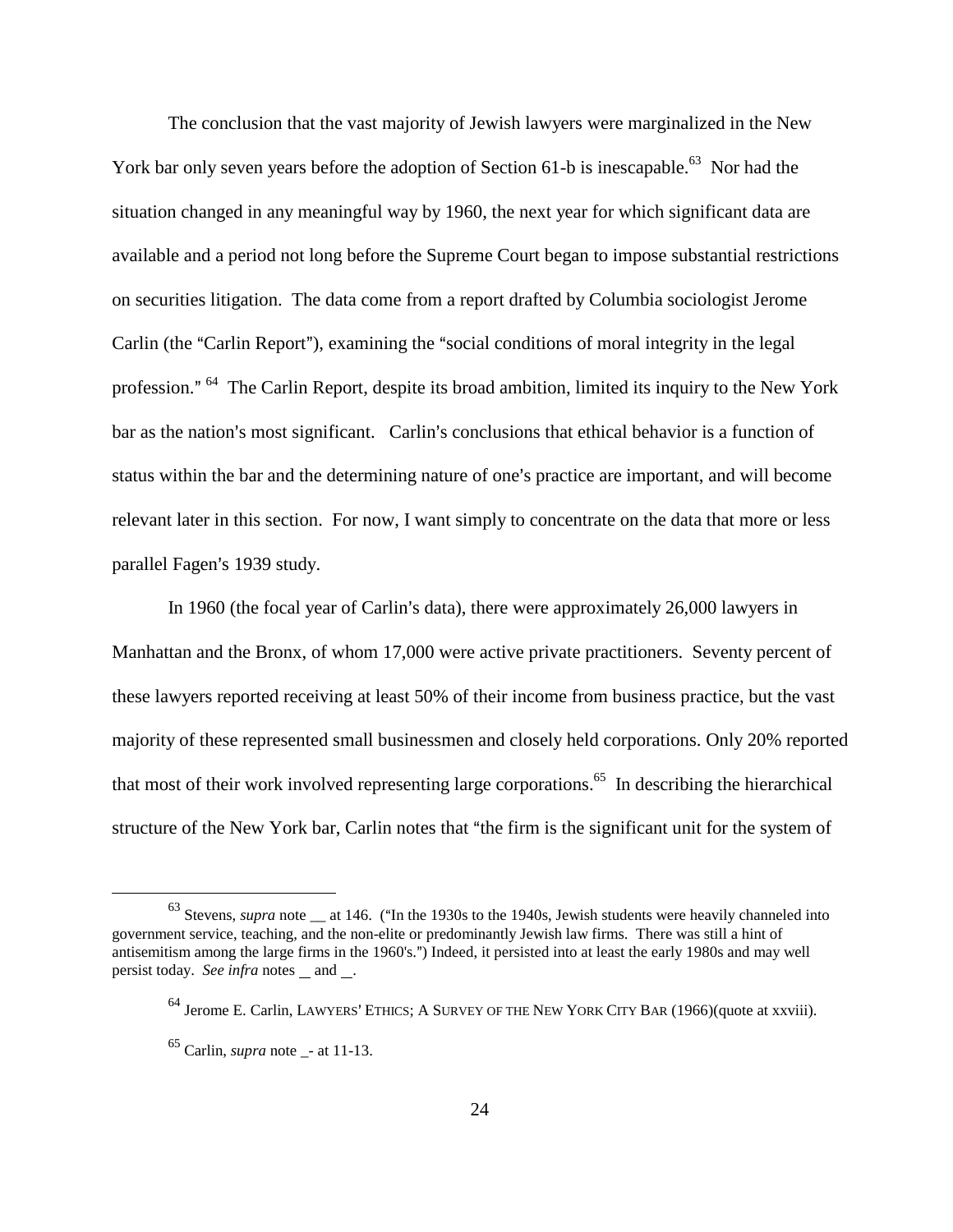The conclusion that the vast majority of Jewish lawyers were marginalized in the New York bar only seven years before the adoption of Section 61-b is inescapable.<sup>63</sup> Nor had the situation changed in any meaningful way by 1960, the next year for which significant data are available and a period not long before the Supreme Court began to impose substantial restrictions on securities litigation. The data come from a report drafted by Columbia sociologist Jerome Carlin (the "Carlin Report"), examining the "social conditions of moral integrity in the legal profession." <sup>64</sup> The Carlin Report, despite its broad ambition, limited its inquiry to the New York bar as the nation's most significant. Carlin's conclusions that ethical behavior is a function of status within the bar and the determining nature of one's practice are important, and will become relevant later in this section. For now, I want simply to concentrate on the data that more or less parallel Fagen's 1939 study.

In 1960 (the focal year of Carlin's data), there were approximately  $26,000$  lawyers in Manhattan and the Bronx, of whom 17,000 were active private practitioners. Seventy percent of these lawyers reported receiving at least 50% of their income from business practice, but the vast majority of these represented small businessmen and closely held corporations. Only 20% reported that most of their work involved representing large corporations.<sup>65</sup> In describing the hierarchical structure of the New York bar, Carlin notes that "the firm is the significant unit for the system of

<sup>&</sup>lt;sup>63</sup> Stevens, *supra* note <sub>\_\_</sub> at 146. ("In the 1930s to the 1940s, Jewish students were heavily channeled into government service, teaching, and the non-elite or predominantly Jewish law firms. There was still a hint of antisemitism among the large firms in the 1960's.") Indeed, it persisted into at least the early 1980s and may well persist today. *See infra* notes and .

 $64$  Jerome E. Carlin, LAWYERS' ETHICS; A SURVEY OF THE NEW YORK CITY BAR (1966)(quote at xxviii).

 $65$  Carlin, *supra* note - at 11-13.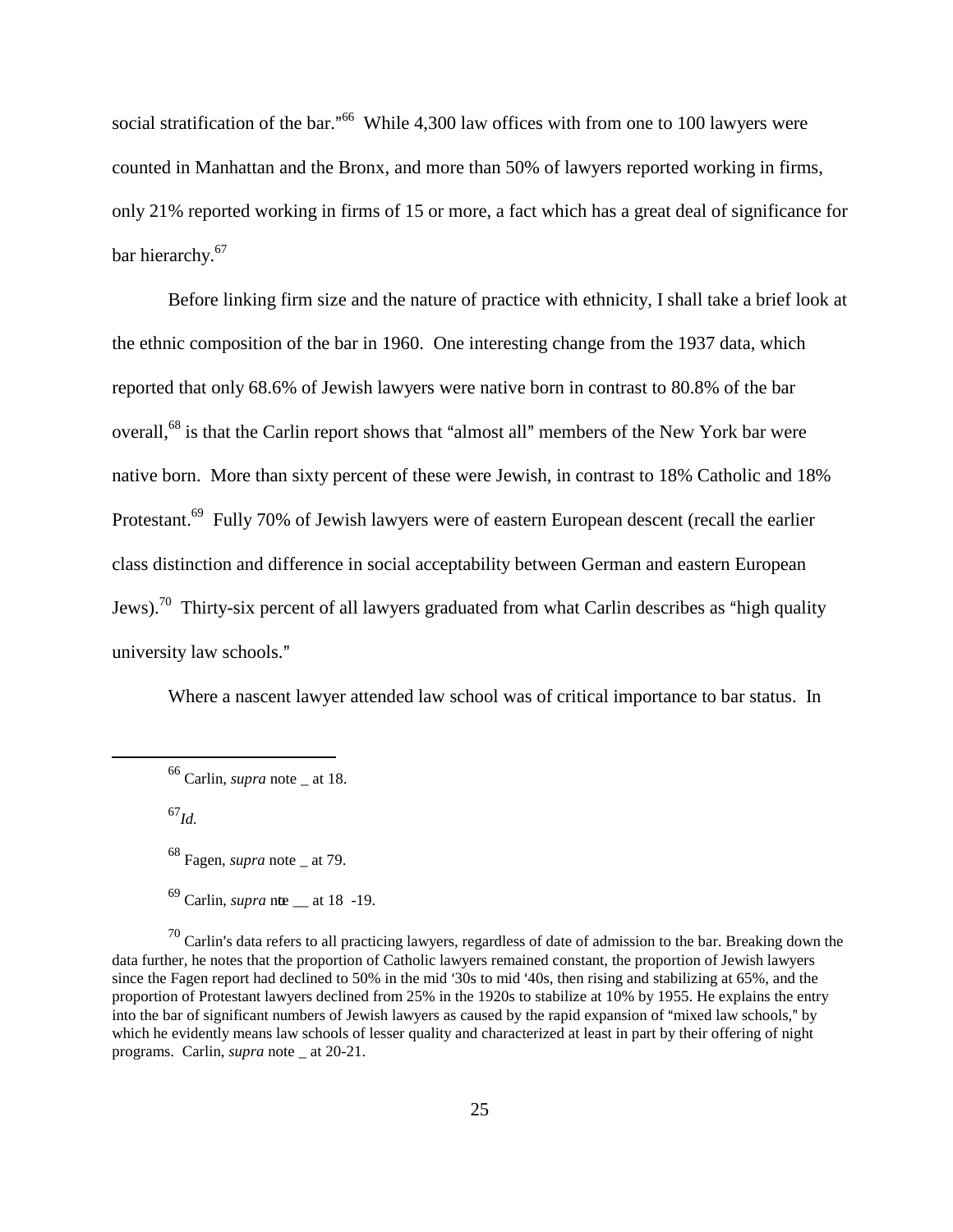social stratification of the bar."<sup>66</sup> While 4,300 law offices with from one to 100 lawyers were counted in Manhattan and the Bronx, and more than 50% of lawyers reported working in firms, only 21% reported working in firms of 15 or more, a fact which has a great deal of significance for bar hierarchy.<sup>67</sup>

Before linking firm size and the nature of practice with ethnicity, I shall take a brief look at the ethnic composition of the bar in 1960. One interesting change from the 1937 data, which reported that only 68.6% of Jewish lawyers were native born in contrast to 80.8% of the bar overall,<sup>68</sup> is that the Carlin report shows that "almost all" members of the New York bar were native born. More than sixty percent of these were Jewish, in contrast to 18% Catholic and 18% Protestant.<sup>69</sup> Fully 70% of Jewish lawyers were of eastern European descent (recall the earlier class distinction and difference in social acceptability between German and eastern European Jews).<sup>70</sup> Thirty-six percent of all lawyers graduated from what Carlin describes as "high quality" university law schools."

Where a nascent lawyer attended law school was of critical importance to bar status. In

<sup>66</sup> Carlin, *supra* note \_ at 18.

<sup>67</sup>*Id.*

<sup>68</sup> Fagen, *supra* note \_ at 79.

 $69$  Carlin, *supra* nte \_ at 18 -19.

 $^{70}$  Carlin's data refers to all practicing lawyers, regardless of date of admission to the bar. Breaking down the data further, he notes that the proportion of Catholic lawyers remained constant, the proportion of Jewish lawyers since the Fagen report had declined to 50% in the mid '30s to mid '40s, then rising and stabilizing at 65%, and the proportion of Protestant lawyers declined from 25% in the 1920s to stabilize at 10% by 1955. He explains the entry into the bar of significant numbers of Jewish lawyers as caused by the rapid expansion of "mixed law schools," by which he evidently means law schools of lesser quality and characterized at least in part by their offering of night programs. Carlin, *supra* note \_ at 20-21.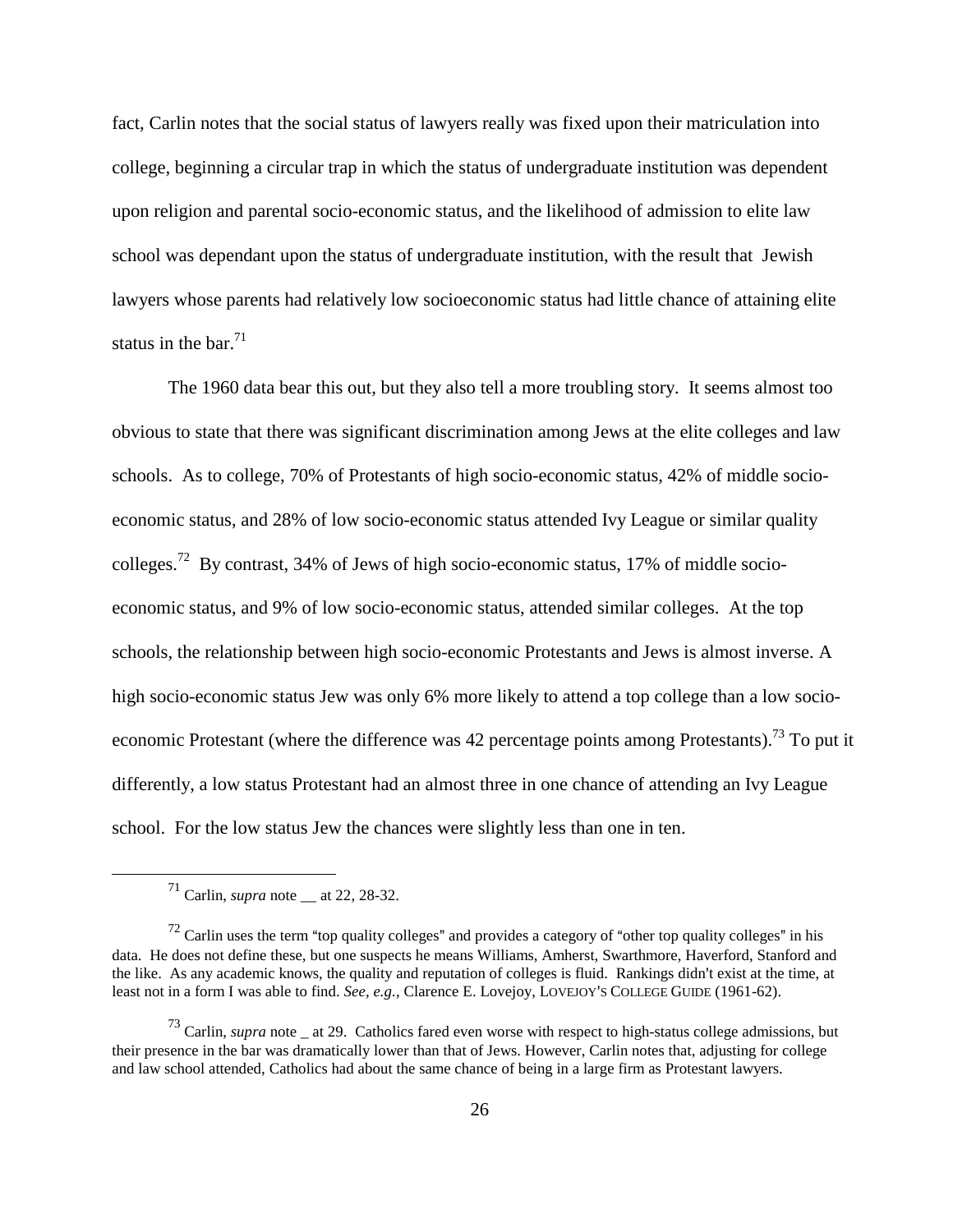fact, Carlin notes that the social status of lawyers really was fixed upon their matriculation into college, beginning a circular trap in which the status of undergraduate institution was dependent upon religion and parental socio-economic status, and the likelihood of admission to elite law school was dependant upon the status of undergraduate institution, with the result that Jewish lawyers whose parents had relatively low socioeconomic status had little chance of attaining elite status in the bar. $71$ 

The 1960 data bear this out, but they also tell a more troubling story. It seems almost too obvious to state that there was significant discrimination among Jews at the elite colleges and law schools. As to college, 70% of Protestants of high socio-economic status, 42% of middle socioeconomic status, and 28% of low socio-economic status attended Ivy League or similar quality colleges.<sup>72</sup> By contrast, 34% of Jews of high socio-economic status, 17% of middle socioeconomic status, and 9% of low socio-economic status, attended similar colleges. At the top schools, the relationship between high socio-economic Protestants and Jews is almost inverse. A high socio-economic status Jew was only 6% more likely to attend a top college than a low socioeconomic Protestant (where the difference was 42 percentage points among Protestants).<sup>73</sup> To put it differently, a low status Protestant had an almost three in one chance of attending an Ivy League school. For the low status Jew the chances were slightly less than one in ten.

 $^{71}$  Carlin, *supra* note  $\_\$ at 22, 28-32.

 $72$  Carlin uses the term "top quality colleges" and provides a category of "other top quality colleges" in his data. He does not define these, but one suspects he means Williams, Amherst, Swarthmore, Haverford, Stanford and the like. As any academic knows, the quality and reputation of colleges is fluid. Rankings didn't exist at the time, at least not in a form I was able to find. *See, e.g.*, Clarence E. Lovejoy, LOVEJOY'S COLLEGE GUIDE (1961-62).

<sup>73</sup> Carlin, *supra* note \_ at 29. Catholics fared even worse with respect to high-status college admissions, but their presence in the bar was dramatically lower than that of Jews. However, Carlin notes that, adjusting for college and law school attended, Catholics had about the same chance of being in a large firm as Protestant lawyers.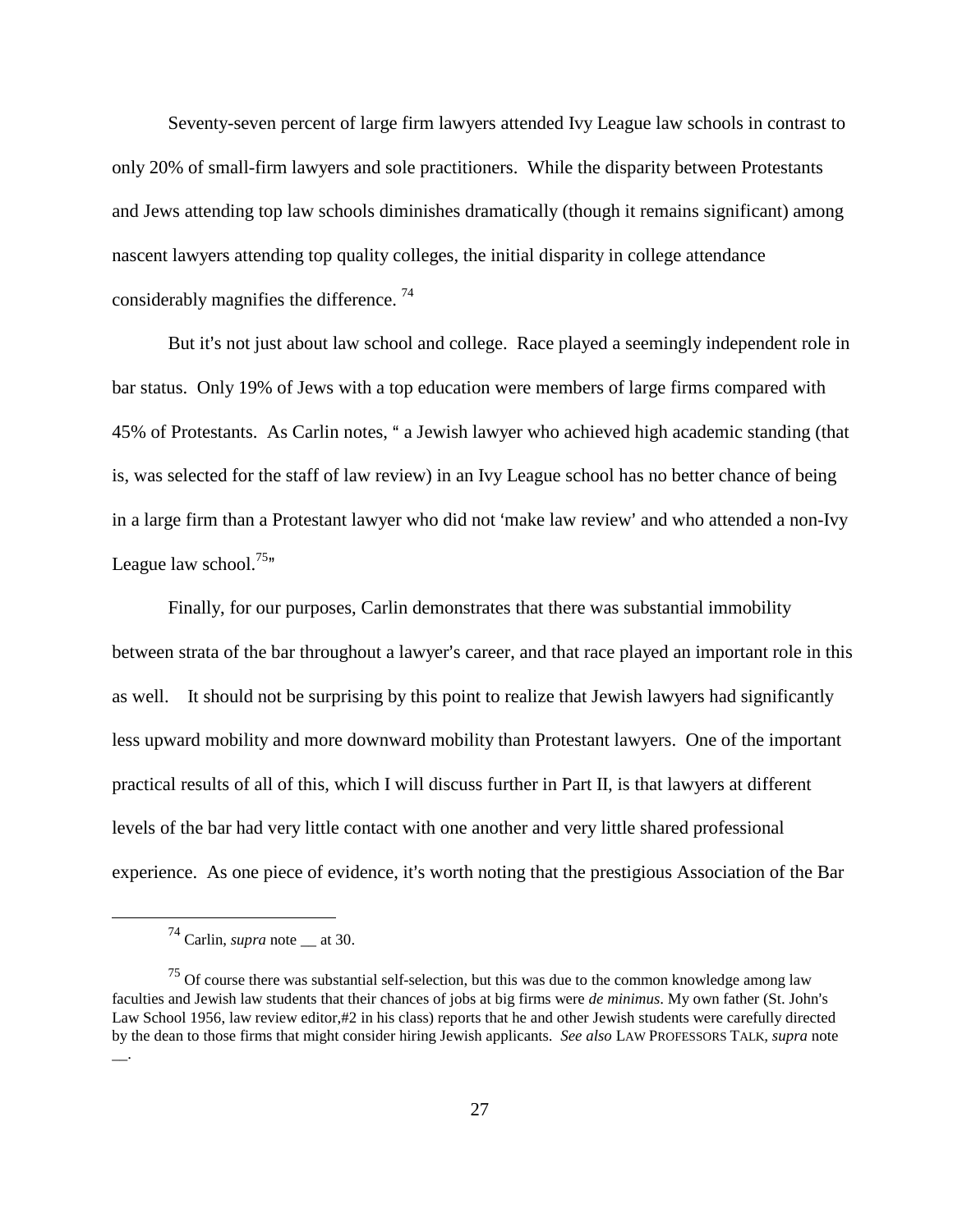Seventy-seven percent of large firm lawyers attended Ivy League law schools in contrast to only 20% of small-firm lawyers and sole practitioners. While the disparity between Protestants and Jews attending top law schools diminishes dramatically (though it remains significant) among nascent lawyers attending top quality colleges, the initial disparity in college attendance considerably magnifies the difference.<sup>74</sup>

But it's not just about law school and college. Race played a seemingly independent role in bar status. Only 19% of Jews with a top education were members of large firms compared with 45% of Protestants. As Carlin notes, " a Jewish lawyer who achieved high academic standing (that is, was selected for the staff of law review) in an Ivy League school has no better chance of being in a large firm than a Protestant lawyer who did not 'make law review' and who attended a non-Ivy League law school.<sup>75 $m$ </sup>

Finally, for our purposes, Carlin demonstrates that there was substantial immobility between strata of the bar throughout a lawyer's career, and that race played an important role in this as well. It should not be surprising by this point to realize that Jewish lawyers had significantly less upward mobility and more downward mobility than Protestant lawyers. One of the important practical results of all of this, which I will discuss further in Part II, is that lawyers at different levels of the bar had very little contact with one another and very little shared professional experience. As one piece of evidence, it's worth noting that the prestigious Association of the Bar

<sup>74</sup> Carlin, *supra* note \_\_ at 30.

 $75$  Of course there was substantial self-selection, but this was due to the common knowledge among law faculties and Jewish law students that their chances of jobs at big firms were *de minimus*. My own father (St. John's Law School 1956, law review editor,#2 in his class) reports that he and other Jewish students were carefully directed by the dean to those firms that might consider hiring Jewish applicants. *See also* LAW PROFESSORS TALK*, supra* note  $\overline{\phantom{a}}$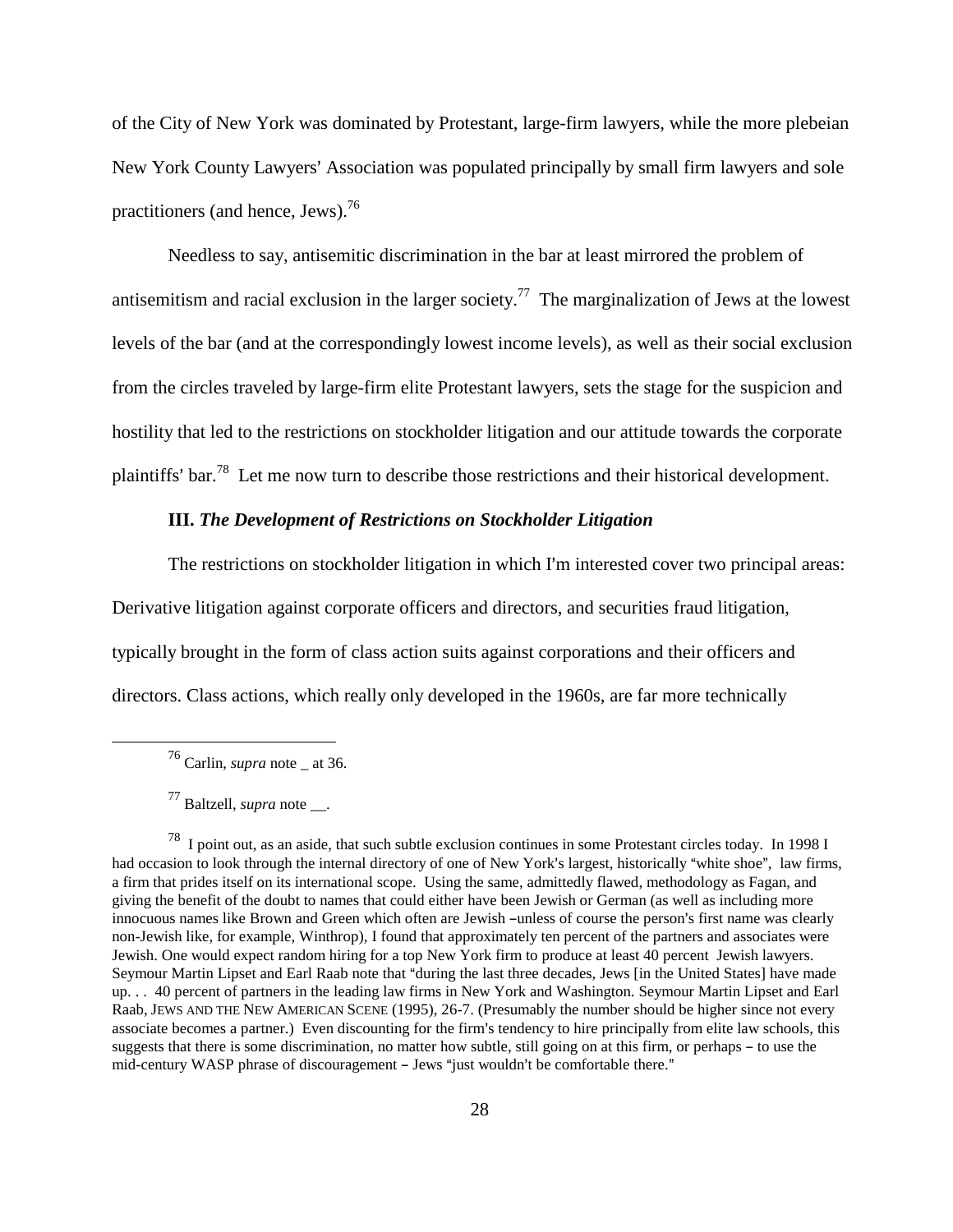of the City of New York was dominated by Protestant, large-firm lawyers, while the more plebeian New York County Lawyers' Association was populated principally by small firm lawyers and sole practitioners (and hence, Jews). $^{76}$ 

Needless to say, antisemitic discrimination in the bar at least mirrored the problem of antisemitism and racial exclusion in the larger society.<sup>77</sup> The marginalization of Jews at the lowest levels of the bar (and at the correspondingly lowest income levels), as well as their social exclusion from the circles traveled by large-firm elite Protestant lawyers, sets the stage for the suspicion and hostility that led to the restrictions on stockholder litigation and our attitude towards the corporate plaintiffs' bar.<sup>78</sup> Let me now turn to describe those restrictions and their historical development.

### **III.** *The Development of Restrictions on Stockholder Litigation*

The restrictions on stockholder litigation in which I'm interested cover two principal areas: Derivative litigation against corporate officers and directors, and securities fraud litigation, typically brought in the form of class action suits against corporations and their officers and directors. Class actions, which really only developed in the 1960s, are far more technically

76 Carlin, *supra* note \_ at 36.

<sup>77</sup> Baltzell, *supra* note \_\_.

<sup>78</sup> I point out, as an aside, that such subtle exclusion continues in some Protestant circles today. In 1998 I had occasion to look through the internal directory of one of New York's largest, historically "white shoe", law firms, a firm that prides itself on its international scope. Using the same, admittedly flawed, methodology as Fagan, and giving the benefit of the doubt to names that could either have been Jewish or German (as well as including more innocuous names like Brown and Green which often are Jewish -unless of course the person's first name was clearly non-Jewish like, for example, Winthrop), I found that approximately ten percent of the partners and associates were Jewish. One would expect random hiring for a top New York firm to produce at least 40 percent Jewish lawyers. Seymour Martin Lipset and Earl Raab note that "during the last three decades, Jews [in the United States] have made up. . . 40 percent of partners in the leading law firms in New York and Washington. Seymour Martin Lipset and Earl Raab, JEWS AND THE NEW AMERICAN SCENE (1995), 26-7. (Presumably the number should be higher since not every associate becomes a partner.) Even discounting for the firm's tendency to hire principally from elite law schools, this suggests that there is some discrimination, no matter how subtle, still going on at this firm, or perhaps – to use the mid-century WASP phrase of discouragement - Jews "just wouldn't be comfortable there."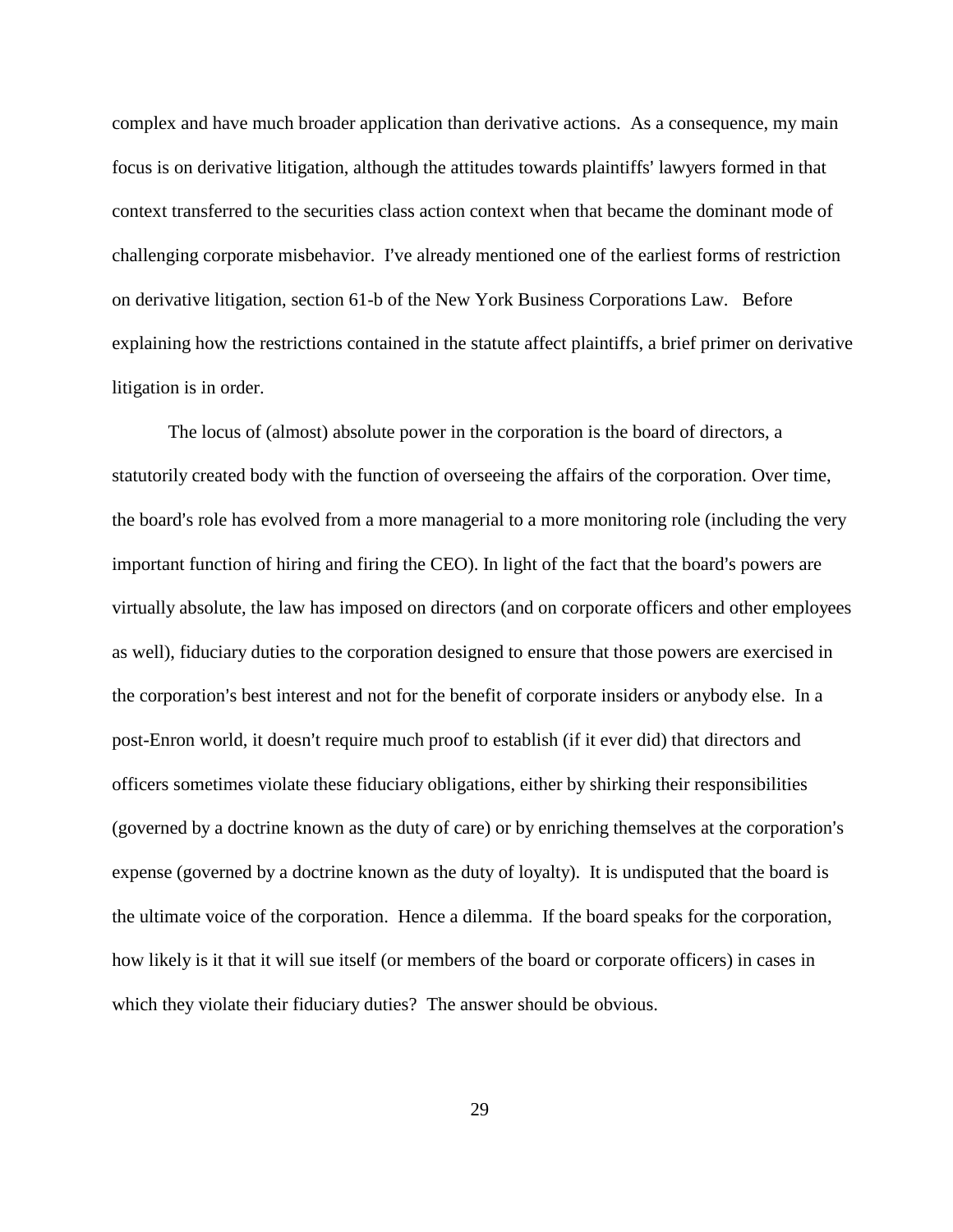complex and have much broader application than derivative actions. As a consequence, my main focus is on derivative litigation, although the attitudes towards plaintiffs' lawyers formed in that context transferred to the securities class action context when that became the dominant mode of challenging corporate misbehavior. I've already mentioned one of the earliest forms of restriction on derivative litigation, section 61-b of the New York Business Corporations Law. Before explaining how the restrictions contained in the statute affect plaintiffs, a brief primer on derivative litigation is in order.

The locus of (almost) absolute power in the corporation is the board of directors, a statutorily created body with the function of overseeing the affairs of the corporation. Over time, the board's role has evolved from a more managerial to a more monitoring role (including the very important function of hiring and firing the CEO). In light of the fact that the board's powers are virtually absolute, the law has imposed on directors (and on corporate officers and other employees as well), fiduciary duties to the corporation designed to ensure that those powers are exercised in the corporation's best interest and not for the benefit of corporate insiders or anybody else. In a post-Enron world, it doesn't require much proof to establish (if it ever did) that directors and officers sometimes violate these fiduciary obligations, either by shirking their responsibilities (governed by a doctrine known as the duty of care) or by enriching themselves at the corporation's expense (governed by a doctrine known as the duty of loyalty). It is undisputed that the board is the ultimate voice of the corporation. Hence a dilemma. If the board speaks for the corporation, how likely is it that it will sue itself (or members of the board or corporate officers) in cases in which they violate their fiduciary duties? The answer should be obvious.

29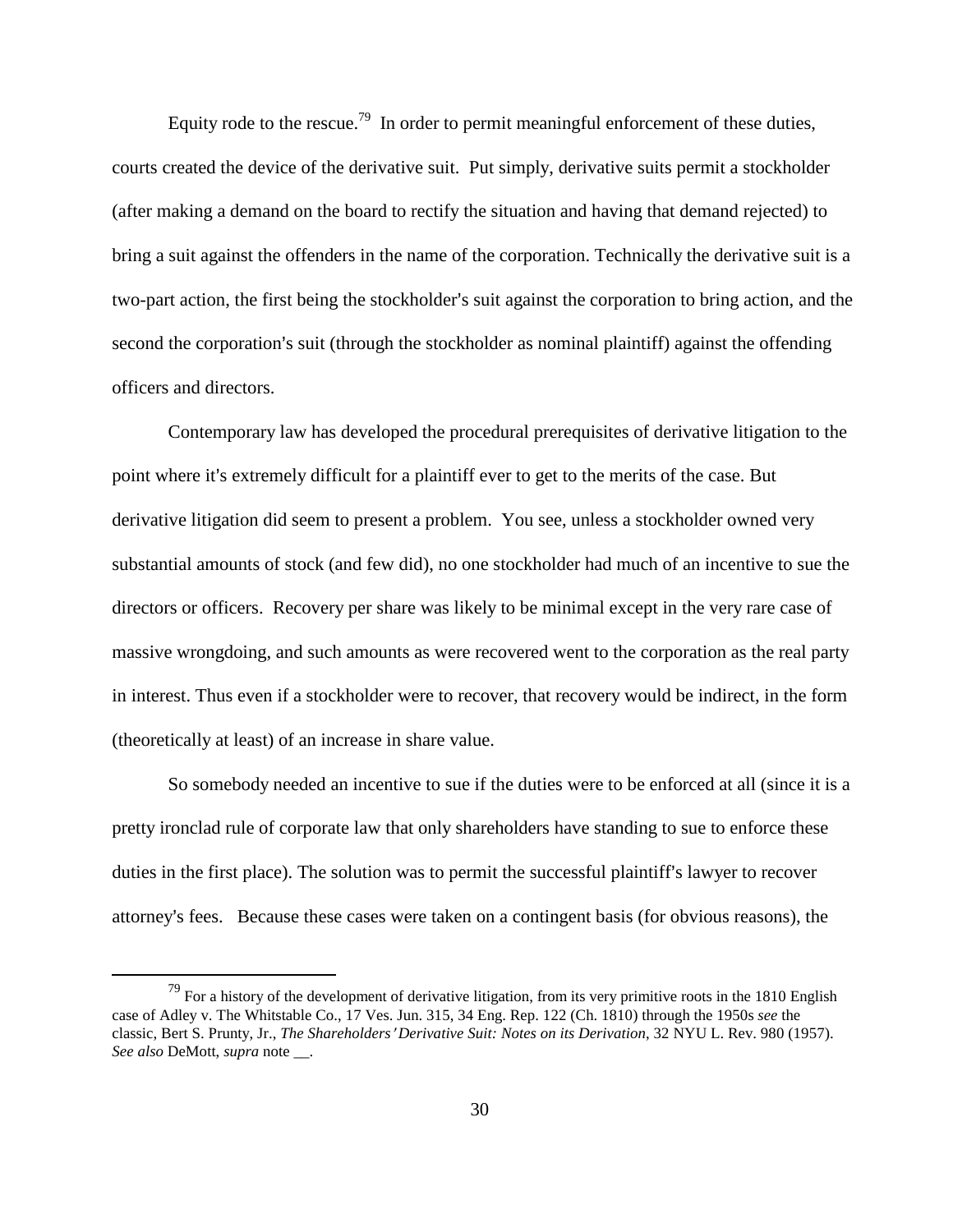Equity rode to the rescue.<sup>79</sup> In order to permit meaningful enforcement of these duties, courts created the device of the derivative suit. Put simply, derivative suits permit a stockholder (after making a demand on the board to rectify the situation and having that demand rejected) to bring a suit against the offenders in the name of the corporation. Technically the derivative suit is a two-part action, the first being the stockholder's suit against the corporation to bring action, and the second the corporation's suit (through the stockholder as nominal plaintiff) against the offending officers and directors.

Contemporary law has developed the procedural prerequisites of derivative litigation to the point where it's extremely difficult for a plaintiff ever to get to the merits of the case. But derivative litigation did seem to present a problem. You see, unless a stockholder owned very substantial amounts of stock (and few did), no one stockholder had much of an incentive to sue the directors or officers. Recovery per share was likely to be minimal except in the very rare case of massive wrongdoing, and such amounts as were recovered went to the corporation as the real party in interest. Thus even if a stockholder were to recover, that recovery would be indirect, in the form (theoretically at least) of an increase in share value.

So somebody needed an incentive to sue if the duties were to be enforced at all (since it is a pretty ironclad rule of corporate law that only shareholders have standing to sue to enforce these duties in the first place). The solution was to permit the successful plaintiff's lawyer to recover attorney's fees. Because these cases were taken on a contingent basis (for obvious reasons), the

 $79$  For a history of the development of derivative litigation, from its very primitive roots in the 1810 English case of Adley v. The Whitstable Co., 17 Ves. Jun. 315, 34 Eng. Rep. 122 (Ch. 1810) through the 1950s *see* the classic, Bert S. Prunty, Jr., *The Shareholders' Derivative Suit: Notes on its Derivation*, 32 NYU L. Rev. 980 (1957). *See also* DeMott, *supra* note \_\_.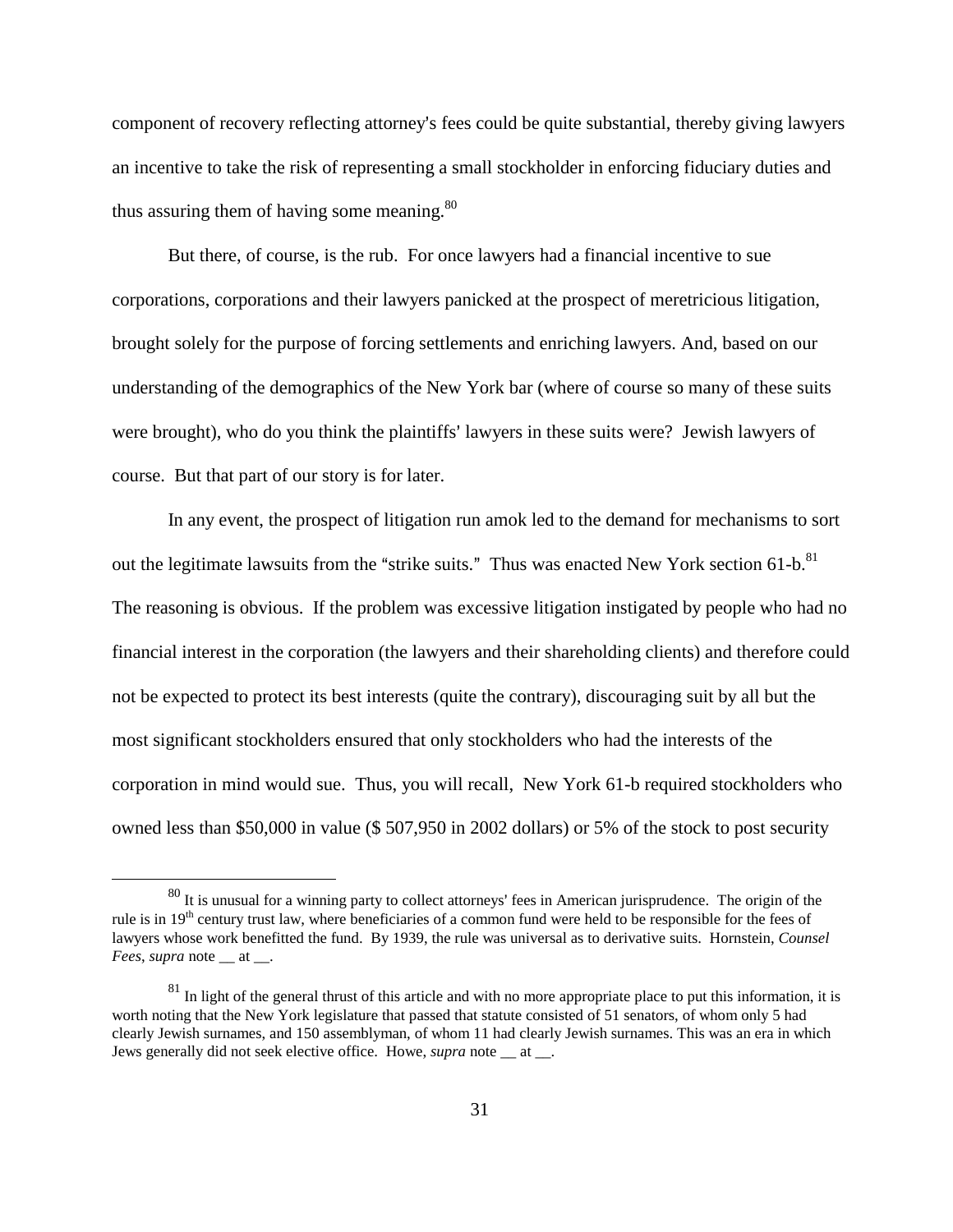component of recovery reflecting attorney's fees could be quite substantial, thereby giving lawyers an incentive to take the risk of representing a small stockholder in enforcing fiduciary duties and thus assuring them of having some meaning. $80$ 

But there, of course, is the rub. For once lawyers had a financial incentive to sue corporations, corporations and their lawyers panicked at the prospect of meretricious litigation, brought solely for the purpose of forcing settlements and enriching lawyers. And, based on our understanding of the demographics of the New York bar (where of course so many of these suits were brought), who do you think the plaintiffs' lawyers in these suits were? Jewish lawyers of course. But that part of our story is for later.

In any event, the prospect of litigation run amok led to the demand for mechanisms to sort out the legitimate lawsuits from the "strike suits." Thus was enacted New York section 61-b.<sup>81</sup> The reasoning is obvious. If the problem was excessive litigation instigated by people who had no financial interest in the corporation (the lawyers and their shareholding clients) and therefore could not be expected to protect its best interests (quite the contrary), discouraging suit by all but the most significant stockholders ensured that only stockholders who had the interests of the corporation in mind would sue. Thus, you will recall, New York 61-b required stockholders who owned less than \$50,000 in value (\$ 507,950 in 2002 dollars) or 5% of the stock to post security

 $80$  It is unusual for a winning party to collect attorneys' fees in American jurisprudence. The origin of the rule is in  $19<sup>th</sup>$  century trust law, where beneficiaries of a common fund were held to be responsible for the fees of lawyers whose work benefitted the fund. By 1939, the rule was universal as to derivative suits. Hornstein, *Counsel Fees*, *supra* note \_\_ at \_\_.

 $81$  In light of the general thrust of this article and with no more appropriate place to put this information, it is worth noting that the New York legislature that passed that statute consisted of 51 senators, of whom only 5 had clearly Jewish surnames, and 150 assemblyman, of whom 11 had clearly Jewish surnames. This was an era in which Jews generally did not seek elective office. Howe, *supra* note \_\_ at \_\_.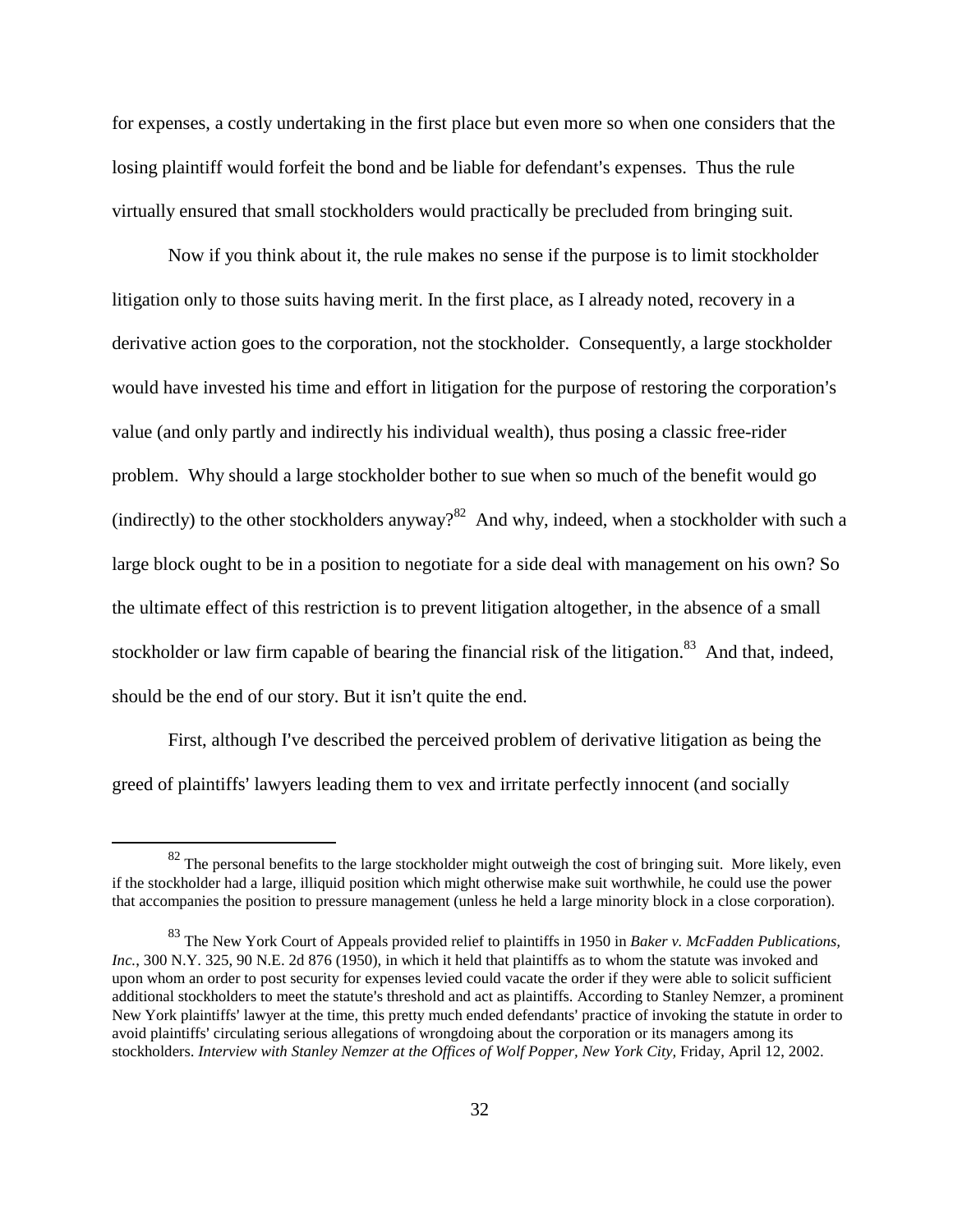for expenses, a costly undertaking in the first place but even more so when one considers that the losing plaintiff would forfeit the bond and be liable for defendant's expenses. Thus the rule virtually ensured that small stockholders would practically be precluded from bringing suit.

Now if you think about it, the rule makes no sense if the purpose is to limit stockholder litigation only to those suits having merit. In the first place, as I already noted, recovery in a derivative action goes to the corporation, not the stockholder. Consequently, a large stockholder would have invested his time and effort in litigation for the purpose of restoring the corporation's value (and only partly and indirectly his individual wealth), thus posing a classic free-rider problem. Why should a large stockholder bother to sue when so much of the benefit would go (indirectly) to the other stockholders anyway?<sup>82</sup> And why, indeed, when a stockholder with such a large block ought to be in a position to negotiate for a side deal with management on his own? So the ultimate effect of this restriction is to prevent litigation altogether, in the absence of a small stockholder or law firm capable of bearing the financial risk of the litigation.<sup>83</sup> And that, indeed, should be the end of our story. But it isn't quite the end.

First, although I've described the perceived problem of derivative litigation as being the greed of plaintiffs' lawyers leading them to vex and irritate perfectly innocent (and socially

 $82$  The personal benefits to the large stockholder might outweigh the cost of bringing suit. More likely, even if the stockholder had a large, illiquid position which might otherwise make suit worthwhile, he could use the power that accompanies the position to pressure management (unless he held a large minority block in a close corporation).

<sup>83</sup> The New York Court of Appeals provided relief to plaintiffs in 1950 in *Baker v. McFadden Publications, Inc.*, 300 N.Y. 325, 90 N.E. 2d 876 (1950), in which it held that plaintiffs as to whom the statute was invoked and upon whom an order to post security for expenses levied could vacate the order if they were able to solicit sufficient additional stockholders to meet the statute's threshold and act as plaintiffs. According to Stanley Nemzer, a prominent New York plaintiffs' lawyer at the time, this pretty much ended defendants' practice of invoking the statute in order to avoid plaintiffs' circulating serious allegations of wrongdoing about the corporation or its managers among its stockholders. *Interview with Stanley Nemzer at the Offices of Wolf Popper, New York City*, Friday, April 12, 2002.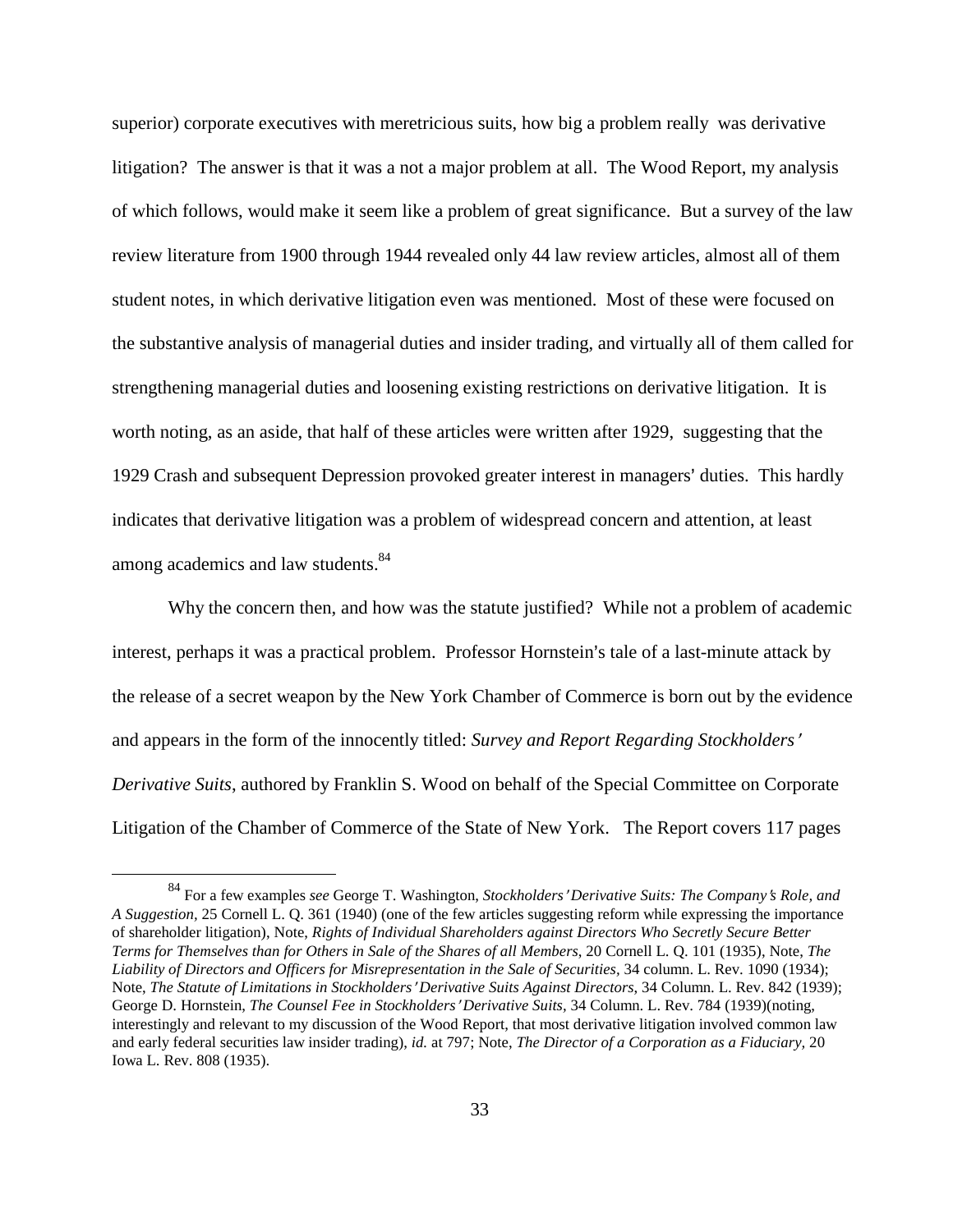superior) corporate executives with meretricious suits, how big a problem really was derivative litigation? The answer is that it was a not a major problem at all. The Wood Report, my analysis of which follows, would make it seem like a problem of great significance. But a survey of the law review literature from 1900 through 1944 revealed only 44 law review articles, almost all of them student notes, in which derivative litigation even was mentioned. Most of these were focused on the substantive analysis of managerial duties and insider trading, and virtually all of them called for strengthening managerial duties and loosening existing restrictions on derivative litigation. It is worth noting, as an aside, that half of these articles were written after 1929, suggesting that the 1929 Crash and subsequent Depression provoked greater interest in managers' duties. This hardly indicates that derivative litigation was a problem of widespread concern and attention, at least among academics and law students.<sup>84</sup>

Why the concern then, and how was the statute justified? While not a problem of academic interest, perhaps it was a practical problem. Professor Hornstein's tale of a last-minute attack by the release of a secret weapon by the New York Chamber of Commerce is born out by the evidence and appears in the form of the innocently titled: *Survey and Report Regarding Stockholders' Derivative Suits*, authored by Franklin S. Wood on behalf of the Special Committee on Corporate Litigation of the Chamber of Commerce of the State of New York. The Report covers 117 pages

<sup>&</sup>lt;sup>84</sup> For a few examples *see* George T. Washington, *Stockholders' Derivative Suits: The Company's Role, and A Suggestion,* 25 Cornell L. Q. 361 (1940) (one of the few articles suggesting reform while expressing the importance of shareholder litigation), Note, *Rights of Individual Shareholders against Directors Who Secretly Secure Better Terms for Themselves than for Others in Sale of the Shares of all Members*, 20 Cornell L. Q. 101 (1935), Note, *The Liability of Directors and Officers for Misrepresentation in the Sale of Securities,* 34 column. L. Rev. 1090 (1934); Note, *The Statute of Limitations in Stockholders*= *Derivative Suits Against Directors*, 34 Column. L. Rev. 842 (1939); George D. Hornstein, *The Counsel Fee in Stockholders' Derivative Suits*, 34 Column. L. Rev. 784 (1939)(noting, interestingly and relevant to my discussion of the Wood Report, that most derivative litigation involved common law and early federal securities law insider trading), *id.* at 797; Note, *The Director of a Corporation as a Fiduciary,* 20 Iowa L. Rev. 808 (1935).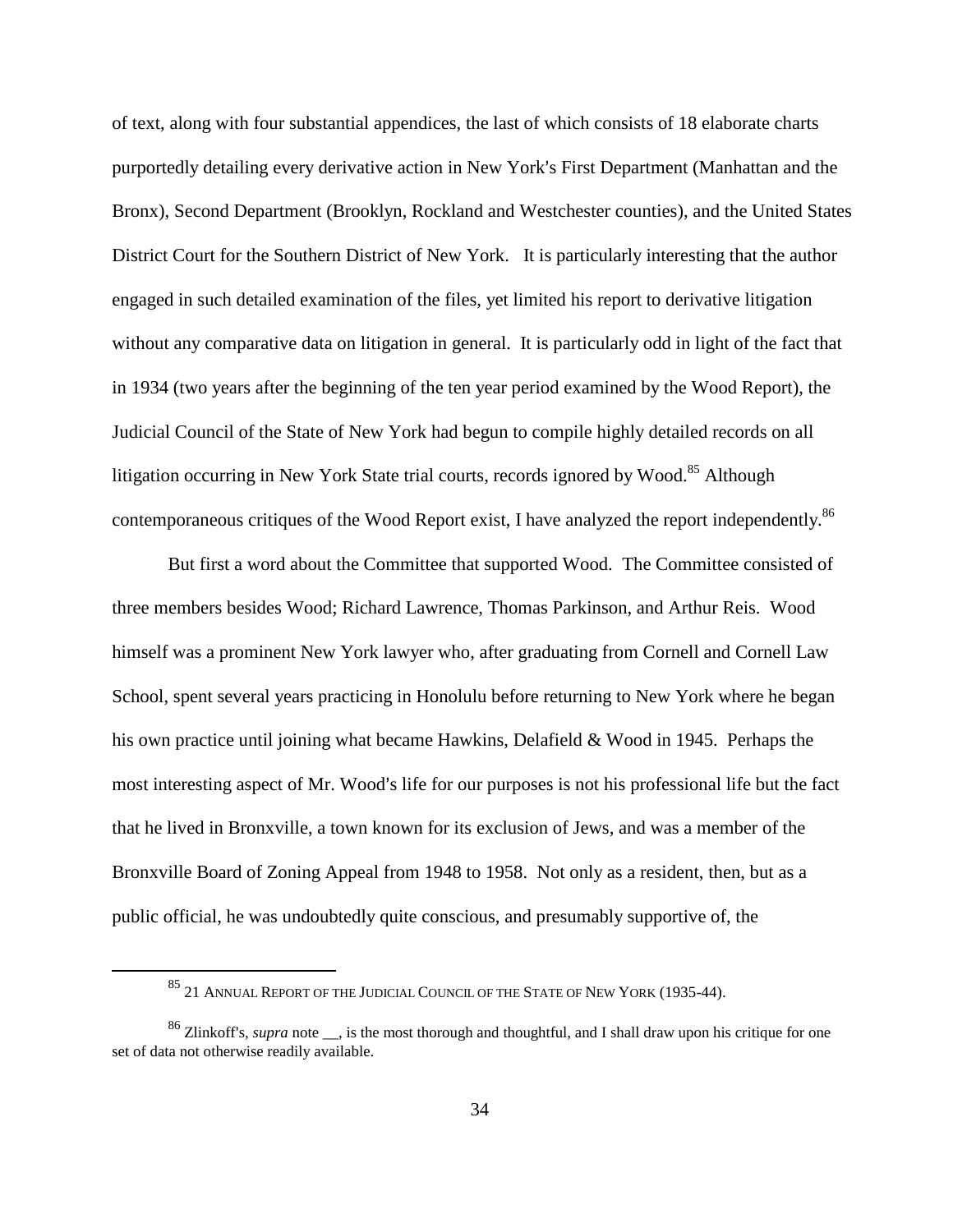of text, along with four substantial appendices, the last of which consists of 18 elaborate charts purportedly detailing every derivative action in New York's First Department (Manhattan and the Bronx), Second Department (Brooklyn, Rockland and Westchester counties), and the United States District Court for the Southern District of New York. It is particularly interesting that the author engaged in such detailed examination of the files, yet limited his report to derivative litigation without any comparative data on litigation in general. It is particularly odd in light of the fact that in 1934 (two years after the beginning of the ten year period examined by the Wood Report), the Judicial Council of the State of New York had begun to compile highly detailed records on all litigation occurring in New York State trial courts, records ignored by Wood.<sup>85</sup> Although contemporaneous critiques of the Wood Report exist, I have analyzed the report independently.<sup>86</sup>

But first a word about the Committee that supported Wood. The Committee consisted of three members besides Wood; Richard Lawrence, Thomas Parkinson, and Arthur Reis. Wood himself was a prominent New York lawyer who, after graduating from Cornell and Cornell Law School, spent several years practicing in Honolulu before returning to New York where he began his own practice until joining what became Hawkins, Delafield & Wood in 1945. Perhaps the most interesting aspect of Mr. Wood's life for our purposes is not his professional life but the fact that he lived in Bronxville, a town known for its exclusion of Jews, and was a member of the Bronxville Board of Zoning Appeal from 1948 to 1958. Not only as a resident, then, but as a public official, he was undoubtedly quite conscious, and presumably supportive of, the

<sup>85 21</sup> ANNUAL REPORT OF THE JUDICIAL COUNCIL OF THE STATE OF NEW YORK (1935-44).

<sup>&</sup>lt;sup>86</sup> Zlinkoff's, *supra* note <sub>\_\_</sub>, is the most thorough and thoughtful, and I shall draw upon his critique for one set of data not otherwise readily available.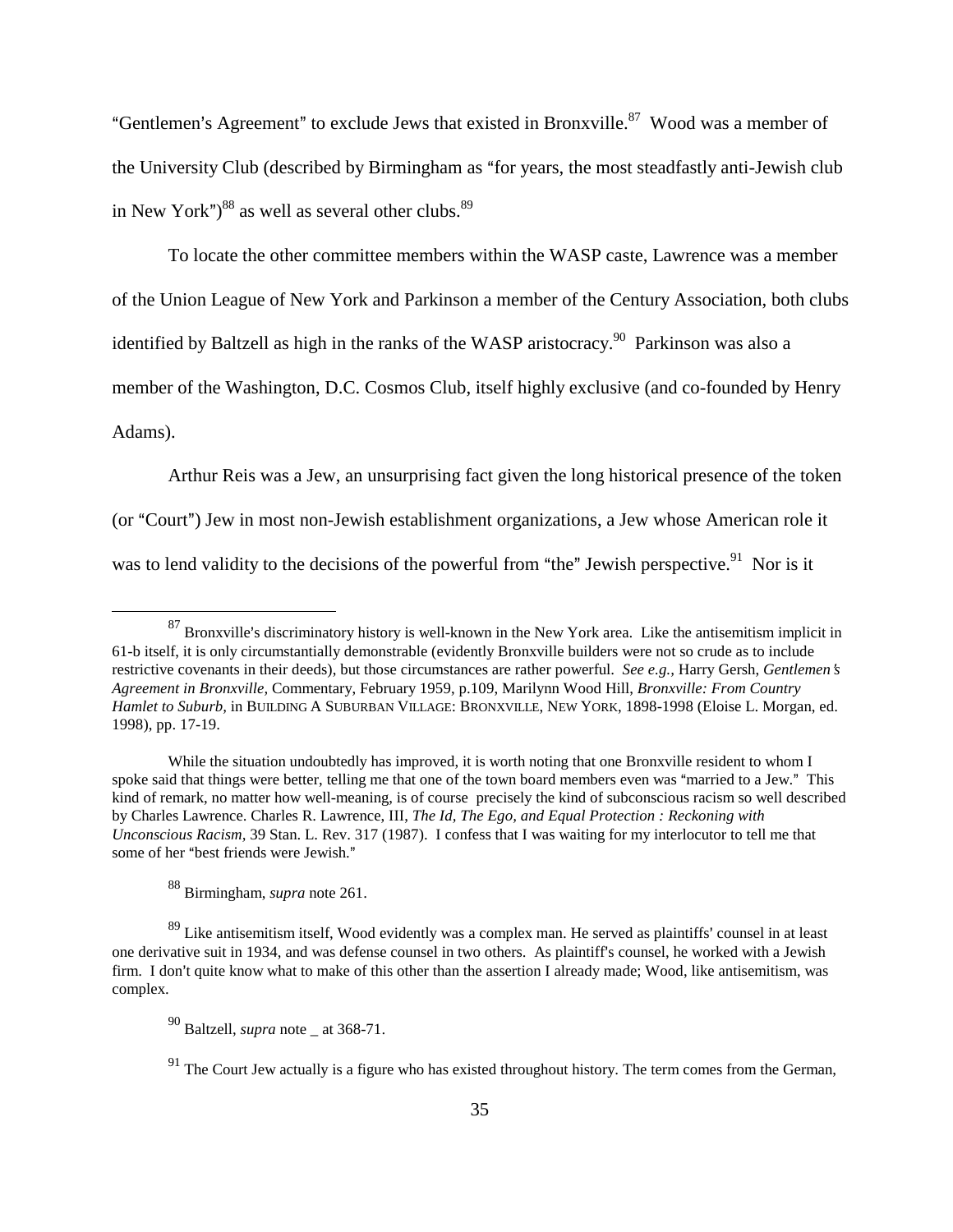"Gentlemen's Agreement" to exclude Jews that existed in Bronxville.<sup>87</sup> Wood was a member of the University Club (described by Birmingham as "for years, the most steadfastly anti-Jewish club in New York") $88$  as well as several other clubs. $89$ 

To locate the other committee members within the WASP caste, Lawrence was a member of the Union League of New York and Parkinson a member of the Century Association, both clubs identified by Baltzell as high in the ranks of the WASP aristocracy.<sup>90</sup> Parkinson was also a member of the Washington, D.C. Cosmos Club, itself highly exclusive (and co-founded by Henry Adams).

Arthur Reis was a Jew, an unsurprising fact given the long historical presence of the token (or "Court") Jew in most non-Jewish establishment organizations, a Jew whose American role it was to lend validity to the decisions of the powerful from "the" Jewish perspective.<sup>91</sup> Nor is it

 $87$  Bronxville's discriminatory history is well-known in the New York area. Like the antisemitism implicit in 61-b itself, it is only circumstantially demonstrable (evidently Bronxville builders were not so crude as to include restrictive covenants in their deeds), but those circumstances are rather powerful. *See e.g.*, Harry Gersh, *Gentlemen's Agreement in Bronxville,* Commentary, February 1959, p.109, Marilynn Wood Hill, *Bronxville: From Country Hamlet to Suburb,* in BUILDING A SUBURBAN VILLAGE: BRONXVILLE, NEW YORK, 1898-1998 (Eloise L. Morgan, ed. 1998), pp. 17-19.

While the situation undoubtedly has improved, it is worth noting that one Bronxville resident to whom I spoke said that things were better, telling me that one of the town board members even was "married to a Jew." This kind of remark, no matter how well-meaning, is of course precisely the kind of subconscious racism so well described by Charles Lawrence. Charles R. Lawrence, III, *The Id, The Ego, and Equal Protection : Reckoning with Unconscious Racism,* 39 Stan. L. Rev. 317 (1987). I confess that I was waiting for my interlocutor to tell me that some of her "best friends were Jewish."

<sup>88</sup> Birmingham, *supra* note 261.

 $89$  Like antisemitism itself, Wood evidently was a complex man. He served as plaintiffs' counsel in at least one derivative suit in 1934, and was defense counsel in two others. As plaintiff's counsel, he worked with a Jewish firm. I don't quite know what to make of this other than the assertion I already made; Wood, like antisemitism, was complex.

<sup>90</sup> Baltzell, *supra* note \_ at 368-71.

 $91$  The Court Jew actually is a figure who has existed throughout history. The term comes from the German,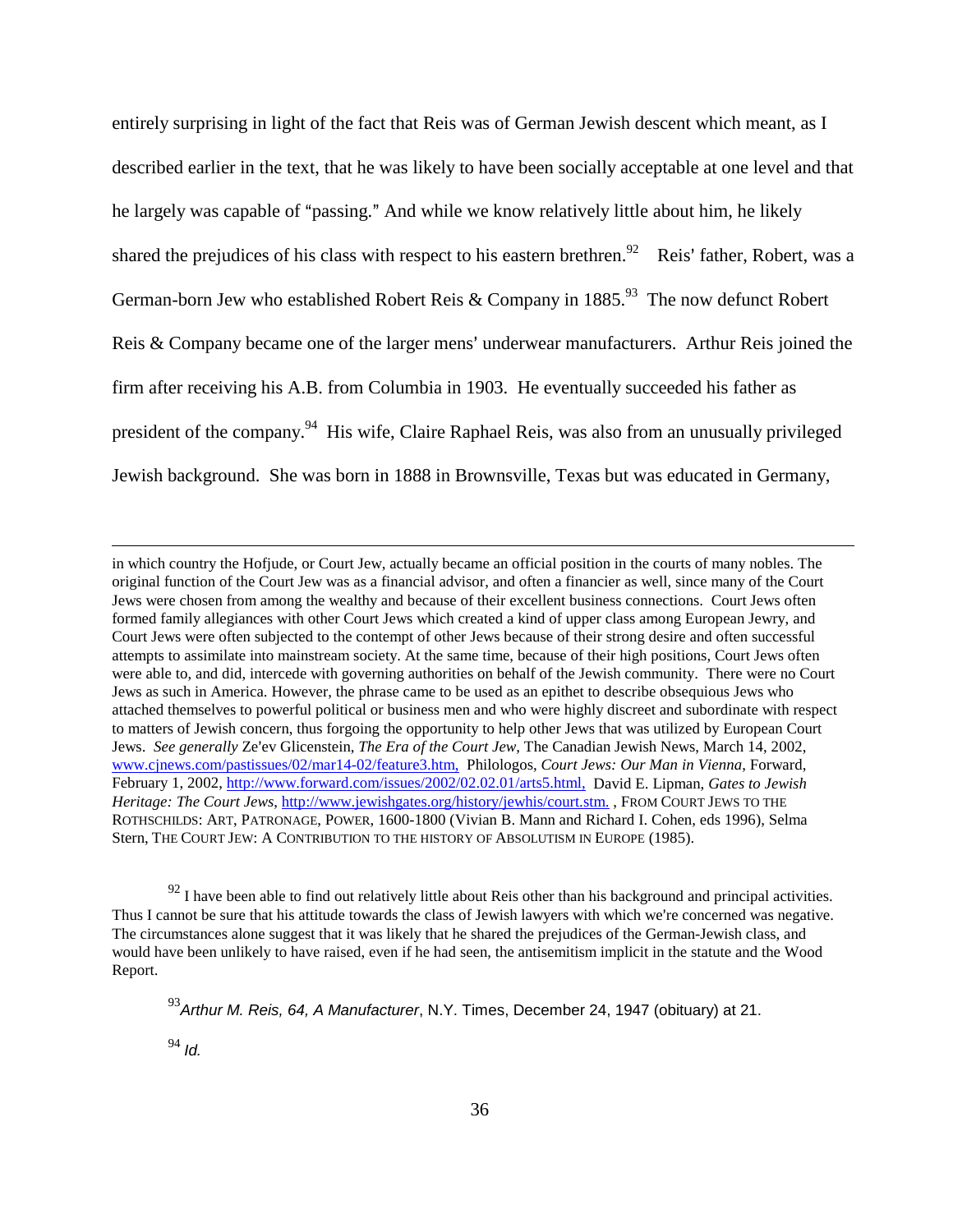entirely surprising in light of the fact that Reis was of German Jewish descent which meant, as I described earlier in the text, that he was likely to have been socially acceptable at one level and that he largely was capable of "passing." And while we know relatively little about him, he likely shared the prejudices of his class with respect to his eastern brethren.<sup>92</sup> Reis' father, Robert, was a German-born Jew who established Robert Reis & Company in  $1885$ <sup>93</sup>. The now defunct Robert Reis  $& Company$  became one of the larger mens' underwear manufacturers. Arthur Reis joined the firm after receiving his A.B. from Columbia in 1903. He eventually succeeded his father as president of the company.<sup>94</sup> His wife, Claire Raphael Reis, was also from an unusually privileged Jewish background. She was born in 1888 in Brownsville, Texas but was educated in Germany,

in which country the Hofjude, or Court Jew, actually became an official position in the courts of many nobles. The original function of the Court Jew was as a financial advisor, and often a financier as well, since many of the Court Jews were chosen from among the wealthy and because of their excellent business connections. Court Jews often formed family allegiances with other Court Jews which created a kind of upper class among European Jewry, and Court Jews were often subjected to the contempt of other Jews because of their strong desire and often successful attempts to assimilate into mainstream society. At the same time, because of their high positions, Court Jews often were able to, and did, intercede with governing authorities on behalf of the Jewish community. There were no Court Jews as such in America. However, the phrase came to be used as an epithet to describe obsequious Jews who attached themselves to powerful political or business men and who were highly discreet and subordinate with respect to matters of Jewish concern, thus forgoing the opportunity to help other Jews that was utilized by European Court Jews. *See generally* Ze'ev Glicenstein, *The Era of the Court Jew*, The Canadian Jewish News, March 14, 2002, www.cjnews.com/pastissues/02/mar14-02/feature3.htm, Philologos, *Court Jews: Our Man in Vienna*, Forward, February 1, 2002, http://www.forward.com/issues/2002/02.02.01/arts5.html, David E. Lipman, *Gates to Jewish Heritage: The Court Jews*, http://www.jewishgates.org/history/jewhis/court.stm., FROM COURT JEWS TO THE ROTHSCHILDS: ART, PATRONAGE, POWER, 1600-1800 (Vivian B. Mann and Richard I. Cohen, eds 1996), Selma Stern, THE COURT JEW: A CONTRIBUTION TO THE HISTORY OF ABSOLUTISM IN EUROPE (1985).

 $92$  I have been able to find out relatively little about Reis other than his background and principal activities. Thus I cannot be sure that his attitude towards the class of Jewish lawyers with which we're concerned was negative. The circumstances alone suggest that it was likely that he shared the prejudices of the German-Jewish class, and would have been unlikely to have raised, even if he had seen, the antisemitism implicit in the statute and the Wood Report.

 $^{93}$ Arthur M. Reis, 64, A Manufacturer, N.Y. Times, December 24, 1947 (obituary) at 21.

 $94$  *Id.*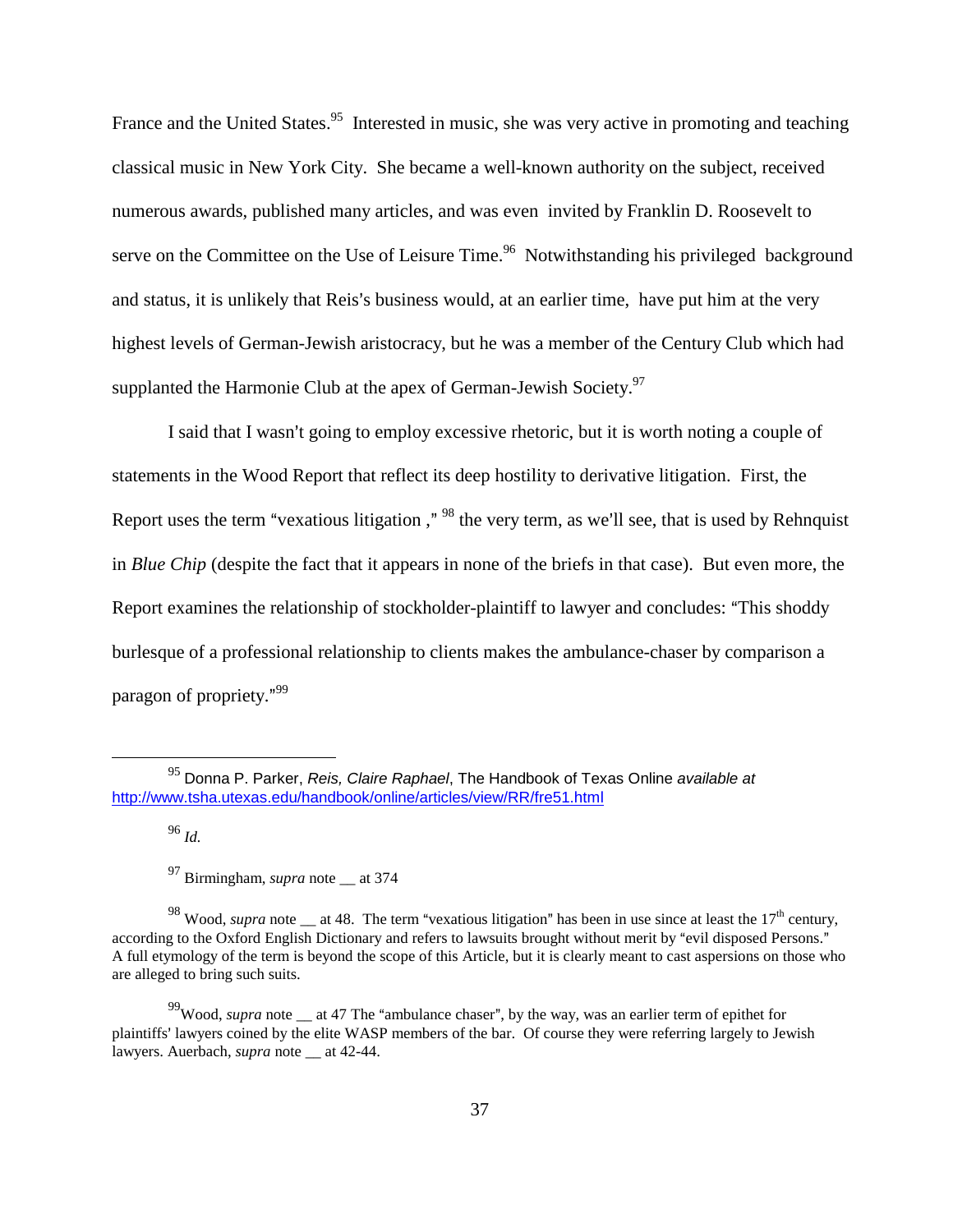France and the United States.<sup>95</sup> Interested in music, she was very active in promoting and teaching classical music in New York City. She became a well-known authority on the subject, received numerous awards, published many articles, and was even invited by Franklin D. Roosevelt to serve on the Committee on the Use of Leisure Time.<sup>96</sup> Notwithstanding his privileged background and status, it is unlikely that Reis's business would, at an earlier time, have put him at the very highest levels of German-Jewish aristocracy, but he was a member of the Century Club which had supplanted the Harmonie Club at the apex of German-Jewish Society.<sup>97</sup>

I said that I wasn't going to employ excessive rhetoric, but it is worth noting a couple of statements in the Wood Report that reflect its deep hostility to derivative litigation. First, the Report uses the term "vexatious litigation ," <sup>98</sup> the very term, as we'll see, that is used by Rehnquist in *Blue Chip* (despite the fact that it appears in none of the briefs in that case). But even more, the Report examines the relationship of stockholder-plaintiff to lawyer and concludes: "This shoddy burlesque of a professional relationship to clients makes the ambulance-chaser by comparison a paragon of propriety."<sup>99</sup>

<sup>96</sup> *Id.*

 $95$  Donna P. Parker, Reis, Claire Raphael, The Handbook of Texas Online available at http://www.tsha.utexas.edu/handbook/online/articles/view/RR/fre51.html

<sup>&</sup>lt;sup>97</sup> Birmingham, *supra* note at 374

<sup>&</sup>lt;sup>98</sup> Wood, *supra* note at 48. The term "vexatious litigation" has been in use since at least the 17<sup>th</sup> century, according to the Oxford English Dictionary and refers to lawsuits brought without merit by "evil disposed Persons." A full etymology of the term is beyond the scope of this Article, but it is clearly meant to cast aspersions on those who are alleged to bring such suits.

<sup>&</sup>lt;sup>99</sup>Wood, *supra* note at 47 The "ambulance chaser", by the way, was an earlier term of epithet for plaintiffs' lawyers coined by the elite WASP members of the bar. Of course they were referring largely to Jewish lawyers. Auerbach, *supra* note \_\_ at 42-44.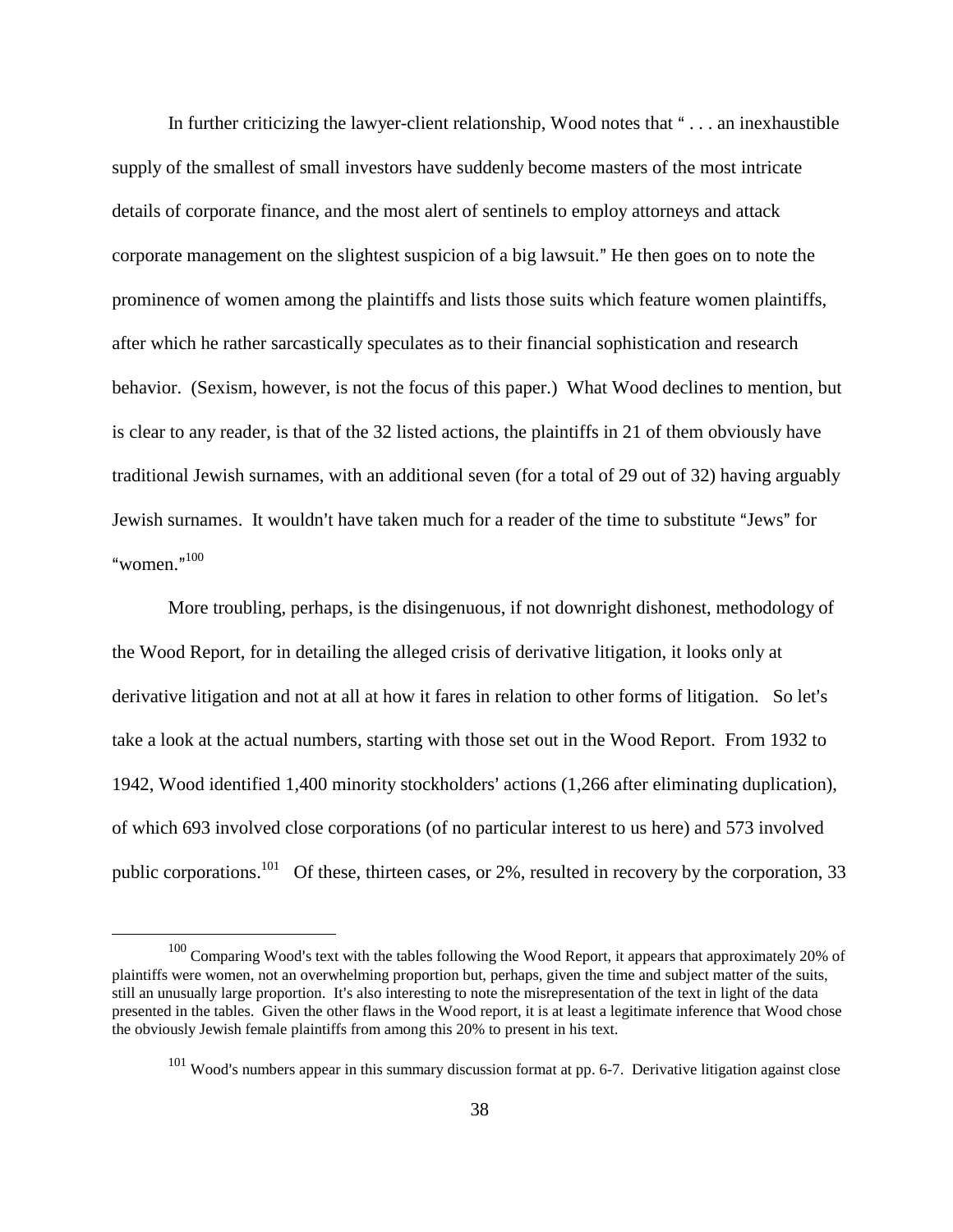In further criticizing the lawyer-client relationship, Wood notes that  $\dots$  an inexhaustible supply of the smallest of small investors have suddenly become masters of the most intricate details of corporate finance, and the most alert of sentinels to employ attorneys and attack corporate management on the slightest suspicion of a big lawsuit." He then goes on to note the prominence of women among the plaintiffs and lists those suits which feature women plaintiffs, after which he rather sarcastically speculates as to their financial sophistication and research behavior. (Sexism, however, is not the focus of this paper.) What Wood declines to mention, but is clear to any reader, is that of the 32 listed actions, the plaintiffs in 21 of them obviously have traditional Jewish surnames, with an additional seven (for a total of 29 out of 32) having arguably Jewish surnames. It wouldn't have taken much for a reader of the time to substitute "Jews" for "women." $^{100}$ 

More troubling, perhaps, is the disingenuous, if not downright dishonest, methodology of the Wood Report, for in detailing the alleged crisis of derivative litigation, it looks only at derivative litigation and not at all at how it fares in relation to other forms of litigation. So let's take a look at the actual numbers, starting with those set out in the Wood Report. From 1932 to 1942, Wood identified 1,400 minority stockholders' actions (1,266 after eliminating duplication), of which 693 involved close corporations (of no particular interest to us here) and 573 involved public corporations.<sup>101</sup> Of these, thirteen cases, or 2%, resulted in recovery by the corporation, 33

 $100$  Comparing Wood's text with the tables following the Wood Report, it appears that approximately 20% of plaintiffs were women, not an overwhelming proportion but, perhaps, given the time and subject matter of the suits, still an unusually large proportion. It's also interesting to note the misrepresentation of the text in light of the data presented in the tables. Given the other flaws in the Wood report, it is at least a legitimate inference that Wood chose the obviously Jewish female plaintiffs from among this 20% to present in his text.

 $101$  Wood's numbers appear in this summary discussion format at pp. 6-7. Derivative litigation against close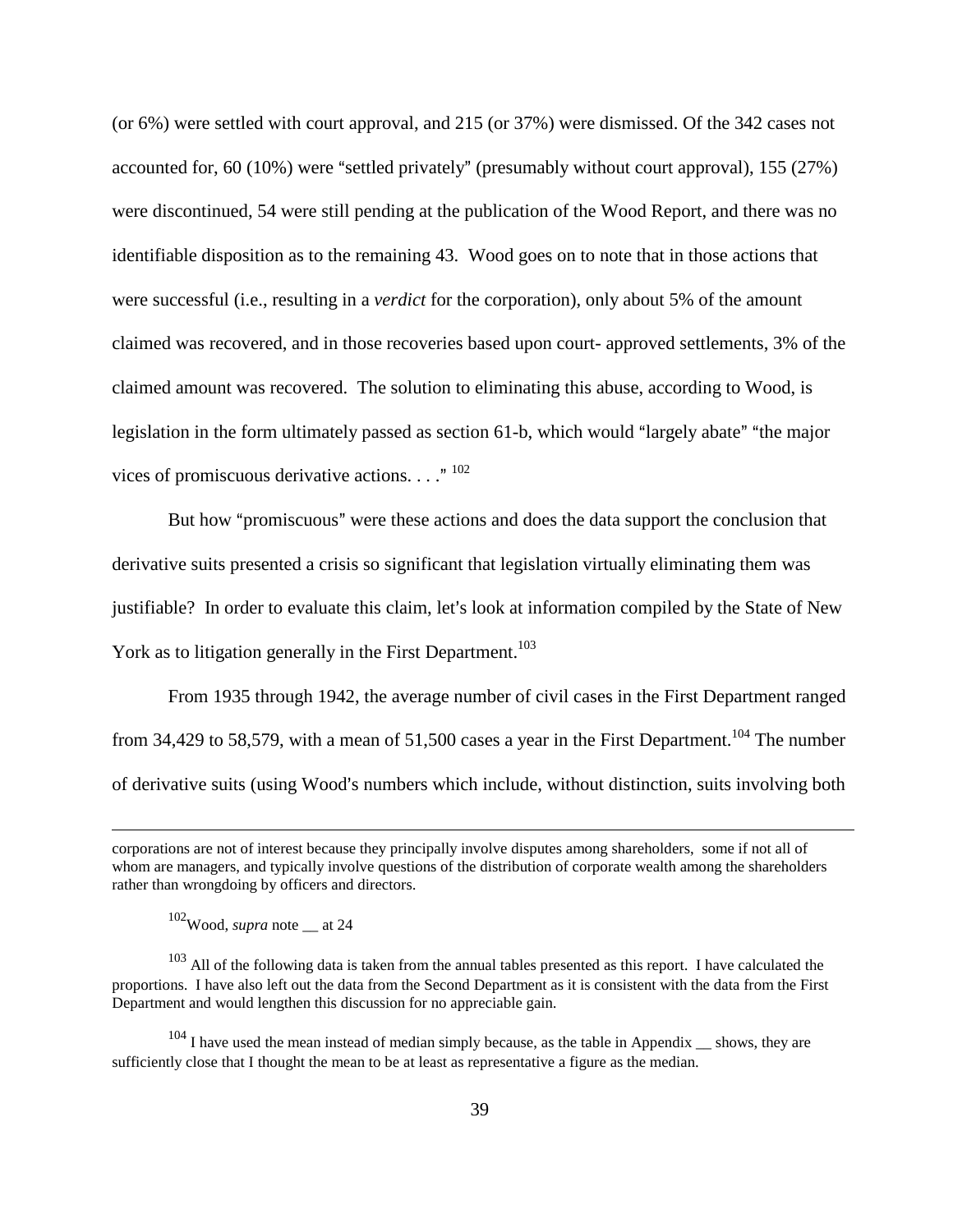(or 6%) were settled with court approval, and 215 (or 37%) were dismissed. Of the 342 cases not accounted for,  $60 (10\%)$  were "settled privately" (presumably without court approval), 155 (27%) were discontinued, 54 were still pending at the publication of the Wood Report, and there was no identifiable disposition as to the remaining 43. Wood goes on to note that in those actions that were successful (i.e., resulting in a *verdict* for the corporation), only about 5% of the amount claimed was recovered, and in those recoveries based upon court- approved settlements, 3% of the claimed amount was recovered. The solution to eliminating this abuse, according to Wood, is legislation in the form ultimately passed as section 61-b, which would "largely abate" "the major vices of promiscuous derivative actions.  $\ldots$ ." <sup>102</sup>

But how "promiscuous" were these actions and does the data support the conclusion that derivative suits presented a crisis so significant that legislation virtually eliminating them was justifiable? In order to evaluate this claim, let's look at information compiled by the State of New York as to litigation generally in the First Department.<sup>103</sup>

From 1935 through 1942, the average number of civil cases in the First Department ranged from 34,429 to 58,579, with a mean of 51,500 cases a year in the First Department.<sup>104</sup> The number of derivative suits (using Wood's numbers which include, without distinction, suits involving both

102Wood, *supra* note \_\_ at 24

<sup>103</sup> All of the following data is taken from the annual tables presented as this report. I have calculated the proportions. I have also left out the data from the Second Department as it is consistent with the data from the First Department and would lengthen this discussion for no appreciable gain.

 $104$  I have used the mean instead of median simply because, as the table in Appendix  $\mu$  shows, they are sufficiently close that I thought the mean to be at least as representative a figure as the median.

corporations are not of interest because they principally involve disputes among shareholders, some if not all of whom are managers, and typically involve questions of the distribution of corporate wealth among the shareholders rather than wrongdoing by officers and directors.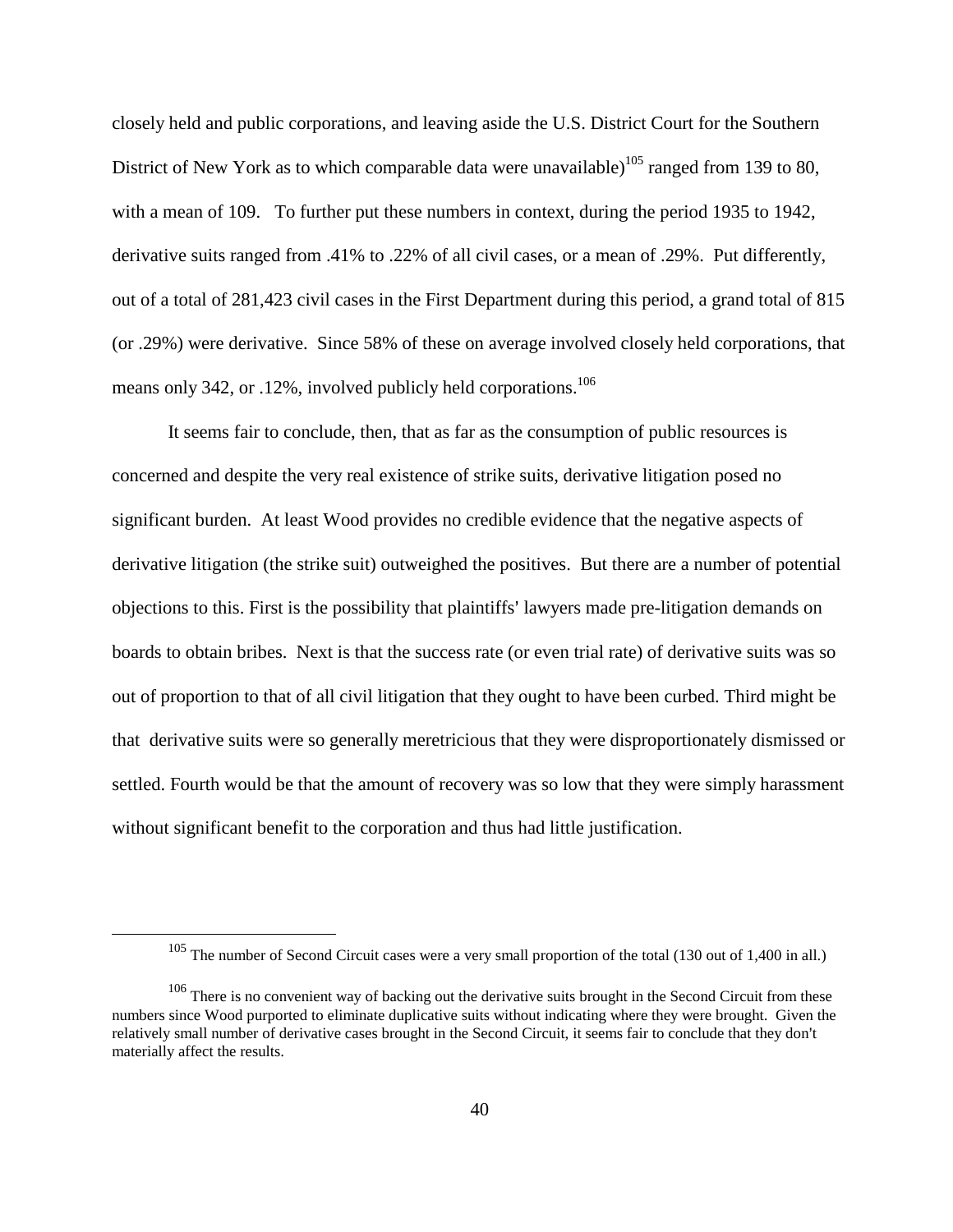closely held and public corporations, and leaving aside the U.S. District Court for the Southern District of New York as to which comparable data were unavailable)<sup>105</sup> ranged from 139 to 80, with a mean of 109. To further put these numbers in context, during the period 1935 to 1942, derivative suits ranged from .41% to .22% of all civil cases, or a mean of .29%. Put differently, out of a total of 281,423 civil cases in the First Department during this period, a grand total of 815 (or .29%) were derivative. Since 58% of these on average involved closely held corporations, that means only 342, or .12%, involved publicly held corporations.<sup>106</sup>

It seems fair to conclude, then, that as far as the consumption of public resources is concerned and despite the very real existence of strike suits, derivative litigation posed no significant burden. At least Wood provides no credible evidence that the negative aspects of derivative litigation (the strike suit) outweighed the positives. But there are a number of potential objections to this. First is the possibility that plaintiffs' lawyers made pre-litigation demands on boards to obtain bribes. Next is that the success rate (or even trial rate) of derivative suits was so out of proportion to that of all civil litigation that they ought to have been curbed. Third might be that derivative suits were so generally meretricious that they were disproportionately dismissed or settled. Fourth would be that the amount of recovery was so low that they were simply harassment without significant benefit to the corporation and thus had little justification.

<sup>105</sup> The number of Second Circuit cases were a very small proportion of the total (130 out of 1,400 in all.)

<sup>&</sup>lt;sup>106</sup> There is no convenient way of backing out the derivative suits brought in the Second Circuit from these numbers since Wood purported to eliminate duplicative suits without indicating where they were brought. Given the relatively small number of derivative cases brought in the Second Circuit, it seems fair to conclude that they don't materially affect the results.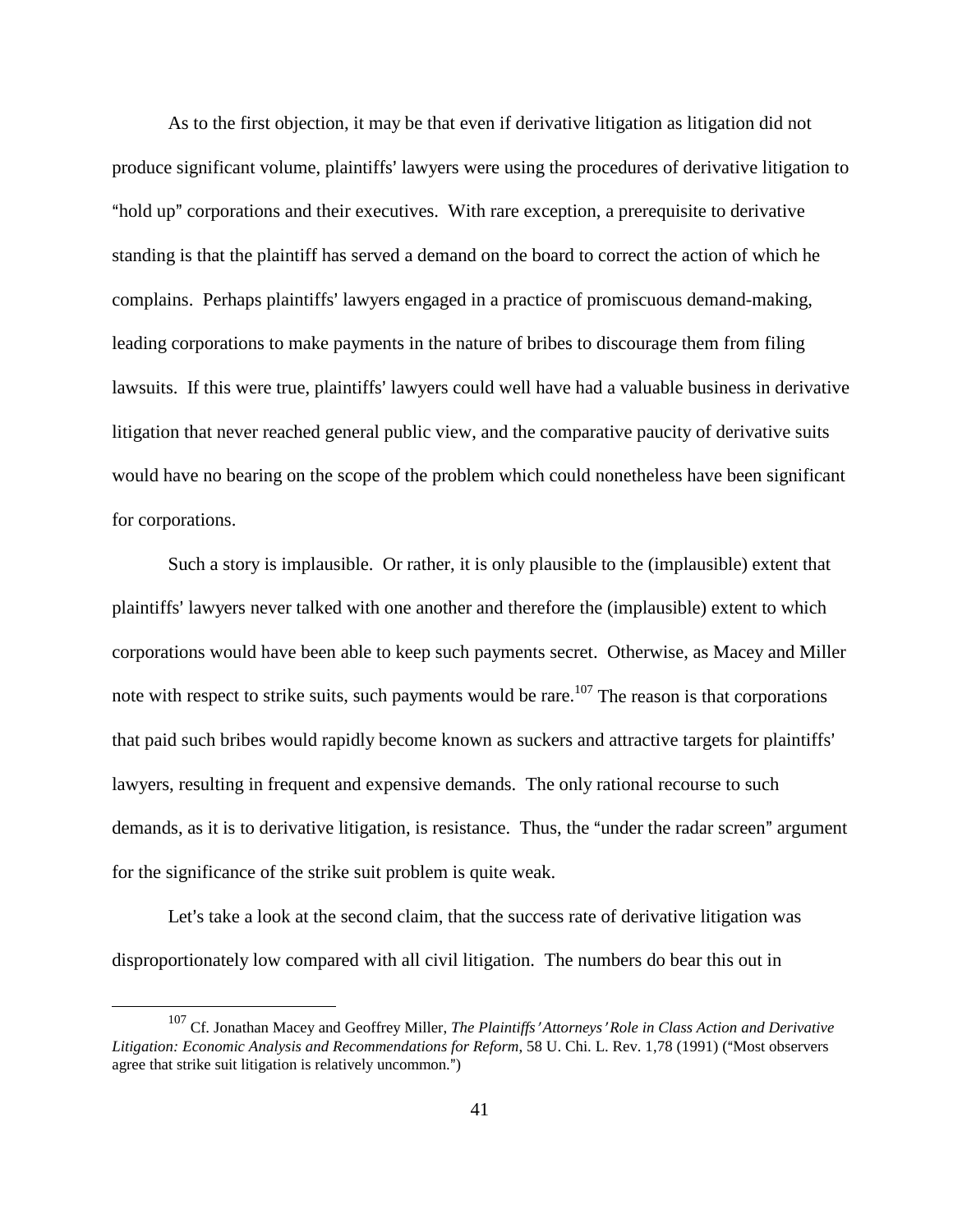As to the first objection, it may be that even if derivative litigation as litigation did not produce significant volume, plaintiffs' lawyers were using the procedures of derivative litigation to "hold up" corporations and their executives. With rare exception, a prerequisite to derivative standing is that the plaintiff has served a demand on the board to correct the action of which he complains. Perhaps plaintiffs' lawyers engaged in a practice of promiscuous demand-making, leading corporations to make payments in the nature of bribes to discourage them from filing lawsuits. If this were true, plaintiffs' lawyers could well have had a valuable business in derivative litigation that never reached general public view, and the comparative paucity of derivative suits would have no bearing on the scope of the problem which could nonetheless have been significant for corporations.

Such a story is implausible. Or rather, it is only plausible to the (implausible) extent that plaintiffs' lawyers never talked with one another and therefore the (implausible) extent to which corporations would have been able to keep such payments secret. Otherwise, as Macey and Miller note with respect to strike suits, such payments would be rare.<sup>107</sup> The reason is that corporations that paid such bribes would rapidly become known as suckers and attractive targets for plaintiffs' lawyers, resulting in frequent and expensive demands. The only rational recourse to such demands, as it is to derivative litigation, is resistance. Thus, the "under the radar screen" argument for the significance of the strike suit problem is quite weak.

Let's take a look at the second claim, that the success rate of derivative litigation was disproportionately low compared with all civil litigation. The numbers do bear this out in

<sup>&</sup>lt;sup>107</sup> Cf. Jonathan Macey and Geoffrey Miller, *The Plaintiffs' Attorneys' Role in Class Action and Derivative Litigation: Economic Analysis and Recommendations for Reform*, 58 U. Chi. L. Rev. 1,78 (1991) ("Most observers agree that strike suit litigation is relatively uncommon.")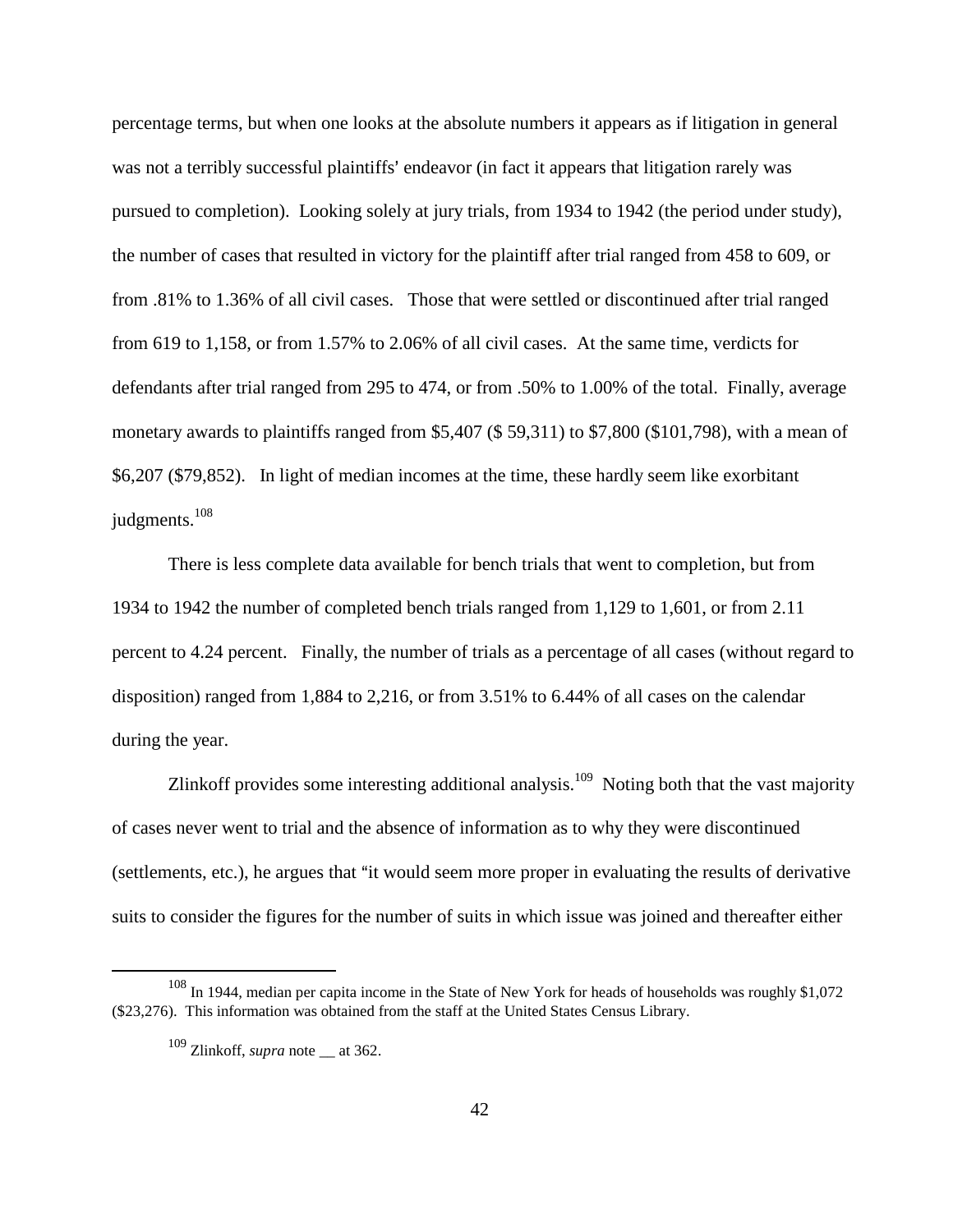percentage terms, but when one looks at the absolute numbers it appears as if litigation in general was not a terribly successful plaintiffs' endeavor (in fact it appears that litigation rarely was pursued to completion). Looking solely at jury trials, from 1934 to 1942 (the period under study), the number of cases that resulted in victory for the plaintiff after trial ranged from 458 to 609, or from .81% to 1.36% of all civil cases. Those that were settled or discontinued after trial ranged from 619 to 1,158, or from 1.57% to 2.06% of all civil cases. At the same time, verdicts for defendants after trial ranged from 295 to 474, or from .50% to 1.00% of the total. Finally, average monetary awards to plaintiffs ranged from \$5,407 (\$ 59,311) to \$7,800 (\$101,798), with a mean of \$6,207 (\$79,852). In light of median incomes at the time, these hardly seem like exorbitant judgments.<sup>108</sup>

There is less complete data available for bench trials that went to completion, but from 1934 to 1942 the number of completed bench trials ranged from 1,129 to 1,601, or from 2.11 percent to 4.24 percent. Finally, the number of trials as a percentage of all cases (without regard to disposition) ranged from 1,884 to 2,216, or from 3.51% to 6.44% of all cases on the calendar during the year.

Zlinkoff provides some interesting additional analysis.<sup>109</sup> Noting both that the vast majority of cases never went to trial and the absence of information as to why they were discontinued (settlements, etc.), he argues that "it would seem more proper in evaluating the results of derivative suits to consider the figures for the number of suits in which issue was joined and thereafter either

<sup>&</sup>lt;sup>108</sup> In 1944, median per capita income in the State of New York for heads of households was roughly \$1,072 (\$23,276). This information was obtained from the staff at the United States Census Library.

<sup>109</sup> Zlinkoff, *supra* note \_\_ at 362.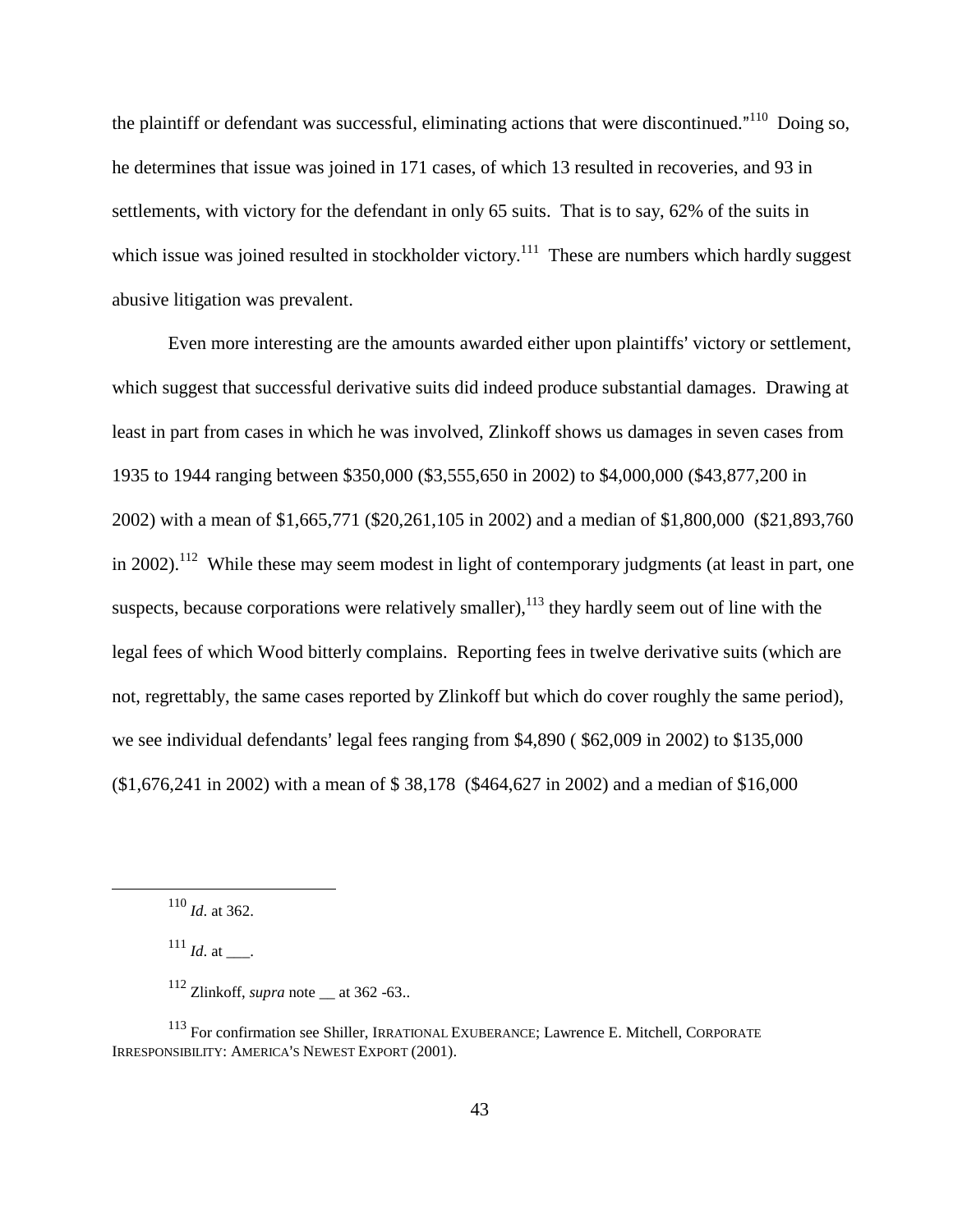the plaintiff or defendant was successful, eliminating actions that were discontinued."<sup>110</sup> Doing so, he determines that issue was joined in 171 cases, of which 13 resulted in recoveries, and 93 in settlements, with victory for the defendant in only 65 suits. That is to say, 62% of the suits in which issue was joined resulted in stockholder victory.<sup>111</sup> These are numbers which hardly suggest abusive litigation was prevalent.

Even more interesting are the amounts awarded either upon plaintiffs' victory or settlement, which suggest that successful derivative suits did indeed produce substantial damages. Drawing at least in part from cases in which he was involved, Zlinkoff shows us damages in seven cases from 1935 to 1944 ranging between \$350,000 (\$3,555,650 in 2002) to \$4,000,000 (\$43,877,200 in 2002) with a mean of \$1,665,771 (\$20,261,105 in 2002) and a median of \$1,800,000 (\$21,893,760 in 2002).<sup>112</sup> While these may seem modest in light of contemporary judgments (at least in part, one suspects, because corporations were relatively smaller),  $^{113}$  they hardly seem out of line with the legal fees of which Wood bitterly complains. Reporting fees in twelve derivative suits (which are not, regrettably, the same cases reported by Zlinkoff but which do cover roughly the same period), we see individual defendants' legal fees ranging from  $$4,890$  ( $$62,009$  in 2002) to  $$135,000$ (\$1,676,241 in 2002) with a mean of \$ 38,178 (\$464,627 in 2002) and a median of \$16,000

 $^{111}$  *Id.* at \_\_\_.

<sup>110</sup> *Id*. at 362.

 $112$  Zlinkoff, *supra* note  $\_\$ at 362 -63..

<sup>113</sup> For confirmation see Shiller, IRRATIONAL EXUBERANCE; Lawrence E. Mitchell, CORPORATE IRRESPONSIBILITY: AMERICA'S NEWEST EXPORT (2001).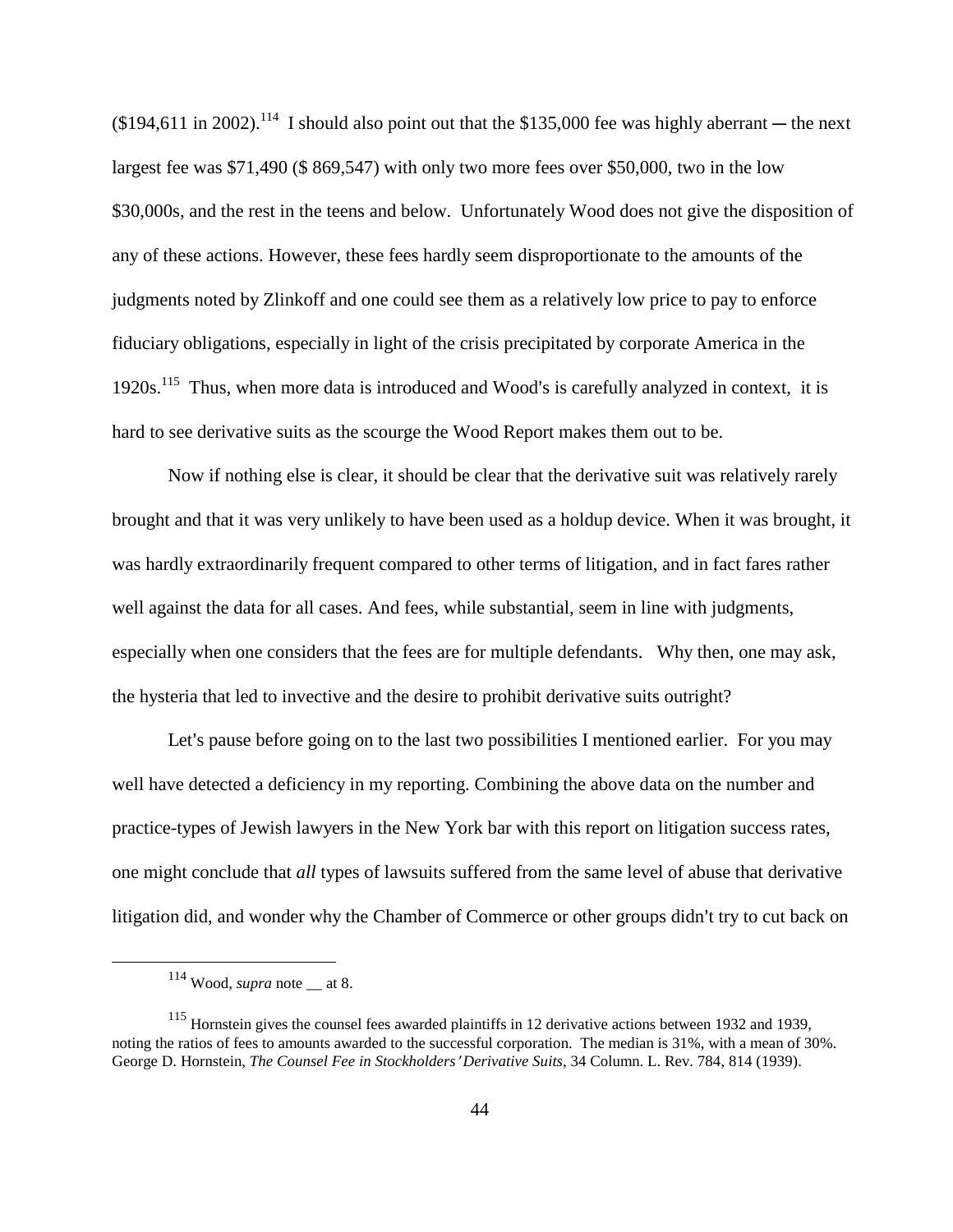$(194,611 \text{ in } 2002)$ .<sup>114</sup> I should also point out that the \$135,000 fee was highly aberrant — the next largest fee was \$71,490 (\$ 869,547) with only two more fees over \$50,000, two in the low \$30,000s, and the rest in the teens and below. Unfortunately Wood does not give the disposition of any of these actions. However, these fees hardly seem disproportionate to the amounts of the judgments noted by Zlinkoff and one could see them as a relatively low price to pay to enforce fiduciary obligations, especially in light of the crisis precipitated by corporate America in the  $1920s$ <sup>115</sup>. Thus, when more data is introduced and Wood's is carefully analyzed in context, it is hard to see derivative suits as the scourge the Wood Report makes them out to be.

Now if nothing else is clear, it should be clear that the derivative suit was relatively rarely brought and that it was very unlikely to have been used as a holdup device. When it was brought, it was hardly extraordinarily frequent compared to other terms of litigation, and in fact fares rather well against the data for all cases. And fees, while substantial, seem in line with judgments, especially when one considers that the fees are for multiple defendants. Why then, one may ask, the hysteria that led to invective and the desire to prohibit derivative suits outright?

Let's pause before going on to the last two possibilities I mentioned earlier. For you may well have detected a deficiency in my reporting. Combining the above data on the number and practice-types of Jewish lawyers in the New York bar with this report on litigation success rates, one might conclude that *all* types of lawsuits suffered from the same level of abuse that derivative litigation did, and wonder why the Chamber of Commerce or other groups didn't try to cut back on

 $114$  Wood, *supra* note  $\_\$ at 8.

<sup>&</sup>lt;sup>115</sup> Hornstein gives the counsel fees awarded plaintiffs in 12 derivative actions between 1932 and 1939, noting the ratios of fees to amounts awarded to the successful corporation. The median is 31%, with a mean of 30%. George D. Hornstein, *The Counsel Fee in Stockholders' Derivative Suits*, 34 Column. L. Rev. 784, 814 (1939).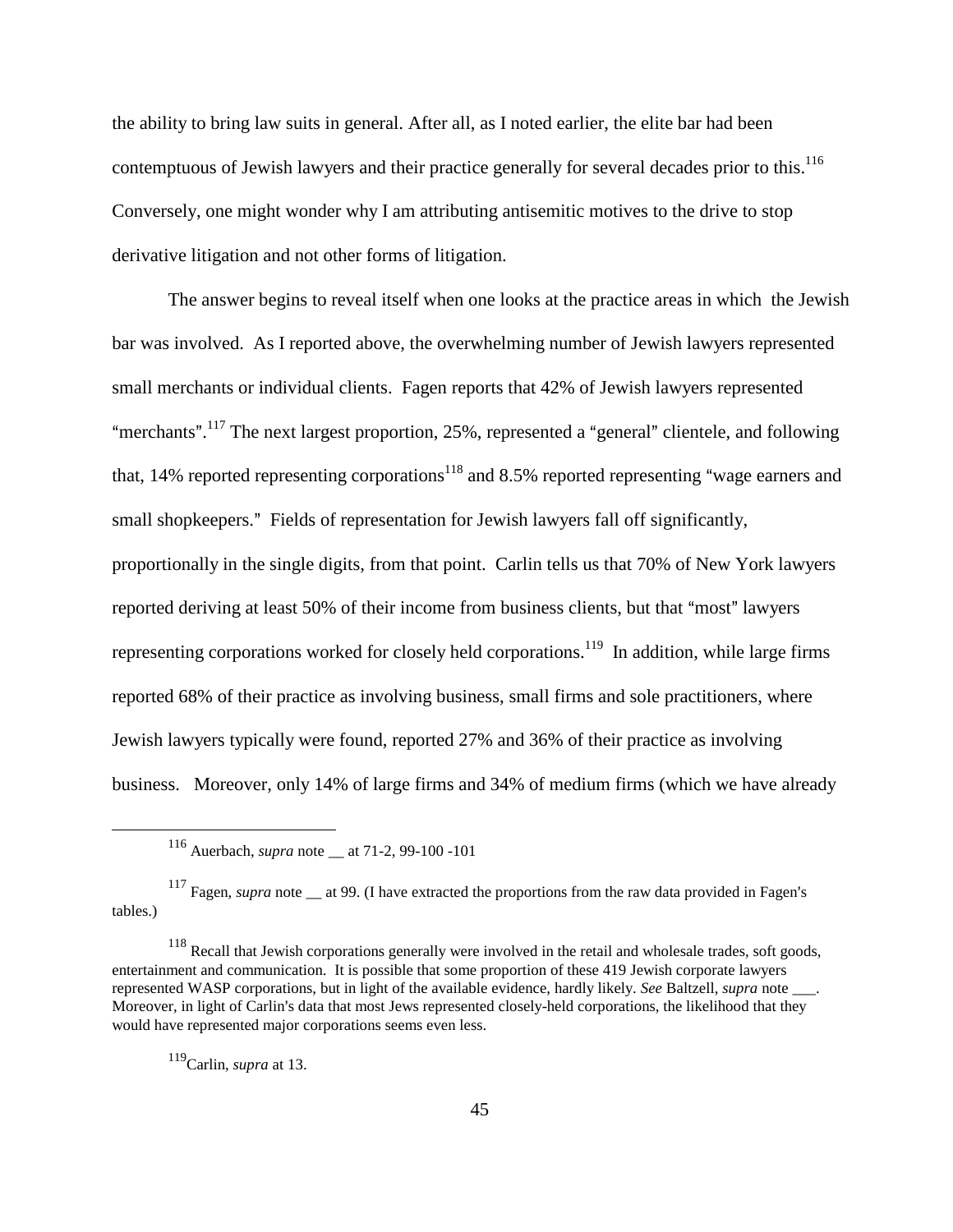the ability to bring law suits in general. After all, as I noted earlier, the elite bar had been contemptuous of Jewish lawyers and their practice generally for several decades prior to this.<sup>116</sup> Conversely, one might wonder why I am attributing antisemitic motives to the drive to stop derivative litigation and not other forms of litigation.

The answer begins to reveal itself when one looks at the practice areas in which the Jewish bar was involved. As I reported above, the overwhelming number of Jewish lawyers represented small merchants or individual clients. Fagen reports that 42% of Jewish lawyers represented "merchants".<sup>117</sup> The next largest proportion, 25%, represented a "general" clientele, and following that, 14% reported representing corporations<sup>118</sup> and 8.5% reported representing "wage earners and small shopkeepers." Fields of representation for Jewish lawyers fall off significantly, proportionally in the single digits, from that point. Carlin tells us that 70% of New York lawyers reported deriving at least 50% of their income from business clients, but that "most" lawyers representing corporations worked for closely held corporations.<sup>119</sup> In addition, while large firms reported 68% of their practice as involving business, small firms and sole practitioners, where Jewish lawyers typically were found, reported 27% and 36% of their practice as involving business. Moreover, only 14% of large firms and 34% of medium firms (which we have already

119Carlin, *supra* at 13.

<sup>116</sup> Auerbach, *supra* note \_\_ at 71-2, 99-100 -101

<sup>&</sup>lt;sup>117</sup> Fagen, *supra* note at 99. (I have extracted the proportions from the raw data provided in Fagen's tables.)

<sup>&</sup>lt;sup>118</sup> Recall that Jewish corporations generally were involved in the retail and wholesale trades, soft goods, entertainment and communication. It is possible that some proportion of these 419 Jewish corporate lawyers represented WASP corporations, but in light of the available evidence, hardly likely. *See* Baltzell, *supra* note \_\_\_. Moreover, in light of Carlin's data that most Jews represented closely-held corporations, the likelihood that they would have represented major corporations seems even less.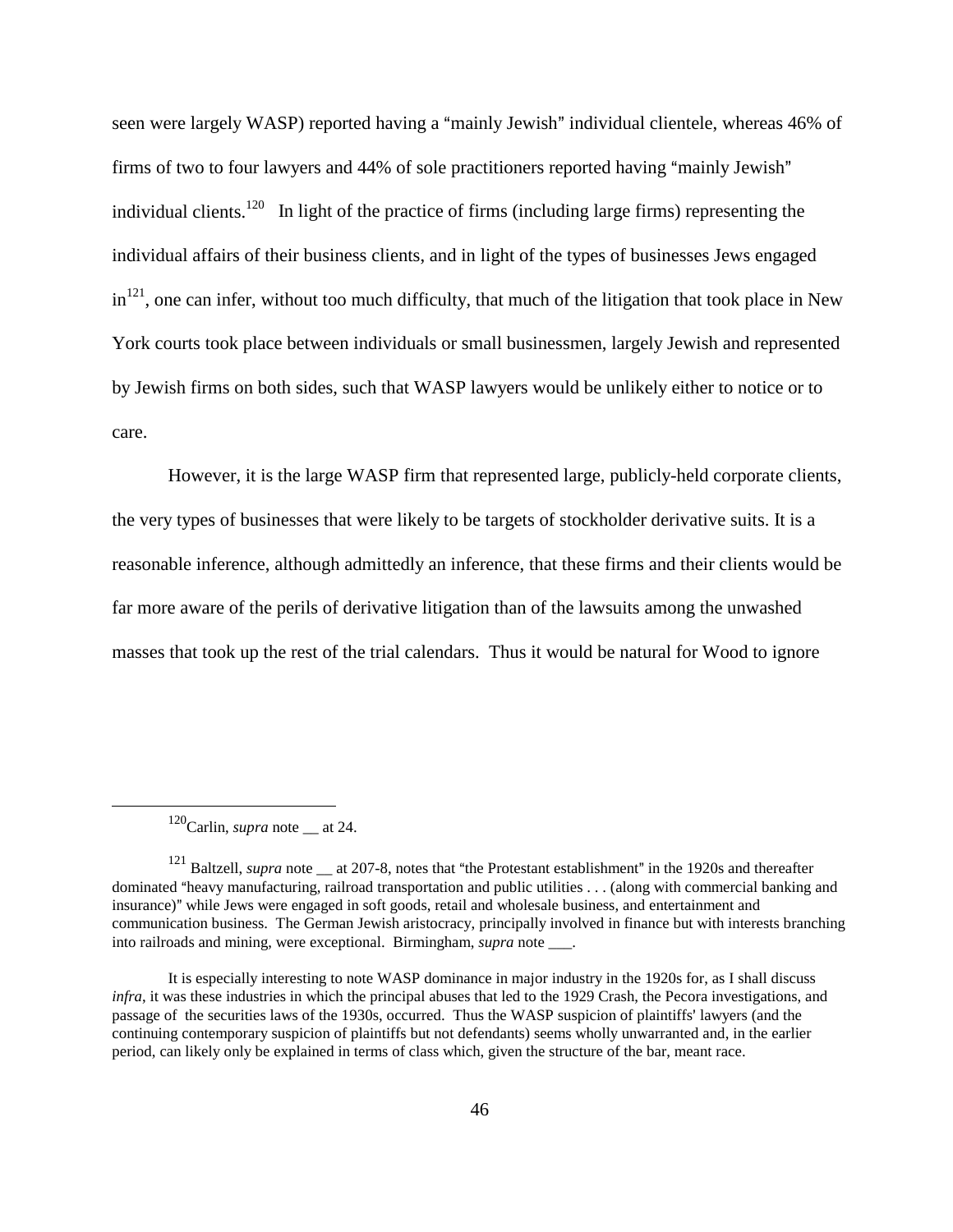seen were largely WASP) reported having a "mainly Jewish" individual clientele, whereas 46% of firms of two to four lawyers and  $44\%$  of sole practitioners reported having "mainly Jewish" individual clients.<sup>120</sup> In light of the practice of firms (including large firms) representing the individual affairs of their business clients, and in light of the types of businesses Jews engaged  $in<sup>121</sup>$ , one can infer, without too much difficulty, that much of the litigation that took place in New York courts took place between individuals or small businessmen, largely Jewish and represented by Jewish firms on both sides, such that WASP lawyers would be unlikely either to notice or to care.

However, it is the large WASP firm that represented large, publicly-held corporate clients, the very types of businesses that were likely to be targets of stockholder derivative suits. It is a reasonable inference, although admittedly an inference, that these firms and their clients would be far more aware of the perils of derivative litigation than of the lawsuits among the unwashed masses that took up the rest of the trial calendars. Thus it would be natural for Wood to ignore

<sup>&</sup>lt;sup>120</sup>Carlin, *supra* note \_\_ at 24.

<sup>&</sup>lt;sup>121</sup> Baltzell, *supra* note  $\_\$ at 207-8, notes that "the Protestant establishment" in the 1920s and thereafter dominated "heavy manufacturing, railroad transportation and public utilities . . . (along with commercial banking and insurance)" while Jews were engaged in soft goods, retail and wholesale business, and entertainment and communication business. The German Jewish aristocracy, principally involved in finance but with interests branching into railroads and mining, were exceptional. Birmingham, *supra* note \_\_\_.

It is especially interesting to note WASP dominance in major industry in the 1920s for, as I shall discuss *infra*, it was these industries in which the principal abuses that led to the 1929 Crash, the Pecora investigations, and passage of the securities laws of the 1930s, occurred. Thus the WASP suspicion of plaintiffs' lawyers (and the continuing contemporary suspicion of plaintiffs but not defendants) seems wholly unwarranted and, in the earlier period, can likely only be explained in terms of class which, given the structure of the bar, meant race.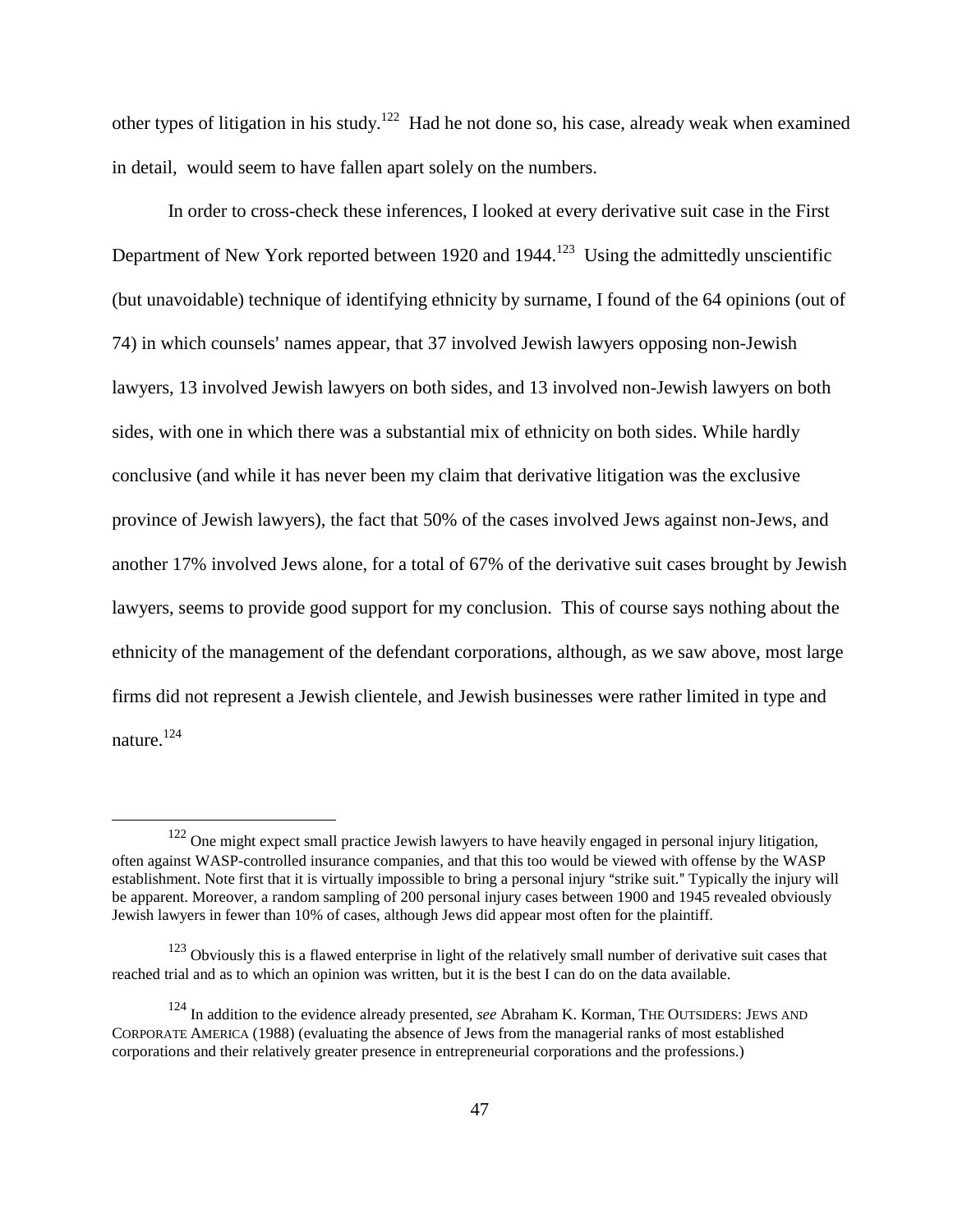other types of litigation in his study.<sup>122</sup> Had he not done so, his case, already weak when examined in detail, would seem to have fallen apart solely on the numbers.

In order to cross-check these inferences, I looked at every derivative suit case in the First Department of New York reported between 1920 and 1944.<sup>123</sup> Using the admittedly unscientific (but unavoidable) technique of identifying ethnicity by surname, I found of the 64 opinions (out of 74) in which counsels' names appear, that 37 involved Jewish lawyers opposing non-Jewish lawyers, 13 involved Jewish lawyers on both sides, and 13 involved non-Jewish lawyers on both sides, with one in which there was a substantial mix of ethnicity on both sides. While hardly conclusive (and while it has never been my claim that derivative litigation was the exclusive province of Jewish lawyers), the fact that 50% of the cases involved Jews against non-Jews, and another 17% involved Jews alone, for a total of 67% of the derivative suit cases brought by Jewish lawyers, seems to provide good support for my conclusion. This of course says nothing about the ethnicity of the management of the defendant corporations, although, as we saw above, most large firms did not represent a Jewish clientele, and Jewish businesses were rather limited in type and nature.<sup>124</sup>

<sup>&</sup>lt;sup>122</sup> One might expect small practice Jewish lawyers to have heavily engaged in personal injury litigation, often against WASP-controlled insurance companies, and that this too would be viewed with offense by the WASP establishment. Note first that it is virtually impossible to bring a personal injury "strike suit." Typically the injury will be apparent. Moreover, a random sampling of 200 personal injury cases between 1900 and 1945 revealed obviously Jewish lawyers in fewer than 10% of cases, although Jews did appear most often for the plaintiff.

 $123$  Obviously this is a flawed enterprise in light of the relatively small number of derivative suit cases that reached trial and as to which an opinion was written, but it is the best I can do on the data available.

<sup>124</sup> In addition to the evidence already presented, *see* Abraham K. Korman, THE OUTSIDERS: JEWS AND CORPORATE AMERICA (1988) (evaluating the absence of Jews from the managerial ranks of most established corporations and their relatively greater presence in entrepreneurial corporations and the professions.)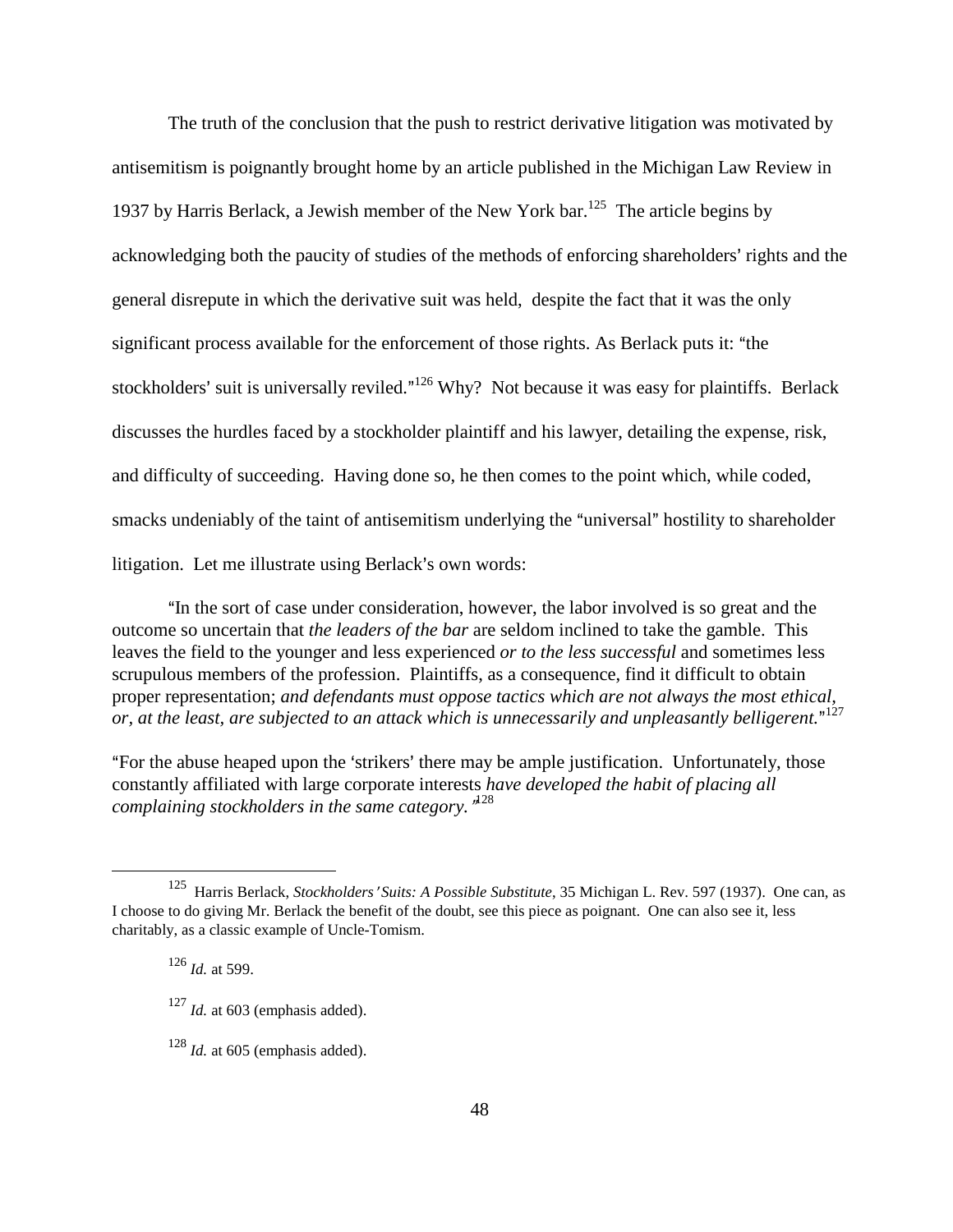The truth of the conclusion that the push to restrict derivative litigation was motivated by antisemitism is poignantly brought home by an article published in the Michigan Law Review in 1937 by Harris Berlack, a Jewish member of the New York bar.<sup>125</sup> The article begins by acknowledging both the paucity of studies of the methods of enforcing shareholders' rights and the general disrepute in which the derivative suit was held, despite the fact that it was the only significant process available for the enforcement of those rights. As Berlack puts it: "the stockholders' suit is universally reviled."<sup>126</sup> Why? Not because it was easy for plaintiffs. Berlack discusses the hurdles faced by a stockholder plaintiff and his lawyer, detailing the expense, risk, and difficulty of succeeding. Having done so, he then comes to the point which, while coded, smacks undeniably of the taint of antisemitism underlying the "universal" hostility to shareholder litigation. Let me illustrate using Berlack's own words:

"In the sort of case under consideration, however, the labor involved is so great and the outcome so uncertain that *the leaders of the bar* are seldom inclined to take the gamble. This leaves the field to the younger and less experienced *or to the less successful* and sometimes less scrupulous members of the profession. Plaintiffs, as a consequence, find it difficult to obtain proper representation; *and defendants must oppose tactics which are not always the most ethical,*  or, at the least, are subjected to an attack which is unnecessarily and unpleasantly belligerent."<sup>127</sup>

"For the abuse heaped upon the 'strikers' there may be ample justification. Unfortunately, those constantly affiliated with large corporate interests *have developed the habit of placing all*  complaining stockholders in the same category.<sup>"
<sup>128</sup></sup>

<sup>&</sup>lt;sup>125</sup> Harris Berlack, *Stockholders' Suits: A Possible Substitute*, 35 Michigan L. Rev. 597 (1937). One can, as I choose to do giving Mr. Berlack the benefit of the doubt, see this piece as poignant. One can also see it, less charitably, as a classic example of Uncle-Tomism.

<sup>126</sup> *Id.* at 599.

<sup>&</sup>lt;sup>127</sup> *Id.* at 603 (emphasis added).

<sup>128</sup> *Id.* at 605 (emphasis added).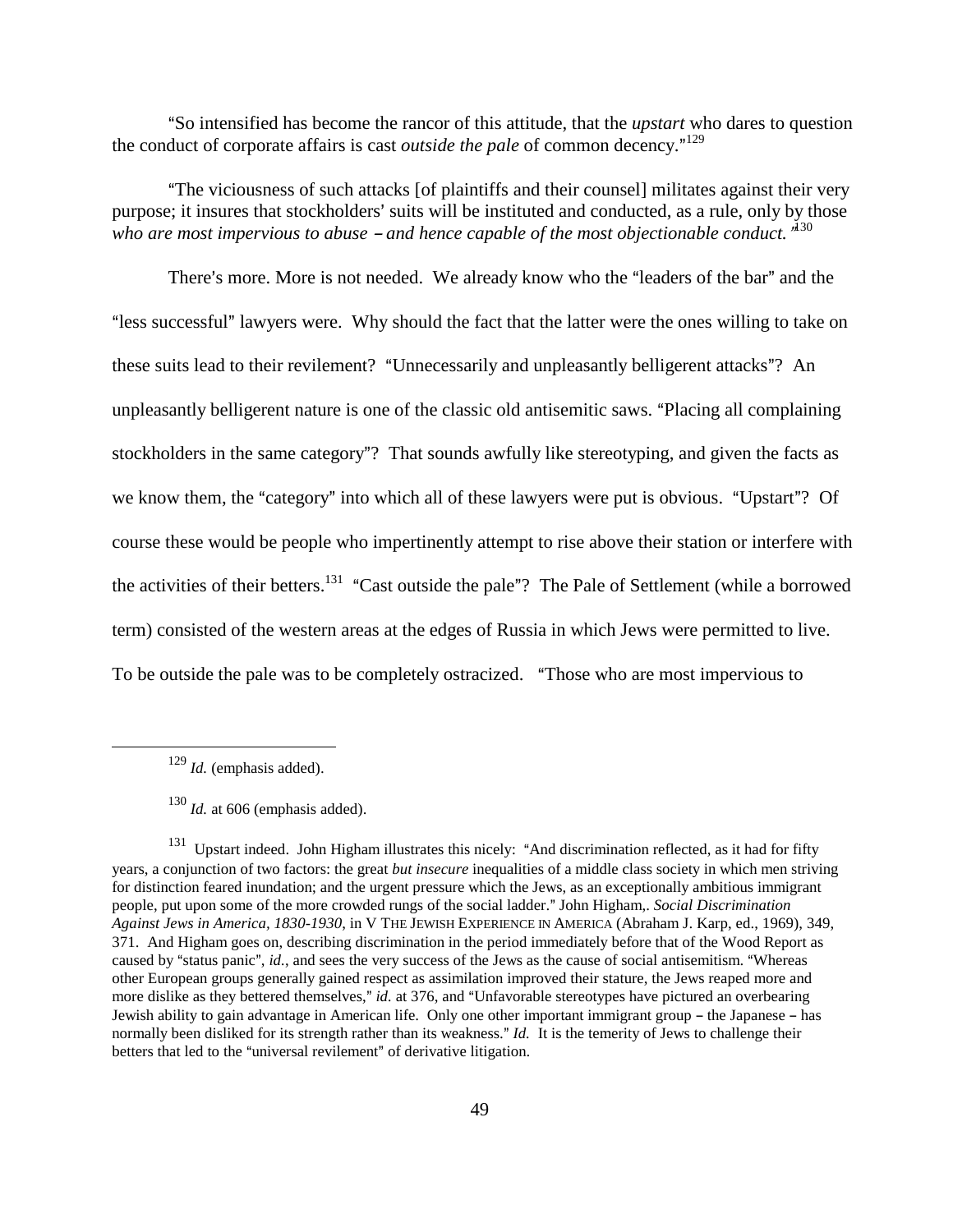ASo intensified has become the rancor of this attitude, that the *upstart* who dares to question the conduct of corporate affairs is cast *outside the pale* of common decency."<sup>129</sup>

AThe viciousness of such attacks [of plaintiffs and their counsel] militates against their very purpose; it insures that stockholders' suits will be instituted and conducted, as a rule, only by those who are most impervious to abuse – and hence capable of the most objectionable conduct. "<sup>130</sup>

There's more. More is not needed. We already know who the "leaders of the bar" and the "less successful" lawyers were. Why should the fact that the latter were the ones willing to take on these suits lead to their revilement? "Unnecessarily and unpleasantly belligerent attacks"? An unpleasantly belligerent nature is one of the classic old antisemitic saws. "Placing all complaining stockholders in the same category"? That sounds awfully like stereotyping, and given the facts as we know them, the "category" into which all of these lawyers were put is obvious. "Upstart"? Of course these would be people who impertinently attempt to rise above their station or interfere with the activities of their betters.<sup>131</sup> "Cast outside the pale"? The Pale of Settlement (while a borrowed term) consisted of the western areas at the edges of Russia in which Jews were permitted to live. To be outside the pale was to be completely ostracized. "Those who are most impervious to

<sup>129</sup> *Id.* (emphasis added).

<sup>130</sup> *Id.* at 606 (emphasis added).

<sup>&</sup>lt;sup>131</sup> Upstart indeed. John Higham illustrates this nicely: "And discrimination reflected, as it had for fifty years, a conjunction of two factors: the great *but insecure* inequalities of a middle class society in which men striving for distinction feared inundation; and the urgent pressure which the Jews, as an exceptionally ambitious immigrant people, put upon some of the more crowded rungs of the social ladder." John Higham,. *Social Discrimination Against Jews in America, 1830-1930*, in V THE JEWISH EXPERIENCE IN AMERICA (Abraham J. Karp, ed., 1969), 349, 371. And Higham goes on, describing discrimination in the period immediately before that of the Wood Report as caused by "status panic", *id.*, and sees the very success of the Jews as the cause of social antisemitism. "Whereas other European groups generally gained respect as assimilation improved their stature, the Jews reaped more and more dislike as they bettered themselves," *id.* at 376, and "Unfavorable stereotypes have pictured an overbearing Jewish ability to gain advantage in American life. Only one other important immigrant group – the Japanese – has normally been disliked for its strength rather than its weakness." *Id.* It is the temerity of Jews to challenge their betters that led to the "universal revilement" of derivative litigation.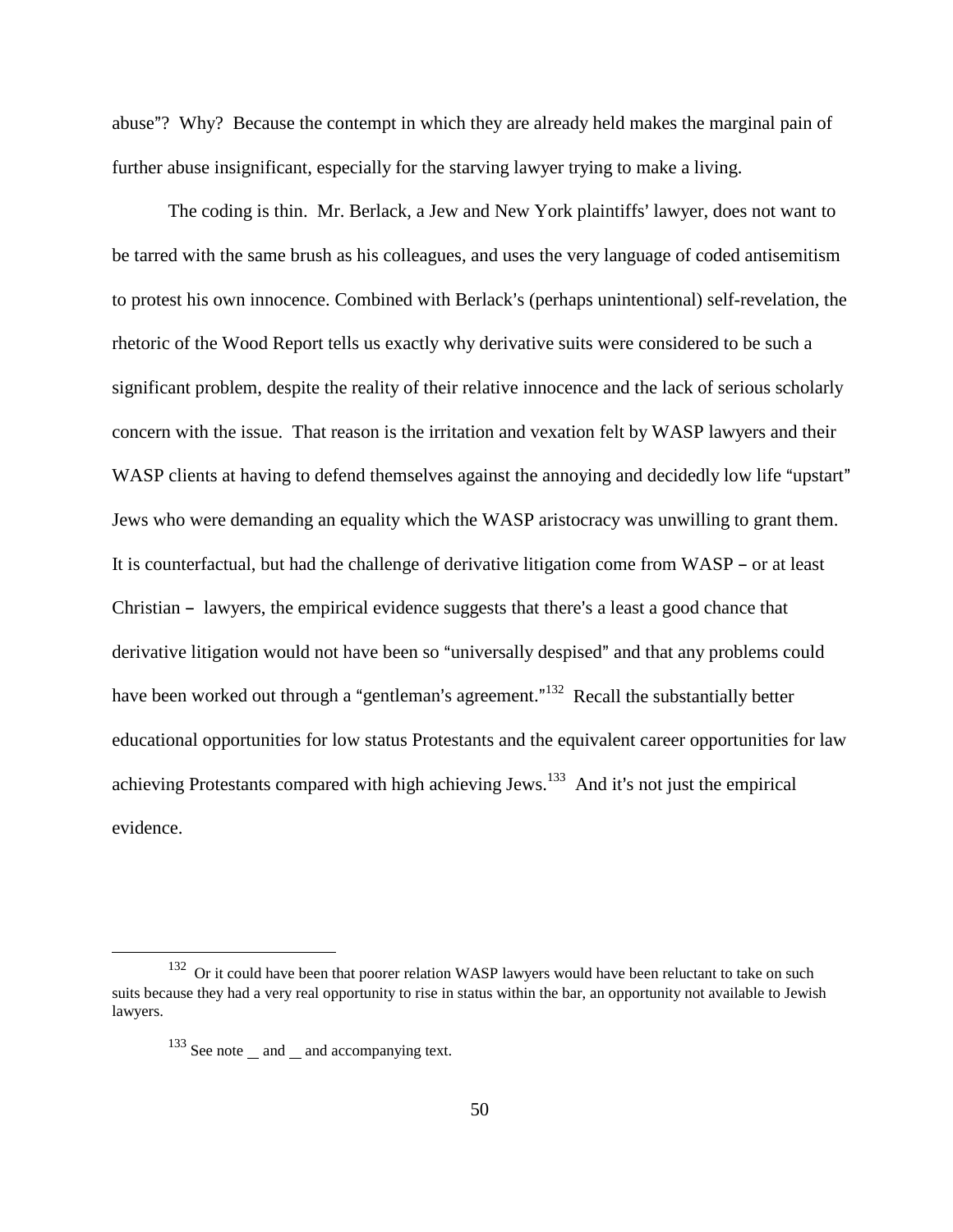abuse"? Why? Because the contempt in which they are already held makes the marginal pain of further abuse insignificant, especially for the starving lawyer trying to make a living.

The coding is thin. Mr. Berlack, a Jew and New York plaintiffs' lawyer, does not want to be tarred with the same brush as his colleagues, and uses the very language of coded antisemitism to protest his own innocence. Combined with Berlack's (perhaps unintentional) self-revelation, the rhetoric of the Wood Report tells us exactly why derivative suits were considered to be such a significant problem, despite the reality of their relative innocence and the lack of serious scholarly concern with the issue. That reason is the irritation and vexation felt by WASP lawyers and their WASP clients at having to defend themselves against the annoying and decidedly low life "upstart" Jews who were demanding an equality which the WASP aristocracy was unwilling to grant them. It is counterfactual, but had the challenge of derivative litigation come from  $WASP - or$  at least Christian - lawyers, the empirical evidence suggests that there's a least a good chance that derivative litigation would not have been so "universally despised" and that any problems could have been worked out through a "gentleman's agreement."<sup>132</sup> Recall the substantially better educational opportunities for low status Protestants and the equivalent career opportunities for law achieving Protestants compared with high achieving Jews.<sup>133</sup> And it's not just the empirical evidence.

<sup>&</sup>lt;sup>132</sup> Or it could have been that poorer relation WASP lawyers would have been reluctant to take on such suits because they had a very real opportunity to rise in status within the bar, an opportunity not available to Jewish lawyers.

<sup>&</sup>lt;sup>133</sup> See note and and accompanying text.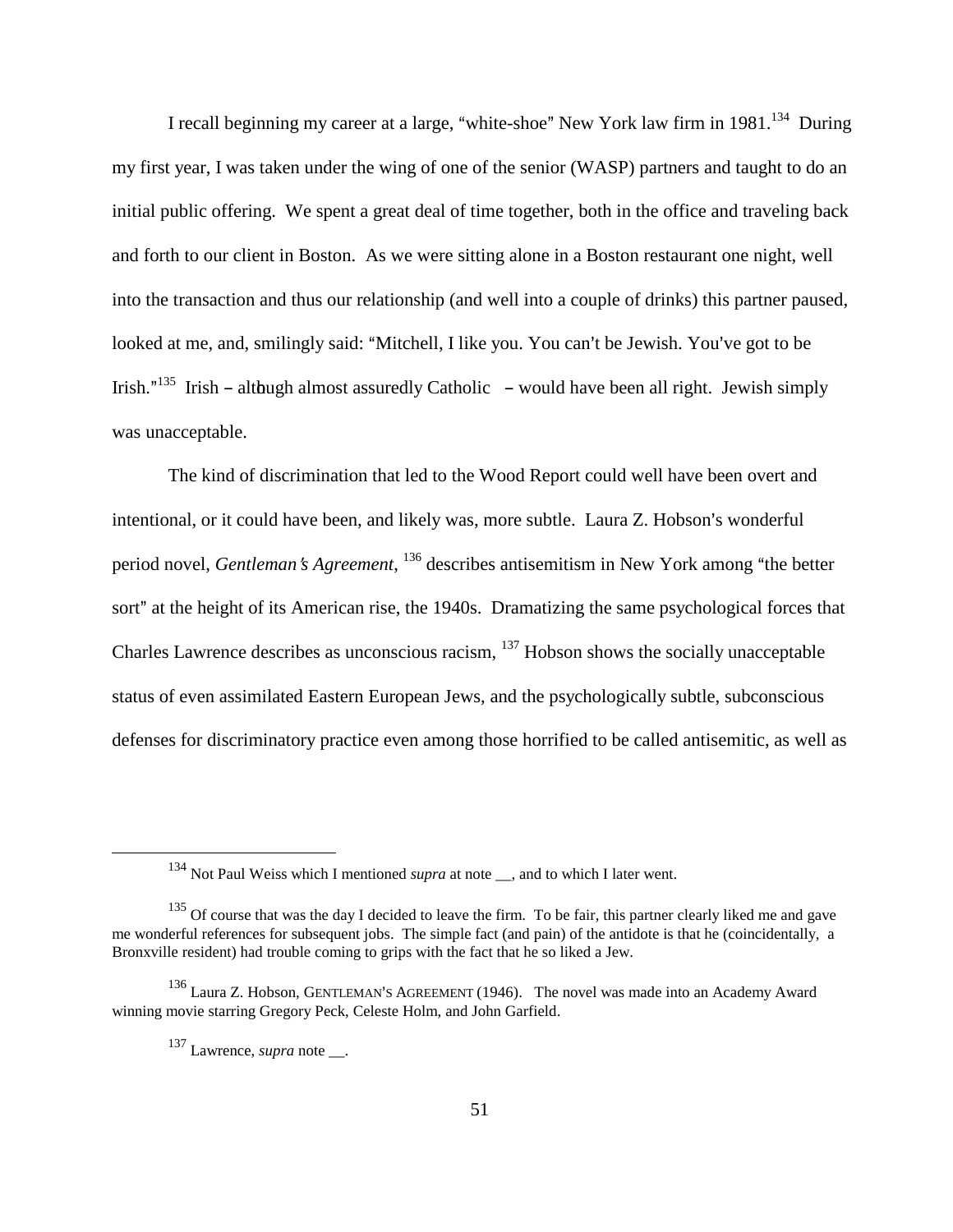I recall beginning my career at a large, "white-shoe" New York law firm in  $1981$ <sup>134</sup> During my first year, I was taken under the wing of one of the senior (WASP) partners and taught to do an initial public offering. We spent a great deal of time together, both in the office and traveling back and forth to our client in Boston. As we were sitting alone in a Boston restaurant one night, well into the transaction and thus our relationship (and well into a couple of drinks) this partner paused, looked at me, and, smilingly said: "Mitchell, I like you. You can't be Jewish. You've got to be Irish."<sup>135</sup> Irish – although almost assuredly Catholic – would have been all right. Jewish simply was unacceptable.

The kind of discrimination that led to the Wood Report could well have been overt and intentional, or it could have been, and likely was, more subtle. Laura Z. Hobson's wonderful period novel, *Gentleman's Agreement*, <sup>136</sup> describes antisemitism in New York among "the better sort" at the height of its American rise, the 1940s. Dramatizing the same psychological forces that Charles Lawrence describes as unconscious racism, 137 Hobson shows the socially unacceptable status of even assimilated Eastern European Jews, and the psychologically subtle, subconscious defenses for discriminatory practice even among those horrified to be called antisemitic, as well as

<sup>&</sup>lt;sup>134</sup> Not Paul Weiss which I mentioned *supra* at note <sub>\_\_</sub>, and to which I later went.

<sup>&</sup>lt;sup>135</sup> Of course that was the day I decided to leave the firm. To be fair, this partner clearly liked me and gave me wonderful references for subsequent jobs. The simple fact (and pain) of the antidote is that he (coincidentally, a Bronxville resident) had trouble coming to grips with the fact that he so liked a Jew.

 $136$  Laura Z. Hobson, GENTLEMAN'S AGREEMENT (1946). The novel was made into an Academy Award winning movie starring Gregory Peck, Celeste Holm, and John Garfield.

<sup>&</sup>lt;sup>137</sup> Lawrence, *supra* note .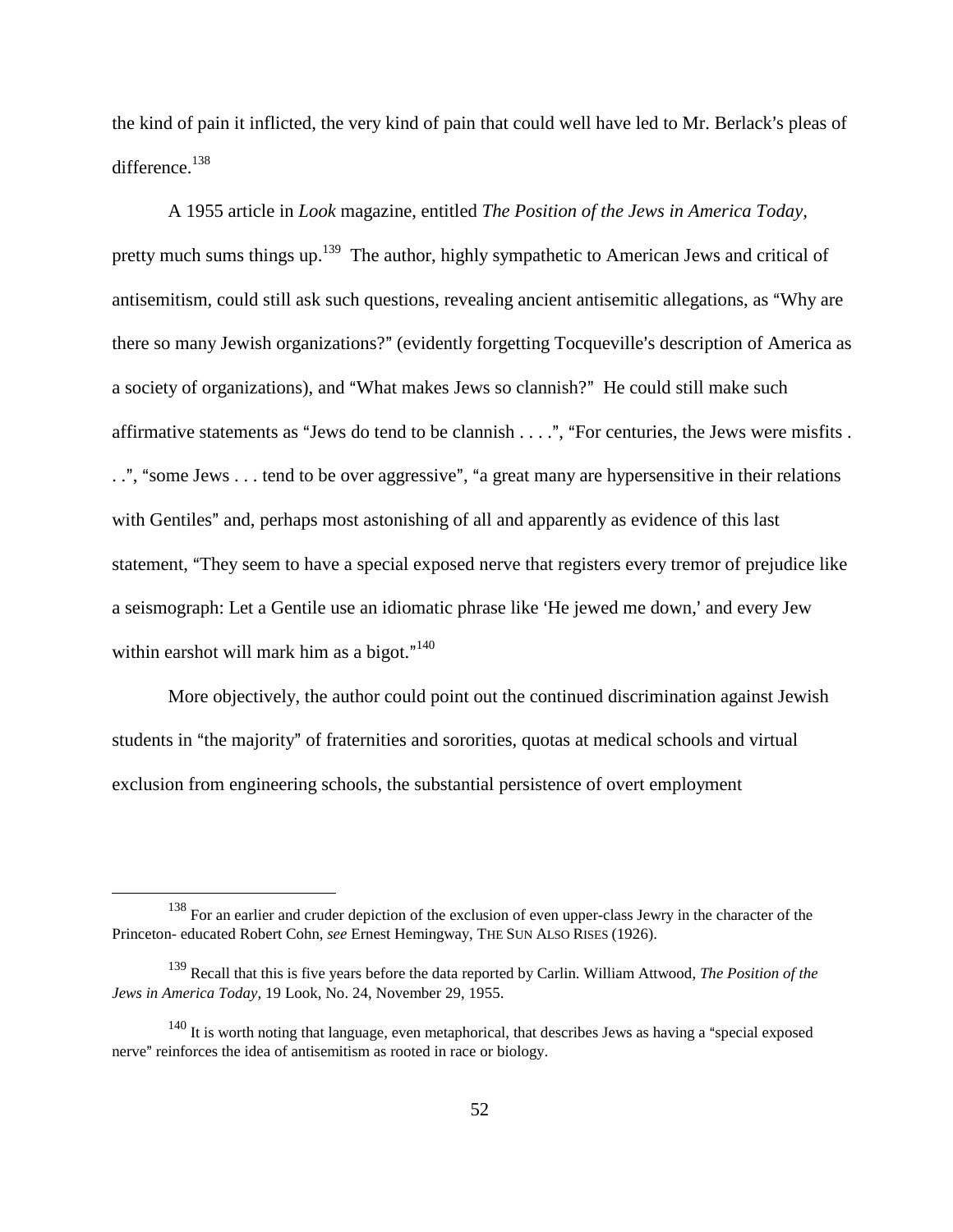the kind of pain it inflicted, the very kind of pain that could well have led to Mr. Berlack's pleas of difference.<sup>138</sup>

A 1955 article in *Look* magazine, entitled *The Position of the Jews in America Today,*  pretty much sums things up.<sup>139</sup> The author, highly sympathetic to American Jews and critical of antisemitism, could still ask such questions, revealing ancient antisemitic allegations, as "Why are there so many Jewish organizations?" (evidently forgetting Tocqueville's description of America as a society of organizations), and "What makes Jews so clannish?" He could still make such affirmative statements as "Jews do tend to be clannish  $\dots$ ", "For centuries, the Jews were misfits . ..", "some Jews . . . tend to be over aggressive", "a great many are hypersensitive in their relations with Gentiles" and, perhaps most astonishing of all and apparently as evidence of this last statement, "They seem to have a special exposed nerve that registers every tremor of prejudice like a seismograph: Let a Gentile use an idiomatic phrase like 'He jewed me down,' and every Jew within earshot will mark him as a bigot." $140$ 

More objectively, the author could point out the continued discrimination against Jewish students in "the majority" of fraternities and sororities, quotas at medical schools and virtual exclusion from engineering schools, the substantial persistence of overt employment

<sup>&</sup>lt;sup>138</sup> For an earlier and cruder depiction of the exclusion of even upper-class Jewry in the character of the Princeton- educated Robert Cohn, *see* Ernest Hemingway, THE SUN ALSO RISES (1926).

<sup>139</sup> Recall that this is five years before the data reported by Carlin. William Attwood, *The Position of the Jews in America Today,* 19 Look, No. 24, November 29, 1955.

 $140$  It is worth noting that language, even metaphorical, that describes Jews as having a "special exposed nerve" reinforces the idea of antisemitism as rooted in race or biology.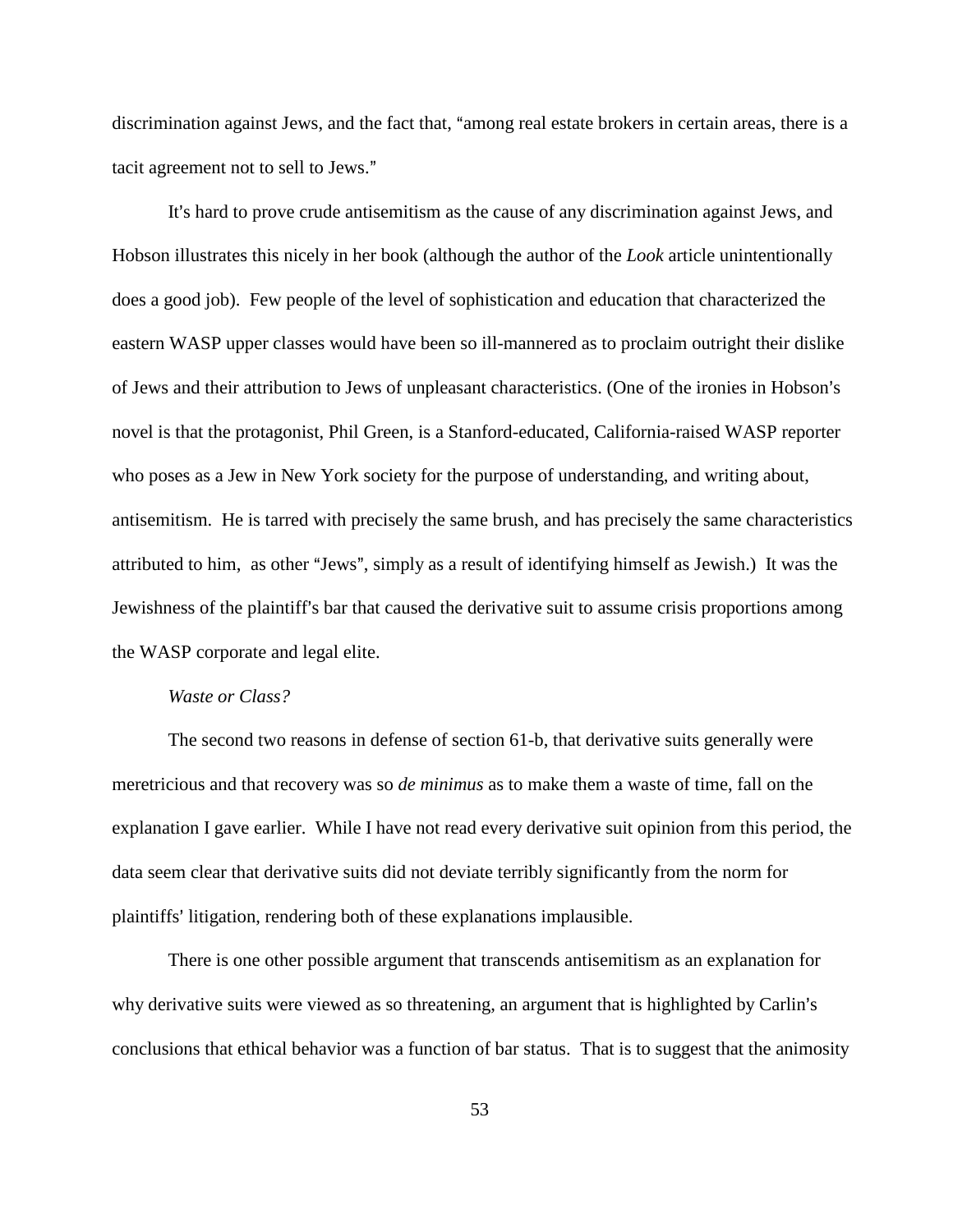discrimination against Jews, and the fact that, "among real estate brokers in certain areas, there is a tacit agreement not to sell to Jews."

It's hard to prove crude antisemitism as the cause of any discrimination against Jews, and Hobson illustrates this nicely in her book (although the author of the *Look* article unintentionally does a good job). Few people of the level of sophistication and education that characterized the eastern WASP upper classes would have been so ill-mannered as to proclaim outright their dislike of Jews and their attribution to Jews of unpleasant characteristics. (One of the ironies in Hobson's novel is that the protagonist, Phil Green, is a Stanford-educated, California-raised WASP reporter who poses as a Jew in New York society for the purpose of understanding, and writing about, antisemitism. He is tarred with precisely the same brush, and has precisely the same characteristics attributed to him, as other "Jews", simply as a result of identifying himself as Jewish.) It was the Jewishness of the plaintiff's bar that caused the derivative suit to assume crisis proportions among the WASP corporate and legal elite.

#### *Waste or Class?*

The second two reasons in defense of section 61-b, that derivative suits generally were meretricious and that recovery was so *de minimus* as to make them a waste of time, fall on the explanation I gave earlier. While I have not read every derivative suit opinion from this period, the data seem clear that derivative suits did not deviate terribly significantly from the norm for plaintiffs' litigation, rendering both of these explanations implausible.

There is one other possible argument that transcends antisemitism as an explanation for why derivative suits were viewed as so threatening, an argument that is highlighted by Carlin's conclusions that ethical behavior was a function of bar status. That is to suggest that the animosity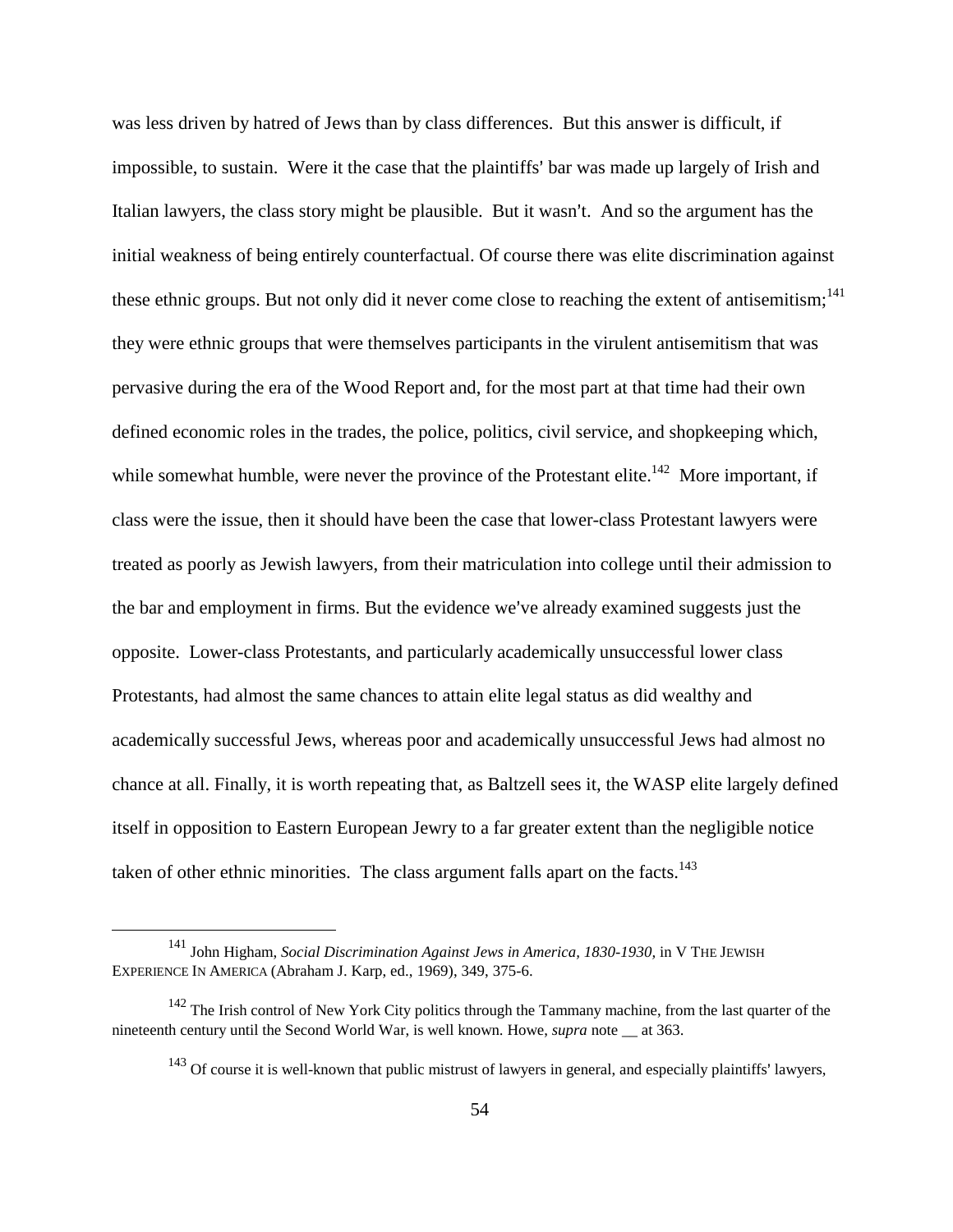was less driven by hatred of Jews than by class differences. But this answer is difficult, if impossible, to sustain. Were it the case that the plaintiffs' bar was made up largely of Irish and Italian lawyers, the class story might be plausible. But it wasn't. And so the argument has the initial weakness of being entirely counterfactual. Of course there was elite discrimination against these ethnic groups. But not only did it never come close to reaching the extent of antisemitism;<sup>141</sup> they were ethnic groups that were themselves participants in the virulent antisemitism that was pervasive during the era of the Wood Report and, for the most part at that time had their own defined economic roles in the trades, the police, politics, civil service, and shopkeeping which, while somewhat humble, were never the province of the Protestant elite.<sup>142</sup> More important, if class were the issue, then it should have been the case that lower-class Protestant lawyers were treated as poorly as Jewish lawyers, from their matriculation into college until their admission to the bar and employment in firms. But the evidence we've already examined suggests just the opposite. Lower-class Protestants, and particularly academically unsuccessful lower class Protestants, had almost the same chances to attain elite legal status as did wealthy and academically successful Jews, whereas poor and academically unsuccessful Jews had almost no chance at all. Finally, it is worth repeating that, as Baltzell sees it, the WASP elite largely defined itself in opposition to Eastern European Jewry to a far greater extent than the negligible notice taken of other ethnic minorities. The class argument falls apart on the facts.<sup>143</sup>

<sup>&</sup>lt;sup>141</sup> John Higham, *Social Discrimination Against Jews in America, 1830-1930*, in V THE JEWISH EXPERIENCE IN AMERICA (Abraham J. Karp, ed., 1969), 349, 375-6.

<sup>&</sup>lt;sup>142</sup> The Irish control of New York City politics through the Tammany machine, from the last quarter of the nineteenth century until the Second World War, is well known. Howe, *supra* note at 363.

 $143$  Of course it is well-known that public mistrust of lawyers in general, and especially plaintiffs' lawyers,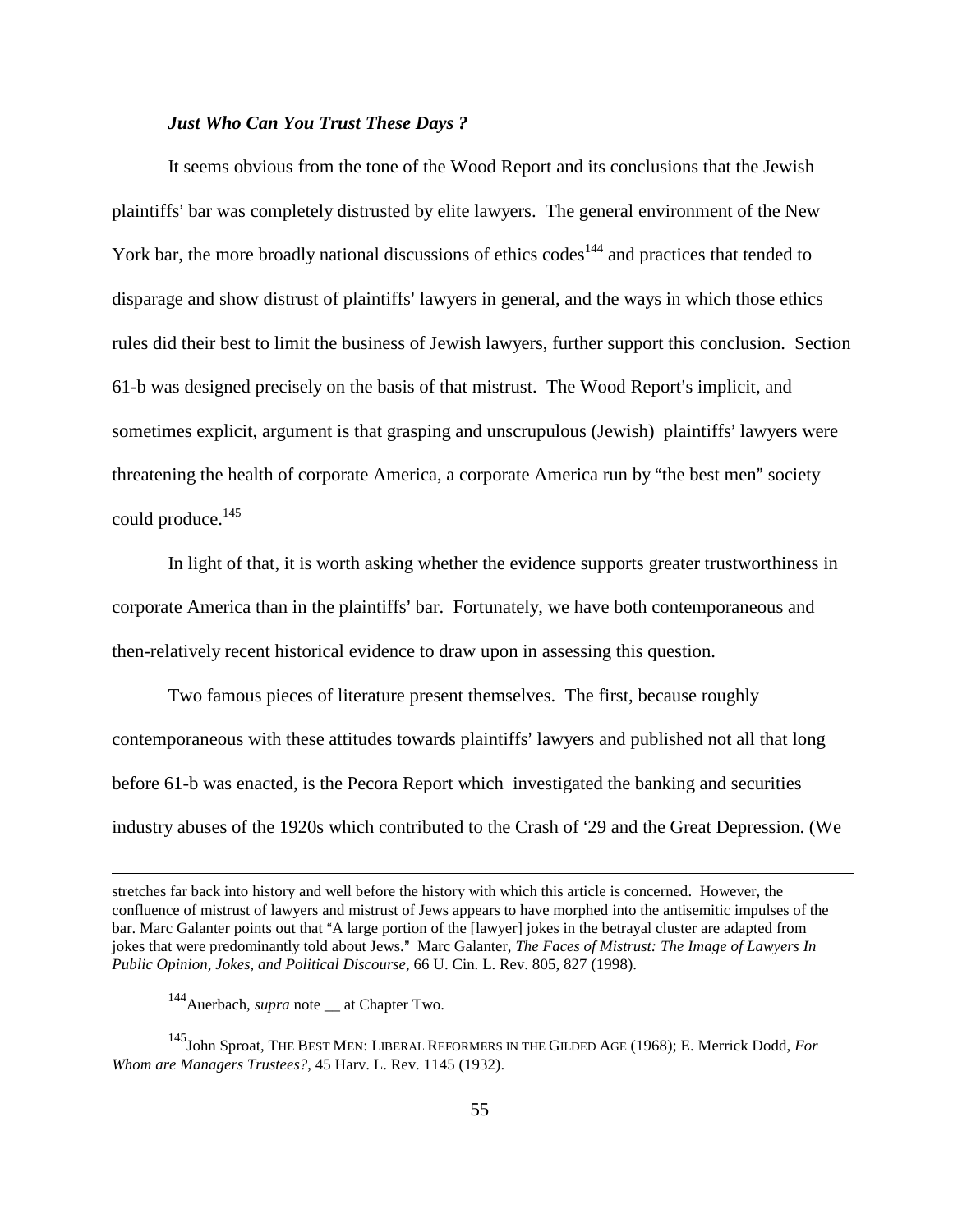#### *Just Who Can You Trust These Days ?*

It seems obvious from the tone of the Wood Report and its conclusions that the Jewish plaintiffs' bar was completely distrusted by elite lawyers. The general environment of the New York bar, the more broadly national discussions of ethics codes<sup>144</sup> and practices that tended to disparage and show distrust of plaintiffs' lawyers in general, and the ways in which those ethics rules did their best to limit the business of Jewish lawyers, further support this conclusion. Section 61-b was designed precisely on the basis of that mistrust. The Wood Report's implicit, and sometimes explicit, argument is that grasping and unscrupulous (Jewish) plaintiffs' lawyers were threatening the health of corporate America, a corporate America run by "the best men" society could produce.<sup>145</sup>

In light of that, it is worth asking whether the evidence supports greater trustworthiness in corporate America than in the plaintiffs' bar. Fortunately, we have both contemporaneous and then-relatively recent historical evidence to draw upon in assessing this question.

Two famous pieces of literature present themselves. The first, because roughly contemporaneous with these attitudes towards plaintiffs' lawyers and published not all that long before 61-b was enacted, is the Pecora Report which investigated the banking and securities industry abuses of the 1920s which contributed to the Crash of '29 and the Great Depression. (We

stretches far back into history and well before the history with which this article is concerned. However, the confluence of mistrust of lawyers and mistrust of Jews appears to have morphed into the antisemitic impulses of the bar. Marc Galanter points out that "A large portion of the [lawyer] jokes in the betrayal cluster are adapted from jokes that were predominantly told about Jews." Marc Galanter, *The Faces of Mistrust: The Image of Lawyers In Public Opinion, Jokes, and Political Discourse*, 66 U. Cin. L. Rev. 805, 827 (1998).

<sup>144</sup>Auerbach, *supra* note \_\_ at Chapter Two.

<sup>145</sup>John Sproat, THE BEST MEN: LIBERAL REFORMERS IN THE GILDED AGE (1968); E. Merrick Dodd, *For Whom are Managers Trustees?*, 45 Harv. L. Rev. 1145 (1932).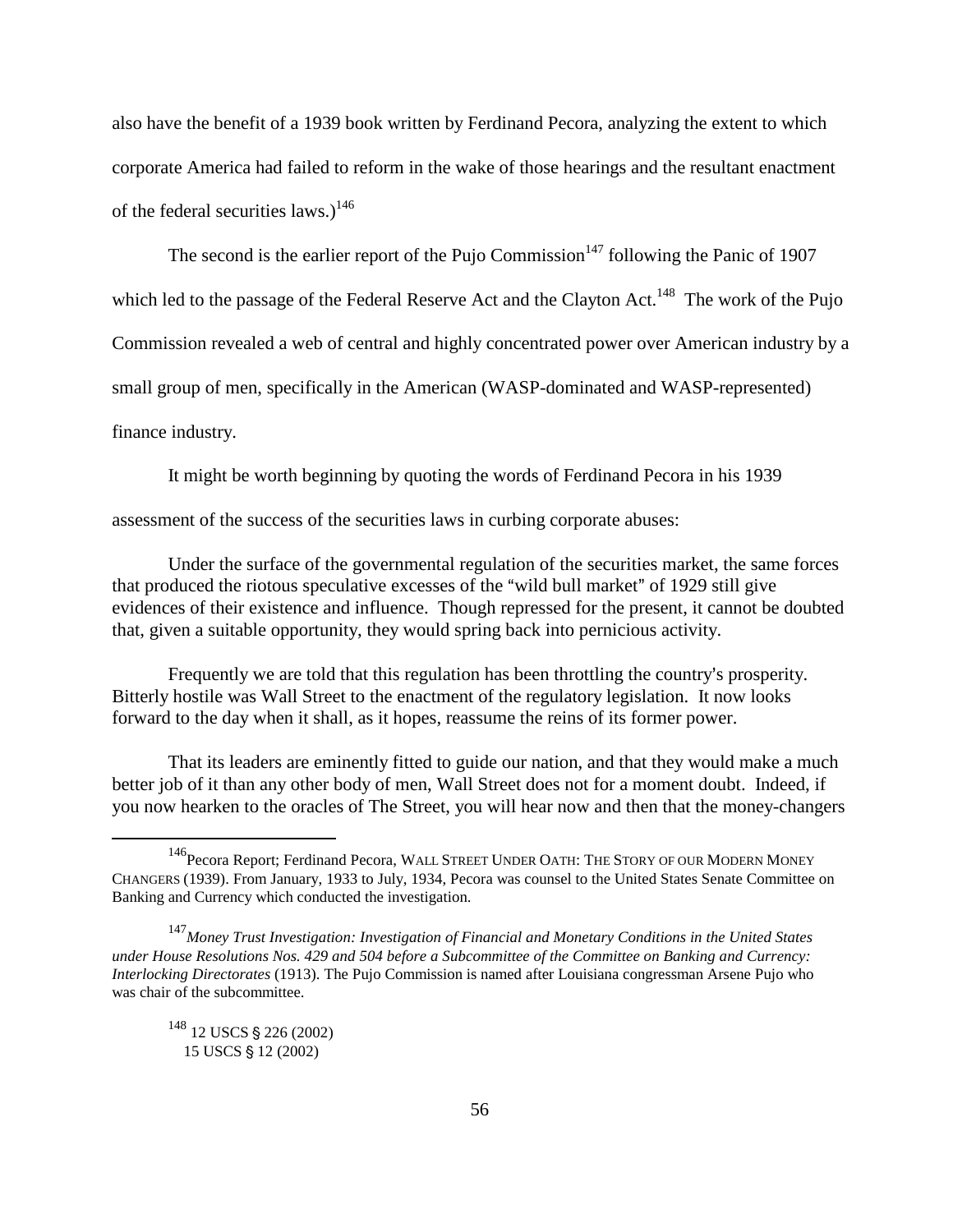also have the benefit of a 1939 book written by Ferdinand Pecora, analyzing the extent to which corporate America had failed to reform in the wake of those hearings and the resultant enactment of the federal securities laws.)<sup>146</sup>

The second is the earlier report of the Pujo Commission<sup>147</sup> following the Panic of 1907 which led to the passage of the Federal Reserve Act and the Clayton Act.<sup>148</sup> The work of the Pujo Commission revealed a web of central and highly concentrated power over American industry by a small group of men, specifically in the American (WASP-dominated and WASP-represented) finance industry.

It might be worth beginning by quoting the words of Ferdinand Pecora in his 1939

assessment of the success of the securities laws in curbing corporate abuses:

Under the surface of the governmental regulation of the securities market, the same forces that produced the riotous speculative excesses of the "wild bull market" of 1929 still give evidences of their existence and influence. Though repressed for the present, it cannot be doubted that, given a suitable opportunity, they would spring back into pernicious activity.

Frequently we are told that this regulation has been throttling the country's prosperity. Bitterly hostile was Wall Street to the enactment of the regulatory legislation. It now looks forward to the day when it shall, as it hopes, reassume the reins of its former power.

That its leaders are eminently fitted to guide our nation, and that they would make a much better job of it than any other body of men, Wall Street does not for a moment doubt. Indeed, if you now hearken to the oracles of The Street, you will hear now and then that the money-changers

<sup>&</sup>lt;sup>146</sup>Pecora Report; Ferdinand Pecora, WALL STREET UNDER OATH: THE STORY OF OUR MODERN MONEY CHANGERS (1939). From January, 1933 to July, 1934, Pecora was counsel to the United States Senate Committee on Banking and Currency which conducted the investigation.

<sup>147</sup>*Money Trust Investigation: Investigation of Financial and Monetary Conditions in the United States under House Resolutions Nos. 429 and 504 before a Subcommittee of the Committee on Banking and Currency: Interlocking Directorates* (1913). The Pujo Commission is named after Louisiana congressman Arsene Pujo who was chair of the subcommittee.

<sup>&</sup>lt;sup>148</sup> 12 USCS § 226 (2002) 15 USCS § 12 (2002)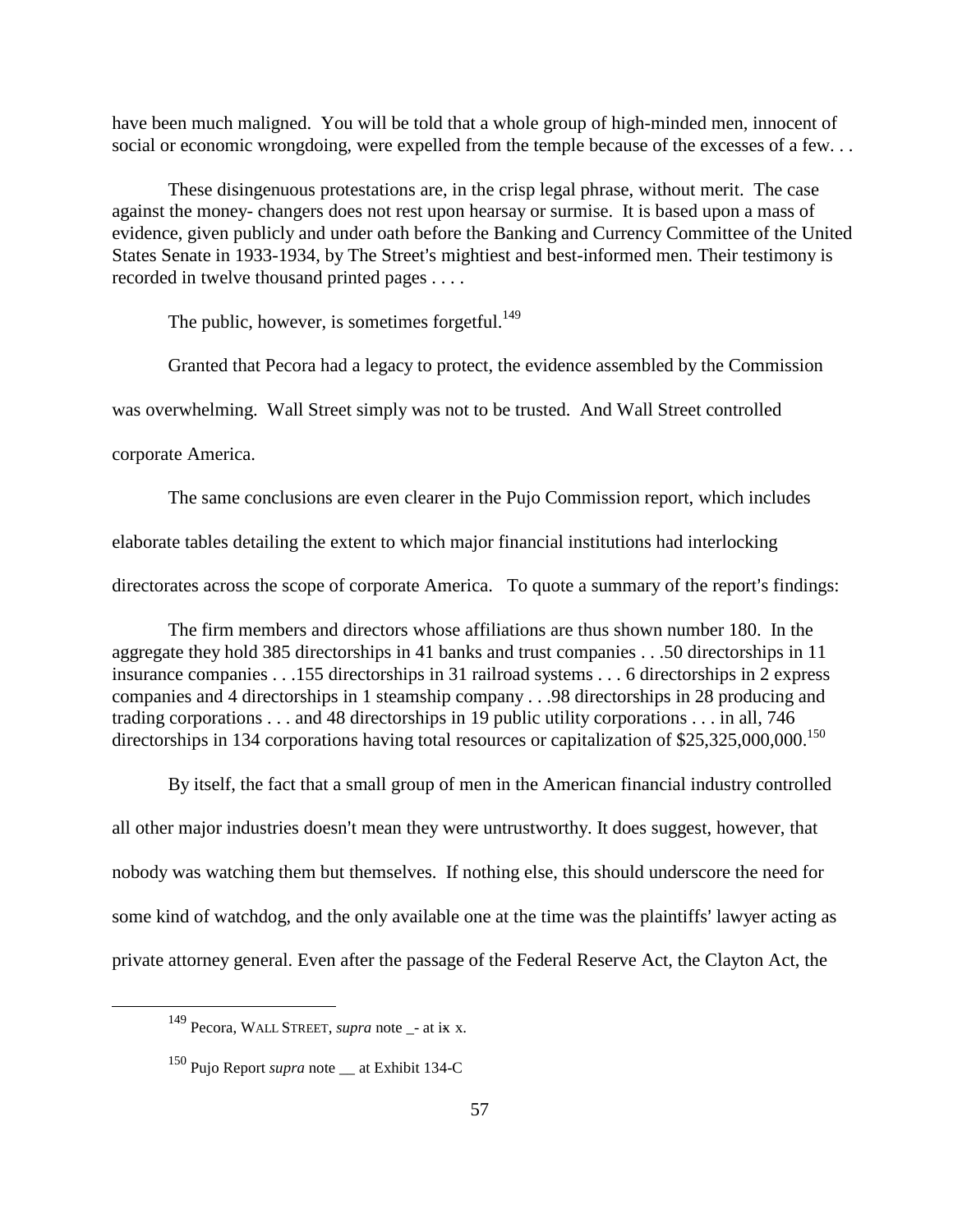have been much maligned. You will be told that a whole group of high-minded men, innocent of social or economic wrongdoing, were expelled from the temple because of the excesses of a few...

These disingenuous protestations are, in the crisp legal phrase, without merit. The case against the money- changers does not rest upon hearsay or surmise. It is based upon a mass of evidence, given publicly and under oath before the Banking and Currency Committee of the United States Senate in 1933-1934, by The Street's mightiest and best-informed men. Their testimony is recorded in twelve thousand printed pages . . . .

The public, however, is sometimes forgetful.<sup>149</sup>

Granted that Pecora had a legacy to protect, the evidence assembled by the Commission

was overwhelming. Wall Street simply was not to be trusted. And Wall Street controlled

corporate America.

The same conclusions are even clearer in the Pujo Commission report, which includes

elaborate tables detailing the extent to which major financial institutions had interlocking

directorates across the scope of corporate America. To quote a summary of the report's findings:

The firm members and directors whose affiliations are thus shown number 180. In the aggregate they hold 385 directorships in 41 banks and trust companies . . .50 directorships in 11 insurance companies . . .155 directorships in 31 railroad systems . . . 6 directorships in 2 express companies and 4 directorships in 1 steamship company . . .98 directorships in 28 producing and trading corporations . . . and 48 directorships in 19 public utility corporations . . . in all, 746 directorships in 134 corporations having total resources or capitalization of \$25,325,000,000.<sup>150</sup>

By itself, the fact that a small group of men in the American financial industry controlled all other major industries doesn't mean they were untrustworthy. It does suggest, however, that nobody was watching them but themselves. If nothing else, this should underscore the need for some kind of watchdog, and the only available one at the time was the plaintiffs' lawyer acting as private attorney general. Even after the passage of the Federal Reserve Act, the Clayton Act, the

<sup>&</sup>lt;sup>149</sup> Pecora, WALL STREET, *supra* note - at ix x.

<sup>&</sup>lt;sup>150</sup> Pujo Report *supra* note at Exhibit 134-C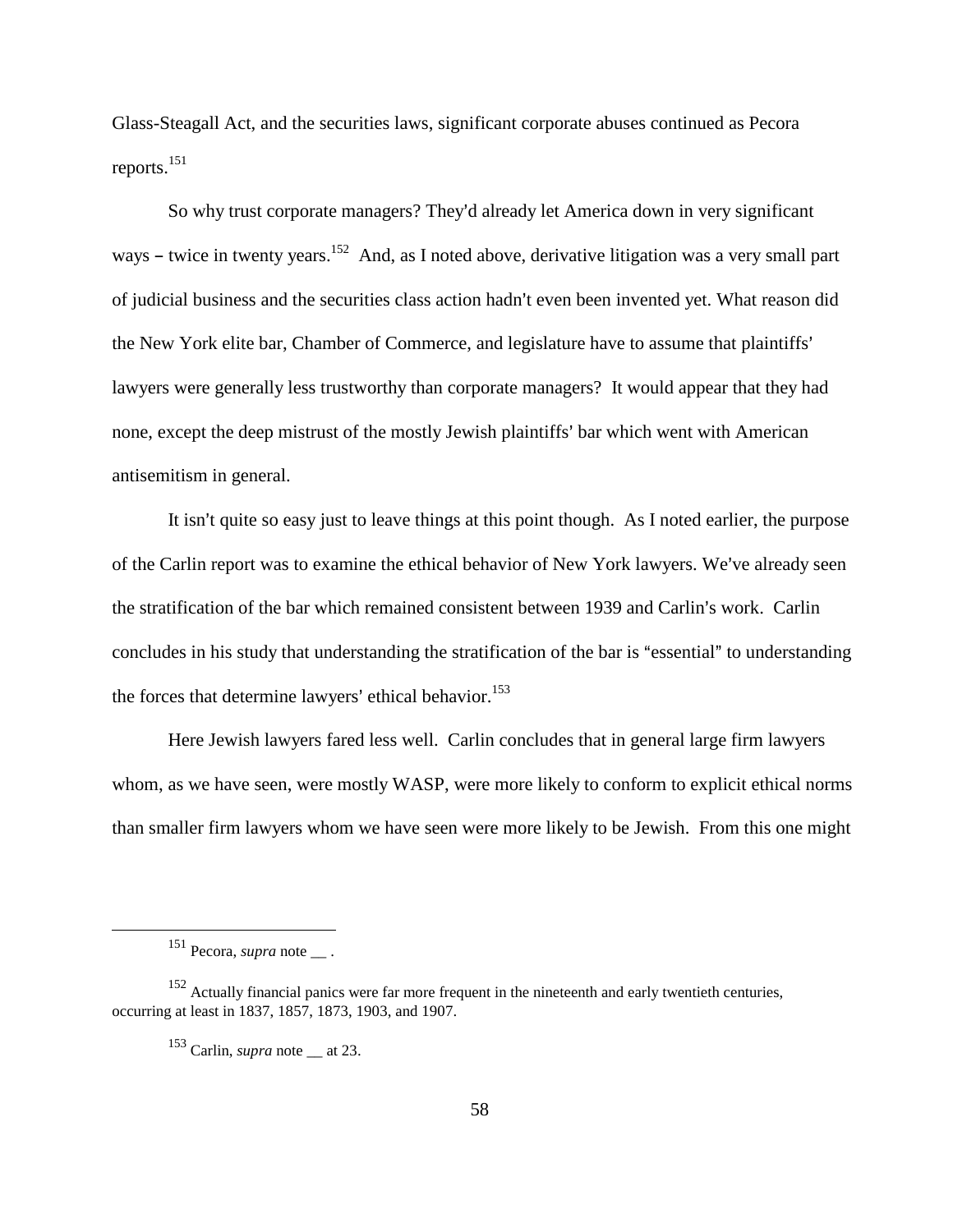Glass-Steagall Act, and the securities laws, significant corporate abuses continued as Pecora reports.151

So why trust corporate managers? They'd already let America down in very significant ways – twice in twenty years.<sup>152</sup> And, as I noted above, derivative litigation was a very small part of judicial business and the securities class action hadn't even been invented yet. What reason did the New York elite bar, Chamber of Commerce, and legislature have to assume that plaintiffs' lawyers were generally less trustworthy than corporate managers? It would appear that they had none, except the deep mistrust of the mostly Jewish plaintiffs' bar which went with American antisemitism in general.

It isn't quite so easy just to leave things at this point though. As I noted earlier, the purpose of the Carlin report was to examine the ethical behavior of New York lawyers. We've already seen the stratification of the bar which remained consistent between 1939 and Carlin's work. Carlin concludes in his study that understanding the stratification of the bar is "essential" to understanding the forces that determine lawyers' ethical behavior.<sup>153</sup>

Here Jewish lawyers fared less well. Carlin concludes that in general large firm lawyers whom, as we have seen, were mostly WASP, were more likely to conform to explicit ethical norms than smaller firm lawyers whom we have seen were more likely to be Jewish. From this one might

<sup>&</sup>lt;sup>151</sup> Pecora, *supra* note \_\_\_.

<sup>152</sup> Actually financial panics were far more frequent in the nineteenth and early twentieth centuries, occurring at least in 1837, 1857, 1873, 1903, and 1907.

 $^{153}$  Carlin, *supra* note at 23.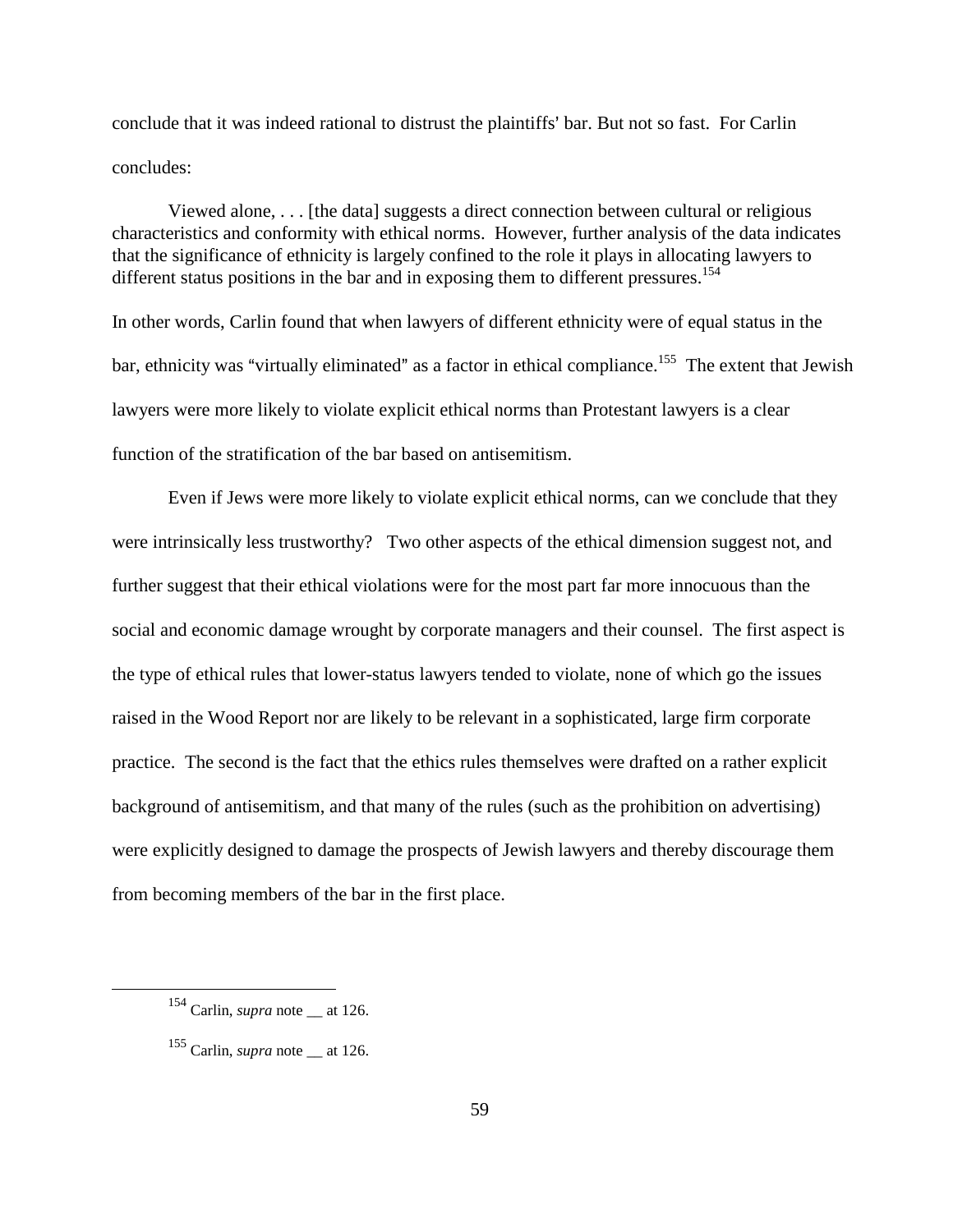conclude that it was indeed rational to distrust the plaintiffs' bar. But not so fast. For Carlin concludes:

Viewed alone, . . . [the data] suggests a direct connection between cultural or religious characteristics and conformity with ethical norms. However, further analysis of the data indicates that the significance of ethnicity is largely confined to the role it plays in allocating lawyers to different status positions in the bar and in exposing them to different pressures.<sup>154</sup>

In other words, Carlin found that when lawyers of different ethnicity were of equal status in the bar, ethnicity was "virtually eliminated" as a factor in ethical compliance.<sup>155</sup> The extent that Jewish lawyers were more likely to violate explicit ethical norms than Protestant lawyers is a clear function of the stratification of the bar based on antisemitism.

Even if Jews were more likely to violate explicit ethical norms, can we conclude that they were intrinsically less trustworthy? Two other aspects of the ethical dimension suggest not, and further suggest that their ethical violations were for the most part far more innocuous than the social and economic damage wrought by corporate managers and their counsel. The first aspect is the type of ethical rules that lower-status lawyers tended to violate, none of which go the issues raised in the Wood Report nor are likely to be relevant in a sophisticated, large firm corporate practice. The second is the fact that the ethics rules themselves were drafted on a rather explicit background of antisemitism, and that many of the rules (such as the prohibition on advertising) were explicitly designed to damage the prospects of Jewish lawyers and thereby discourage them from becoming members of the bar in the first place.

 $154$  Carlin, *supra* note at 126.

<sup>155</sup> Carlin, *supra* note \_\_ at 126.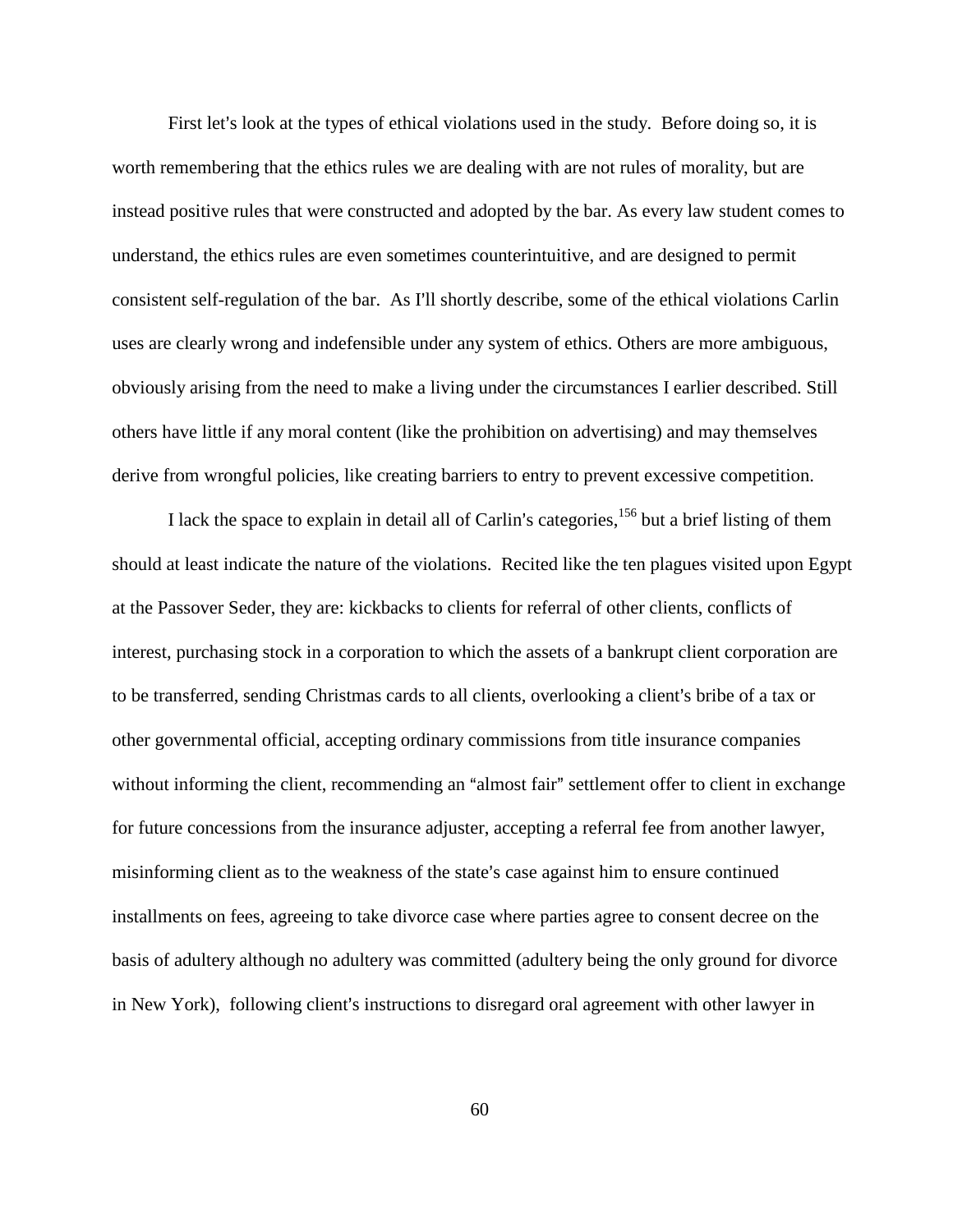First let's look at the types of ethical violations used in the study. Before doing so, it is worth remembering that the ethics rules we are dealing with are not rules of morality, but are instead positive rules that were constructed and adopted by the bar. As every law student comes to understand, the ethics rules are even sometimes counterintuitive, and are designed to permit consistent self-regulation of the bar. As I'll shortly describe, some of the ethical violations Carlin uses are clearly wrong and indefensible under any system of ethics. Others are more ambiguous, obviously arising from the need to make a living under the circumstances I earlier described. Still others have little if any moral content (like the prohibition on advertising) and may themselves derive from wrongful policies, like creating barriers to entry to prevent excessive competition.

I lack the space to explain in detail all of Carlin's categories,<sup>156</sup> but a brief listing of them should at least indicate the nature of the violations. Recited like the ten plagues visited upon Egypt at the Passover Seder, they are: kickbacks to clients for referral of other clients, conflicts of interest, purchasing stock in a corporation to which the assets of a bankrupt client corporation are to be transferred, sending Christmas cards to all clients, overlooking a client's bribe of a tax or other governmental official, accepting ordinary commissions from title insurance companies without informing the client, recommending an "almost fair" settlement offer to client in exchange for future concessions from the insurance adjuster, accepting a referral fee from another lawyer, misinforming client as to the weakness of the state's case against him to ensure continued installments on fees, agreeing to take divorce case where parties agree to consent decree on the basis of adultery although no adultery was committed (adultery being the only ground for divorce in New York), following client's instructions to disregard oral agreement with other lawyer in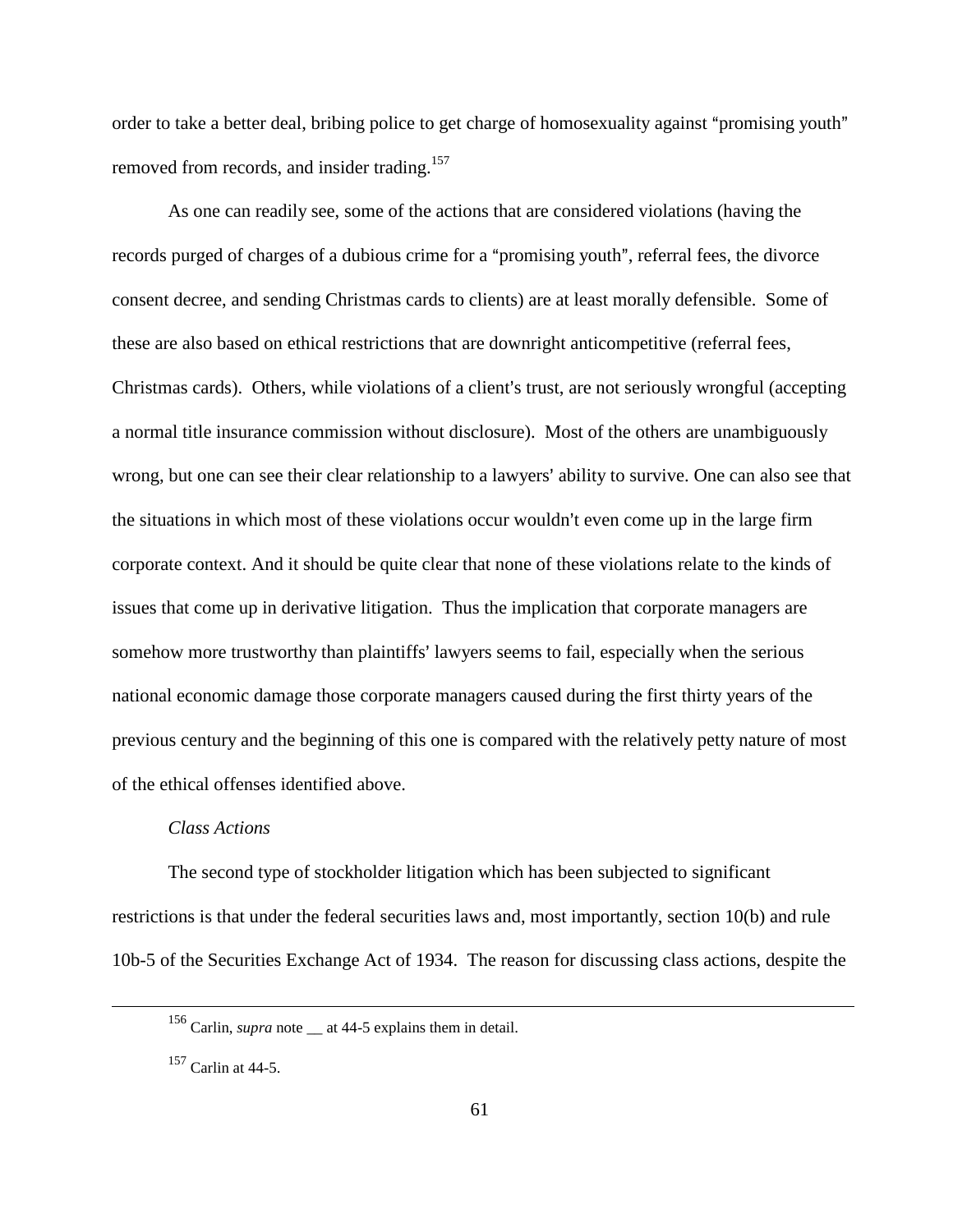order to take a better deal, bribing police to get charge of homosexuality against "promising youth" removed from records, and insider trading.<sup>157</sup>

As one can readily see, some of the actions that are considered violations (having the records purged of charges of a dubious crime for a "promising youth", referral fees, the divorce consent decree, and sending Christmas cards to clients) are at least morally defensible. Some of these are also based on ethical restrictions that are downright anticompetitive (referral fees, Christmas cards). Others, while violations of a client's trust, are not seriously wrongful (accepting a normal title insurance commission without disclosure). Most of the others are unambiguously wrong, but one can see their clear relationship to a lawyers' ability to survive. One can also see that the situations in which most of these violations occur wouldn't even come up in the large firm corporate context. And it should be quite clear that none of these violations relate to the kinds of issues that come up in derivative litigation. Thus the implication that corporate managers are somehow more trustworthy than plaintiffs' lawyers seems to fail, especially when the serious national economic damage those corporate managers caused during the first thirty years of the previous century and the beginning of this one is compared with the relatively petty nature of most of the ethical offenses identified above.

#### *Class Actions*

The second type of stockholder litigation which has been subjected to significant restrictions is that under the federal securities laws and, most importantly, section 10(b) and rule 10b-5 of the Securities Exchange Act of 1934. The reason for discussing class actions, despite the

<sup>156</sup> Carlin, *supra* note \_\_ at 44-5 explains them in detail.

 $157$  Carlin at 44-5.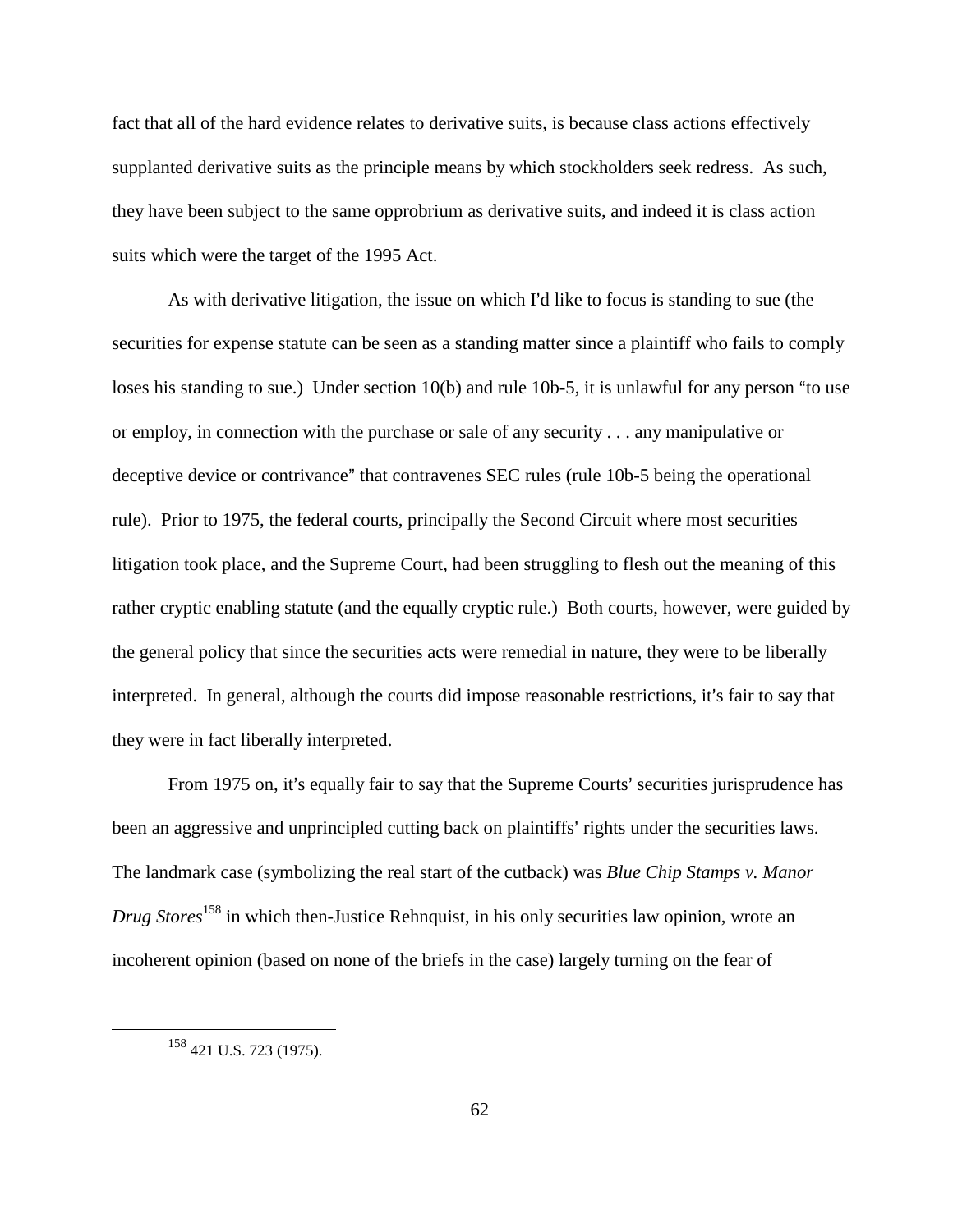fact that all of the hard evidence relates to derivative suits, is because class actions effectively supplanted derivative suits as the principle means by which stockholders seek redress. As such, they have been subject to the same opprobrium as derivative suits, and indeed it is class action suits which were the target of the 1995 Act.

As with derivative litigation, the issue on which I'd like to focus is standing to sue (the securities for expense statute can be seen as a standing matter since a plaintiff who fails to comply loses his standing to sue.) Under section  $10(b)$  and rule  $10b-5$ , it is unlawful for any person "to use or employ, in connection with the purchase or sale of any security . . . any manipulative or deceptive device or contrivance" that contravenes SEC rules (rule 10b-5 being the operational rule). Prior to 1975, the federal courts, principally the Second Circuit where most securities litigation took place, and the Supreme Court, had been struggling to flesh out the meaning of this rather cryptic enabling statute (and the equally cryptic rule.) Both courts, however, were guided by the general policy that since the securities acts were remedial in nature, they were to be liberally interpreted. In general, although the courts did impose reasonable restrictions, it's fair to say that they were in fact liberally interpreted.

From 1975 on, it's equally fair to say that the Supreme Courts' securities jurisprudence has been an aggressive and unprincipled cutting back on plaintiffs' rights under the securities laws. The landmark case (symbolizing the real start of the cutback) was *Blue Chip Stamps v. Manor Drug Stores*158 in which then-Justice Rehnquist, in his only securities law opinion, wrote an incoherent opinion (based on none of the briefs in the case) largely turning on the fear of

<sup>158 421</sup> U.S. 723 (1975).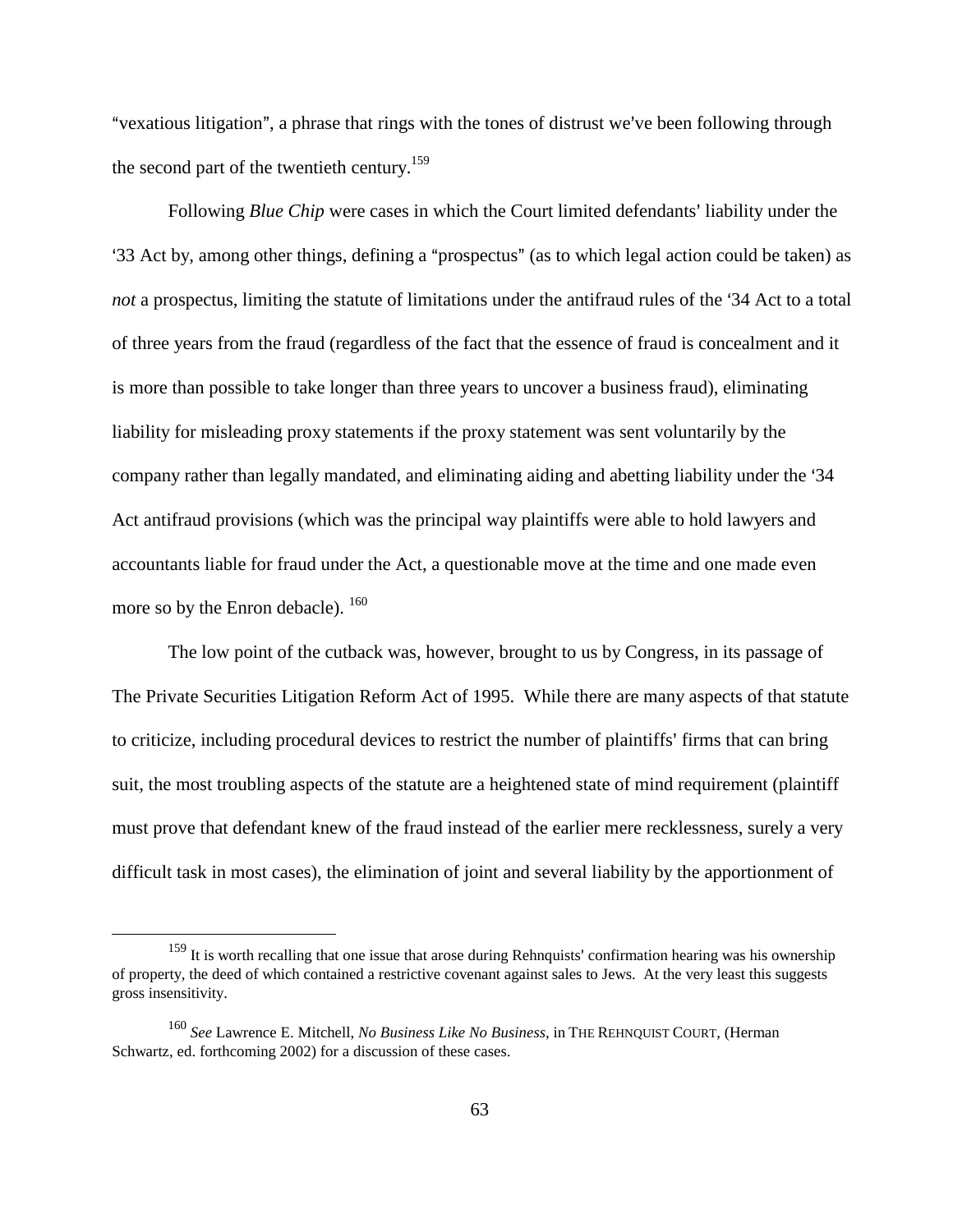"vexatious litigation", a phrase that rings with the tones of distrust we've been following through the second part of the twentieth century.<sup>159</sup>

Following *Blue Chip* were cases in which the Court limited defendants' liability under the '33 Act by, among other things, defining a "prospectus" (as to which legal action could be taken) as *not* a prospectus, limiting the statute of limitations under the antifraud rules of the '34 Act to a total of three years from the fraud (regardless of the fact that the essence of fraud is concealment and it is more than possible to take longer than three years to uncover a business fraud), eliminating liability for misleading proxy statements if the proxy statement was sent voluntarily by the company rather than legally mandated, and eliminating aiding and abetting liability under the '34 Act antifraud provisions (which was the principal way plaintiffs were able to hold lawyers and accountants liable for fraud under the Act, a questionable move at the time and one made even more so by the Enron debacle). <sup>160</sup>

The low point of the cutback was, however, brought to us by Congress, in its passage of The Private Securities Litigation Reform Act of 1995. While there are many aspects of that statute to criticize, including procedural devices to restrict the number of plaintiffs' firms that can bring suit, the most troubling aspects of the statute are a heightened state of mind requirement (plaintiff must prove that defendant knew of the fraud instead of the earlier mere recklessness, surely a very difficult task in most cases), the elimination of joint and several liability by the apportionment of

<sup>&</sup>lt;sup>159</sup> It is worth recalling that one issue that arose during Rehnquists' confirmation hearing was his ownership of property, the deed of which contained a restrictive covenant against sales to Jews. At the very least this suggests gross insensitivity.

<sup>160</sup> *See* Lawrence E. Mitchell, *No Business Like No Business*, in THE REHNQUIST COURT, (Herman Schwartz, ed. forthcoming 2002) for a discussion of these cases.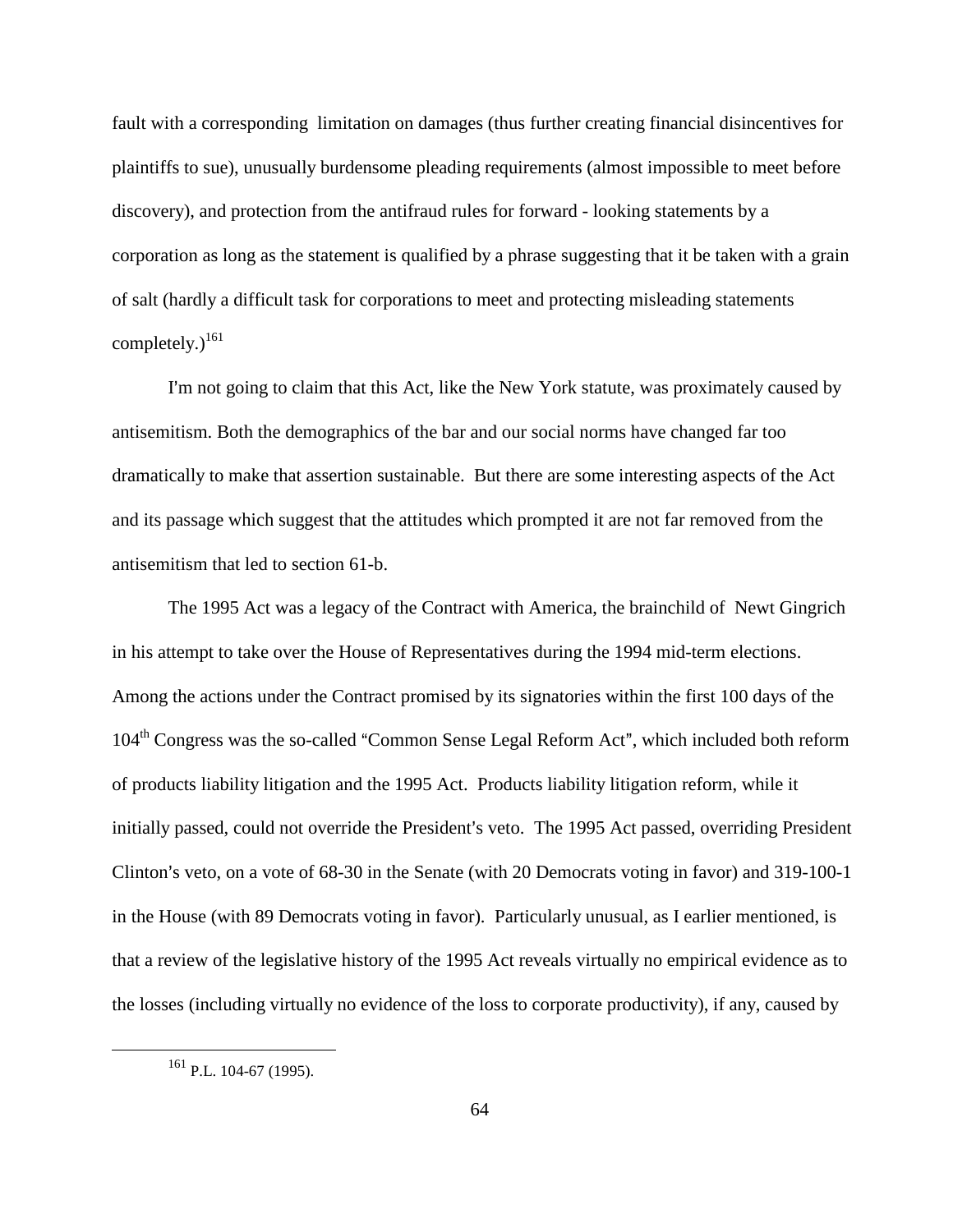fault with a corresponding limitation on damages (thus further creating financial disincentives for plaintiffs to sue), unusually burdensome pleading requirements (almost impossible to meet before discovery), and protection from the antifraud rules for forward - looking statements by a corporation as long as the statement is qualified by a phrase suggesting that it be taken with a grain of salt (hardly a difficult task for corporations to meet and protecting misleading statements completely. $)^{161}$ 

I'm not going to claim that this Act, like the New York statute, was proximately caused by antisemitism. Both the demographics of the bar and our social norms have changed far too dramatically to make that assertion sustainable. But there are some interesting aspects of the Act and its passage which suggest that the attitudes which prompted it are not far removed from the antisemitism that led to section 61-b.

The 1995 Act was a legacy of the Contract with America, the brainchild of Newt Gingrich in his attempt to take over the House of Representatives during the 1994 mid-term elections. Among the actions under the Contract promised by its signatories within the first 100 days of the 104<sup>th</sup> Congress was the so-called "Common Sense Legal Reform Act", which included both reform of products liability litigation and the 1995 Act. Products liability litigation reform, while it initially passed, could not override the President's veto. The 1995 Act passed, overriding President Clinton's veto, on a vote of 68-30 in the Senate (with 20 Democrats voting in favor) and 319-100-1 in the House (with 89 Democrats voting in favor). Particularly unusual, as I earlier mentioned, is that a review of the legislative history of the 1995 Act reveals virtually no empirical evidence as to the losses (including virtually no evidence of the loss to corporate productivity), if any, caused by

<sup>161</sup> P.L. 104-67 (1995).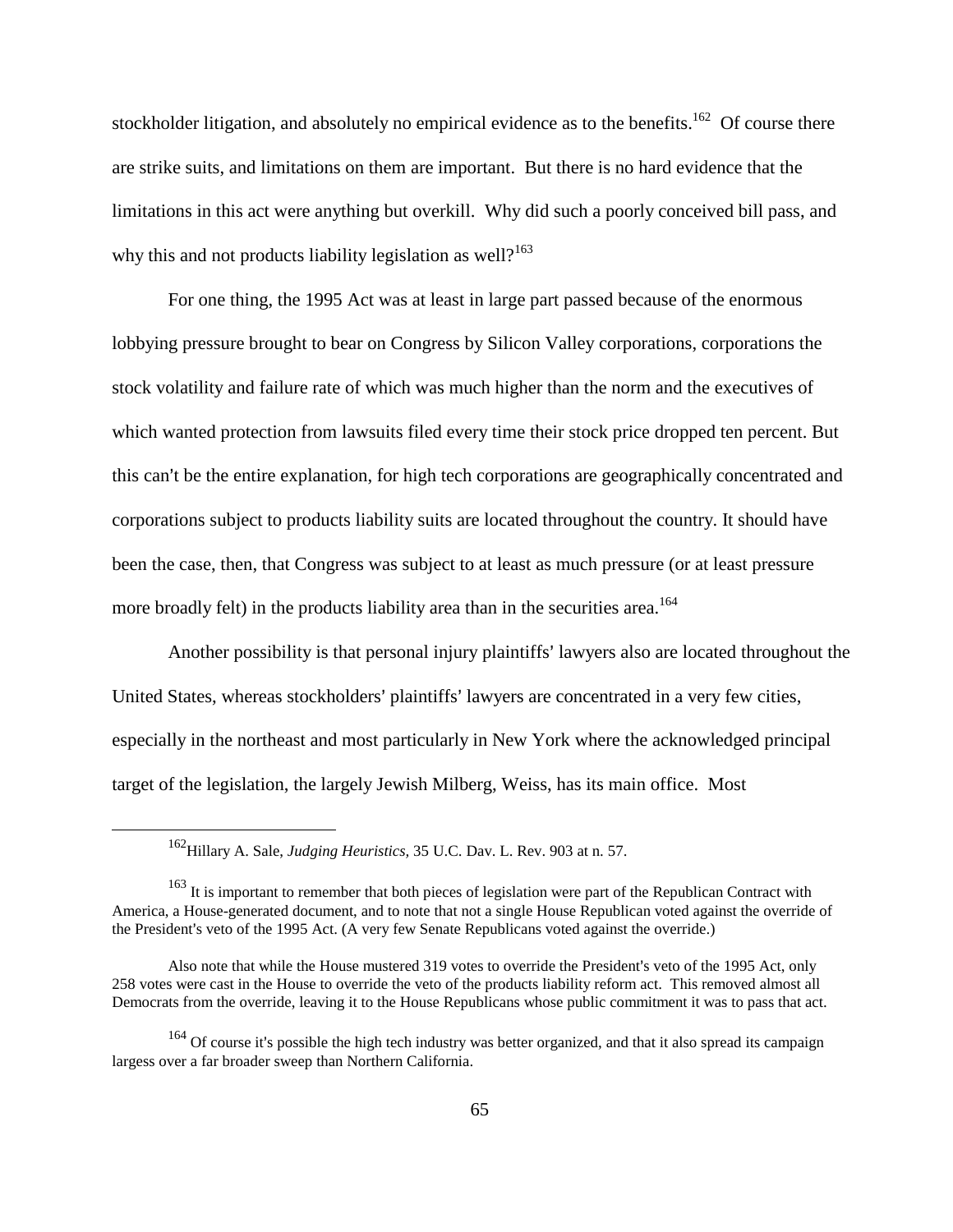stockholder litigation, and absolutely no empirical evidence as to the benefits.<sup>162</sup> Of course there are strike suits, and limitations on them are important. But there is no hard evidence that the limitations in this act were anything but overkill. Why did such a poorly conceived bill pass, and why this and not products liability legislation as well?<sup>163</sup>

For one thing, the 1995 Act was at least in large part passed because of the enormous lobbying pressure brought to bear on Congress by Silicon Valley corporations, corporations the stock volatility and failure rate of which was much higher than the norm and the executives of which wanted protection from lawsuits filed every time their stock price dropped ten percent. But this can't be the entire explanation, for high tech corporations are geographically concentrated and corporations subject to products liability suits are located throughout the country. It should have been the case, then, that Congress was subject to at least as much pressure (or at least pressure more broadly felt) in the products liability area than in the securities area.<sup>164</sup>

Another possibility is that personal injury plaintiffs' lawyers also are located throughout the United States, whereas stockholders' plaintiffs' lawyers are concentrated in a very few cities, especially in the northeast and most particularly in New York where the acknowledged principal target of the legislation, the largely Jewish Milberg, Weiss, has its main office. Most

<sup>162</sup>Hillary A. Sale, *Judging Heuristics,* 35 U.C. Dav. L. Rev. 903 at n. 57.

<sup>&</sup>lt;sup>163</sup> It is important to remember that both pieces of legislation were part of the Republican Contract with America, a House-generated document, and to note that not a single House Republican voted against the override of the President's veto of the 1995 Act. (A very few Senate Republicans voted against the override.)

Also note that while the House mustered 319 votes to override the President's veto of the 1995 Act, only 258 votes were cast in the House to override the veto of the products liability reform act. This removed almost all Democrats from the override, leaving it to the House Republicans whose public commitment it was to pass that act.

<sup>&</sup>lt;sup>164</sup> Of course it's possible the high tech industry was better organized, and that it also spread its campaign largess over a far broader sweep than Northern California.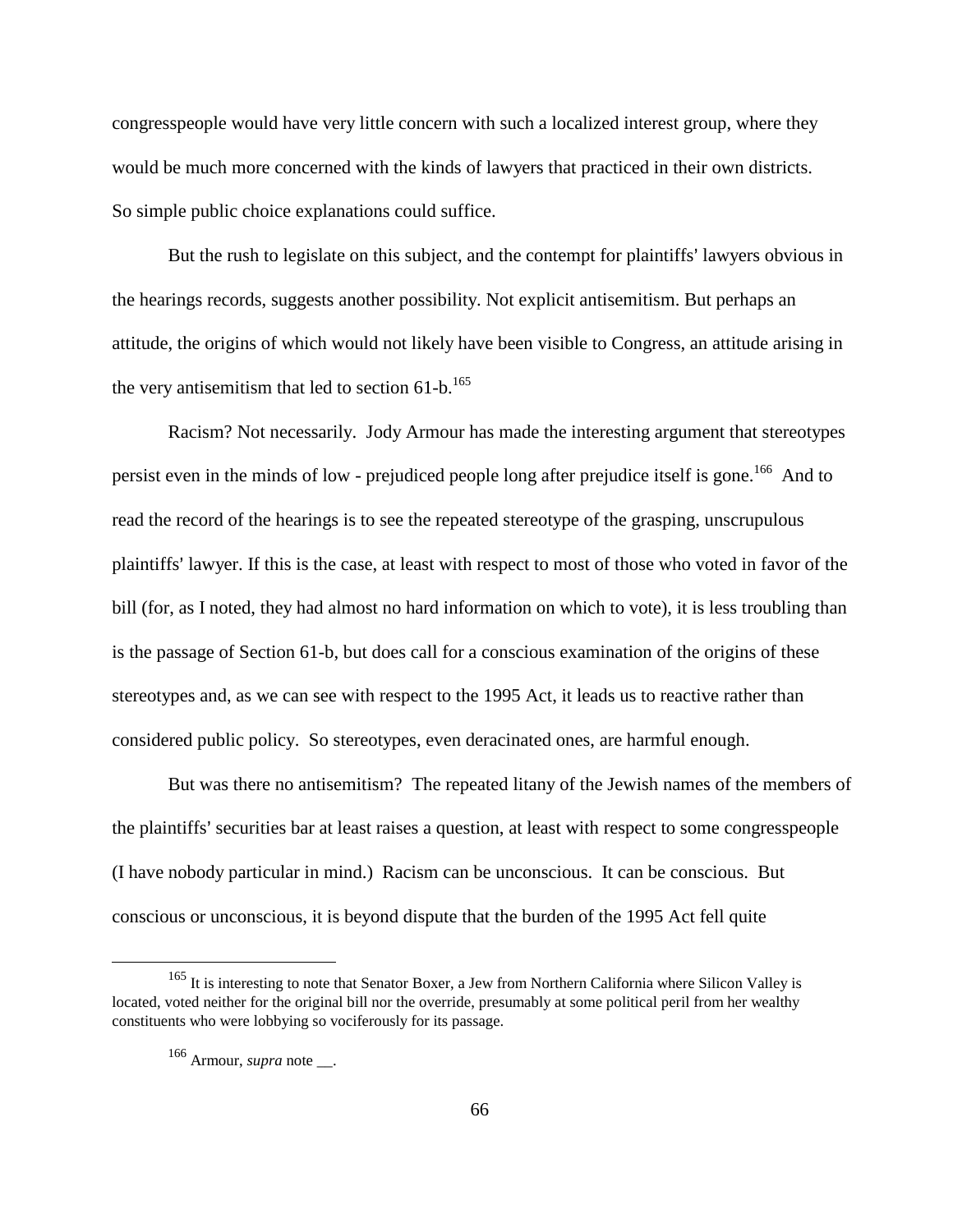congresspeople would have very little concern with such a localized interest group, where they would be much more concerned with the kinds of lawyers that practiced in their own districts. So simple public choice explanations could suffice.

But the rush to legislate on this subject, and the contempt for plaintiffs' lawyers obvious in the hearings records, suggests another possibility. Not explicit antisemitism. But perhaps an attitude, the origins of which would not likely have been visible to Congress, an attitude arising in the very antisemitism that led to section  $61-b$ .<sup>165</sup>

Racism? Not necessarily. Jody Armour has made the interesting argument that stereotypes persist even in the minds of low - prejudiced people long after prejudice itself is gone.<sup>166</sup> And to read the record of the hearings is to see the repeated stereotype of the grasping, unscrupulous plaintiffs' lawyer. If this is the case, at least with respect to most of those who voted in favor of the bill (for, as I noted, they had almost no hard information on which to vote), it is less troubling than is the passage of Section 61-b, but does call for a conscious examination of the origins of these stereotypes and, as we can see with respect to the 1995 Act, it leads us to reactive rather than considered public policy. So stereotypes, even deracinated ones, are harmful enough.

But was there no antisemitism? The repeated litany of the Jewish names of the members of the plaintiffs' securities bar at least raises a question, at least with respect to some congresspeople (I have nobody particular in mind.) Racism can be unconscious. It can be conscious. But conscious or unconscious, it is beyond dispute that the burden of the 1995 Act fell quite

<sup>&</sup>lt;sup>165</sup> It is interesting to note that Senator Boxer, a Jew from Northern California where Silicon Valley is located, voted neither for the original bill nor the override, presumably at some political peril from her wealthy constituents who were lobbying so vociferously for its passage.

<sup>166</sup> Armour, *supra* note \_\_.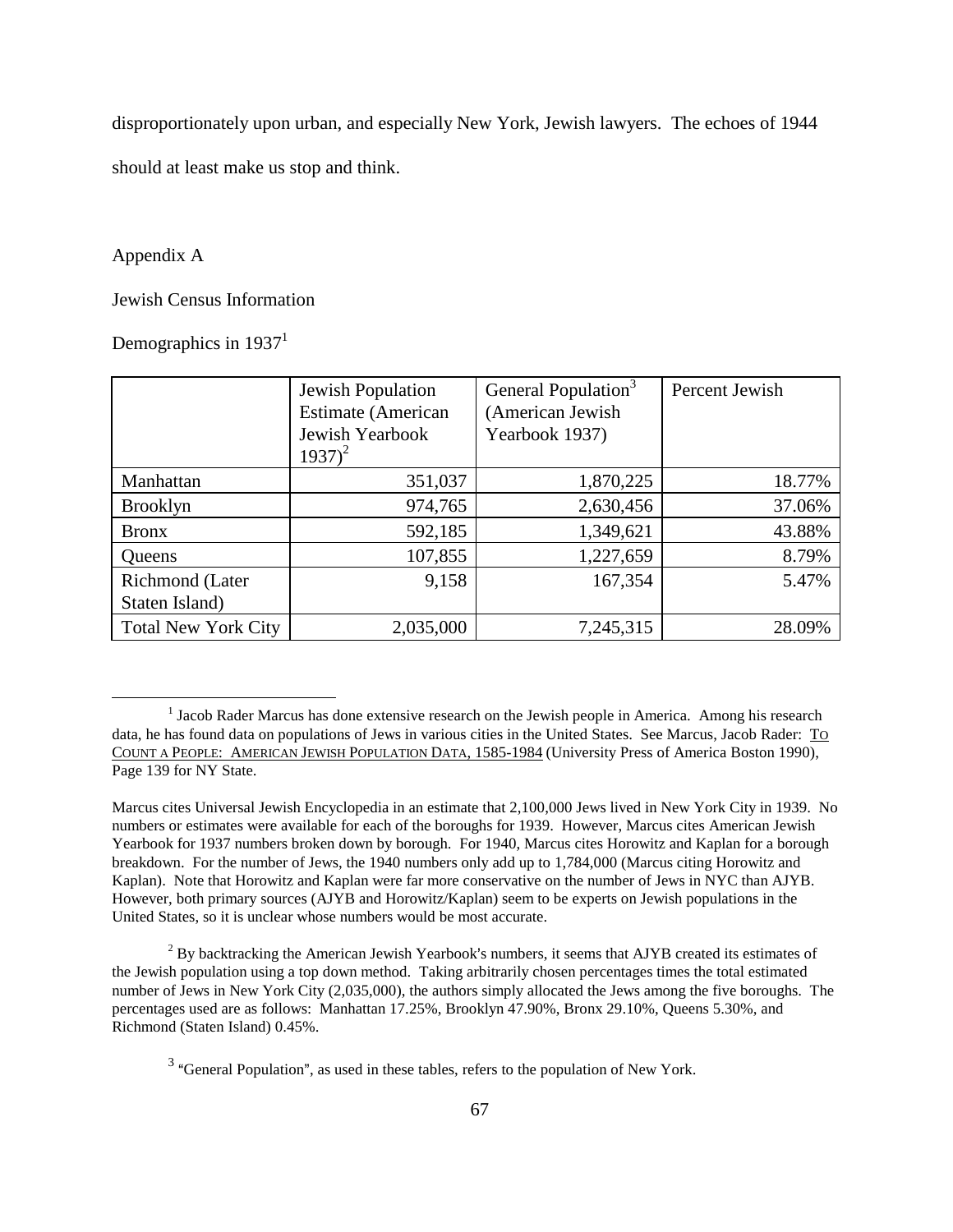disproportionately upon urban, and especially New York, Jewish lawyers. The echoes of 1944 should at least make us stop and think.

#### Appendix A

#### Jewish Census Information

Demographics in 1937<sup>1</sup>

|                            | Jewish Population            | General Population <sup>3</sup> | Percent Jewish |  |
|----------------------------|------------------------------|---------------------------------|----------------|--|
|                            | <b>Estimate</b> (American    | (American Jewish                |                |  |
|                            | Jewish Yearbook<br>$1937)^2$ | Yearbook 1937)                  |                |  |
| Manhattan                  | 351,037                      | 1,870,225                       | 18.77%         |  |
| <b>Brooklyn</b>            | 974,765                      | 2,630,456                       | 37.06%         |  |
| <b>Bronx</b>               | 592,185                      | 1,349,621                       | 43.88%         |  |
| Queens                     | 107,855                      | 1,227,659                       | 8.79%          |  |
| Richmond (Later            | 9,158                        | 167,354                         | 5.47%          |  |
| Staten Island)             |                              |                                 |                |  |
| <b>Total New York City</b> | 2,035,000                    | 7,245,315                       | 28.09%         |  |

 $2^{2}$  By backtracking the American Jewish Yearbook's numbers, it seems that AJYB created its estimates of the Jewish population using a top down method. Taking arbitrarily chosen percentages times the total estimated number of Jews in New York City (2,035,000), the authors simply allocated the Jews among the five boroughs. The percentages used are as follows: Manhattan 17.25%, Brooklyn 47.90%, Bronx 29.10%, Queens 5.30%, and Richmond (Staten Island) 0.45%.

<sup>&</sup>lt;sup>1</sup> Jacob Rader Marcus has done extensive research on the Jewish people in America. Among his research data, he has found data on populations of Jews in various cities in the United States. See Marcus, Jacob Rader: TO COUNT A PEOPLE: AMERICAN JEWISH POPULATION DATA, 1585-1984 (University Press of America Boston 1990), Page 139 for NY State.

Marcus cites Universal Jewish Encyclopedia in an estimate that 2,100,000 Jews lived in New York City in 1939. No numbers or estimates were available for each of the boroughs for 1939. However, Marcus cites American Jewish Yearbook for 1937 numbers broken down by borough. For 1940, Marcus cites Horowitz and Kaplan for a borough breakdown. For the number of Jews, the 1940 numbers only add up to 1,784,000 (Marcus citing Horowitz and Kaplan). Note that Horowitz and Kaplan were far more conservative on the number of Jews in NYC than AJYB. However, both primary sources (AJYB and Horowitz/Kaplan) seem to be experts on Jewish populations in the United States, so it is unclear whose numbers would be most accurate.

 $3$  "General Population", as used in these tables, refers to the population of New York.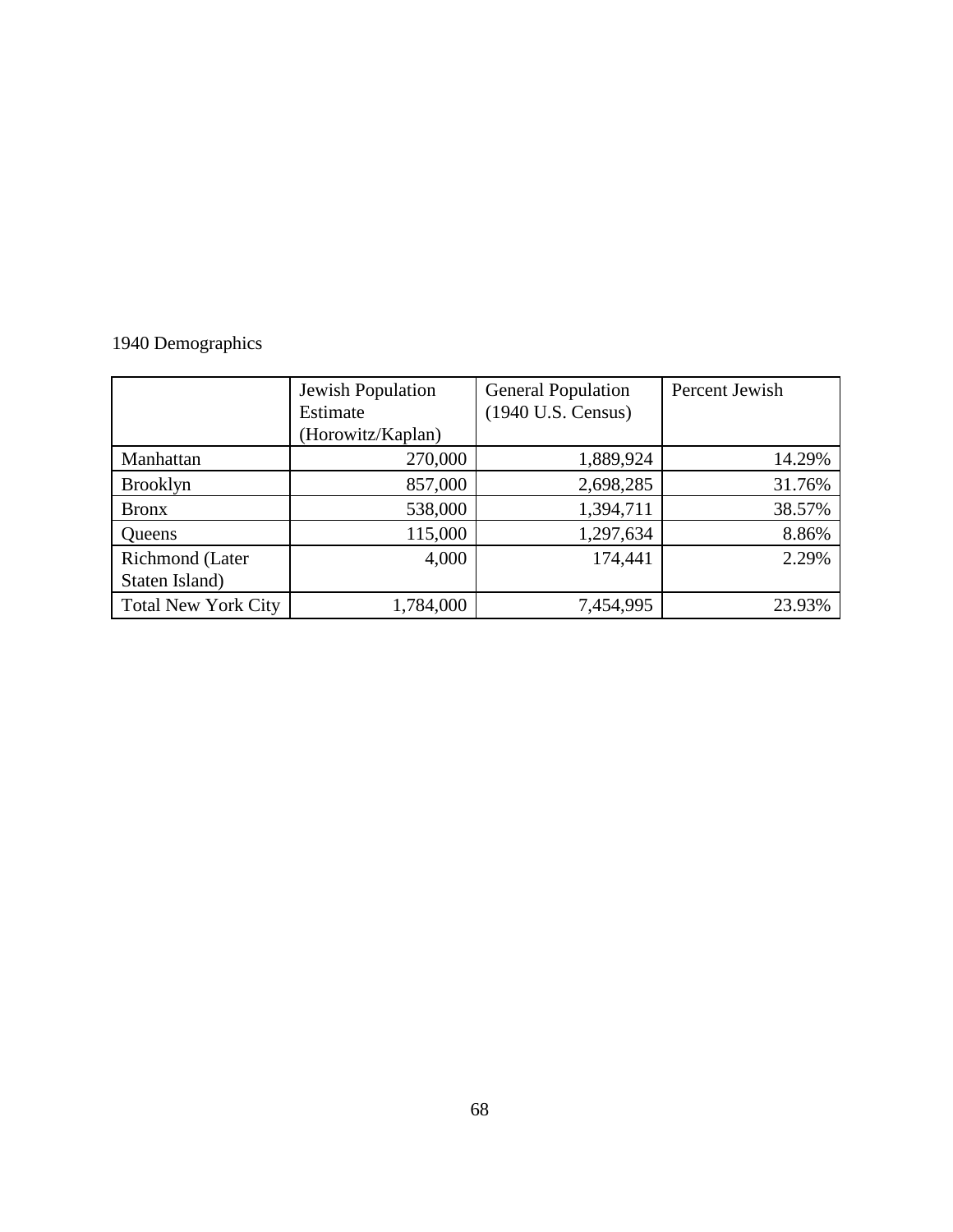### 1940 Demographics

|                            | Jewish Population | <b>General Population</b> | Percent Jewish |  |  |
|----------------------------|-------------------|---------------------------|----------------|--|--|
|                            | Estimate          | (1940 U.S. Census)        |                |  |  |
|                            | (Horowitz/Kaplan) |                           |                |  |  |
| Manhattan                  | 270,000           | 1,889,924                 | 14.29%         |  |  |
| <b>Brooklyn</b>            | 857,000           | 2,698,285                 | 31.76%         |  |  |
| <b>Bronx</b>               | 538,000           | 1,394,711                 | 38.57%         |  |  |
| Queens                     | 115,000           | 1,297,634                 | 8.86%          |  |  |
| Richmond (Later            | 4,000             | 174,441                   | 2.29%          |  |  |
| Staten Island)             |                   |                           |                |  |  |
| <b>Total New York City</b> | 1,784,000         | 7,454,995                 | 23.93%         |  |  |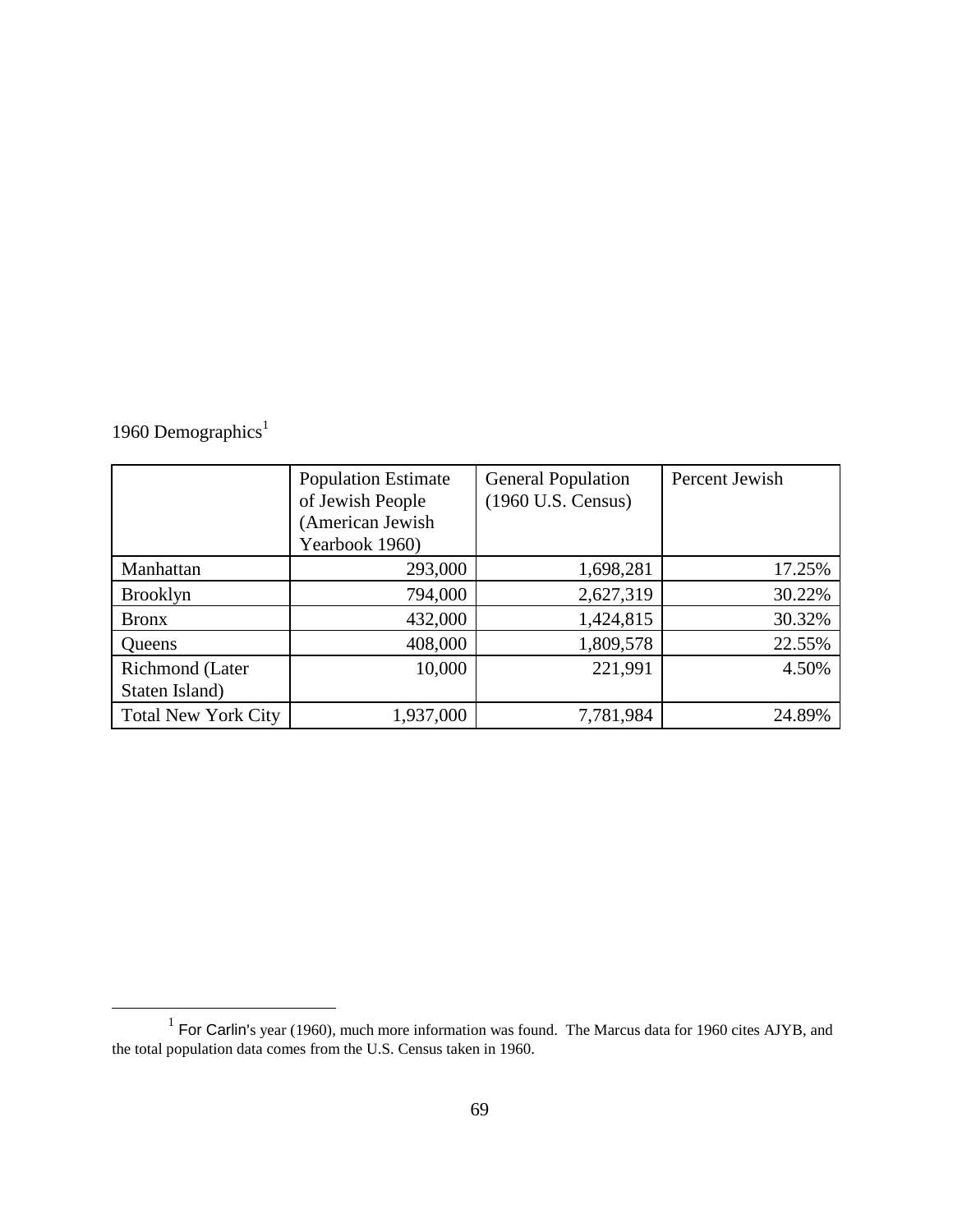|  | 1960 Demographics <sup>1</sup> |
|--|--------------------------------|
|  |                                |

|                            | <b>Population Estimate</b> | <b>General Population</b> | Percent Jewish |  |
|----------------------------|----------------------------|---------------------------|----------------|--|
|                            | of Jewish People           | (1960 U.S. Census)        |                |  |
|                            | (American Jewish           |                           |                |  |
|                            | Yearbook 1960)             |                           |                |  |
| Manhattan                  | 293,000                    | 1,698,281                 | 17.25%         |  |
| <b>Brooklyn</b>            | 794,000                    | 2,627,319                 | 30.22%         |  |
| <b>Bronx</b>               | 432,000                    | 1,424,815                 | 30.32%         |  |
| Queens                     | 408,000                    | 1,809,578                 | 22.55%         |  |
| Richmond (Later            | 10,000                     | 221,991                   | 4.50%          |  |
| Staten Island)             |                            |                           |                |  |
| <b>Total New York City</b> | 1,937,000                  | 7,781,984                 | 24.89%         |  |

<sup>&</sup>lt;sup>1</sup> For Carlin's year (1960), much more information was found. The Marcus data for 1960 cites AJYB, and the total population data comes from the U.S. Census taken in 1960.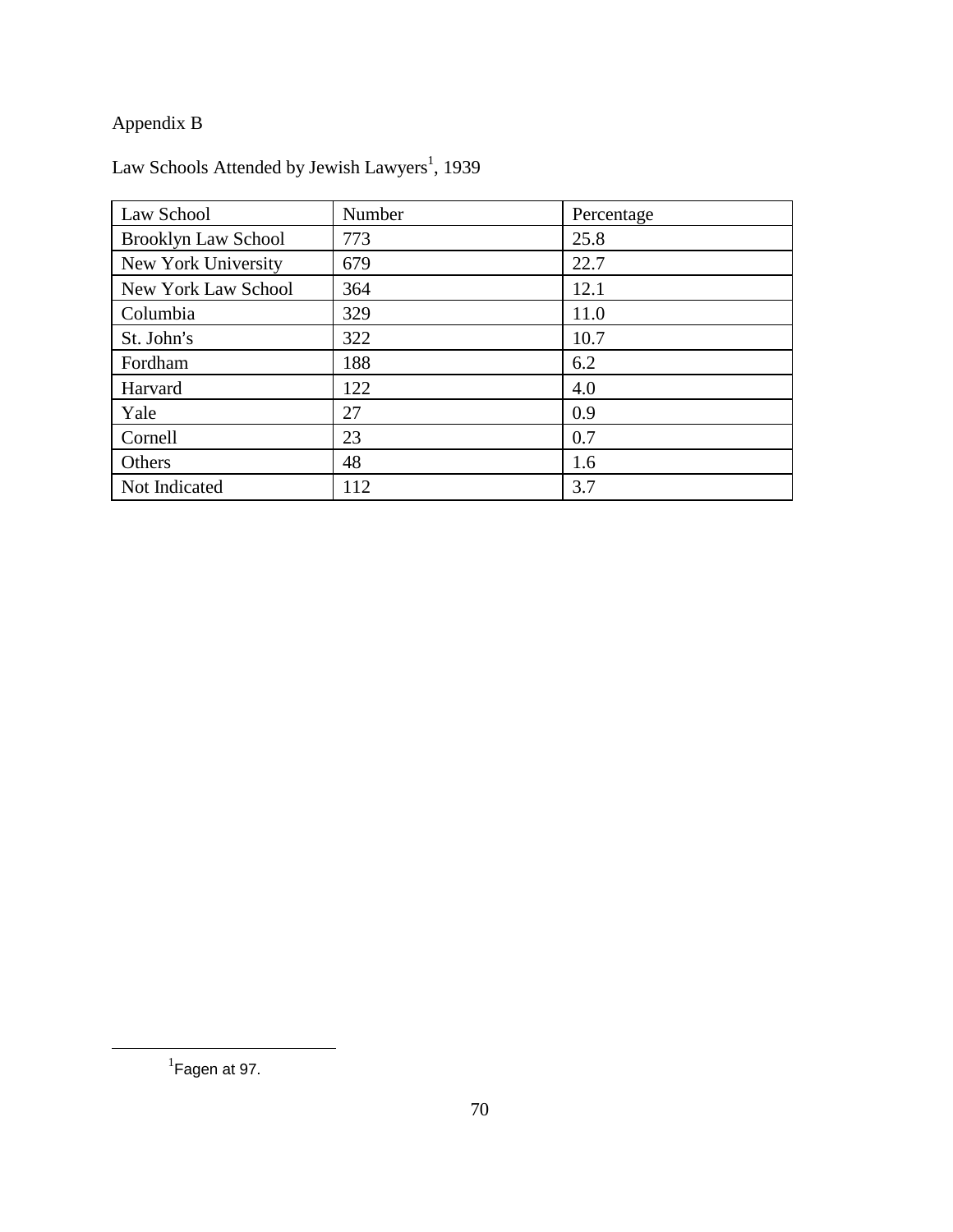### Appendix B

| Law School                 | Number | Percentage |
|----------------------------|--------|------------|
| <b>Brooklyn Law School</b> | 773    | 25.8       |
| New York University        | 679    | 22.7       |
| New York Law School        | 364    | 12.1       |
| Columbia                   | 329    | 11.0       |
| St. John's                 | 322    | 10.7       |
| Fordham                    | 188    | 6.2        |
| Harvard                    | 122    | 4.0        |
| Yale                       | 27     | 0.9        |
| Cornell                    | 23     | 0.7        |
| Others                     | 48     | 1.6        |
| Not Indicated              | 112    | 3.7        |

Law Schools Attended by Jewish Lawyers<sup>1</sup>, 1939

 $<sup>1</sup>$ Fagen at 97.</sup>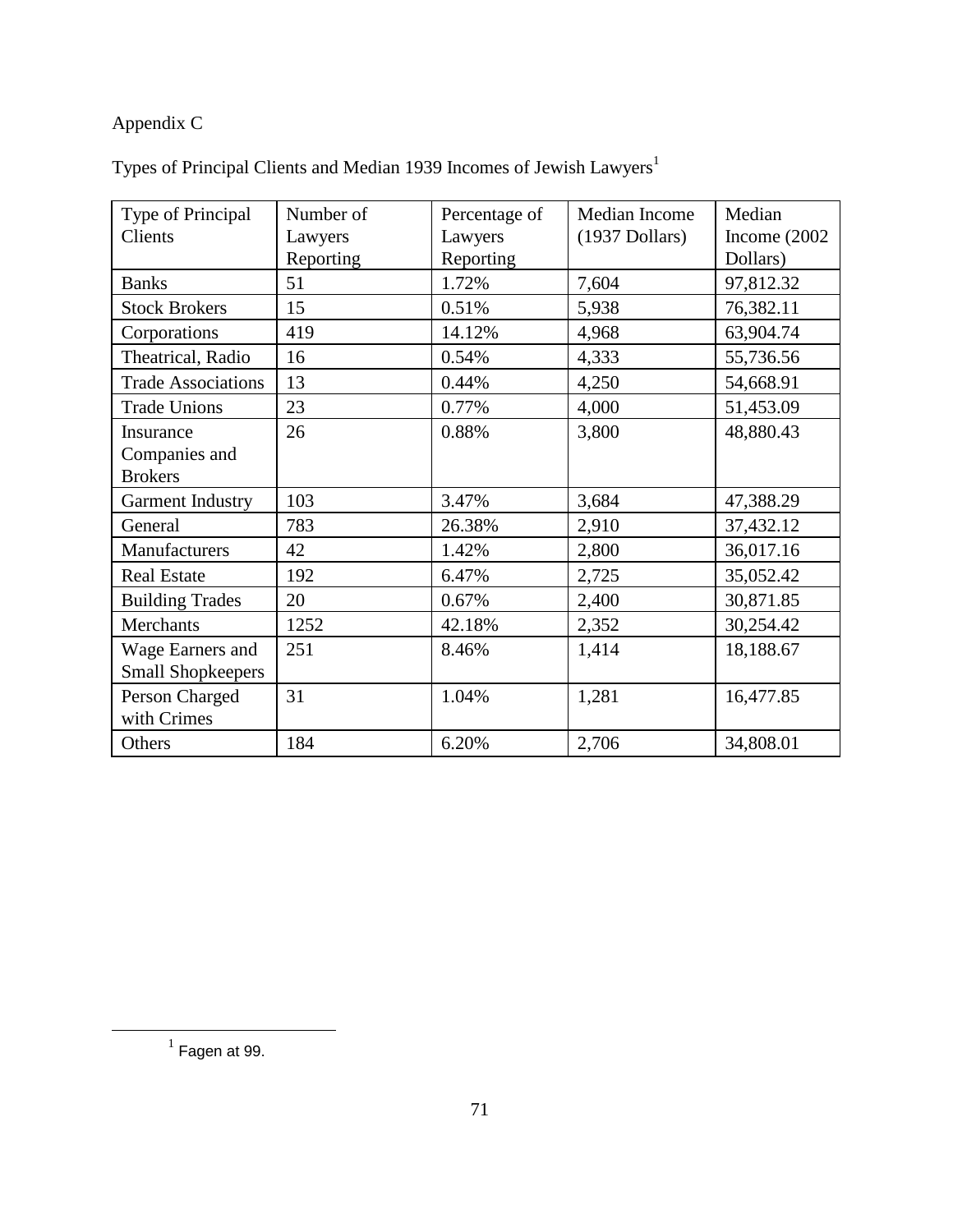# Appendix C

| Type of Principal         | Number of | Percentage of | Median Income    | Median          |
|---------------------------|-----------|---------------|------------------|-----------------|
| Clients                   | Lawyers   | Lawyers       | $(1937$ Dollars) | Income $(2002)$ |
|                           | Reporting | Reporting     |                  | Dollars)        |
| <b>Banks</b>              | 51        | 1.72%         | 7,604            | 97,812.32       |
| <b>Stock Brokers</b>      | 15        | 0.51%         | 5,938            | 76,382.11       |
| Corporations              | 419       | 14.12%        | 4,968            | 63,904.74       |
| Theatrical, Radio         | 16        | 0.54%         | 4,333            | 55,736.56       |
| <b>Trade Associations</b> | 13        | 0.44%         | 4,250            | 54,668.91       |
| <b>Trade Unions</b>       | 23        | 0.77%         | 4,000            | 51,453.09       |
| Insurance                 | 26        | 0.88%         | 3,800            | 48,880.43       |
| Companies and             |           |               |                  |                 |
| <b>Brokers</b>            |           |               |                  |                 |
| <b>Garment Industry</b>   | 103       | 3.47%         | 3,684            | 47,388.29       |
| General                   | 783       | 26.38%        | 2,910            | 37,432.12       |
| Manufacturers             | 42        | 1.42%         | 2,800            | 36,017.16       |
| <b>Real Estate</b>        | 192       | 6.47%         | 2,725            | 35,052.42       |
| <b>Building Trades</b>    | 20        | 0.67%         | 2,400            | 30,871.85       |
| Merchants                 | 1252      | 42.18%        | 2,352            | 30,254.42       |
| Wage Earners and          | 251       | 8.46%         | 1,414            | 18,188.67       |
| <b>Small Shopkeepers</b>  |           |               |                  |                 |
| Person Charged            | 31        | 1.04%         | 1,281            | 16,477.85       |
| with Crimes               |           |               |                  |                 |
| Others                    | 184       | 6.20%         | 2,706            | 34,808.01       |

 $1$  Fagen at 99.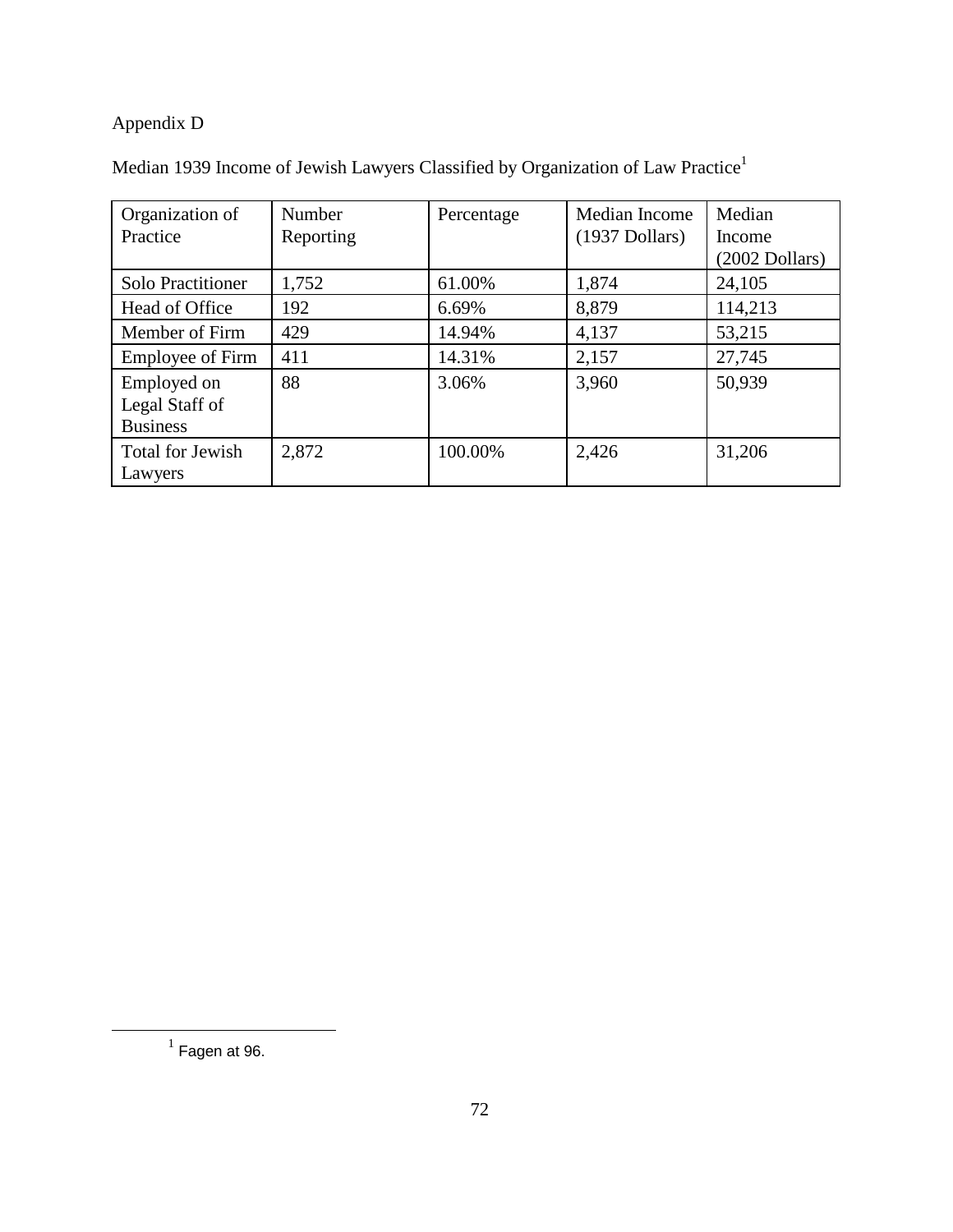# Appendix D

| Organization of          | Number    | Percentage | Median Income    | Median            |
|--------------------------|-----------|------------|------------------|-------------------|
| Practice                 | Reporting |            | $(1937$ Dollars) | Income            |
|                          |           |            |                  | $(2002)$ Dollars) |
| <b>Solo Practitioner</b> | 1,752     | 61.00%     | 1,874            | 24,105            |
| Head of Office           | 192       | 6.69%      | 8,879            | 114,213           |
| Member of Firm           | 429       | 14.94%     | 4,137            | 53,215            |
| <b>Employee of Firm</b>  | 411       | 14.31%     | 2,157            | 27,745            |
| Employed on              | 88        | 3.06%      | 3,960            | 50,939            |
| Legal Staff of           |           |            |                  |                   |
| <b>Business</b>          |           |            |                  |                   |
| Total for Jewish         | 2,872     | 100.00%    | 2,426            | 31,206            |
| Lawyers                  |           |            |                  |                   |

|  |  | Median 1939 Income of Jewish Lawyers Classified by Organization of Law Practice <sup>1</sup> |  |  |
|--|--|----------------------------------------------------------------------------------------------|--|--|

 $^1$  Fagen at 96.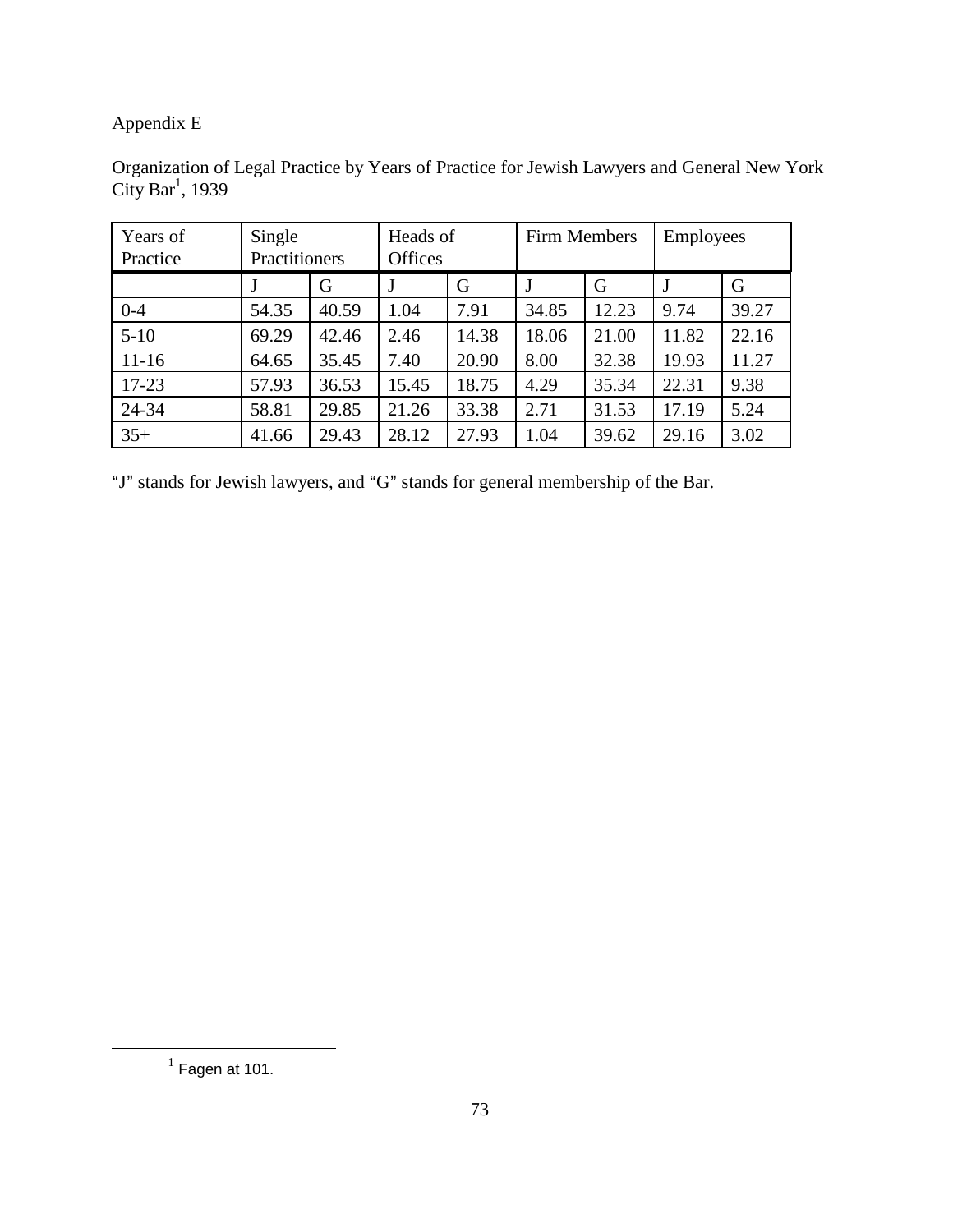## Appendix E

| Organization of Legal Practice by Years of Practice for Jewish Lawyers and General New York |  |  |
|---------------------------------------------------------------------------------------------|--|--|
| City Bar <sup>1</sup> , 1939                                                                |  |  |

| Years of<br>Practice | Single<br>Practitioners |       | Heads of<br>Offices |       | Firm Members |       | <b>Employees</b> |       |
|----------------------|-------------------------|-------|---------------------|-------|--------------|-------|------------------|-------|
|                      |                         | G     |                     | G     |              | G     |                  | G     |
| $0 - 4$              | 54.35                   | 40.59 | 1.04                | 7.91  | 34.85        | 12.23 | 9.74             | 39.27 |
| $5-10$               | 69.29                   | 42.46 | 2.46                | 14.38 | 18.06        | 21.00 | 11.82            | 22.16 |
| $11-16$              | 64.65                   | 35.45 | 7.40                | 20.90 | 8.00         | 32.38 | 19.93            | 11.27 |
| $17 - 23$            | 57.93                   | 36.53 | 15.45               | 18.75 | 4.29         | 35.34 | 22.31            | 9.38  |
| 24-34                | 58.81                   | 29.85 | 21.26               | 33.38 | 2.71         | 31.53 | 17.19            | 5.24  |
| $35+$                | 41.66                   | 29.43 | 28.12               | 27.93 | 1.04         | 39.62 | 29.16            | 3.02  |

"J" stands for Jewish lawyers, and "G" stands for general membership of the Bar.

 $<sup>1</sup>$  Fagen at 101.</sup>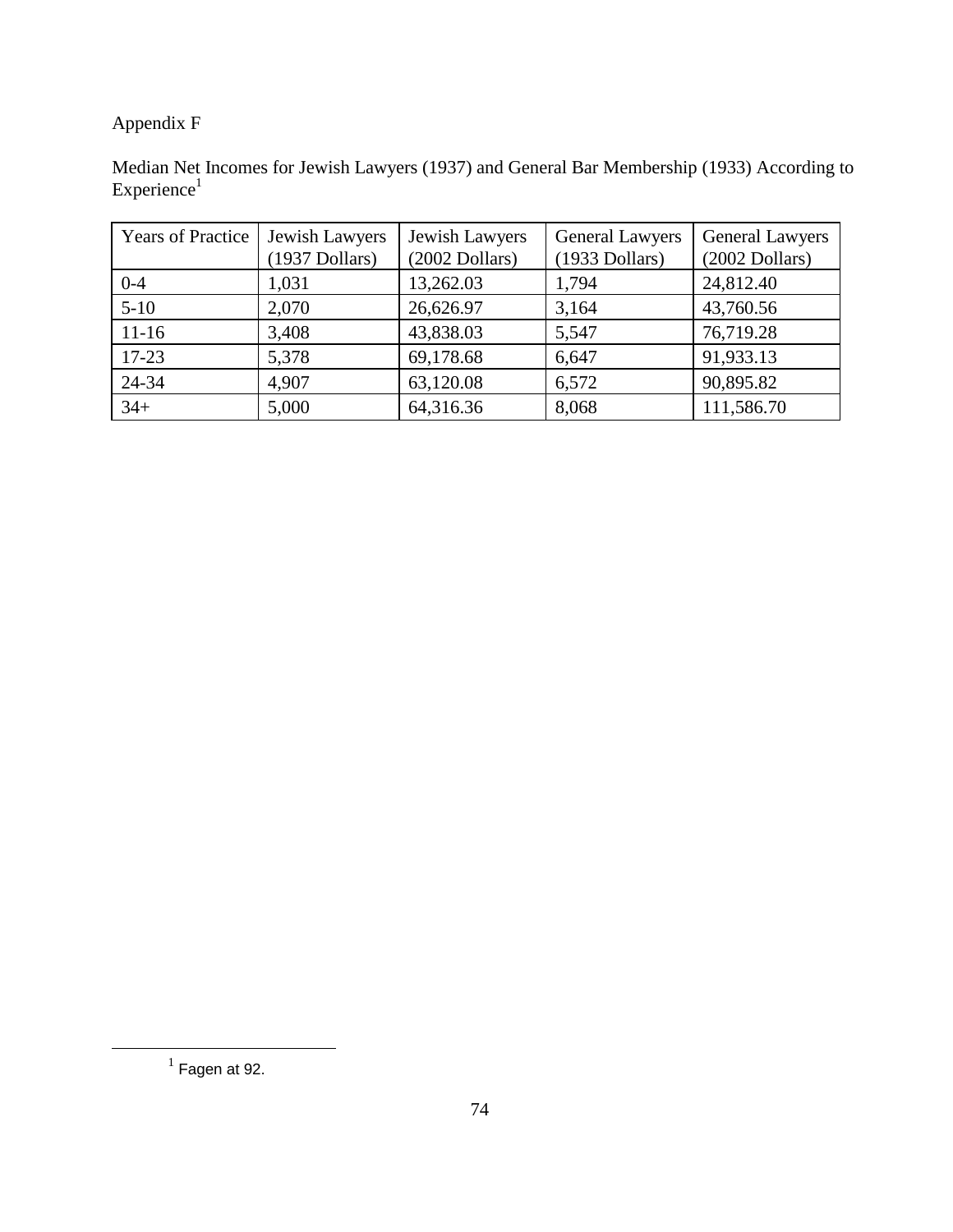### Appendix F

Median Net Incomes for Jewish Lawyers (1937) and General Bar Membership (1933) According to Experience<sup>1</sup>

| <b>Years of Practice</b> | Jewish Lawyers<br>$(1937)$ Dollars) | Jewish Lawyers<br>$(2002$ Dollars) | <b>General Lawyers</b><br>$(1933$ Dollars) | <b>General Lawyers</b><br>$(2002$ Dollars) |
|--------------------------|-------------------------------------|------------------------------------|--------------------------------------------|--------------------------------------------|
| $0 - 4$                  | 1,031                               | 13,262.03                          | 1,794                                      | 24,812.40                                  |
| $5-10$                   | 2,070                               | 26,626.97                          | 3,164                                      | 43,760.56                                  |
| $11-16$                  | 3,408                               | 43,838.03                          | 5,547                                      | 76,719.28                                  |
| $17-23$                  | 5,378                               | 69,178.68                          | 6,647                                      | 91,933.13                                  |
| 24-34                    | 4,907                               | 63,120.08                          | 6,572                                      | 90,895.82                                  |
| $34+$                    | 5,000                               | 64,316.36                          | 8,068                                      | 111,586.70                                 |

 $<sup>1</sup>$  Fagen at 92.</sup>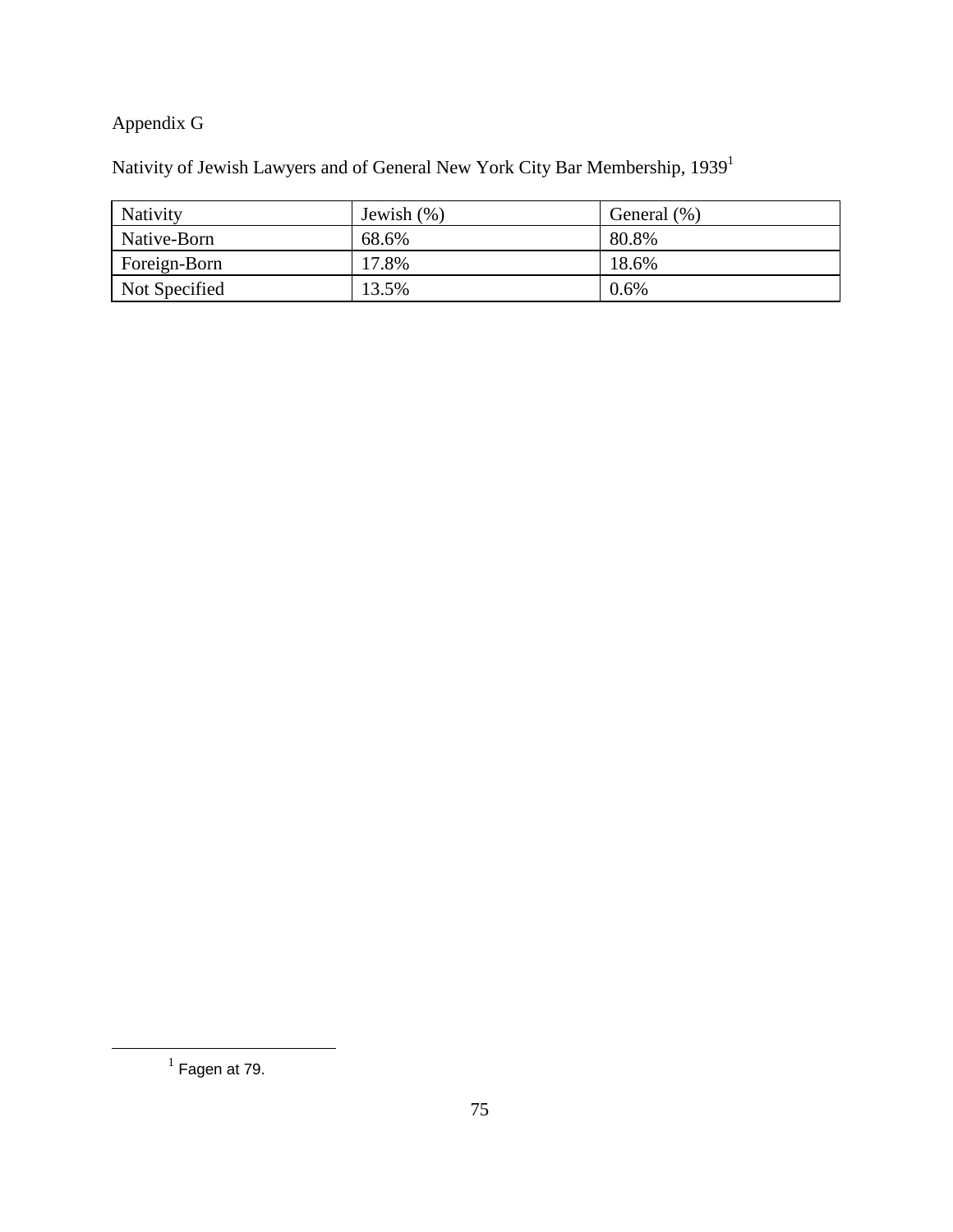## Appendix G

Nativity of Jewish Lawyers and of General New York City Bar Membership, 19391

| Nativity      | Jewish $(\%)$ | General (%) |
|---------------|---------------|-------------|
| Native-Born   | 68.6%         | 80.8%       |
| Foreign-Born  | 17.8%         | 18.6%       |
| Not Specified | 13.5%         | 0.6%        |

 $<sup>1</sup>$  Fagen at 79.</sup>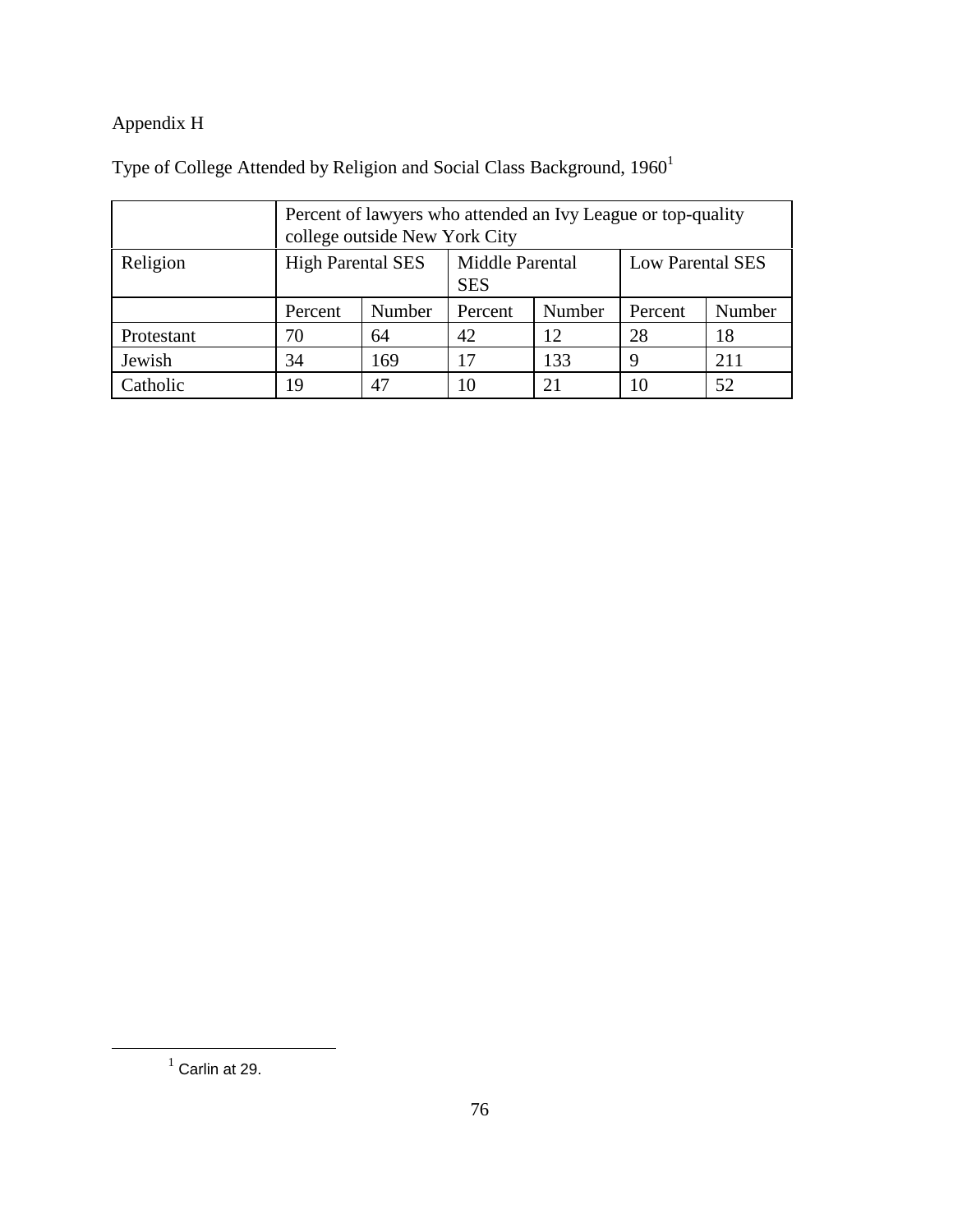## Appendix H

|            | Percent of lawyers who attended an Ivy League or top-quality<br>college outside New York City |        |                               |        |                         |        |
|------------|-----------------------------------------------------------------------------------------------|--------|-------------------------------|--------|-------------------------|--------|
| Religion   | <b>High Parental SES</b>                                                                      |        | Middle Parental<br><b>SES</b> |        | <b>Low Parental SES</b> |        |
|            | Percent                                                                                       | Number | Percent                       | Number | Percent                 | Number |
| Protestant | 70                                                                                            | 64     | 42                            | 12     | 28                      | 18     |
| Jewish     | 34                                                                                            | 169    | 17                            | 133    | q                       | 211    |
| Catholic   | 19                                                                                            | 47     | 10                            | 21     | 10                      | 52     |

Type of College Attended by Religion and Social Class Background,  $1960<sup>1</sup>$ 

 $<sup>1</sup>$  Carlin at 29.</sup>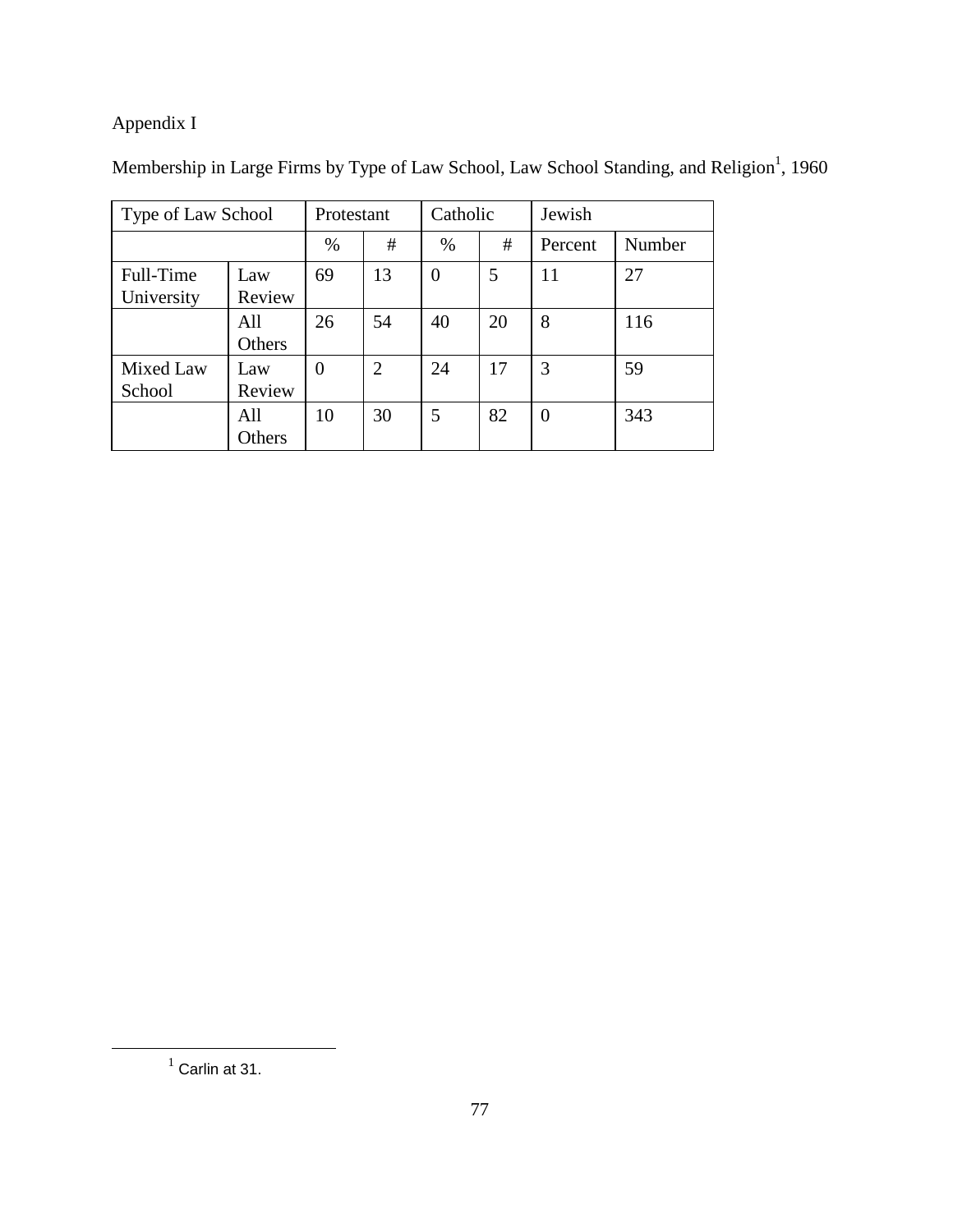# Appendix I

|  |  | Membership in Large Firms by Type of Law School, Law School Standing, and Religion <sup>1</sup> , 1960 |
|--|--|--------------------------------------------------------------------------------------------------------|
|--|--|--------------------------------------------------------------------------------------------------------|

|                                          | Type of Law School |          | Protestant     |          | Catholic | Jewish         |        |
|------------------------------------------|--------------------|----------|----------------|----------|----------|----------------|--------|
|                                          |                    | %        | #              | $\%$     | #        | Percent        | Number |
| Full-Time<br>Law<br>Review<br>University |                    | 69       | 13             | $\theta$ | 5        | 11             | 27     |
|                                          | All<br>Others      | 26       | 54             | 40       | 20       | 8              | 116    |
| Mixed Law<br>School                      | Law<br>Review      | $\theta$ | $\overline{2}$ | 24       | 17       | 3              | 59     |
| All<br>Others                            |                    | 10       | 30             | 5        | 82       | $\overline{0}$ | 343    |

 $<sup>1</sup>$  Carlin at 31.</sup>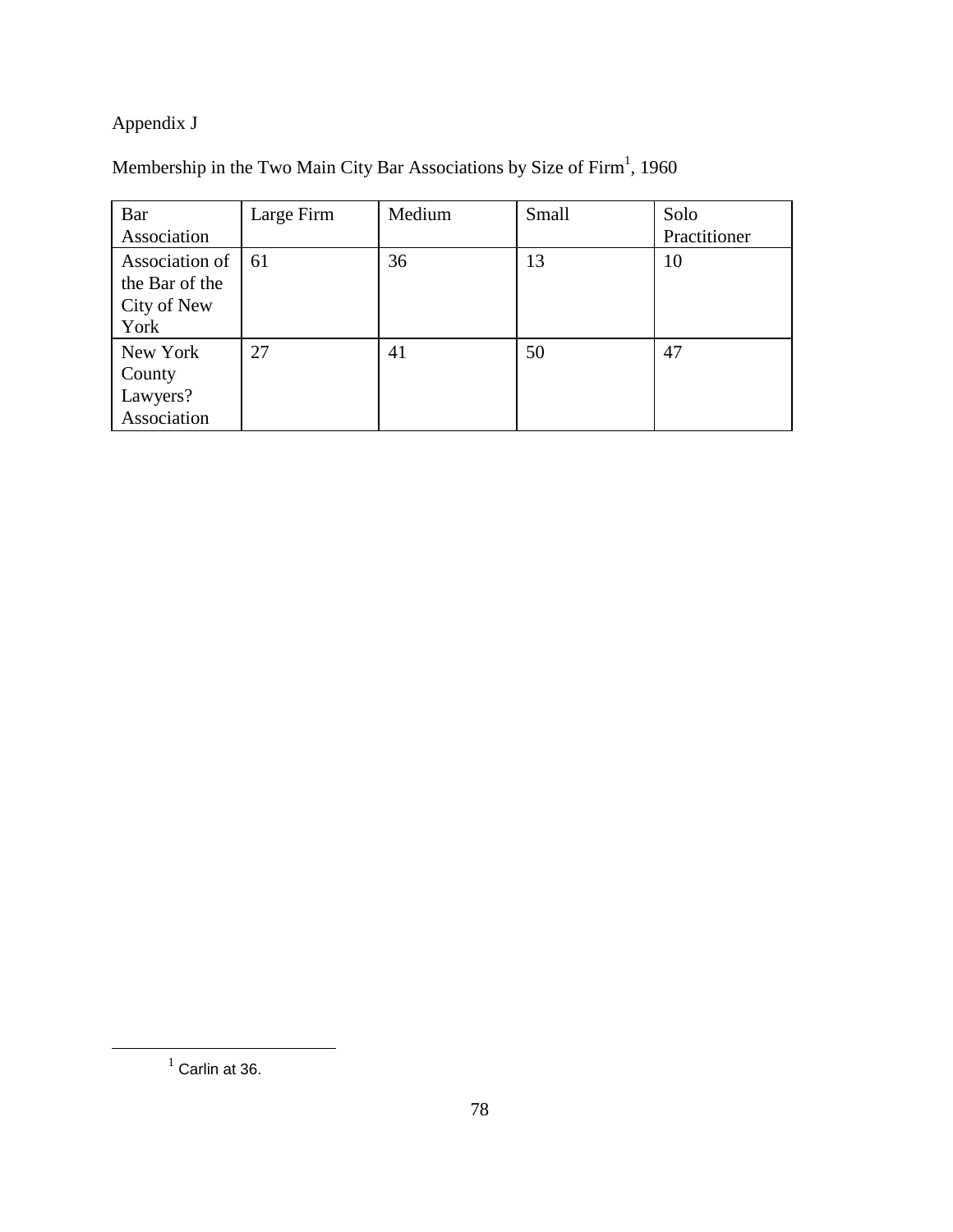## Appendix J

#### Membership in the Two Main City Bar Associations by Size of Firm $^1$ , 1960

| Bar<br>Association                                      | Large Firm | Medium | Small | Solo<br>Practitioner |
|---------------------------------------------------------|------------|--------|-------|----------------------|
| Association of<br>the Bar of the<br>City of New<br>York | 61         | 36     | 13    | 10                   |
| New York<br>County<br>Lawyers?<br>Association           | 27         | 41     | 50    | 47                   |

 $<sup>1</sup>$  Carlin at 36.</sup>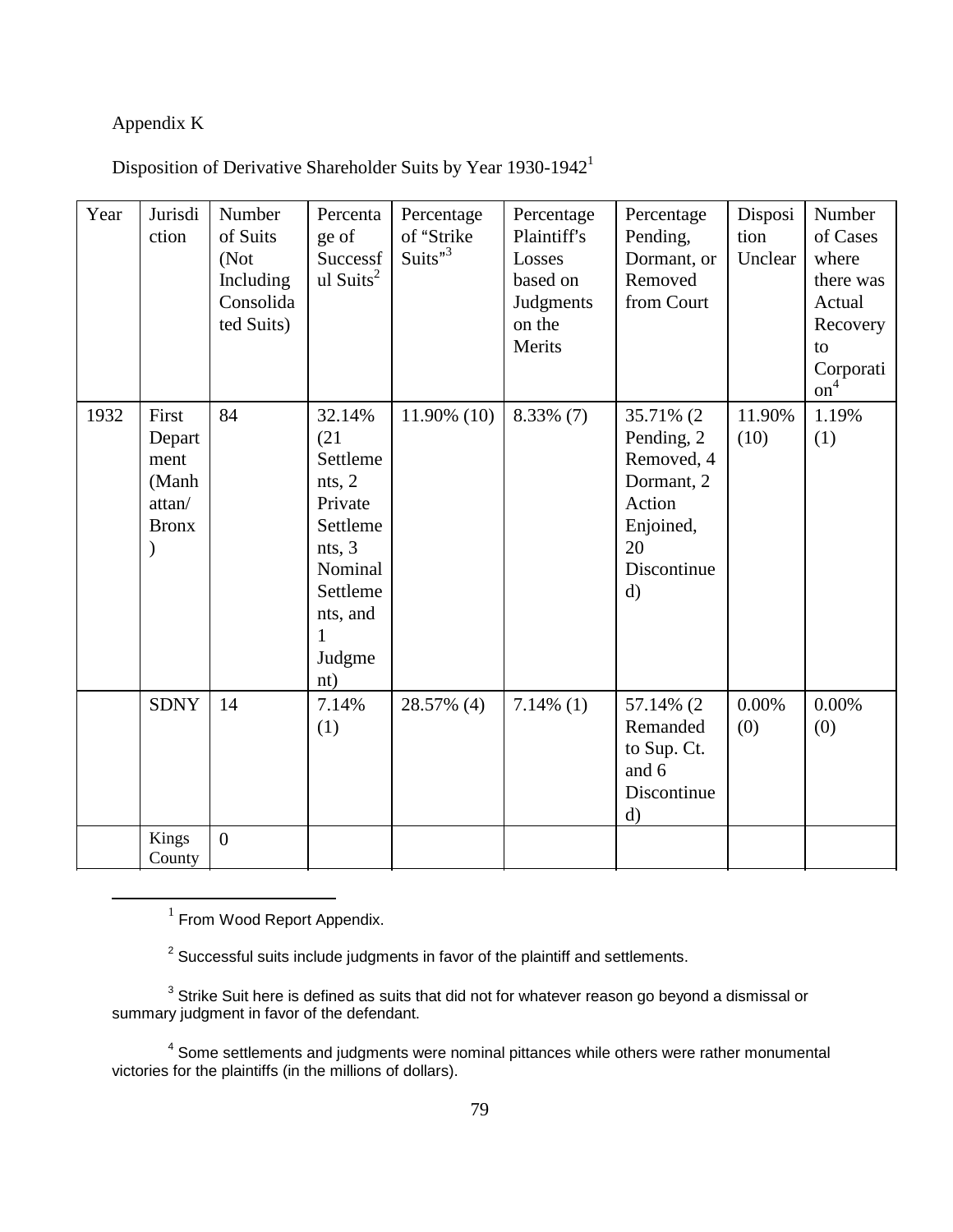### Appendix K

| Year | Jurisdi<br>ction                                           | Number<br>of Suits<br>(Not<br>Including<br>Consolida<br>ted Suits) | Percenta<br>ge of<br>Successf<br>ul Suits <sup>2</sup>                                                                         | Percentage<br>of "Strike<br>Suits"3 | Percentage<br>Plaintiff's<br>Losses<br>based on<br>Judgments<br>on the<br>Merits | Percentage<br>Pending,<br>Dormant, or<br>Removed<br>from Court                                                   | Disposi<br>tion<br>Unclear | Number<br>of Cases<br>where<br>there was<br>Actual<br>Recovery<br>to<br>Corporati<br>$\mathbf{on}^4$ |
|------|------------------------------------------------------------|--------------------------------------------------------------------|--------------------------------------------------------------------------------------------------------------------------------|-------------------------------------|----------------------------------------------------------------------------------|------------------------------------------------------------------------------------------------------------------|----------------------------|------------------------------------------------------------------------------------------------------|
| 1932 | First<br>Depart<br>ment<br>(Manh<br>attan/<br><b>Bronx</b> | 84                                                                 | 32.14%<br>(21)<br>Settleme<br>nts, 2<br>Private<br>Settleme<br>nts, 3<br>Nominal<br>Settleme<br>nts, and<br>1<br>Judgme<br>nt) | 11.90% (10)                         | $8.33\%$ (7)                                                                     | 35.71% (2)<br>Pending, 2<br>Removed, 4<br>Dormant, 2<br>Action<br>Enjoined,<br>20<br>Discontinue<br>$\mathbf{d}$ | 11.90%<br>(10)             | 1.19%<br>(1)                                                                                         |
|      | <b>SDNY</b>                                                | 14                                                                 | 7.14%<br>(1)                                                                                                                   | 28.57% (4)                          | $7.14\%$ (1)                                                                     | 57.14% (2)<br>Remanded<br>to Sup. Ct.<br>and 6<br>Discontinue<br>$\mathbf{d}$                                    | 0.00%<br>(0)               | 0.00%<br>(0)                                                                                         |
|      | Kings<br>County                                            | $\overline{0}$                                                     |                                                                                                                                |                                     |                                                                                  |                                                                                                                  |                            |                                                                                                      |

Disposition of Derivative Shareholder Suits by Year 1930-19421

 $2$  Successful suits include judgments in favor of the plaintiff and settlements.

 $^3$  Strike Suit here is defined as suits that did not for whatever reason go beyond a dismissal or summary judgment in favor of the defendant.

<sup>4</sup> Some settlements and judgments were nominal pittances while others were rather monumental victories for the plaintiffs (in the millions of dollars).

 $1$  From Wood Report Appendix.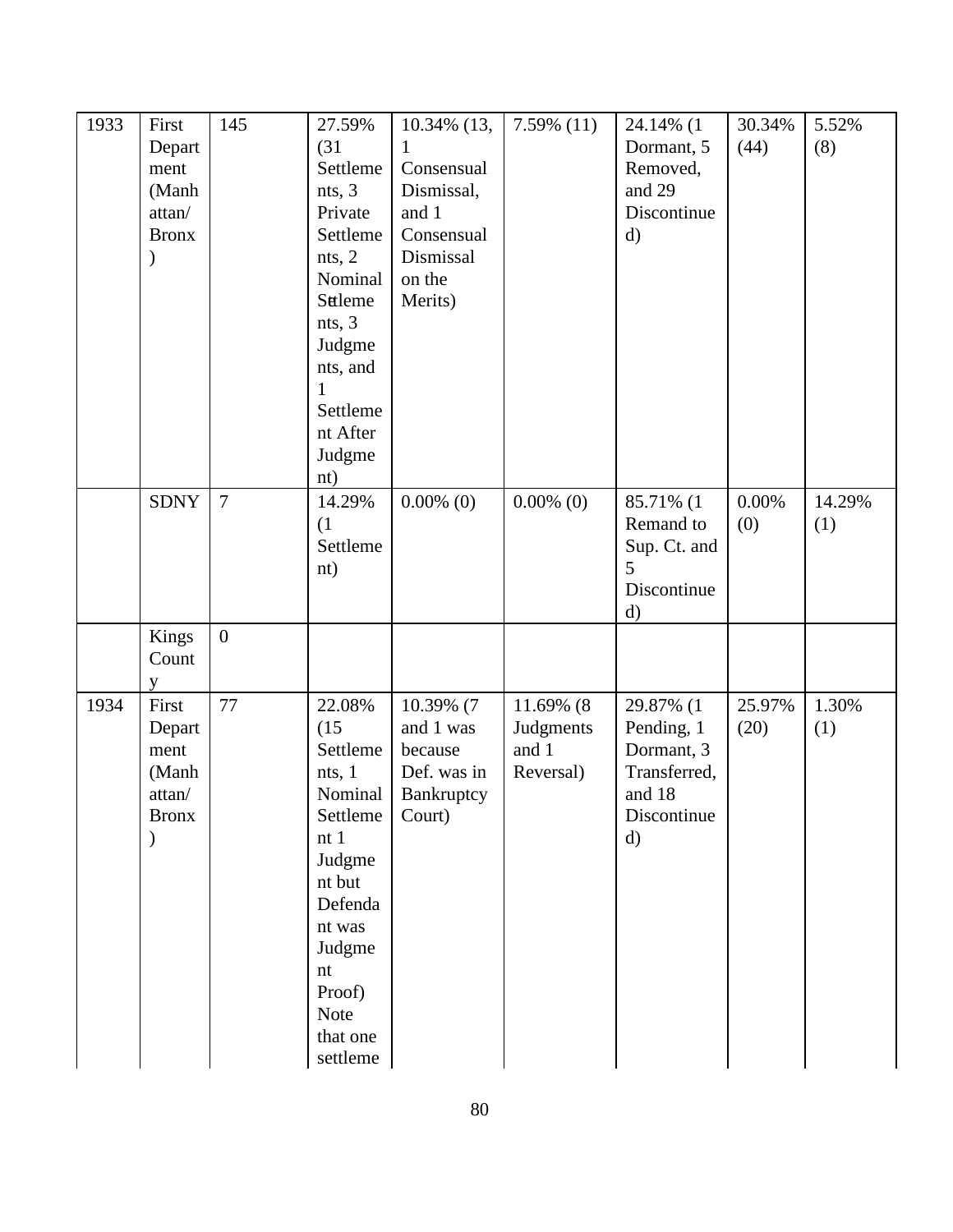| 1933 | First<br>Depart<br>ment<br>(Manh<br>attan/<br><b>Bronx</b> | 145            | 27.59%<br>(31)<br>Settleme<br>nts, 3<br>Private<br>Settleme<br>nts, 2<br>Nominal                                                                                                                   | 10.34% (13,<br>1<br>Consensual<br>Dismissal,<br>and 1<br>Consensual<br>Dismissal<br>on the | $7.59\%$ (11)                                | 24.14% (1<br>Dormant, 5<br>Removed,<br>and 29<br>Discontinue<br>$\mathbf{d}$                   | 30.34%<br>(44)  | 5.52%<br>(8)  |
|------|------------------------------------------------------------|----------------|----------------------------------------------------------------------------------------------------------------------------------------------------------------------------------------------------|--------------------------------------------------------------------------------------------|----------------------------------------------|------------------------------------------------------------------------------------------------|-----------------|---------------|
|      |                                                            |                | Sttleme<br>nts, 3<br>Judgme<br>nts, and<br>1<br>Settleme<br>nt After<br>Judgme<br>nt)                                                                                                              | Merits)                                                                                    |                                              |                                                                                                |                 |               |
|      | <b>SDNY</b>                                                | $\overline{7}$ | 14.29%<br>(1)<br>Settleme<br>nt)                                                                                                                                                                   | $0.00\%$ (0)                                                                               | $0.00\%$ (0)                                 | 85.71% (1<br>Remand to<br>Sup. Ct. and<br>5<br>Discontinue<br>$\rm d)$                         | $0.00\%$<br>(0) | 14.29%<br>(1) |
|      | Kings<br>Count<br>y                                        | $\overline{0}$ |                                                                                                                                                                                                    |                                                                                            |                                              |                                                                                                |                 |               |
| 1934 | First<br>Depart<br>ment<br>(Manh<br>attan/<br><b>Bronx</b> | 77             | 22.08%<br>(15)<br>Settleme<br>nts, 1<br>Nominal<br>Settleme<br>nt1<br>Judgme<br>nt but<br>Defenda<br>nt was<br>Judgme<br>$\mathop{\hbox{\rm nt}}$<br>Proof)<br><b>Note</b><br>that one<br>settleme | 10.39% (7<br>and 1 was<br>because<br>Def. was in<br>Bankruptcy<br>Court)                   | 11.69% (8<br>Judgments<br>and 1<br>Reversal) | 29.87% (1<br>Pending, 1<br>Dormant, 3<br>Transferred,<br>and 18<br>Discontinue<br>$\mathbf{d}$ | 25.97%<br>(20)  | 1.30%<br>(1)  |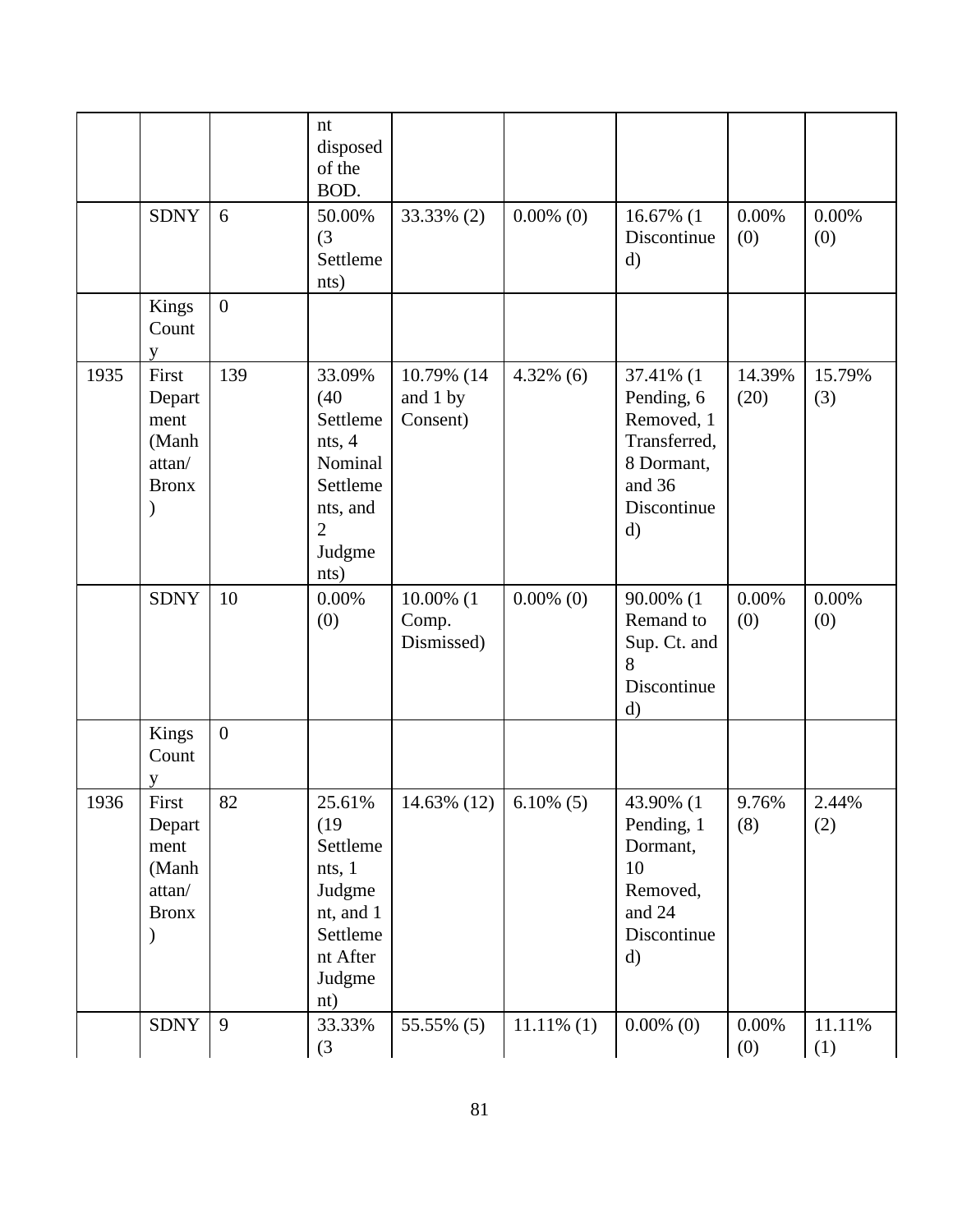|      |                                                            |                | nt<br>disposed<br>of the<br>BOD.                                                                            |                                    |               |                                                                                                              |                 |               |
|------|------------------------------------------------------------|----------------|-------------------------------------------------------------------------------------------------------------|------------------------------------|---------------|--------------------------------------------------------------------------------------------------------------|-----------------|---------------|
|      | <b>SDNY</b>                                                | 6              | 50.00%<br>(3)<br>Settleme<br>nts)                                                                           | 33.33% (2)                         | $0.00\%$ (0)  | 16.67% (1<br>Discontinue<br>$\mathbf{d}$                                                                     | $0.00\%$<br>(0) | 0.00%<br>(0)  |
|      | Kings<br>Count<br>V                                        | $\overline{0}$ |                                                                                                             |                                    |               |                                                                                                              |                 |               |
| 1935 | First<br>Depart<br>ment<br>(Manh<br>attan/<br><b>Bronx</b> | 139            | 33.09%<br>(40)<br>Settleme<br>nts, 4<br>Nominal<br>Settleme<br>nts, and<br>$\overline{2}$<br>Judgme<br>nts) | 10.79% (14<br>and 1 by<br>Consent) | $4.32\%$ (6)  | 37.41% (1<br>Pending, 6<br>Removed, 1<br>Transferred,<br>8 Dormant,<br>and 36<br>Discontinue<br>$\mathbf{d}$ | 14.39%<br>(20)  | 15.79%<br>(3) |
|      | <b>SDNY</b>                                                | 10             | 0.00%<br>(0)                                                                                                | 10.00% (1<br>Comp.<br>Dismissed)   | $0.00\%$ (0)  | 90.00% (1<br>Remand to<br>Sup. Ct. and<br>8<br>Discontinue<br>d)                                             | 0.00%<br>(0)    | 0.00%<br>(0)  |
|      | Kings<br>Count                                             | $\overline{0}$ |                                                                                                             |                                    |               |                                                                                                              |                 |               |
| 1936 | First<br>Depart<br>ment<br>(Manh<br>attan/<br><b>Bronx</b> | 82             | 25.61%<br>(19)<br>Settleme<br>nts, 1<br>Judgme<br>nt, and 1<br>Settleme<br>nt After<br>Judgme<br>nt)        | $14.63\%$ (12) 6.10\% (5)          |               | 43.90% (1<br>Pending, 1<br>Dormant,<br>10<br>Removed,<br>and 24<br>Discontinue<br>$\mathbf{d}$               | 9.76%<br>(8)    | 2.44%<br>(2)  |
|      | <b>SDNY</b>                                                | 9              | 33.33%<br>(3)                                                                                               | 55.55% (5)                         | $11.11\%$ (1) | $0.00\%$ (0)                                                                                                 | 0.00%<br>(0)    | 11.11%<br>(1) |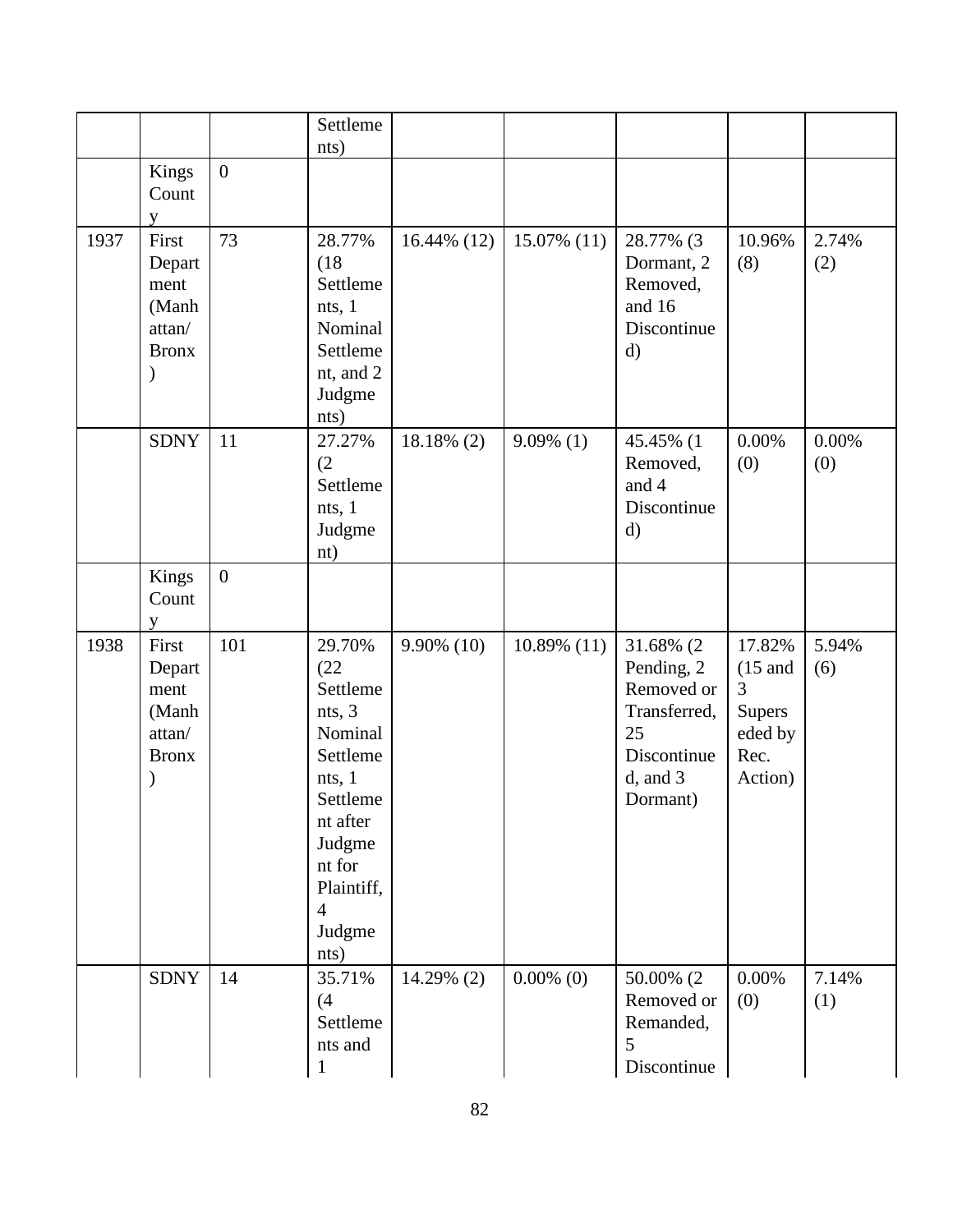|      |                                                            |                  | Settleme<br>nts)                                                                                                                                                    |                |                |                                                                                                         |                                                                         |              |
|------|------------------------------------------------------------|------------------|---------------------------------------------------------------------------------------------------------------------------------------------------------------------|----------------|----------------|---------------------------------------------------------------------------------------------------------|-------------------------------------------------------------------------|--------------|
|      | Kings<br>Count<br>V                                        | $\boldsymbol{0}$ |                                                                                                                                                                     |                |                |                                                                                                         |                                                                         |              |
| 1937 | First<br>Depart<br>ment<br>(Manh<br>attan/<br><b>Bronx</b> | 73               | 28.77%<br>(18)<br>Settleme<br>nts, 1<br>Nominal<br>Settleme<br>nt, and 2<br>Judgme<br>nts)                                                                          | $16.44\%$ (12) | 15.07% (11)    | 28.77% (3<br>Dormant, 2<br>Removed,<br>and 16<br>Discontinue<br>$\mathbf{d}$                            | 10.96%<br>(8)                                                           | 2.74%<br>(2) |
|      | <b>SDNY</b>                                                | 11               | 27.27%<br>(2)<br>Settleme<br>nts, 1<br>Judgme<br>nt)                                                                                                                | 18.18% (2)     | $9.09\%$ (1)   | 45.45% (1<br>Removed,<br>and 4<br>Discontinue<br>$\mathbf{d}$                                           | 0.00%<br>(0)                                                            | 0.00%<br>(0) |
|      | Kings<br>Count<br>y                                        | $\overline{0}$   |                                                                                                                                                                     |                |                |                                                                                                         |                                                                         |              |
| 1938 | First<br>Depart<br>ment<br>(Manh<br>attan/<br><b>Bronx</b> | 101              | 29.70%<br>(22)<br>Settleme<br>nts, 3<br>Nominal<br>Settleme<br>nts, 1<br>Settleme<br>nt after<br>Judgme<br>nt for<br>Plaintiff,<br>$\overline{4}$<br>Judgme<br>nts) | 9.90% (10)     | $10.89\%$ (11) | 31.68% (2<br>Pending, 2<br>Removed or<br>Transferred,<br>25<br>Discontinue<br>$d$ , and $3$<br>Dormant) | 17.82%<br>$(15$ and<br>3<br><b>Supers</b><br>eded by<br>Rec.<br>Action) | 5.94%<br>(6) |
|      | <b>SDNY</b>                                                | 14               | 35.71%<br>(4)<br>Settleme<br>nts and<br>$\mathbf{1}$                                                                                                                | 14.29% (2)     | $0.00\%$ (0)   | 50.00% (2)<br>Removed or<br>Remanded,<br>5<br>Discontinue                                               | 0.00%<br>(0)                                                            | 7.14%<br>(1) |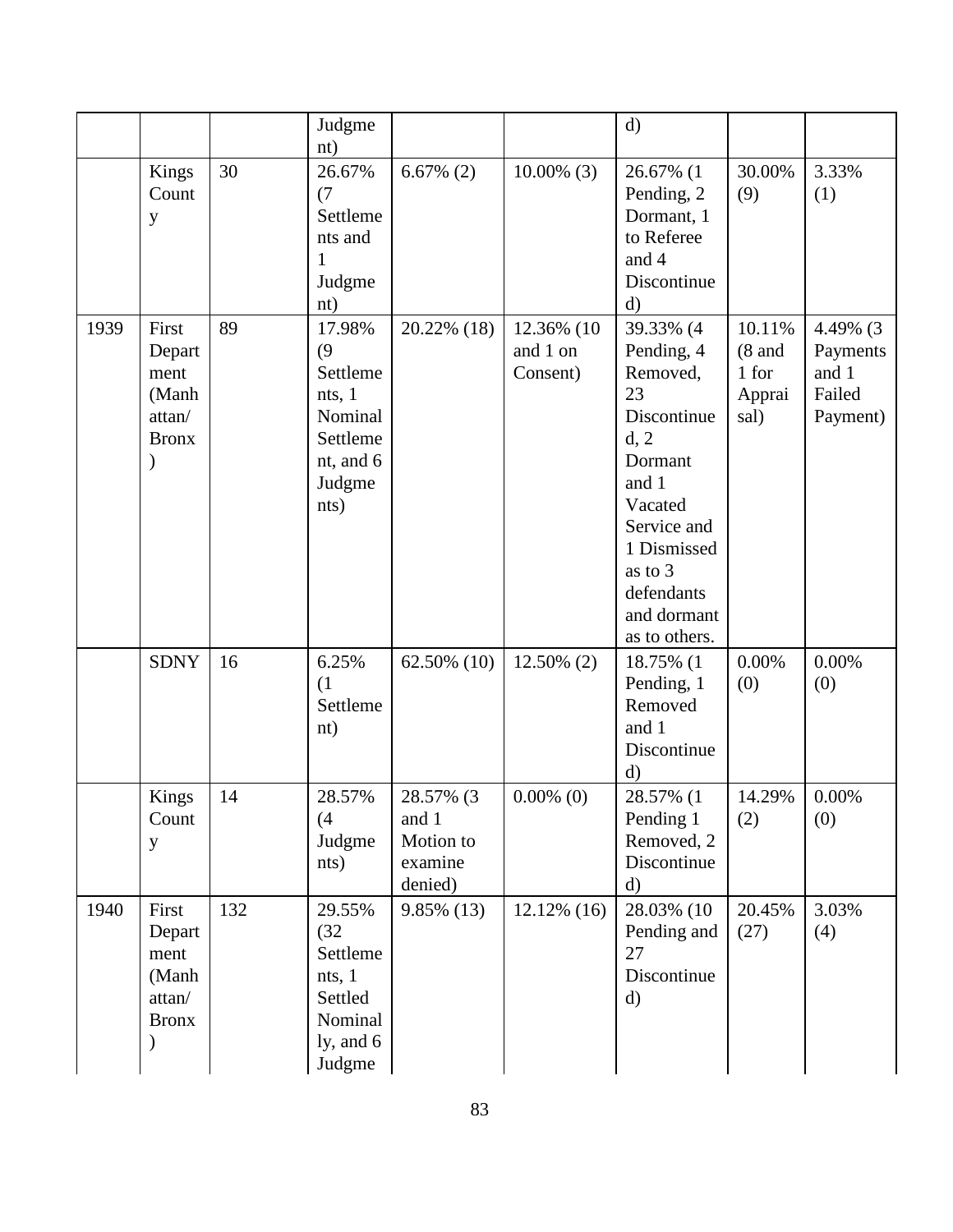|      |                                                            |     | Judgme<br>nt)                                                                             |                                                       |                                    | $\mathbf{d}$                                                                                                                                                                           |                                               |                                                     |
|------|------------------------------------------------------------|-----|-------------------------------------------------------------------------------------------|-------------------------------------------------------|------------------------------------|----------------------------------------------------------------------------------------------------------------------------------------------------------------------------------------|-----------------------------------------------|-----------------------------------------------------|
|      | Kings<br>Count<br>y                                        | 30  | 26.67%<br>(7)<br>Settleme<br>nts and<br>1<br>Judgme<br>nt)                                | $6.67\%$ (2)                                          | $10.00\%$ (3)                      | 26.67% (1<br>Pending, 2<br>Dormant, 1<br>to Referee<br>and 4<br>Discontinue<br>$\rm d)$                                                                                                | 30.00%<br>(9)                                 | 3.33%<br>(1)                                        |
| 1939 | First<br>Depart<br>ment<br>(Manh<br>attan/<br><b>Bronx</b> | 89  | 17.98%<br>(9)<br>Settleme<br>nts, 1<br>Nominal<br>Settleme<br>nt, and 6<br>Judgme<br>nts) | 20.22% (18)                                           | 12.36% (10<br>and 1 on<br>Consent) | 39.33% (4<br>Pending, 4<br>Removed,<br>23<br>Discontinue<br>d, 2<br>Dormant<br>and 1<br>Vacated<br>Service and<br>1 Dismissed<br>as to 3<br>defendants<br>and dormant<br>as to others. | 10.11%<br>$(8$ and<br>1 for<br>Apprai<br>sal) | 4.49% (3<br>Payments<br>and 1<br>Failed<br>Payment) |
|      | <b>SDNY</b>                                                | 16  | 6.25%<br>(1)<br>Settleme<br>nt)                                                           | 62.50% (10)                                           | 12.50% (2)                         | 18.75% (1<br>Pending, 1<br>Removed<br>and 1<br>Discontinue<br>d)                                                                                                                       | 0.00%<br>(0)                                  | 0.00%<br>(0)                                        |
|      | Kings<br>Count<br>y                                        | 14  | 28.57%<br>(4)<br>Judgme<br>nts)                                                           | 28.57% (3<br>and 1<br>Motion to<br>examine<br>denied) | $0.00\%$ (0)                       | 28.57% (1<br>Pending 1<br>Removed, 2<br>Discontinue<br>$\mathbf{d}$                                                                                                                    | 14.29%<br>(2)                                 | 0.00%<br>(0)                                        |
| 1940 | First<br>Depart<br>ment<br>(Manh<br>attan/<br><b>Bronx</b> | 132 | 29.55%<br>(32)<br>Settleme<br>nts, 1<br>Settled<br>Nominal<br>ly, and $6$<br>Judgme       | $9.85\%$ (13)                                         | $12.12\%$ (16)                     | 28.03% (10<br>Pending and<br>27<br>Discontinue<br>$\mathbf{d}$                                                                                                                         | 20.45%<br>(27)                                | 3.03%<br>(4)                                        |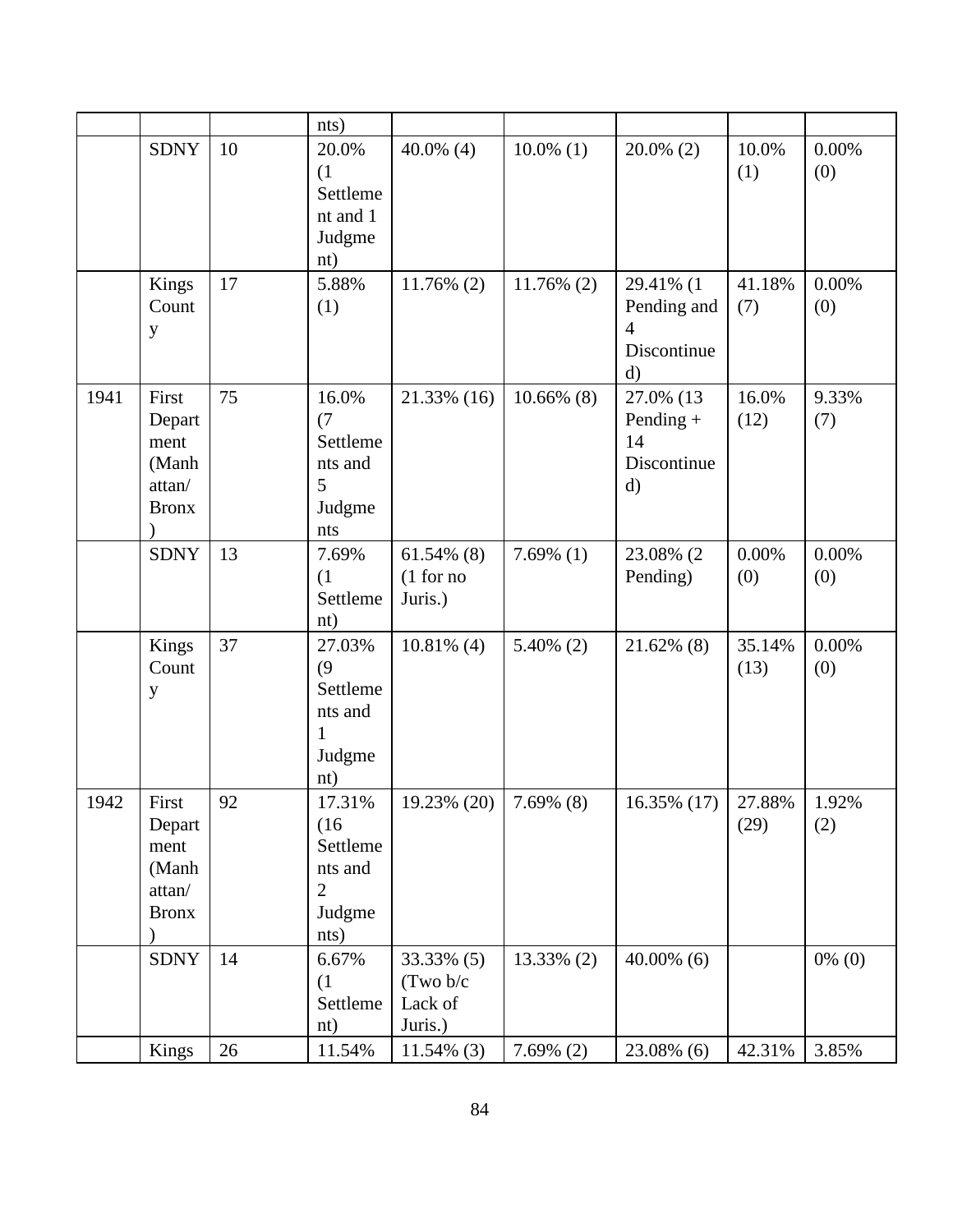|      |                                                            |    | nts)                                                         |                                               |               |                                                              |                |              |
|------|------------------------------------------------------------|----|--------------------------------------------------------------|-----------------------------------------------|---------------|--------------------------------------------------------------|----------------|--------------|
|      | <b>SDNY</b>                                                | 10 | 20.0%<br>(1)<br>Settleme<br>nt and 1<br>Judgme<br>nt)        | 40.0% $(4)$                                   | $10.0\%$ (1)  | $20.0\%$ (2)                                                 | 10.0%<br>(1)   | 0.00%<br>(0) |
|      | Kings<br>Count<br>y                                        | 17 | 5.88%<br>(1)                                                 | $11.76\%$ (2)                                 | $11.76\%$ (2) | 29.41% (1<br>Pending and<br>4<br>Discontinue<br>$\rm d)$     | 41.18%<br>(7)  | 0.00%<br>(0) |
| 1941 | First<br>Depart<br>ment<br>(Manh<br>attan/<br><b>Bronx</b> | 75 | 16.0%<br>(7)<br>Settleme<br>nts and<br>5<br>Judgme<br>nts    | 21.33% (16)                                   | $10.66\%$ (8) | 27.0% (13)<br>Pending +<br>14<br>Discontinue<br>$\mathbf{d}$ | 16.0%<br>(12)  | 9.33%<br>(7) |
|      | <b>SDNY</b>                                                | 13 | 7.69%<br>(1)<br>Settleme<br>nt)                              | $61.54\%$ (8)<br>(1 for no<br>Juris.)         | $7.69\%$ (1)  | 23.08% (2<br>Pending)                                        | 0.00%<br>(0)   | 0.00%<br>(0) |
|      | Kings<br>Count<br>y                                        | 37 | 27.03%<br>(9)<br>Settleme<br>nts and<br>1<br>Judgme<br>nt)   | $10.81\%$ (4)                                 | $5.40\%$ (2)  | 21.62% (8)                                                   | 35.14%<br>(13) | 0.00%<br>(0) |
| 1942 | First<br>Depart<br>ment<br>(Manh<br>attan/<br><b>Bronx</b> | 92 | 17.31%<br>(16)<br>Settleme<br>nts and<br>2<br>Judgme<br>nts) | 19.23% (20)                                   | 7.69% (8)     | $16.35\%$ (17)                                               | 27.88%<br>(29) | 1.92%<br>(2) |
|      | <b>SDNY</b>                                                | 14 | 6.67%<br>(1)<br>Settleme<br>nt)                              | 33.33% (5)<br>(Two b/c)<br>Lack of<br>Juris.) | 13.33% (2)    | $40.00\%$ (6)                                                |                | $0\%$ (0)    |
|      | Kings                                                      | 26 | 11.54%                                                       | $11.54\%$ (3)                                 | $7.69\%$ (2)  | 23.08% (6)                                                   | 42.31%         | 3.85%        |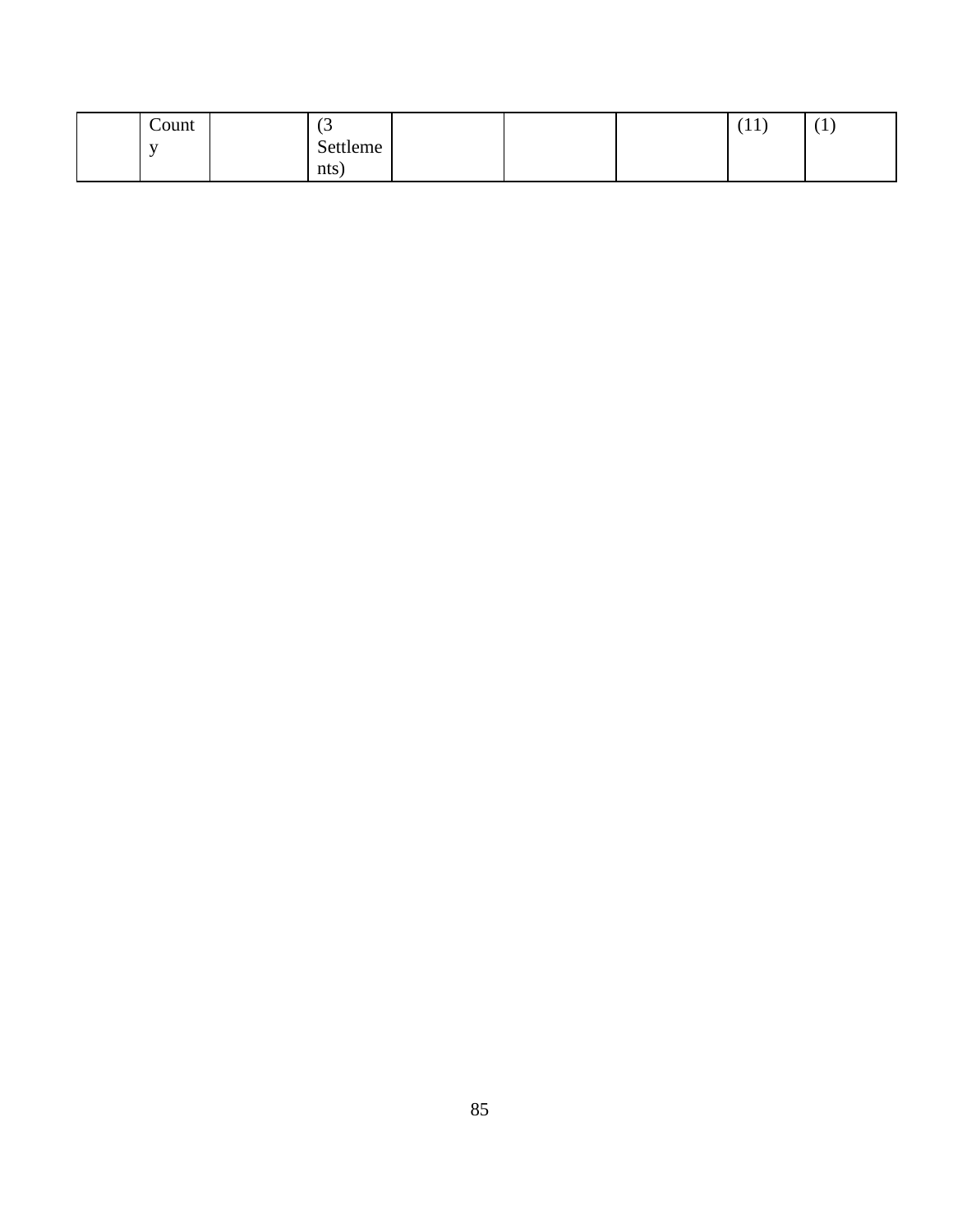| Count        | $\overline{\phantom{a}}$<br>ιJ |  | (11)<br>1 T T | <u>д</u> |
|--------------|--------------------------------|--|---------------|----------|
| $\mathbf{v}$ | Settleme                       |  |               |          |
|              | nts)                           |  |               |          |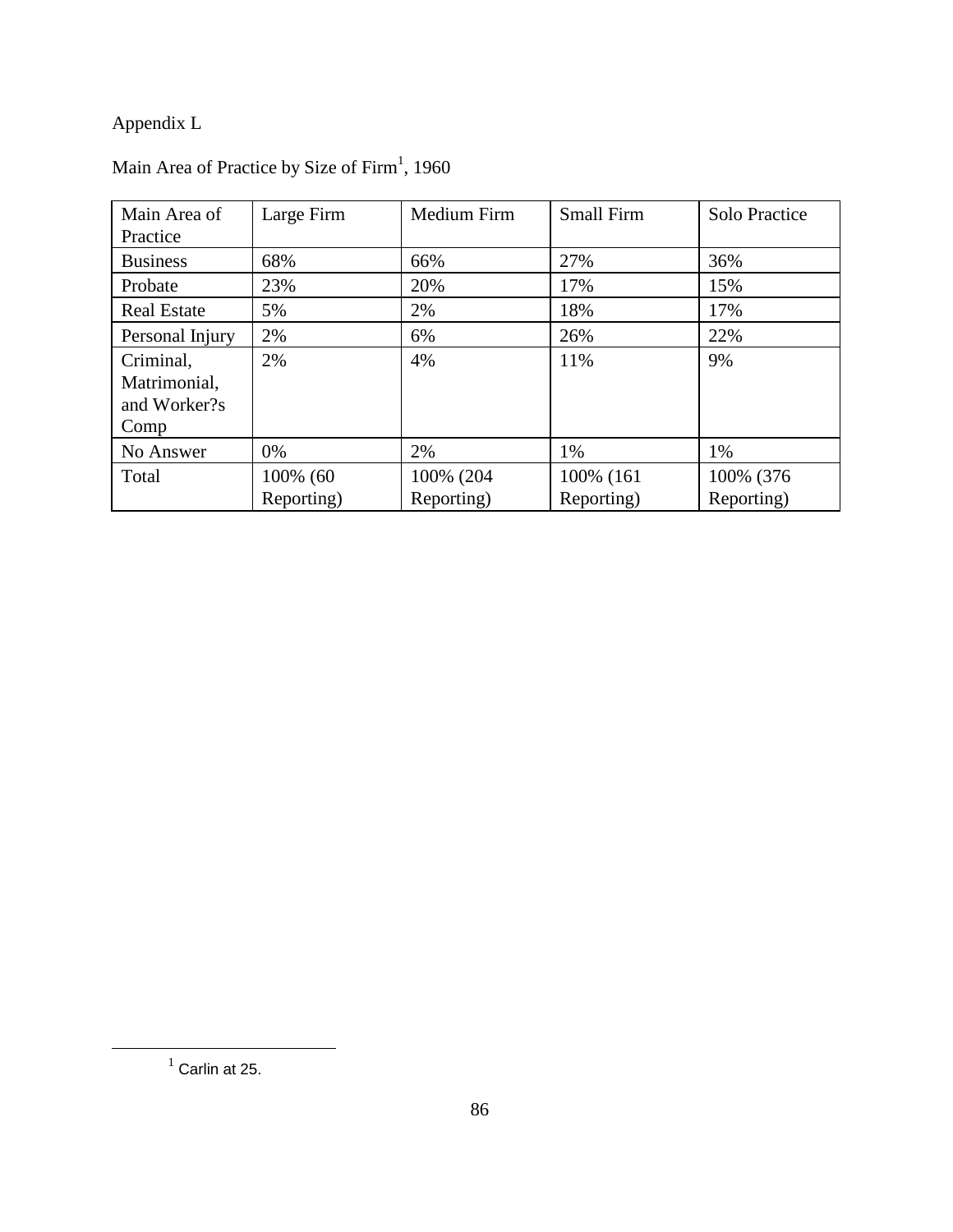## Appendix L

| Main Area of<br>Practice                          | Large Firm             | Medium Firm             | <b>Small Firm</b>        | Solo Practice           |
|---------------------------------------------------|------------------------|-------------------------|--------------------------|-------------------------|
| <b>Business</b>                                   | 68%                    | 66%                     | 27%                      | 36%                     |
| Probate                                           | 23%                    | 20%                     | 17%                      | 15%                     |
| <b>Real Estate</b>                                | 5%                     | 2%                      | 18%                      | 17%                     |
| Personal Injury                                   | 2%                     | 6%                      | 26%                      | 22%                     |
| Criminal,<br>Matrimonial,<br>and Worker?s<br>Comp | 2%                     | 4%                      | 11%                      | 9%                      |
| No Answer                                         | 0%                     | 2%                      | 1%                       | 1%                      |
| Total                                             | 100% (60<br>Reporting) | 100% (204<br>Reporting) | 100% (161)<br>Reporting) | 100% (376<br>Reporting) |

#### Main Area of Practice by Size of Firm<sup>1</sup>, 1960

 $<sup>1</sup>$  Carlin at 25.</sup>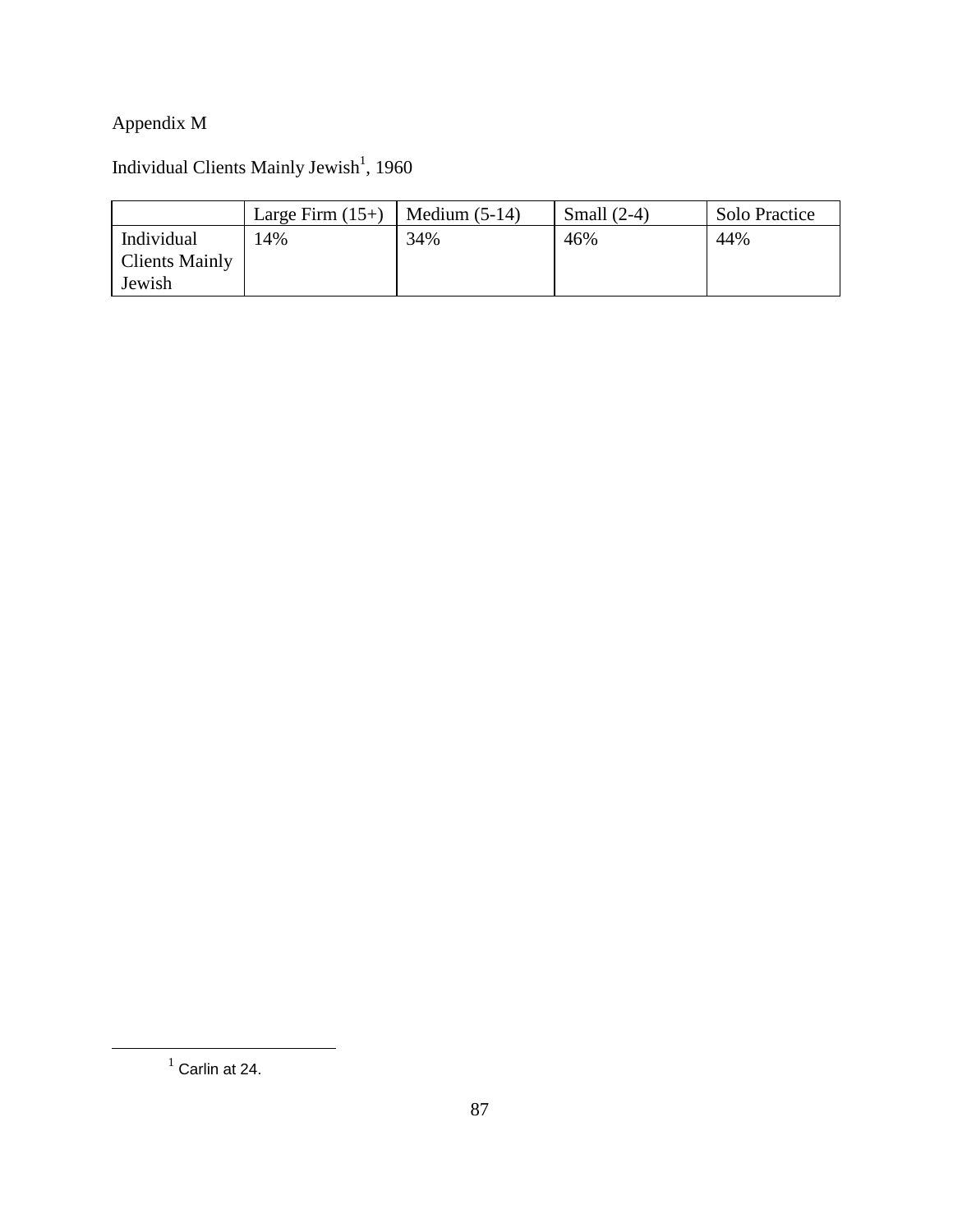## Appendix M

#### Individual Clients Mainly Jewish<sup>1</sup>, 1960

|                       | Large Firm $(15+)$ | Medium $(5-14)$ | Small $(2-4)$ | Solo Practice |
|-----------------------|--------------------|-----------------|---------------|---------------|
| Individual            | 4%                 | 34%             | 46%           | 44%           |
| <b>Clients Mainly</b> |                    |                 |               |               |
| Jewish                |                    |                 |               |               |

 $<sup>1</sup>$  Carlin at 24.</sup>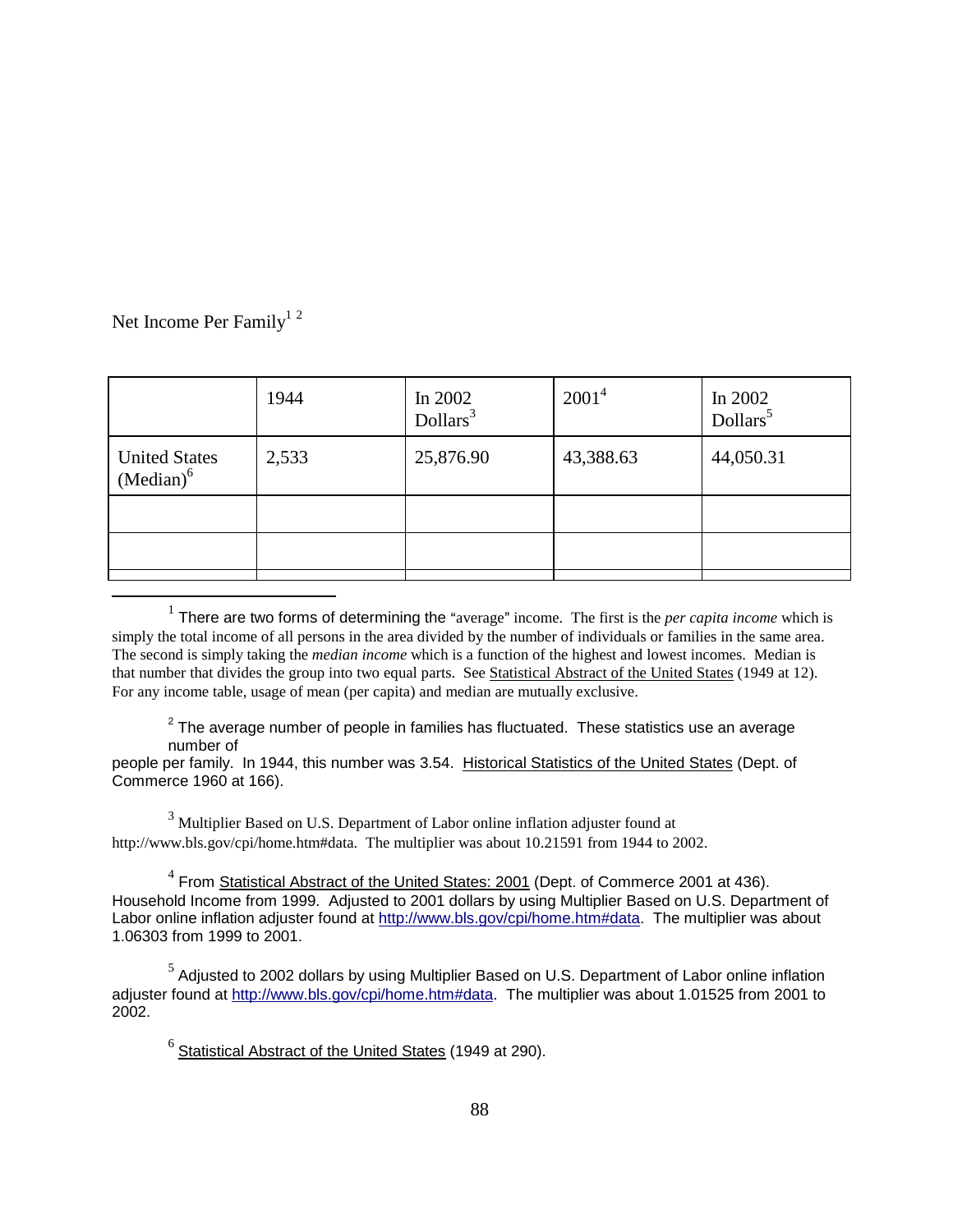Net Income Per Family<sup>12</sup>

| 1944  | In $2002$<br>Dollars <sup>3</sup> | $2001^4$  | In 2002<br>Dollars <sup>5</sup> |
|-------|-----------------------------------|-----------|---------------------------------|
| 2,533 | 25,876.90                         | 43,388.63 | 44,050.31                       |
|       |                                   |           |                                 |
|       |                                   |           |                                 |
|       |                                   |           |                                 |

 $<sup>1</sup>$  There are two forms of determining the "average" income. The first is the *per capita income* which is</sup> simply the total income of all persons in the area divided by the number of individuals or families in the same area. The second is simply taking the *median income* which is a function of the highest and lowest incomes. Median is that number that divides the group into two equal parts. See Statistical Abstract of the United States (1949 at 12). For any income table, usage of mean (per capita) and median are mutually exclusive.

 $2$  The average number of people in families has fluctuated. These statistics use an average number of

people per family. In 1944, this number was 3.54. Historical Statistics of the United States (Dept. of Commerce 1960 at 166).

 $3$  Multiplier Based on U.S. Department of Labor online inflation adjuster found at http://www.bls.gov/cpi/home.htm#data. The multiplier was about 10.21591 from 1944 to 2002.

 $4$  From **Statistical Abstract of the United States: 2001** (Dept. of Commerce 2001 at 436). Household Income from 1999. Adjusted to 2001 dollars by using Multiplier Based on U.S. Department of Labor online inflation adjuster found at http://www.bls.gov/cpi/home.htm#data. The multiplier was about 1.06303 from 1999 to 2001.

 $<sup>5</sup>$  Adjusted to 2002 dollars by using Multiplier Based on U.S. Department of Labor online inflation</sup> adjuster found at http://www.bls.gov/cpi/home.htm#data. The multiplier was about 1.01525 from 2001 to 2002.

 $^6$  Statistical Abstract of the United States (1949 at 290).